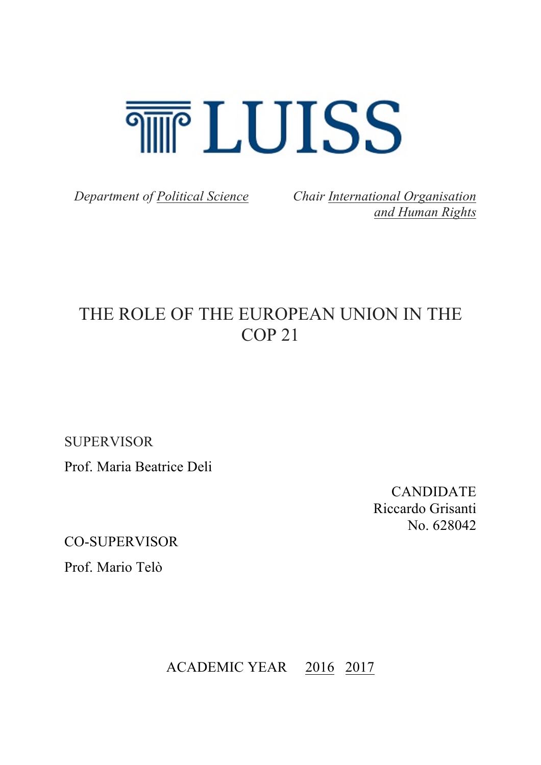

*Department of Political Science Chair International Organisation and Human Rights*

# THE ROLE OF THE EUROPEAN UNION IN THE COP 21

**SUPERVISOR** 

Prof. Maria Beatrice Deli

CANDIDATE Riccardo Grisanti No. 628042

CO-SUPERVISOR

Prof. Mario Telò

ACADEMIC YEAR 2016 2017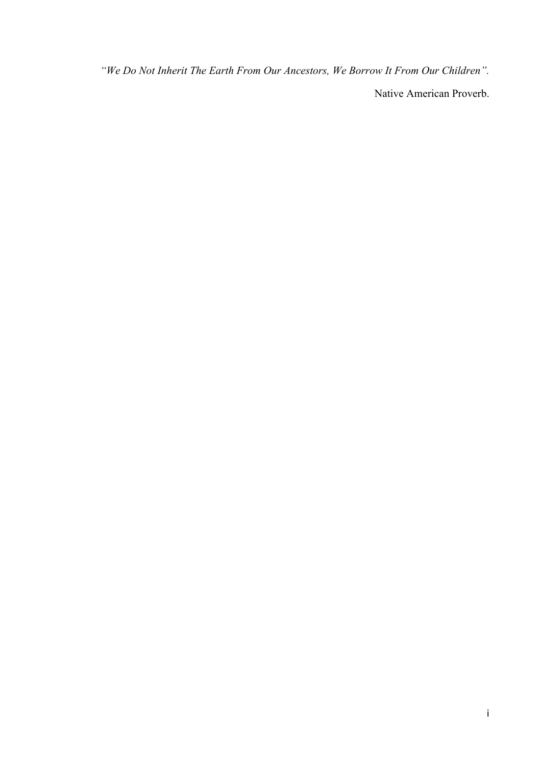*"We Do Not Inherit The Earth From Our Ancestors, We Borrow It From Our Children".*

Native American Proverb.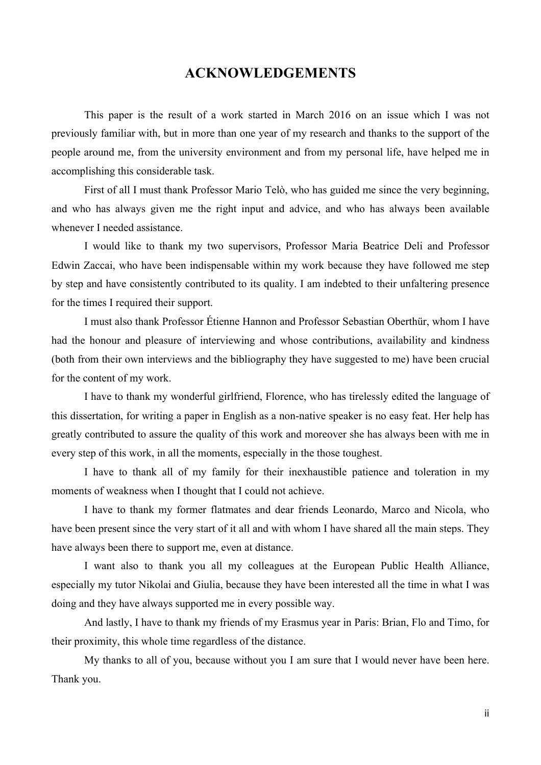### **ACKNOWLEDGEMENTS**

This paper is the result of a work started in March 2016 on an issue which I was not previously familiar with, but in more than one year of my research and thanks to the support of the people around me, from the university environment and from my personal life, have helped me in accomplishing this considerable task.

First of all I must thank Professor Mario Telò, who has guided me since the very beginning, and who has always given me the right input and advice, and who has always been available whenever I needed assistance.

I would like to thank my two supervisors, Professor Maria Beatrice Deli and Professor Edwin Zaccai, who have been indispensable within my work because they have followed me step by step and have consistently contributed to its quality. I am indebted to their unfaltering presence for the times I required their support.

I must also thank Professor Étienne Hannon and Professor Sebastian Oberthür, whom I have had the honour and pleasure of interviewing and whose contributions, availability and kindness (both from their own interviews and the bibliography they have suggested to me) have been crucial for the content of my work.

I have to thank my wonderful girlfriend, Florence, who has tirelessly edited the language of this dissertation, for writing a paper in English as a non-native speaker is no easy feat. Her help has greatly contributed to assure the quality of this work and moreover she has always been with me in every step of this work, in all the moments, especially in the those toughest.

I have to thank all of my family for their inexhaustible patience and toleration in my moments of weakness when I thought that I could not achieve.

I have to thank my former flatmates and dear friends Leonardo, Marco and Nicola, who have been present since the very start of it all and with whom I have shared all the main steps. They have always been there to support me, even at distance.

I want also to thank you all my colleagues at the European Public Health Alliance, especially my tutor Nikolai and Giulia, because they have been interested all the time in what I was doing and they have always supported me in every possible way.

And lastly, I have to thank my friends of my Erasmus year in Paris: Brian, Flo and Timo, for their proximity, this whole time regardless of the distance.

My thanks to all of you, because without you I am sure that I would never have been here. Thank you.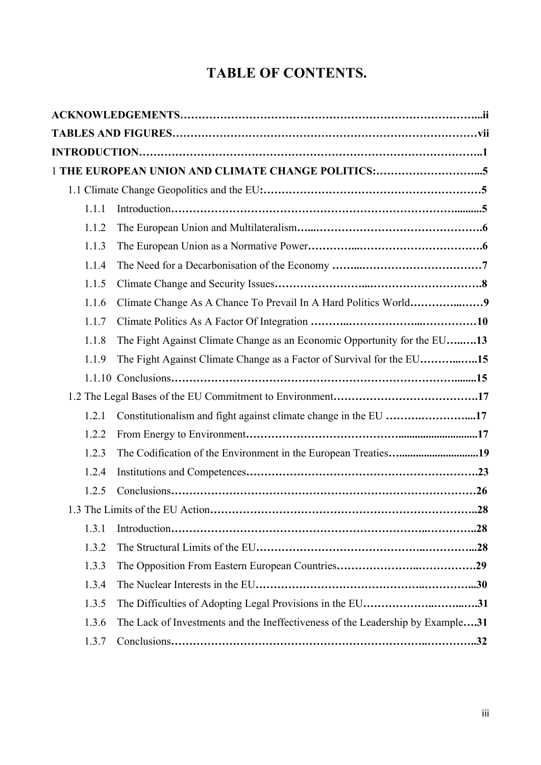## **TABLE OF CONTENTS.**

|       | 1 THE EUROPEAN UNION AND CLIMATE CHANGE POLITICS:5                             |
|-------|--------------------------------------------------------------------------------|
|       |                                                                                |
| 1.1.1 |                                                                                |
| 1.1.2 |                                                                                |
| 1.1.3 |                                                                                |
| 1.1.4 |                                                                                |
| 1.1.5 |                                                                                |
| 1.1.6 |                                                                                |
| 1.1.7 |                                                                                |
| 1.1.8 | The Fight Against Climate Change as an Economic Opportunity for the EU13       |
| 1.1.9 | The Fight Against Climate Change as a Factor of Survival for the EU15          |
|       |                                                                                |
|       |                                                                                |
| 1.2.1 | Constitutionalism and fight against climate change in the EU 17                |
| 1.2.2 |                                                                                |
| 1.2.3 |                                                                                |
| 1.2.4 |                                                                                |
| 1.2.5 |                                                                                |
|       |                                                                                |
| 1.3.1 |                                                                                |
| 1.3.2 |                                                                                |
| 1.3.3 |                                                                                |
| 1.3.4 |                                                                                |
| 1.3.5 | The Difficulties of Adopting Legal Provisions in the EU31                      |
| 1.3.6 | The Lack of Investments and the Ineffectiveness of the Leadership by Example31 |
| 1.3.7 |                                                                                |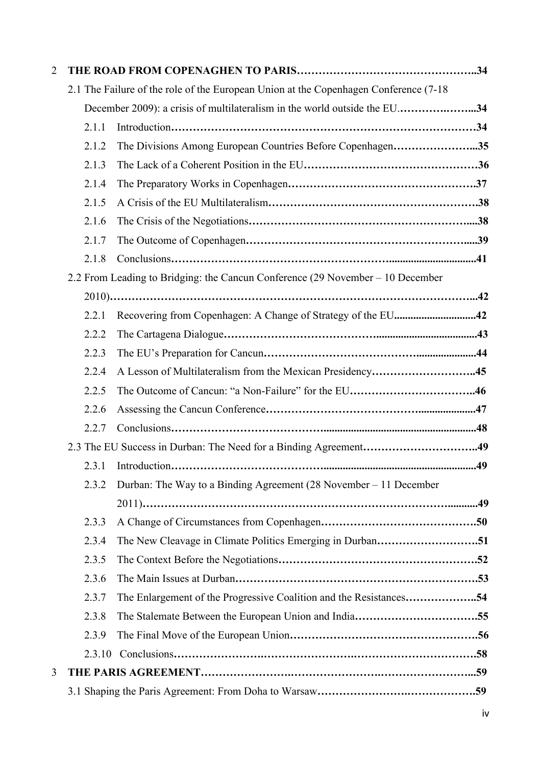| $\overline{2}$ |        |                                                                                       |
|----------------|--------|---------------------------------------------------------------------------------------|
|                |        | 2.1 The Failure of the role of the European Union at the Copenhagen Conference (7-18) |
|                |        | December 2009): a crisis of multilateralism in the world outside the EU34             |
|                | 2.1.1  |                                                                                       |
|                | 2.1.2  | The Divisions Among European Countries Before Copenhagen35                            |
|                | 2.1.3  |                                                                                       |
|                | 2.1.4  |                                                                                       |
|                | 2.1.5  |                                                                                       |
|                | 2.1.6  |                                                                                       |
|                | 2.1.7  |                                                                                       |
|                | 2.1.8  |                                                                                       |
|                |        | 2.2 From Leading to Bridging: the Cancun Conference (29 November – 10 December        |
|                |        |                                                                                       |
|                | 2.2.1  | Recovering from Copenhagen: A Change of Strategy of the EU42                          |
|                | 2.2.2  |                                                                                       |
|                | 2.2.3  |                                                                                       |
|                | 2.2.4  | A Lesson of Multilateralism from the Mexican Presidency45                             |
|                | 2.2.5  |                                                                                       |
|                | 2.2.6  |                                                                                       |
|                | 2.2.7  |                                                                                       |
|                |        |                                                                                       |
|                | 2.3.1  |                                                                                       |
|                | 2.3.2  | Durban: The Way to a Binding Agreement (28 November – 11 December                     |
|                |        |                                                                                       |
|                | 2.3.3  |                                                                                       |
|                | 2.3.4  |                                                                                       |
|                | 2.3.5  |                                                                                       |
|                | 2.3.6  |                                                                                       |
|                | 2.3.7  |                                                                                       |
|                | 2.3.8  |                                                                                       |
|                | 2.3.9  |                                                                                       |
|                | 2.3.10 |                                                                                       |
| 3              |        |                                                                                       |
|                |        |                                                                                       |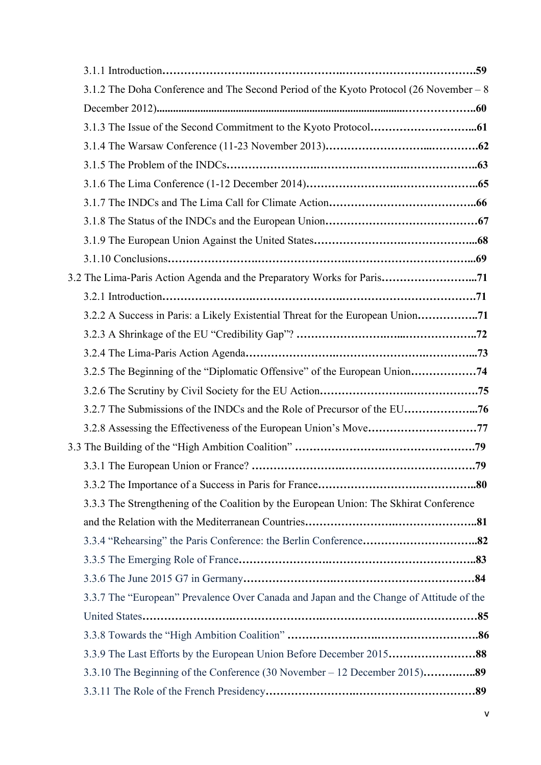| 3.1.2 The Doha Conference and The Second Period of the Kyoto Protocol (26 November – 8  |
|-----------------------------------------------------------------------------------------|
|                                                                                         |
|                                                                                         |
|                                                                                         |
|                                                                                         |
|                                                                                         |
|                                                                                         |
|                                                                                         |
|                                                                                         |
|                                                                                         |
| 3.2 The Lima-Paris Action Agenda and the Preparatory Works for Paris71                  |
|                                                                                         |
| 3.2.2 A Success in Paris: a Likely Existential Threat for the European Union            |
|                                                                                         |
|                                                                                         |
|                                                                                         |
|                                                                                         |
| 3.2.7 The Submissions of the INDCs and the Role of Precursor of the EU76                |
| 3.2.8 Assessing the Effectiveness of the European Union's Move77                        |
|                                                                                         |
| .79                                                                                     |
|                                                                                         |
| 3.3.3 The Strengthening of the Coalition by the European Union: The Skhirat Conference  |
|                                                                                         |
|                                                                                         |
|                                                                                         |
|                                                                                         |
| 3.3.7 The "European" Prevalence Over Canada and Japan and the Change of Attitude of the |
|                                                                                         |
|                                                                                         |
| 3.3.9 The Last Efforts by the European Union Before December 201588                     |
|                                                                                         |
|                                                                                         |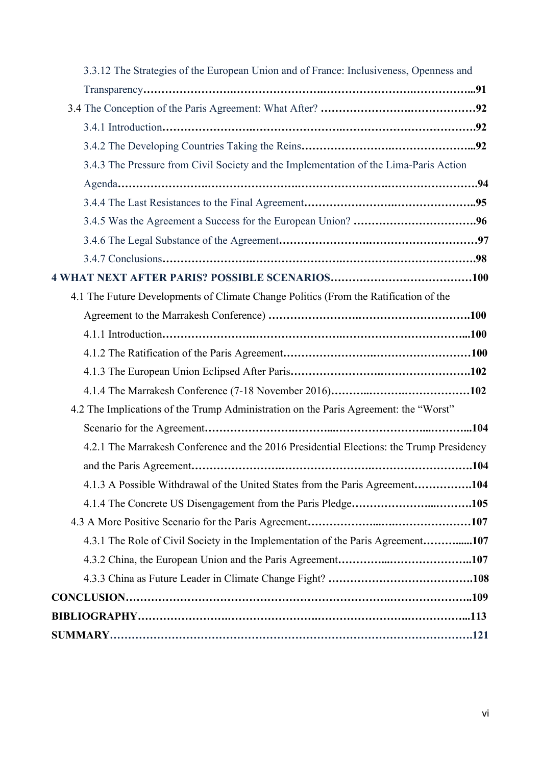| 3.3.12 The Strategies of the European Union and of France: Inclusiveness, Openness and   |
|------------------------------------------------------------------------------------------|
|                                                                                          |
|                                                                                          |
|                                                                                          |
|                                                                                          |
| 3.4.3 The Pressure from Civil Society and the Implementation of the Lima-Paris Action    |
|                                                                                          |
|                                                                                          |
|                                                                                          |
|                                                                                          |
|                                                                                          |
|                                                                                          |
| 4.1 The Future Developments of Climate Change Politics (From the Ratification of the     |
|                                                                                          |
|                                                                                          |
|                                                                                          |
|                                                                                          |
|                                                                                          |
| 4.2 The Implications of the Trump Administration on the Paris Agreement: the "Worst"     |
|                                                                                          |
| 4.2.1 The Marrakesh Conference and the 2016 Presidential Elections: the Trump Presidency |
|                                                                                          |
| 4.1.3 A Possible Withdrawal of the United States from the Paris Agreement104             |
|                                                                                          |
|                                                                                          |
| 4.3.1 The Role of Civil Society in the Implementation of the Paris Agreement107          |
|                                                                                          |
|                                                                                          |
|                                                                                          |
|                                                                                          |
|                                                                                          |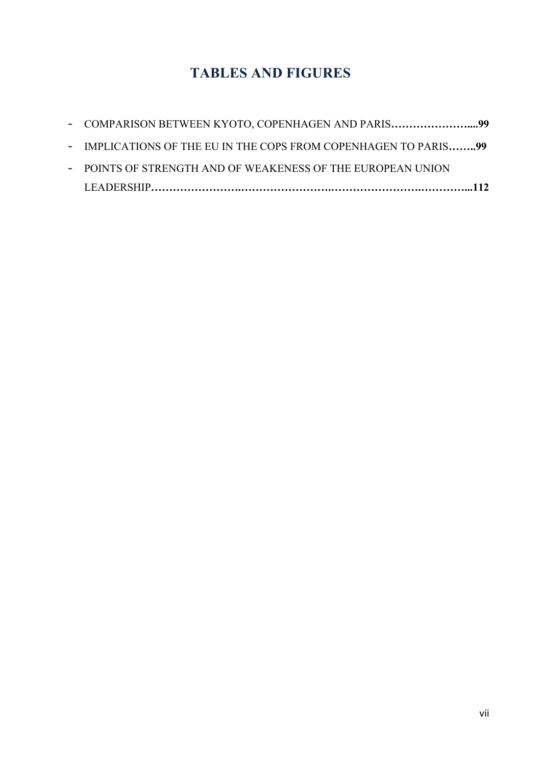### **TABLES AND FIGURES**

| - COMPARISON BETWEEN KYOTO, COPENHAGEN AND PARIS99              |  |
|-----------------------------------------------------------------|--|
| - IMPLICATIONS OF THE EU IN THE COPS FROM COPENHAGEN TO PARIS99 |  |
| - POINTS OF STRENGTH AND OF WEAKENESS OF THE EUROPEAN UNION     |  |
|                                                                 |  |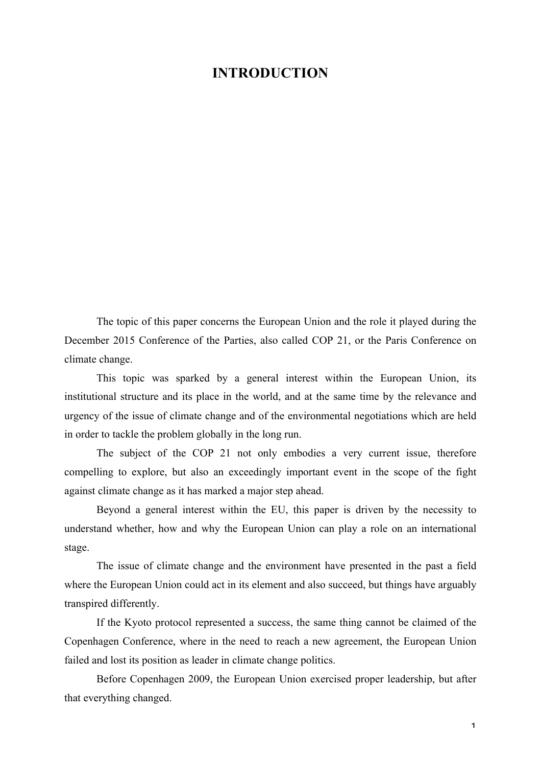### **INTRODUCTION**

The topic of this paper concerns the European Union and the role it played during the December 2015 Conference of the Parties, also called COP 21, or the Paris Conference on climate change.

This topic was sparked by a general interest within the European Union, its institutional structure and its place in the world, and at the same time by the relevance and urgency of the issue of climate change and of the environmental negotiations which are held in order to tackle the problem globally in the long run.

The subject of the COP 21 not only embodies a very current issue, therefore compelling to explore, but also an exceedingly important event in the scope of the fight against climate change as it has marked a major step ahead.

Beyond a general interest within the EU, this paper is driven by the necessity to understand whether, how and why the European Union can play a role on an international stage.

The issue of climate change and the environment have presented in the past a field where the European Union could act in its element and also succeed, but things have arguably transpired differently.

If the Kyoto protocol represented a success, the same thing cannot be claimed of the Copenhagen Conference, where in the need to reach a new agreement, the European Union failed and lost its position as leader in climate change politics.

Before Copenhagen 2009, the European Union exercised proper leadership, but after that everything changed.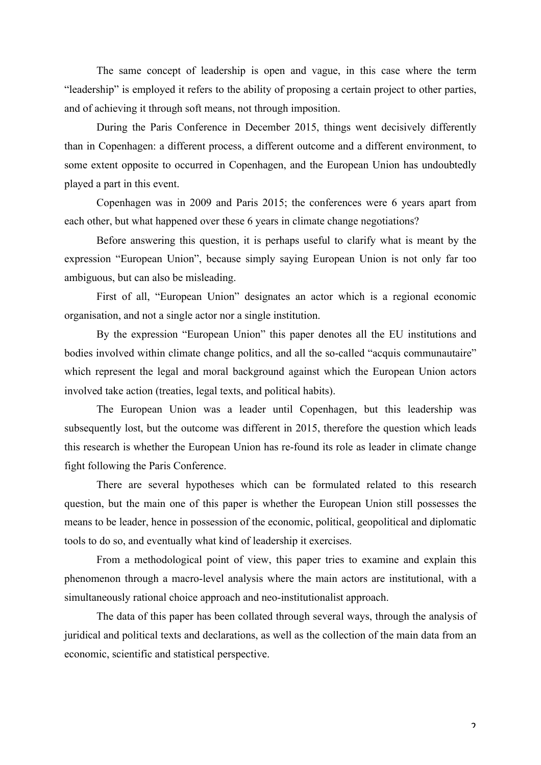The same concept of leadership is open and vague, in this case where the term "leadership" is employed it refers to the ability of proposing a certain project to other parties, and of achieving it through soft means, not through imposition.

During the Paris Conference in December 2015, things went decisively differently than in Copenhagen: a different process, a different outcome and a different environment, to some extent opposite to occurred in Copenhagen, and the European Union has undoubtedly played a part in this event.

Copenhagen was in 2009 and Paris 2015; the conferences were 6 years apart from each other, but what happened over these 6 years in climate change negotiations?

Before answering this question, it is perhaps useful to clarify what is meant by the expression "European Union", because simply saying European Union is not only far too ambiguous, but can also be misleading.

First of all, "European Union" designates an actor which is a regional economic organisation, and not a single actor nor a single institution.

By the expression "European Union" this paper denotes all the EU institutions and bodies involved within climate change politics, and all the so-called "acquis communautaire" which represent the legal and moral background against which the European Union actors involved take action (treaties, legal texts, and political habits).

The European Union was a leader until Copenhagen, but this leadership was subsequently lost, but the outcome was different in 2015, therefore the question which leads this research is whether the European Union has re-found its role as leader in climate change fight following the Paris Conference.

There are several hypotheses which can be formulated related to this research question, but the main one of this paper is whether the European Union still possesses the means to be leader, hence in possession of the economic, political, geopolitical and diplomatic tools to do so, and eventually what kind of leadership it exercises.

From a methodological point of view, this paper tries to examine and explain this phenomenon through a macro-level analysis where the main actors are institutional, with a simultaneously rational choice approach and neo-institutionalist approach.

The data of this paper has been collated through several ways, through the analysis of juridical and political texts and declarations, as well as the collection of the main data from an economic, scientific and statistical perspective.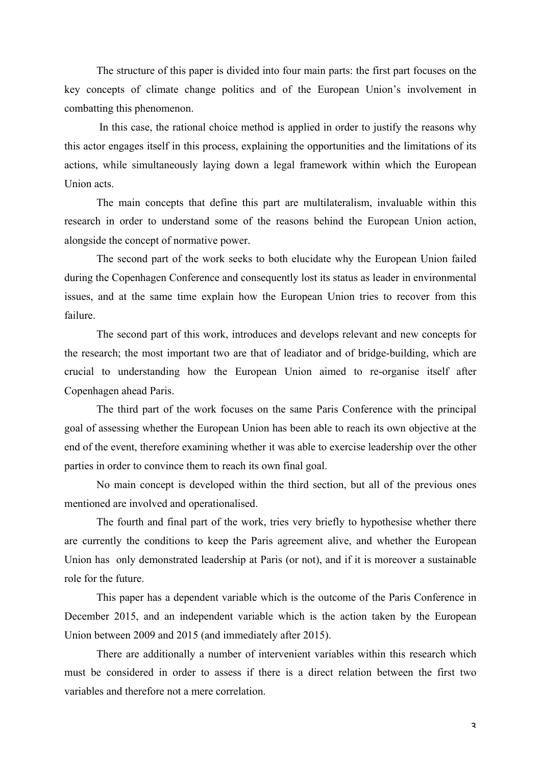The structure of this paper is divided into four main parts: the first part focuses on the key concepts of climate change politics and of the European Union's involvement in combatting this phenomenon.

In this case, the rational choice method is applied in order to justify the reasons why this actor engages itself in this process, explaining the opportunities and the limitations of its actions, while simultaneously laying down a legal framework within which the European Union acts.

The main concepts that define this part are multilateralism, invaluable within this research in order to understand some of the reasons behind the European Union action, alongside the concept of normative power.

The second part of the work seeks to both elucidate why the European Union failed during the Copenhagen Conference and consequently lost its status as leader in environmental issues, and at the same time explain how the European Union tries to recover from this failure.

The second part of this work, introduces and develops relevant and new concepts for the research; the most important two are that of leadiator and of bridge-building, which are crucial to understanding how the European Union aimed to re-organise itself after Copenhagen ahead Paris.

The third part of the work focuses on the same Paris Conference with the principal goal of assessing whether the European Union has been able to reach its own objective at the end of the event, therefore examining whether it was able to exercise leadership over the other parties in order to convince them to reach its own final goal.

No main concept is developed within the third section, but all of the previous ones mentioned are involved and operationalised.

The fourth and final part of the work, tries very briefly to hypothesise whether there are currently the conditions to keep the Paris agreement alive, and whether the European Union has only demonstrated leadership at Paris (or not), and if it is moreover a sustainable role for the future.

This paper has a dependent variable which is the outcome of the Paris Conference in December 2015, and an independent variable which is the action taken by the European Union between 2009 and 2015 (and immediately after 2015).

There are additionally a number of intervenient variables within this research which must be considered in order to assess if there is a direct relation between the first two variables and therefore not a mere correlation.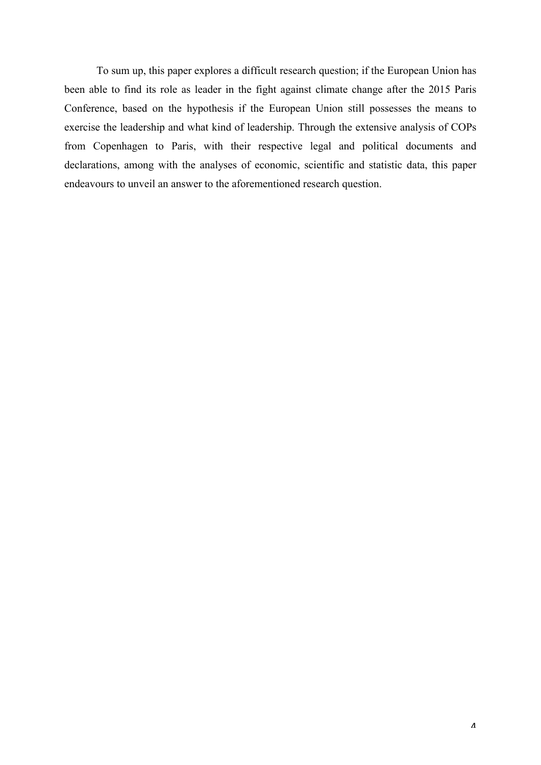To sum up, this paper explores a difficult research question; if the European Union has been able to find its role as leader in the fight against climate change after the 2015 Paris Conference, based on the hypothesis if the European Union still possesses the means to exercise the leadership and what kind of leadership. Through the extensive analysis of COPs from Copenhagen to Paris, with their respective legal and political documents and declarations, among with the analyses of economic, scientific and statistic data, this paper endeavours to unveil an answer to the aforementioned research question.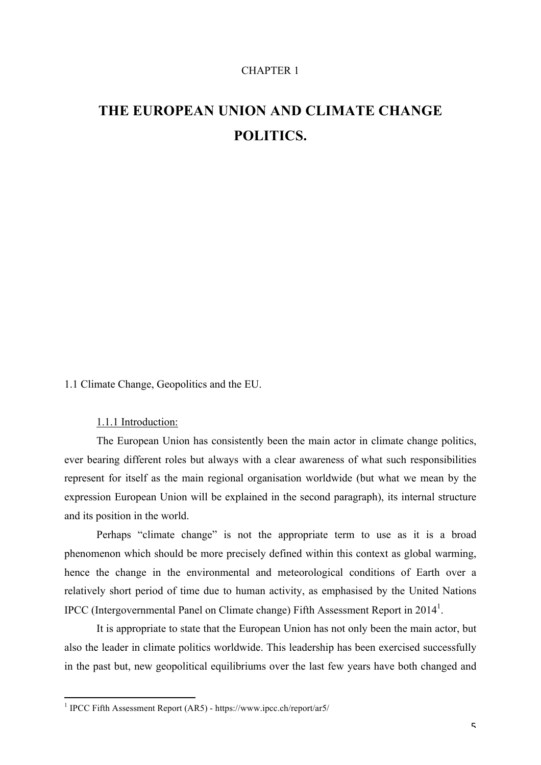#### CHAPTER 1

## **THE EUROPEAN UNION AND CLIMATE CHANGE POLITICS.**

1.1 Climate Change, Geopolitics and the EU.

1.1.1 Introduction:

The European Union has consistently been the main actor in climate change politics, ever bearing different roles but always with a clear awareness of what such responsibilities represent for itself as the main regional organisation worldwide (but what we mean by the expression European Union will be explained in the second paragraph), its internal structure and its position in the world.

Perhaps "climate change" is not the appropriate term to use as it is a broad phenomenon which should be more precisely defined within this context as global warming, hence the change in the environmental and meteorological conditions of Earth over a relatively short period of time due to human activity, as emphasised by the United Nations IPCC (Intergovernmental Panel on Climate change) Fifth Assessment Report in 2014<sup>1</sup>.

It is appropriate to state that the European Union has not only been the main actor, but also the leader in climate politics worldwide. This leadership has been exercised successfully in the past but, new geopolitical equilibriums over the last few years have both changed and

 <sup>1</sup> IPCC Fifth Assessment Report (AR5) - https://www.ipcc.ch/report/ar5/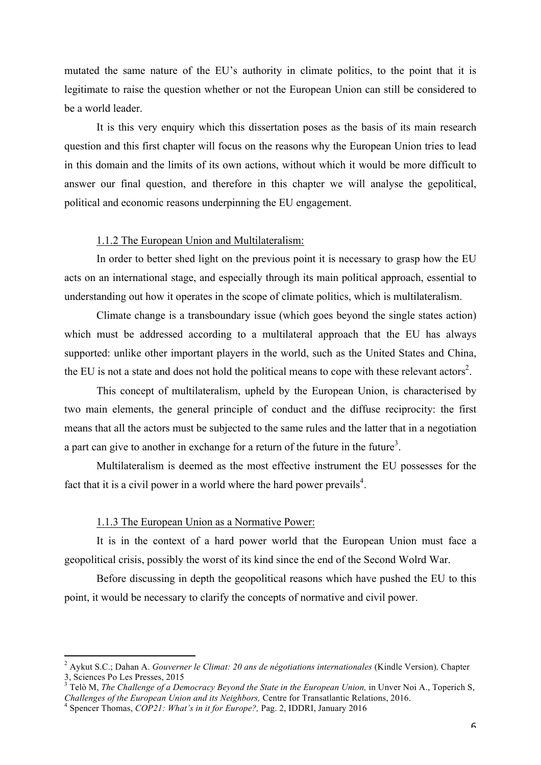mutated the same nature of the EU's authority in climate politics, to the point that it is legitimate to raise the question whether or not the European Union can still be considered to be a world leader.

It is this very enquiry which this dissertation poses as the basis of its main research question and this first chapter will focus on the reasons why the European Union tries to lead in this domain and the limits of its own actions, without which it would be more difficult to answer our final question, and therefore in this chapter we will analyse the gepolitical, political and economic reasons underpinning the EU engagement.

#### 1.1.2 The European Union and Multilateralism:

In order to better shed light on the previous point it is necessary to grasp how the EU acts on an international stage, and especially through its main political approach, essential to understanding out how it operates in the scope of climate politics, which is multilateralism.

Climate change is a transboundary issue (which goes beyond the single states action) which must be addressed according to a multilateral approach that the EU has always supported: unlike other important players in the world, such as the United States and China, the EU is not a state and does not hold the political means to cope with these relevant actors<sup>2</sup>.

This concept of multilateralism, upheld by the European Union, is characterised by two main elements, the general principle of conduct and the diffuse reciprocity: the first means that all the actors must be subjected to the same rules and the latter that in a negotiation a part can give to another in exchange for a return of the future in the future<sup>3</sup>.

Multilateralism is deemed as the most effective instrument the EU possesses for the fact that it is a civil power in a world where the hard power prevails<sup>4</sup>.

#### 1.1.3 The European Union as a Normative Power:

It is in the context of a hard power world that the European Union must face a geopolitical crisis, possibly the worst of its kind since the end of the Second Wolrd War.

Before discussing in depth the geopolitical reasons which have pushed the EU to this point, it would be necessary to clarify the concepts of normative and civil power.

 

<sup>2</sup> Aykut S.C.; Dahan A. *Gouverner le Climat: 20 ans de négotiations internationales* (Kindle Version)*,* Chapter 3, Sciences Po Les Presses, 2015

<sup>&</sup>lt;sup>3</sup> Telò M, *The Challenge of a Democracy Beyond the State in the European Union*, in Unver Noi A., Toperich S, *Challenges of the European Union and its Neighbors,* Centre for Transatlantic Relations, 2016. <sup>4</sup> Spencer Thomas, *COP21: What's in it for Europe?,* Pag. 2, IDDRI, January 2016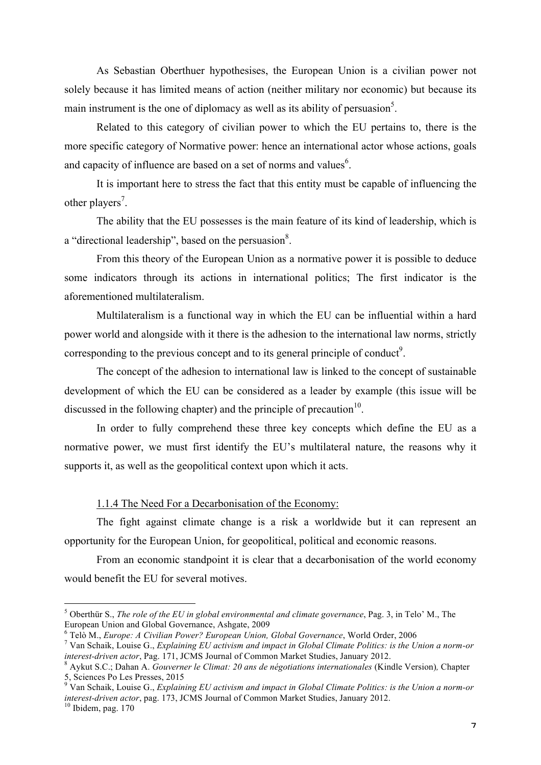As Sebastian Oberthuer hypothesises, the European Union is a civilian power not solely because it has limited means of action (neither military nor economic) but because its main instrument is the one of diplomacy as well as its ability of persuasion<sup>5</sup>.

Related to this category of civilian power to which the EU pertains to, there is the more specific category of Normative power: hence an international actor whose actions, goals and capacity of influence are based on a set of norms and values $<sup>6</sup>$ .</sup>

It is important here to stress the fact that this entity must be capable of influencing the other players<sup>7</sup>.

The ability that the EU possesses is the main feature of its kind of leadership, which is a "directional leadership", based on the persuasion $8$ .

From this theory of the European Union as a normative power it is possible to deduce some indicators through its actions in international politics; The first indicator is the aforementioned multilateralism.

Multilateralism is a functional way in which the EU can be influential within a hard power world and alongside with it there is the adhesion to the international law norms, strictly corresponding to the previous concept and to its general principle of conduct<sup>9</sup>.

The concept of the adhesion to international law is linked to the concept of sustainable development of which the EU can be considered as a leader by example (this issue will be discussed in the following chapter) and the principle of precaution $10$ .

In order to fully comprehend these three key concepts which define the EU as a normative power, we must first identify the EU's multilateral nature, the reasons why it supports it, as well as the geopolitical context upon which it acts.

#### 1.1.4 The Need For a Decarbonisation of the Economy:

The fight against climate change is a risk a worldwide but it can represent an opportunity for the European Union, for geopolitical, political and economic reasons.

From an economic standpoint it is clear that a decarbonisation of the world economy would benefit the EU for several motives.

 <sup>5</sup> Oberthür S., *The role of the EU in global environmental and climate governance*, Pag. 3, in Telo' M., The European Union and Global Governance, Ashgate, 2009<br>
<sup>6</sup> Telò M., *Europe: A Civilian Power? European Union*, *Global Governance*, World Order, 2006<br>
<sup>7</sup> Van Schaik, Louise G., *Explaining EU activism and impact in Global* 

*interest-driven actor*, Pag. 171, JCMS Journal of Common Market Studies, January 2012.<br><sup>8</sup> Aykut S.C.; Dahan A. *Gouverner le Climat: 20 ans de négotiations internationales* (Kindle Version), Chapter

<sup>5,</sup> Sciences Po Les Presses, 2015

<sup>9</sup> Van Schaik, Louise G., *Explaining EU activism and impact in Global Climate Politics: is the Union a norm-or interest-driven actor*, pag. 173, JCMS Journal of Common Market Studies, January 2012.<br><sup>10</sup> Ibidem, pag. 170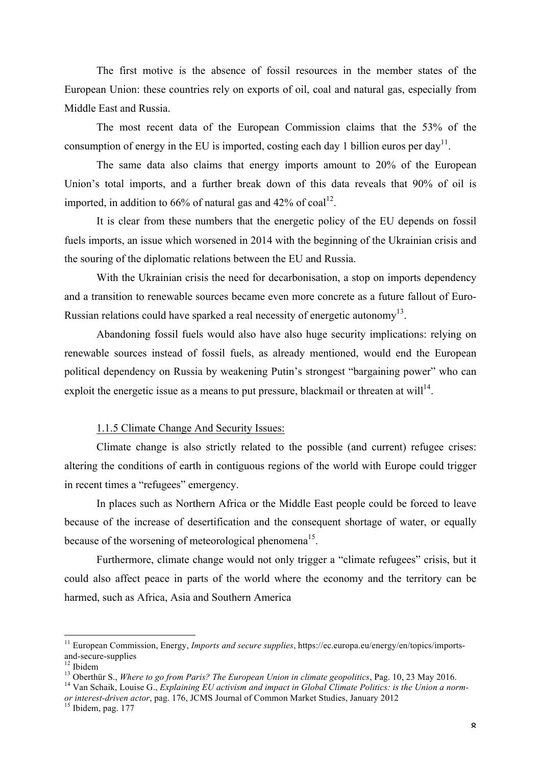The first motive is the absence of fossil resources in the member states of the European Union: these countries rely on exports of oil, coal and natural gas, especially from Middle East and Russia.

The most recent data of the European Commission claims that the 53% of the consumption of energy in the EU is imported, costing each day 1 billion euros per day<sup>11</sup>.

The same data also claims that energy imports amount to 20% of the European Union's total imports, and a further break down of this data reveals that 90% of oil is imported, in addition to 66% of natural gas and 42% of  $coal<sup>12</sup>$ .

It is clear from these numbers that the energetic policy of the EU depends on fossil fuels imports, an issue which worsened in 2014 with the beginning of the Ukrainian crisis and the souring of the diplomatic relations between the EU and Russia.

With the Ukrainian crisis the need for decarbonisation, a stop on imports dependency and a transition to renewable sources became even more concrete as a future fallout of Euro-Russian relations could have sparked a real necessity of energetic autonomy<sup>13</sup>.

Abandoning fossil fuels would also have also huge security implications: relying on renewable sources instead of fossil fuels, as already mentioned, would end the European political dependency on Russia by weakening Putin's strongest "bargaining power" who can exploit the energetic issue as a means to put pressure, blackmail or threaten at will<sup>14</sup>.

#### 1.1.5 Climate Change And Security Issues:

Climate change is also strictly related to the possible (and current) refugee crises: altering the conditions of earth in contiguous regions of the world with Europe could trigger in recent times a "refugees" emergency.

In places such as Northern Africa or the Middle East people could be forced to leave because of the increase of desertification and the consequent shortage of water, or equally because of the worsening of meteorological phenomena<sup>15</sup>.

Furthermore, climate change would not only trigger a "climate refugees" crisis, but it could also affect peace in parts of the world where the economy and the territory can be harmed, such as Africa, Asia and Southern America

<sup>&</sup>lt;sup>11</sup> European Commission, Energy, *Imports and secure supplies*, https://ec.europa.eu/energy/en/topics/imports-<sup>12</sup> Ibidem<br><sup>12</sup> Ibidem<br><sup>13</sup> Oberthür S., *Where to go from Paris? The European Union in climate geopolitics*, Pag. 10, 23 May 2016.<br><sup>14</sup> Van Schaik, Louise G., *Explaining EU activism and impact in Global Climate Politics* 

*or interest-driven actor*, pag. 176, JCMS Journal of Common Market Studies, January 2012<br><sup>15</sup> Ibidem, pag. 177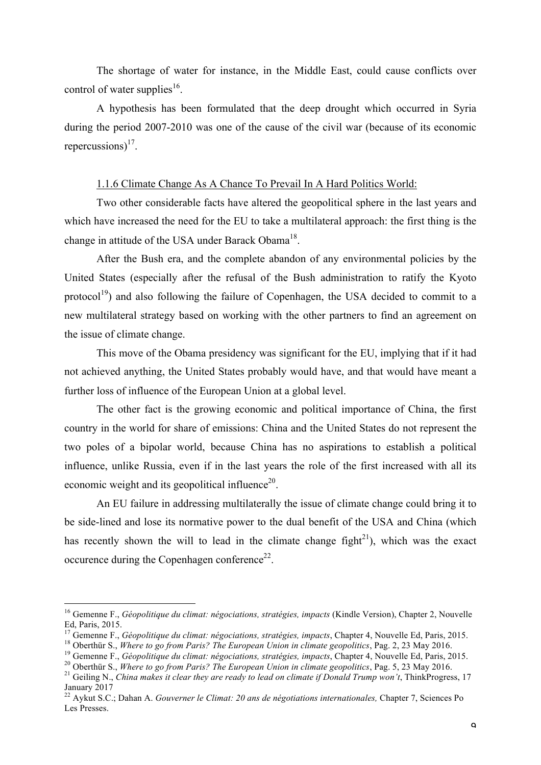The shortage of water for instance, in the Middle East, could cause conflicts over control of water supplies<sup>16</sup>.

A hypothesis has been formulated that the deep drought which occurred in Syria during the period 2007-2010 was one of the cause of the civil war (because of its economic repercussions) $^{17}$ .

#### 1.1.6 Climate Change As A Chance To Prevail In A Hard Politics World:

Two other considerable facts have altered the geopolitical sphere in the last years and which have increased the need for the EU to take a multilateral approach: the first thing is the change in attitude of the USA under Barack Obama<sup>18</sup>.

After the Bush era, and the complete abandon of any environmental policies by the United States (especially after the refusal of the Bush administration to ratify the Kyoto protocol<sup>19</sup>) and also following the failure of Copenhagen, the USA decided to commit to a new multilateral strategy based on working with the other partners to find an agreement on the issue of climate change.

This move of the Obama presidency was significant for the EU, implying that if it had not achieved anything, the United States probably would have, and that would have meant a further loss of influence of the European Union at a global level.

The other fact is the growing economic and political importance of China, the first country in the world for share of emissions: China and the United States do not represent the two poles of a bipolar world, because China has no aspirations to establish a political influence, unlike Russia, even if in the last years the role of the first increased with all its economic weight and its geopolitical influence $2<sup>0</sup>$ .

An EU failure in addressing multilaterally the issue of climate change could bring it to be side-lined and lose its normative power to the dual benefit of the USA and China (which has recently shown the will to lead in the climate change fight<sup>21</sup>), which was the exact occurence during the Copenhagen conference<sup>22</sup>.

 <sup>16</sup> Gemenne F., *Géopolitique du climat: négociations, stratégies, impacts* (Kindle Version), Chapter 2, Nouvelle Ed, Paris, 2015.<br><sup>17</sup> Gemenne F., *Géopolitique du climat: négociations, stratégies, impacts, Chapter 4, Nouvelle Ed, Paris, 2015.* 

<sup>&</sup>lt;sup>18</sup> Oberthür S., *Where to go from Paris? The European Union in climate geopolitics*, Pag. 2, 23 May 2016.<br><sup>19</sup> Gemenne F., *Géopolitique du climat: négociations, stratégies, impacts*, Chapter 4, Nouvelle Ed, Paris, 2015

January 2017

<sup>22</sup> Aykut S.C.; Dahan A. *Gouverner le Climat: 20 ans de négotiations internationales,* Chapter 7, Sciences Po Les Presses.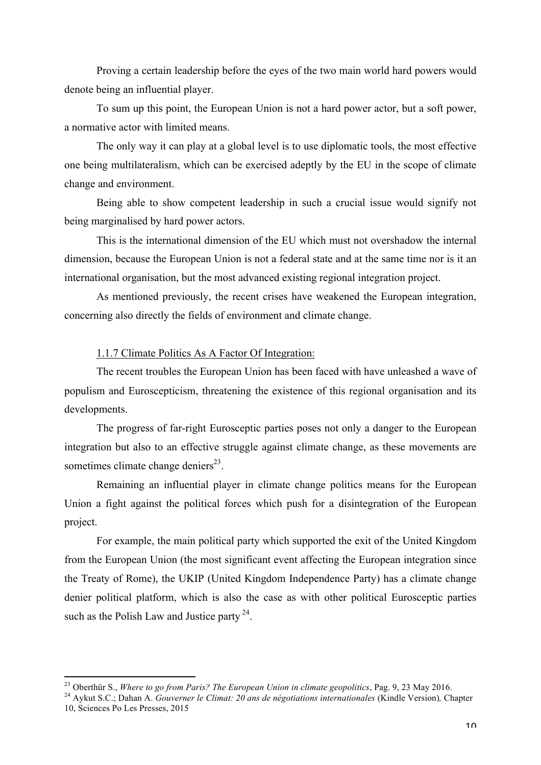Proving a certain leadership before the eyes of the two main world hard powers would denote being an influential player.

To sum up this point, the European Union is not a hard power actor, but a soft power, a normative actor with limited means.

The only way it can play at a global level is to use diplomatic tools, the most effective one being multilateralism, which can be exercised adeptly by the EU in the scope of climate change and environment.

Being able to show competent leadership in such a crucial issue would signify not being marginalised by hard power actors.

This is the international dimension of the EU which must not overshadow the internal dimension, because the European Union is not a federal state and at the same time nor is it an international organisation, but the most advanced existing regional integration project.

As mentioned previously, the recent crises have weakened the European integration, concerning also directly the fields of environment and climate change.

#### 1.1.7 Climate Politics As A Factor Of Integration:

The recent troubles the European Union has been faced with have unleashed a wave of populism and Euroscepticism, threatening the existence of this regional organisation and its developments.

The progress of far-right Eurosceptic parties poses not only a danger to the European integration but also to an effective struggle against climate change, as these movements are sometimes climate change deniers $^{23}$ .

Remaining an influential player in climate change politics means for the European Union a fight against the political forces which push for a disintegration of the European project.

For example, the main political party which supported the exit of the United Kingdom from the European Union (the most significant event affecting the European integration since the Treaty of Rome), the UKIP (United Kingdom Independence Party) has a climate change denier political platform, which is also the case as with other political Eurosceptic parties such as the Polish Law and Justice party  $24$ .

<sup>&</sup>lt;sup>23</sup> Oberthür S., *Where to go from Paris? The European Union in climate geopolitics*, Pag. 9, 23 May 2016.<br><sup>24</sup> Aykut S.C.; Dahan A. *Gouverner le Climat: 20 ans de négotiations internationales* (Kindle Version), Chapter

<sup>10,</sup> Sciences Po Les Presses, 2015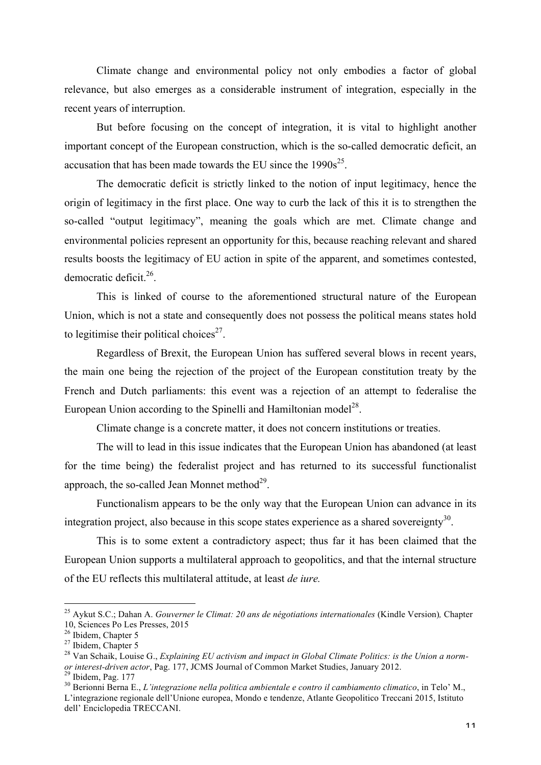Climate change and environmental policy not only embodies a factor of global relevance, but also emerges as a considerable instrument of integration, especially in the recent years of interruption.

But before focusing on the concept of integration, it is vital to highlight another important concept of the European construction, which is the so-called democratic deficit, an accusation that has been made towards the EU since the  $1990s^{25}$ .

The democratic deficit is strictly linked to the notion of input legitimacy, hence the origin of legitimacy in the first place. One way to curb the lack of this it is to strengthen the so-called "output legitimacy", meaning the goals which are met. Climate change and environmental policies represent an opportunity for this, because reaching relevant and shared results boosts the legitimacy of EU action in spite of the apparent, and sometimes contested, democratic deficit.<sup>26</sup>.

This is linked of course to the aforementioned structural nature of the European Union, which is not a state and consequently does not possess the political means states hold to legitimise their political choices<sup>27</sup>.

Regardless of Brexit, the European Union has suffered several blows in recent years, the main one being the rejection of the project of the European constitution treaty by the French and Dutch parliaments: this event was a rejection of an attempt to federalise the European Union according to the Spinelli and Hamiltonian model<sup>28</sup>.

Climate change is a concrete matter, it does not concern institutions or treaties.

The will to lead in this issue indicates that the European Union has abandoned (at least for the time being) the federalist project and has returned to its successful functionalist approach, the so-called Jean Monnet method $2^9$ .

Functionalism appears to be the only way that the European Union can advance in its integration project, also because in this scope states experience as a shared sovereignty<sup>30</sup>.

This is to some extent a contradictory aspect; thus far it has been claimed that the European Union supports a multilateral approach to geopolitics, and that the internal structure of the EU reflects this multilateral attitude, at least *de iure.*

 <sup>25</sup> Aykut S.C.; Dahan A. *Gouverner le Climat: 20 ans de négotiations internationales* (Kindle Version)*,* Chapter 10, Sciences Po Les Presses, 2015<br><sup>26</sup> Ibidem, Chapter 5<br><sup>27</sup> Ibidem, Chapter 5<br><sup>28</sup> Van Schaik, Louise G., *Explaining EU activism and impact in Global Climate Politics: is the Union a norm-*

or interest-driven actor, Pag. 177, JCMS Journal of Common Market Studies, January 2012.<br><sup>29</sup> Ibidem, Pag. 177<br><sup>30</sup> Berionni Berna E., *L'integrazione nella politica ambientale e contro il cambiamento climatico*, in Telo'

L'integrazione regionale dell'Unione europea, Mondo e tendenze, Atlante Geopolitico Treccani 2015, Istituto dell' Enciclopedia TRECCANI.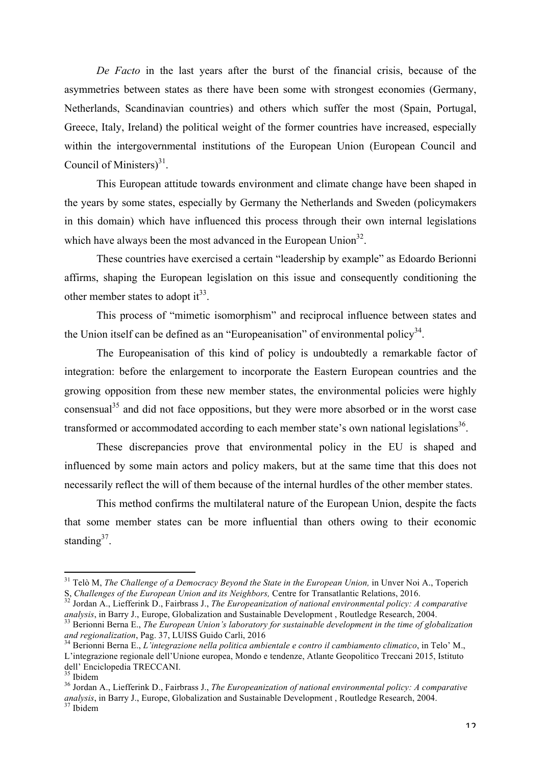*De Facto* in the last years after the burst of the financial crisis, because of the asymmetries between states as there have been some with strongest economies (Germany, Netherlands, Scandinavian countries) and others which suffer the most (Spain, Portugal, Greece, Italy, Ireland) the political weight of the former countries have increased, especially within the intergovernmental institutions of the European Union (European Council and Council of Ministers $)^{31}$ .

This European attitude towards environment and climate change have been shaped in the years by some states, especially by Germany the Netherlands and Sweden (policymakers in this domain) which have influenced this process through their own internal legislations which have always been the most advanced in the European Union<sup>32</sup>.

These countries have exercised a certain "leadership by example" as Edoardo Berionni affirms, shaping the European legislation on this issue and consequently conditioning the other member states to adopt  $it^{33}$ .

This process of "mimetic isomorphism" and reciprocal influence between states and the Union itself can be defined as an "Europeanisation" of environmental policy<sup>34</sup>.

The Europeanisation of this kind of policy is undoubtedly a remarkable factor of integration: before the enlargement to incorporate the Eastern European countries and the growing opposition from these new member states, the environmental policies were highly consensual<sup>35</sup> and did not face oppositions, but they were more absorbed or in the worst case transformed or accommodated according to each member state's own national legislations<sup>36</sup>.

These discrepancies prove that environmental policy in the EU is shaped and influenced by some main actors and policy makers, but at the same time that this does not necessarily reflect the will of them because of the internal hurdles of the other member states.

This method confirms the multilateral nature of the European Union, despite the facts that some member states can be more influential than others owing to their economic standing $37$ .

<sup>&</sup>lt;sup>31</sup> Telò M, *The Challenge of a Democracy Beyond the State in the European Union*, in Unver Noi A., Toperich S. Challenges of the European Union and its Neighbors. Centre for Transatlantic Relations, 2016.

<sup>&</sup>lt;sup>32</sup> Jordan A., Liefferink D., Fairbrass J., *The Europeanization of national environmental policy: A comparative analysis, in Barry J., Europe, Globalization and Sustainable Development, Routledge Research, 2004.* 

 $33$  Berionni Berna E., The European Union's laboratory for sustainable development in the time of globalization and regionalization, Pag. 37, LUISS Guido Carli, 2016<br><sup>34</sup> Berionni Berna E., *L'integrazione nella politica ambientale e contro il cambiamento climatico*, in Telo' M.,

L'integrazione regionale dell'Unione europea, Mondo e tendenze, Atlante Geopolitico Treccani 2015, Istituto dell' Enciclopedia TRECCANI.<br><sup>35</sup> Ibidem

<sup>&</sup>lt;sup>36</sup> Jordan A., Liefferink D., Fairbrass J., *The Europeanization of national environmental policy: A comparative analysis*, in Barry J., Europe, Globalization and Sustainable Development , Routledge Research, 2004.<br><sup>37</sup> Ibidem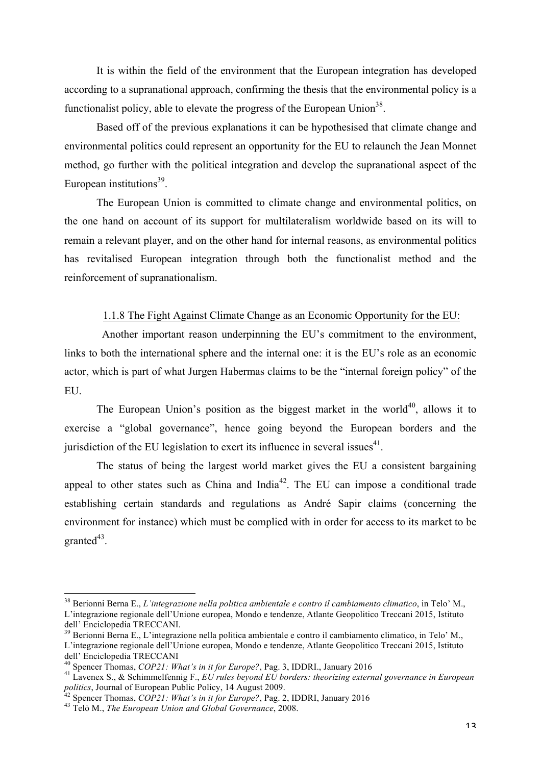It is within the field of the environment that the European integration has developed according to a supranational approach, confirming the thesis that the environmental policy is a functionalist policy, able to elevate the progress of the European Union<sup>38</sup>.

Based off of the previous explanations it can be hypothesised that climate change and environmental politics could represent an opportunity for the EU to relaunch the Jean Monnet method, go further with the political integration and develop the supranational aspect of the European institutions $39$ .

The European Union is committed to climate change and environmental politics, on the one hand on account of its support for multilateralism worldwide based on its will to remain a relevant player, and on the other hand for internal reasons, as environmental politics has revitalised European integration through both the functionalist method and the reinforcement of supranationalism.

#### 1.1.8 The Fight Against Climate Change as an Economic Opportunity for the EU:

 Another important reason underpinning the EU's commitment to the environment, links to both the international sphere and the internal one: it is the EU's role as an economic actor, which is part of what Jurgen Habermas claims to be the "internal foreign policy" of the EU.

The European Union's position as the biggest market in the world<sup>40</sup>, allows it to exercise a "global governance", hence going beyond the European borders and the jurisdiction of the EU legislation to exert its influence in several issues<sup>41</sup>.

The status of being the largest world market gives the EU a consistent bargaining appeal to other states such as China and India<sup>42</sup>. The EU can impose a conditional trade establishing certain standards and regulations as André Sapir claims (concerning the environment for instance) which must be complied with in order for access to its market to be granted $43$ .

 <sup>38</sup> Berionni Berna E., *L'integrazione nella politica ambientale e contro il cambiamento climatico*, in Telo' M., L'integrazione regionale dell'Unione europea, Mondo e tendenze, Atlante Geopolitico Treccani 2015, Istituto dell' Enciclopedia TRECCANI.

<sup>39</sup> Berionni Berna E., L'integrazione nella politica ambientale e contro il cambiamento climatico, in Telo' M., L'integrazione regionale dell'Unione europea, Mondo e tendenze, Atlante Geopolitico Treccani 2015, Istituto dell' Enciclopedia TRECCANI<br><sup>40</sup> Spencer Thomas, *COP21: What's in it for Europe?*, Pag. 3, IDDRI., January 2016

<sup>&</sup>lt;sup>41</sup> Lavenex S., & Schimmelfennig F., *EU rules beyond EU borders: theorizing external governance in European politics*, Journal of European Public Policy, 14 August 2009.<br><sup>42</sup> Spencer Thomas, *COP21: What's in it for Europe?*, Pag. 2, IDDRI, January 2016 43 Telò M., *The European Union and Global Governance*, 2008.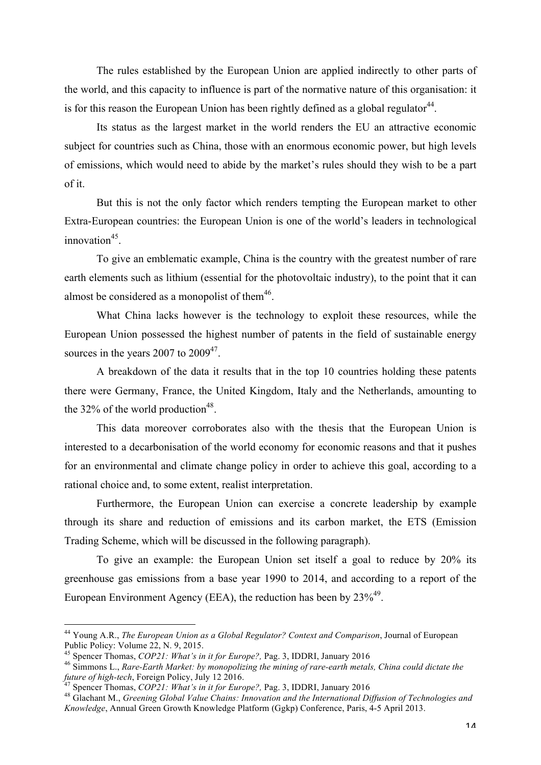The rules established by the European Union are applied indirectly to other parts of the world, and this capacity to influence is part of the normative nature of this organisation: it is for this reason the European Union has been rightly defined as a global regulator  $44$ .

Its status as the largest market in the world renders the EU an attractive economic subject for countries such as China, those with an enormous economic power, but high levels of emissions, which would need to abide by the market's rules should they wish to be a part of it.

But this is not the only factor which renders tempting the European market to other Extra-European countries: the European Union is one of the world's leaders in technological  $innovation<sup>45</sup>$ .

To give an emblematic example, China is the country with the greatest number of rare earth elements such as lithium (essential for the photovoltaic industry), to the point that it can almost be considered as a monopolist of them $46$ .

What China lacks however is the technology to exploit these resources, while the European Union possessed the highest number of patents in the field of sustainable energy sources in the years 2007 to  $2009^{47}$ .

A breakdown of the data it results that in the top 10 countries holding these patents there were Germany, France, the United Kingdom, Italy and the Netherlands, amounting to the 32% of the world production<sup>48</sup>.

This data moreover corroborates also with the thesis that the European Union is interested to a decarbonisation of the world economy for economic reasons and that it pushes for an environmental and climate change policy in order to achieve this goal, according to a rational choice and, to some extent, realist interpretation.

Furthermore, the European Union can exercise a concrete leadership by example through its share and reduction of emissions and its carbon market, the ETS (Emission Trading Scheme, which will be discussed in the following paragraph).

To give an example: the European Union set itself a goal to reduce by 20% its greenhouse gas emissions from a base year 1990 to 2014, and according to a report of the European Environment Agency (EEA), the reduction has been by  $23\%^{49}$ .

 <sup>44</sup> Young A.R., *The European Union as a Global Regulator? Context and Comparison*, Journal of European Public Policy: Volume 22, N. 9, 2015.<br><sup>45</sup> Spencer Thomas, *COP21: What's in it for Europe?*, Pag. 3, IDDRI, January 2016

<sup>&</sup>lt;sup>46</sup> Simmons L., *Rare-Earth Market: by monopolizing the mining of rare-earth metals, China could dictate the future of high-tech, Foreign Policy, July 12 2016.* 

<sup>&</sup>lt;sup>47</sup> Spencer Thomas, *COP21*: *What's in it for Europe?*, Pag. 3, IDDRI, January 2016<br><sup>48</sup> Glachant M., *Greening Global Value Chains: Innovation and the International Diffusion of Technologies and Knowledge*, Annual Green Growth Knowledge Platform (Ggkp) Conference, Paris, 4-5 April 2013.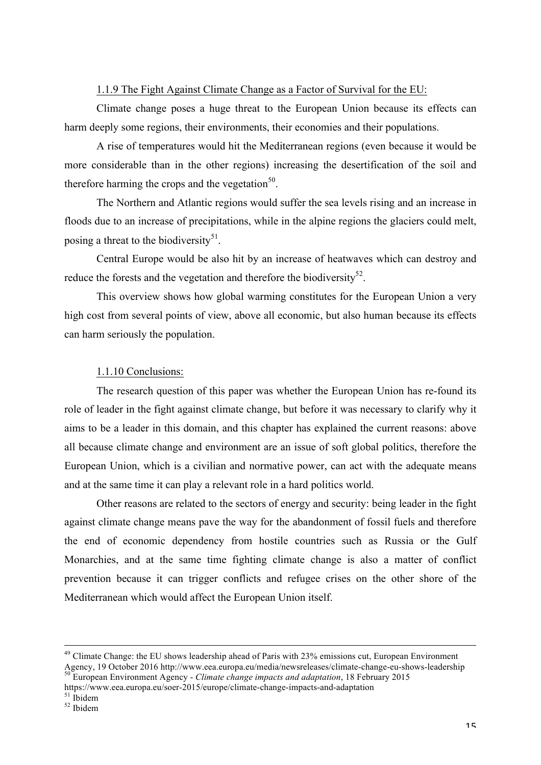#### 1.1.9 The Fight Against Climate Change as a Factor of Survival for the EU:

Climate change poses a huge threat to the European Union because its effects can harm deeply some regions, their environments, their economies and their populations.

A rise of temperatures would hit the Mediterranean regions (even because it would be more considerable than in the other regions) increasing the desertification of the soil and therefore harming the crops and the vegetation<sup>50</sup>.

The Northern and Atlantic regions would suffer the sea levels rising and an increase in floods due to an increase of precipitations, while in the alpine regions the glaciers could melt, posing a threat to the biodiversity<sup>51</sup>.

Central Europe would be also hit by an increase of heatwaves which can destroy and reduce the forests and the vegetation and therefore the biodiversity<sup>52</sup>.

This overview shows how global warming constitutes for the European Union a very high cost from several points of view, above all economic, but also human because its effects can harm seriously the population.

#### 1.1.10 Conclusions:

The research question of this paper was whether the European Union has re-found its role of leader in the fight against climate change, but before it was necessary to clarify why it aims to be a leader in this domain, and this chapter has explained the current reasons: above all because climate change and environment are an issue of soft global politics, therefore the European Union, which is a civilian and normative power, can act with the adequate means and at the same time it can play a relevant role in a hard politics world.

Other reasons are related to the sectors of energy and security: being leader in the fight against climate change means pave the way for the abandonment of fossil fuels and therefore the end of economic dependency from hostile countries such as Russia or the Gulf Monarchies, and at the same time fighting climate change is also a matter of conflict prevention because it can trigger conflicts and refugee crises on the other shore of the Mediterranean which would affect the European Union itself.

<sup>&</sup>lt;sup>49</sup> Climate Change: the EU shows leadership ahead of Paris with 23% emissions cut, European Environment Agency, 19 October 2016 http://www.eea.europa.eu/media/newsreleases/climate-change-eu-shows-leadership<br><sup>50</sup> European Environment Agency - *Climate change impacts and adaptation*, 18 February 2015

https://www.eea.europa.eu/soer-2015/europe/climate-change-impacts-and-adaptation <sup>51</sup> Ibidem 52 Ibidem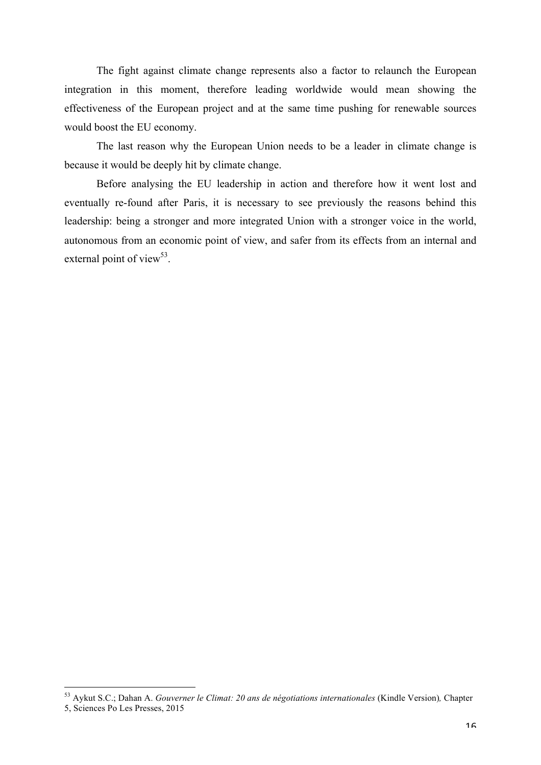The fight against climate change represents also a factor to relaunch the European integration in this moment, therefore leading worldwide would mean showing the effectiveness of the European project and at the same time pushing for renewable sources would boost the EU economy.

The last reason why the European Union needs to be a leader in climate change is because it would be deeply hit by climate change.

Before analysing the EU leadership in action and therefore how it went lost and eventually re-found after Paris, it is necessary to see previously the reasons behind this leadership: being a stronger and more integrated Union with a stronger voice in the world, autonomous from an economic point of view, and safer from its effects from an internal and external point of view<sup>53</sup>.

 <sup>53</sup> Aykut S.C.; Dahan A. *Gouverner le Climat: 20 ans de négotiations internationales* (Kindle Version)*,* Chapter 5, Sciences Po Les Presses, 2015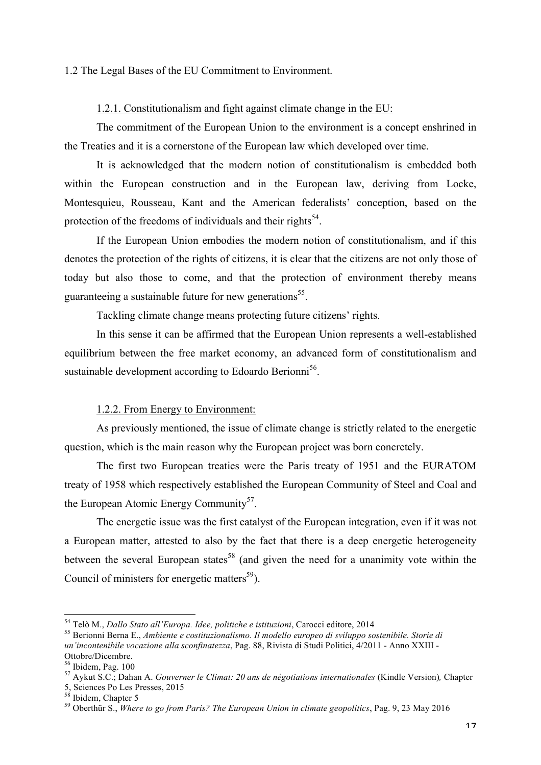#### 1.2 The Legal Bases of the EU Commitment to Environment.

#### 1.2.1. Constitutionalism and fight against climate change in the EU:

The commitment of the European Union to the environment is a concept enshrined in the Treaties and it is a cornerstone of the European law which developed over time.

It is acknowledged that the modern notion of constitutionalism is embedded both within the European construction and in the European law, deriving from Locke, Montesquieu, Rousseau, Kant and the American federalists' conception, based on the protection of the freedoms of individuals and their rights<sup>54</sup>.

If the European Union embodies the modern notion of constitutionalism, and if this denotes the protection of the rights of citizens, it is clear that the citizens are not only those of today but also those to come, and that the protection of environment thereby means guaranteeing a sustainable future for new generations<sup>55</sup>.

Tackling climate change means protecting future citizens' rights.

In this sense it can be affirmed that the European Union represents a well-established equilibrium between the free market economy, an advanced form of constitutionalism and sustainable development according to Edoardo Berionni<sup>56</sup>.

#### 1.2.2. From Energy to Environment:

As previously mentioned, the issue of climate change is strictly related to the energetic question, which is the main reason why the European project was born concretely.

The first two European treaties were the Paris treaty of 1951 and the EURATOM treaty of 1958 which respectively established the European Community of Steel and Coal and the European Atomic Energy Community<sup>57</sup>.

The energetic issue was the first catalyst of the European integration, even if it was not a European matter, attested to also by the fact that there is a deep energetic heterogeneity between the several European states<sup>58</sup> (and given the need for a unanimity vote within the Council of ministers for energetic matters $<sup>59</sup>$ ).</sup>

<sup>&</sup>lt;sup>54</sup> Telò M., *Dallo Stato all'Europa. Idee, politiche e istituzioni*, Carocci editore, 2014<br><sup>55</sup> Berionni Berna E., *Ambiente e costituzionalismo. Il modello europeo di sviluppo sostenibile. Storie di un'incontenibile vocazione alla sconfinatezza*, Pag. 88, Rivista di Studi Politici, 4/2011 - Anno XXIII - Ottobre/Dicembre.<br><sup>56</sup> Ibidem, Pag. 100

<sup>&</sup>lt;sup>57</sup> Aykut S.C.; Dahan A. *Gouverner le Climat: 20 ans de négotiations internationales* (Kindle Version), Chapter 5, Sciences Po Les Presses, 2015<br><sup>58</sup> Ibidem, Chapter 5

<sup>&</sup>lt;sup>59</sup> Oberthür S., *Where to go from Paris? The European Union in climate geopolitics*, Pag. 9, 23 May 2016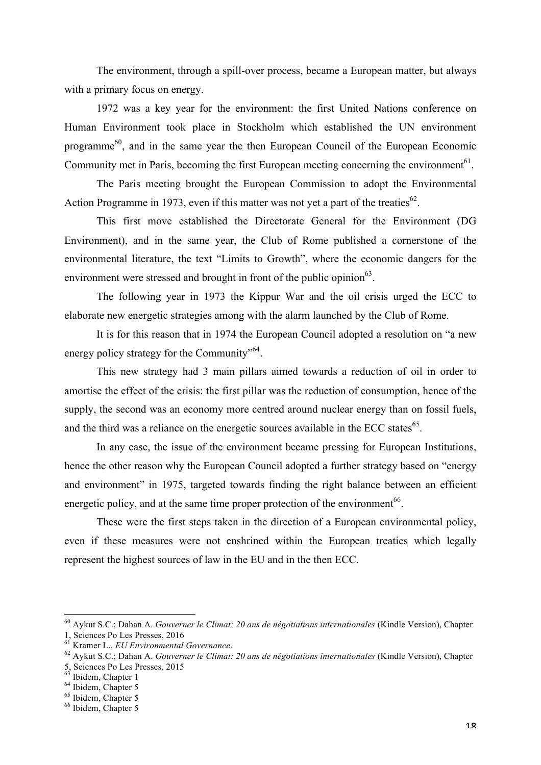The environment, through a spill-over process, became a European matter, but always with a primary focus on energy.

1972 was a key year for the environment: the first United Nations conference on Human Environment took place in Stockholm which established the UN environment programme60, and in the same year the then European Council of the European Economic Community met in Paris, becoming the first European meeting concerning the environment<sup>61</sup>.

The Paris meeting brought the European Commission to adopt the Environmental Action Programme in 1973, even if this matter was not yet a part of the treaties<sup>62</sup>.

This first move established the Directorate General for the Environment (DG Environment), and in the same year, the Club of Rome published a cornerstone of the environmental literature, the text "Limits to Growth", where the economic dangers for the environment were stressed and brought in front of the public opinion  $63$ .

The following year in 1973 the Kippur War and the oil crisis urged the ECC to elaborate new energetic strategies among with the alarm launched by the Club of Rome.

It is for this reason that in 1974 the European Council adopted a resolution on "a new energy policy strategy for the Community<sup>564</sup>.

This new strategy had 3 main pillars aimed towards a reduction of oil in order to amortise the effect of the crisis: the first pillar was the reduction of consumption, hence of the supply, the second was an economy more centred around nuclear energy than on fossil fuels, and the third was a reliance on the energetic sources available in the ECC states<sup>65</sup>.

In any case, the issue of the environment became pressing for European Institutions, hence the other reason why the European Council adopted a further strategy based on "energy and environment" in 1975, targeted towards finding the right balance between an efficient energetic policy, and at the same time proper protection of the environment<sup>66</sup>.

These were the first steps taken in the direction of a European environmental policy, even if these measures were not enshrined within the European treaties which legally represent the highest sources of law in the EU and in the then ECC.

 <sup>60</sup> Aykut S.C.; Dahan A. *Gouverner le Climat: 20 ans de négotiations internationales* (Kindle Version), Chapter

<sup>&</sup>lt;sup>61</sup> Kramer L., *EU Environmental Governance.*<br><sup>62</sup> Aykut S.C.; Dahan A. *Gouverner le Climat: 20 ans de négotiations internationales* (Kindle Version), Chapter 5, Sciences Po Les Presses, 2015<br><sup>63</sup> Ibidem, Chapter 1

 $<sup>64</sup>$  Ibidem, Chapter 5<br> $<sup>65</sup>$  Ibidem, Chapter 5<br> $<sup>66</sup>$  Ibidem, Chapter 5</sup></sup></sup>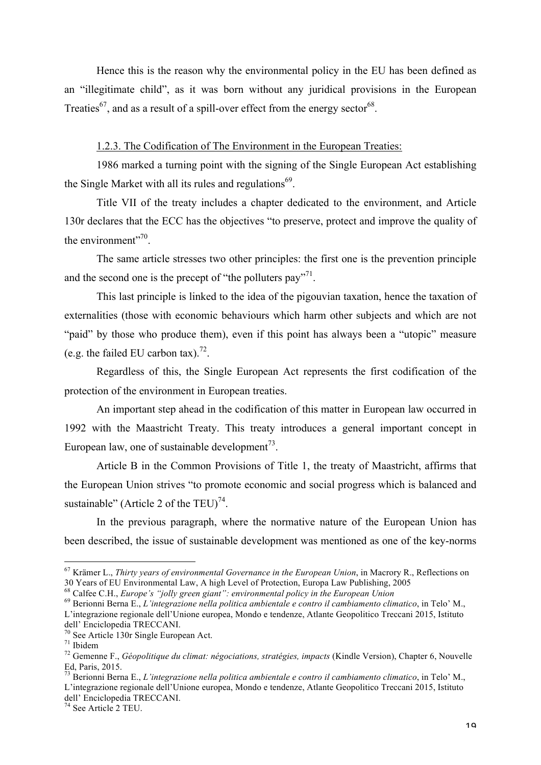Hence this is the reason why the environmental policy in the EU has been defined as an "illegitimate child", as it was born without any juridical provisions in the European Treaties<sup>67</sup>, and as a result of a spill-over effect from the energy sector<sup>68</sup>.

1.2.3. The Codification of The Environment in the European Treaties:

1986 marked a turning point with the signing of the Single European Act establishing the Single Market with all its rules and regulations $69$ .

Title VII of the treaty includes a chapter dedicated to the environment, and Article 130r declares that the ECC has the objectives "to preserve, protect and improve the quality of the environment"<sup>70</sup>

The same article stresses two other principles: the first one is the prevention principle and the second one is the precept of "the polluters  $pav<sup>71</sup>$ .

This last principle is linked to the idea of the pigouvian taxation, hence the taxation of externalities (those with economic behaviours which harm other subjects and which are not "paid" by those who produce them), even if this point has always been a "utopic" measure (e.g. the failed EU carbon tax).<sup>72</sup>.

Regardless of this, the Single European Act represents the first codification of the protection of the environment in European treaties.

An important step ahead in the codification of this matter in European law occurred in 1992 with the Maastricht Treaty. This treaty introduces a general important concept in European law, one of sustainable development<sup>73</sup>.

Article B in the Common Provisions of Title 1, the treaty of Maastricht, affirms that the European Union strives "to promote economic and social progress which is balanced and sustainable" (Article 2 of the TEU)<sup>74</sup>.

In the previous paragraph, where the normative nature of the European Union has been described, the issue of sustainable development was mentioned as one of the key-norms

 <sup>67</sup> Krämer L., *Thirty years of environmental Governance in the European Union*, in Macrory R., Reflections on 30 Years of EU Environmental Law, A high Level of Protection, Europa Law Publishing, 2005<sup>68</sup> Calfee C.H., *Europe's "jolly green giant": environmental policy in the European Union* 

<sup>68</sup> Calfee C.H., *Europe's "jolly green giant": environmental policy in the European Union* <sup>69</sup> Berionni Berna E., *L'integrazione nella politica ambientale e contro il cambiamento climatico*, in Telo' M., L'integrazione regionale dell'Unione europea, Mondo e tendenze, Atlante Geopolitico Treccani 2015, Istituto

dell' Enciclopedia TRECCANI.<br><sup>70</sup> See Article 130r Single European Act.

<sup>&</sup>lt;sup>71</sup> Ibidem<br><sup>72</sup> Gemenne F., *Géopolitique du climat: négociations, stratégies, impacts* (Kindle Version), Chapter 6, Nouvelle Ed, Paris, 2015.

<sup>73</sup> Berionni Berna E., *L'integrazione nella politica ambientale e contro il cambiamento climatico*, in Telo' M., L'integrazione regionale dell'Unione europea, Mondo e tendenze, Atlante Geopolitico Treccani 2015, Istituto

dell' Enciclopedia TRECCANI.

<sup>74</sup> See Article 2 TEU.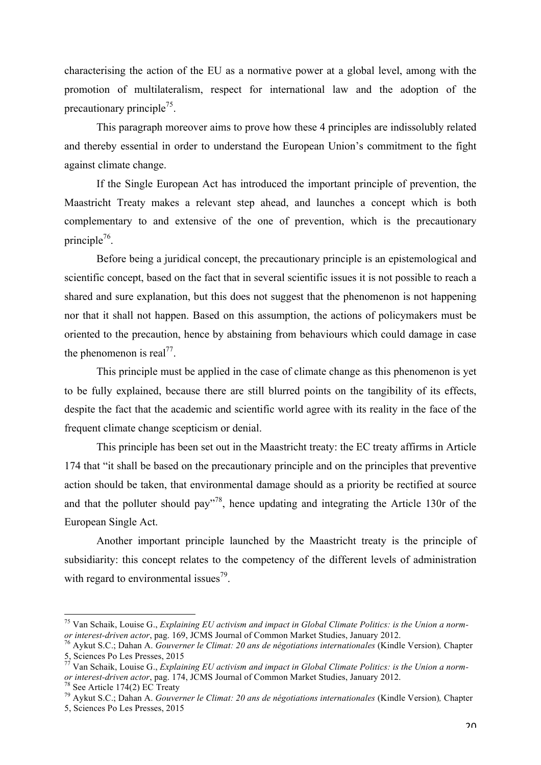characterising the action of the EU as a normative power at a global level, among with the promotion of multilateralism, respect for international law and the adoption of the precautionary principle<sup>75</sup>.

This paragraph moreover aims to prove how these 4 principles are indissolubly related and thereby essential in order to understand the European Union's commitment to the fight against climate change.

If the Single European Act has introduced the important principle of prevention, the Maastricht Treaty makes a relevant step ahead, and launches a concept which is both complementary to and extensive of the one of prevention, which is the precautionary principle<sup>76</sup>.

Before being a juridical concept, the precautionary principle is an epistemological and scientific concept, based on the fact that in several scientific issues it is not possible to reach a shared and sure explanation, but this does not suggest that the phenomenon is not happening nor that it shall not happen. Based on this assumption, the actions of policymakers must be oriented to the precaution, hence by abstaining from behaviours which could damage in case the phenomenon is real<sup>77</sup>.

This principle must be applied in the case of climate change as this phenomenon is yet to be fully explained, because there are still blurred points on the tangibility of its effects, despite the fact that the academic and scientific world agree with its reality in the face of the frequent climate change scepticism or denial.

This principle has been set out in the Maastricht treaty: the EC treaty affirms in Article 174 that "it shall be based on the precautionary principle and on the principles that preventive action should be taken, that environmental damage should as a priority be rectified at source and that the polluter should pay"78, hence updating and integrating the Article 130r of the European Single Act.

Another important principle launched by the Maastricht treaty is the principle of subsidiarity: this concept relates to the competency of the different levels of administration with regard to environmental issues<sup>79</sup>.

 <sup>75</sup> Van Schaik, Louise G., *Explaining EU activism and impact in Global Climate Politics: is the Union a normor interest-driven actor*, pag. 169, JCMS Journal of Common Market Studies, January 2012.<br><sup>76</sup> Aykut S.C.; Dahan A. *Gouverner le Climat: 20 ans de négotiations internationales* (Kindle Version), Chapter

<sup>5,</sup> Sciences Po Les Presses, 2015

<sup>&</sup>lt;sup>77</sup> Van Schaik, Louise G., *Explaining EU activism and impact in Global Climate Politics: is the Union a norm*or interest-driven actor, pag. 174, JCMS Journal of Common Market Studies, January 2012.<br><sup>78</sup> See Article 174(2) EC Treaty<br><sup>79</sup> Aykut S.C.; Dahan A. *Gouverner le Climat: 20 ans de négotiations internationales* (Kindle Ver

<sup>5,</sup> Sciences Po Les Presses, 2015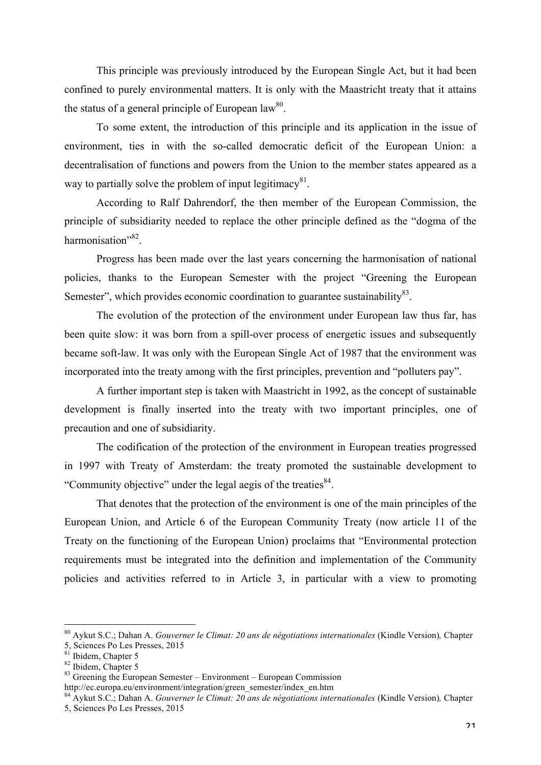This principle was previously introduced by the European Single Act, but it had been confined to purely environmental matters. It is only with the Maastricht treaty that it attains the status of a general principle of European law<sup>80</sup>.

To some extent, the introduction of this principle and its application in the issue of environment, ties in with the so-called democratic deficit of the European Union: a decentralisation of functions and powers from the Union to the member states appeared as a way to partially solve the problem of input legitimacy $81$ .

According to Ralf Dahrendorf, the then member of the European Commission, the principle of subsidiarity needed to replace the other principle defined as the "dogma of the harmonisation"<sup>82</sup>.

Progress has been made over the last years concerning the harmonisation of national policies, thanks to the European Semester with the project "Greening the European Semester", which provides economic coordination to guarantee sustainability  $83$ .

The evolution of the protection of the environment under European law thus far, has been quite slow: it was born from a spill-over process of energetic issues and subsequently became soft-law. It was only with the European Single Act of 1987 that the environment was incorporated into the treaty among with the first principles, prevention and "polluters pay".

A further important step is taken with Maastricht in 1992, as the concept of sustainable development is finally inserted into the treaty with two important principles, one of precaution and one of subsidiarity.

The codification of the protection of the environment in European treaties progressed in 1997 with Treaty of Amsterdam: the treaty promoted the sustainable development to "Community objective" under the legal aegis of the treaties<sup>84</sup>.

That denotes that the protection of the environment is one of the main principles of the European Union, and Article 6 of the European Community Treaty (now article 11 of the Treaty on the functioning of the European Union) proclaims that "Environmental protection requirements must be integrated into the definition and implementation of the Community policies and activities referred to in Article 3, in particular with a view to promoting

 <sup>80</sup> Aykut S.C.; Dahan A. *Gouverner le Climat: 20 ans de négotiations internationales* (Kindle Version)*,* Chapter 5, Sciences Po Les Presses, 2015

<sup>&</sup>lt;sup>82</sup> Ibidem, Chapter 5<br><sup>83</sup> Greening the European Semester – Environment – European Commission<br>http://ec.europa.eu/environment/integration/green\_semester/index\_en.htm

<sup>&</sup>lt;sup>84</sup> Aykut S.C.; Dahan A. *Gouverner le Climat: 20 ans de négotiations internationales* (Kindle Version), Chapter 5, Sciences Po Les Presses, 2015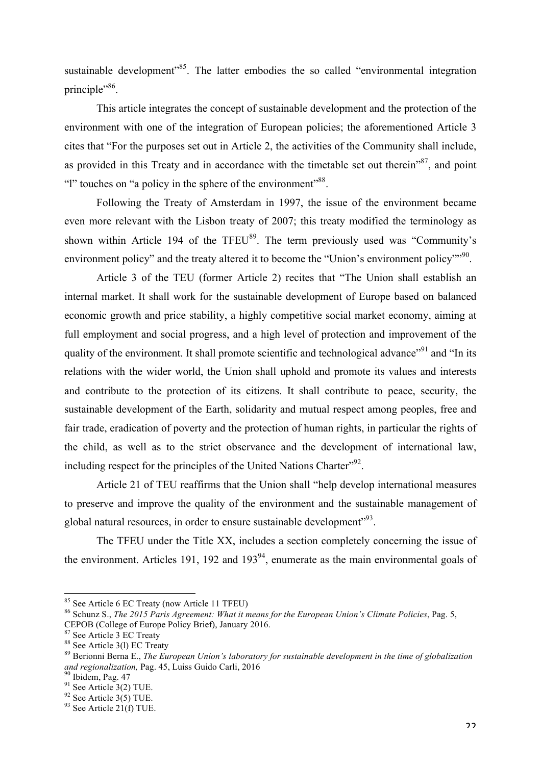sustainable development<sup> $35$ </sup>. The latter embodies the so called "environmental integration" principle"<sup>86</sup>.

This article integrates the concept of sustainable development and the protection of the environment with one of the integration of European policies; the aforementioned Article 3 cites that "For the purposes set out in Article 2, the activities of the Community shall include, as provided in this Treaty and in accordance with the timetable set out therein<sup> $387$ </sup>, and point "l" touches on "a policy in the sphere of the environment"<sup>88</sup>.

Following the Treaty of Amsterdam in 1997, the issue of the environment became even more relevant with the Lisbon treaty of 2007; this treaty modified the terminology as shown within Article 194 of the TFEU $^{89}$ . The term previously used was "Community's environment policy" and the treaty altered it to become the "Union's environment policy"<sup>90</sup>.

Article 3 of the TEU (former Article 2) recites that "The Union shall establish an internal market. It shall work for the sustainable development of Europe based on balanced economic growth and price stability, a highly competitive social market economy, aiming at full employment and social progress, and a high level of protection and improvement of the quality of the environment. It shall promote scientific and technological advance<sup>"91</sup> and "In its relations with the wider world, the Union shall uphold and promote its values and interests and contribute to the protection of its citizens. It shall contribute to peace, security, the sustainable development of the Earth, solidarity and mutual respect among peoples, free and fair trade, eradication of poverty and the protection of human rights, in particular the rights of the child, as well as to the strict observance and the development of international law, including respect for the principles of the United Nations Charter"<sup>92</sup>.

Article 21 of TEU reaffirms that the Union shall "help develop international measures to preserve and improve the quality of the environment and the sustainable management of global natural resources, in order to ensure sustainable development"<sup>93</sup>.

The TFEU under the Title XX, includes a section completely concerning the issue of the environment. Articles 191, 192 and  $193<sup>94</sup>$ , enumerate as the main environmental goals of

<sup>&</sup>lt;sup>85</sup> See Article 6 EC Treaty (now Article 11 TFEU)<br><sup>86</sup> Schunz S., *The 2015 Paris Agreement: What it means for the European Union's Climate Policies*, Pag. 5, CEPOB (College of Europe Policy Brief), January 2016.

<sup>88</sup> See Article 3(1) EC Treaty<br>89 See Article 3(1) EC Treaty<br>89 Berionni Berna E., *The European Union's laboratory for sustainable development in the time of globalization and regionalization,* Pag. 45, Luiss Guido Carli, 2016<br><sup>90</sup> Ibidem, Pag. 47<br><sup>91</sup> See Article 3(2) TUE.<br><sup>92</sup> See Article 3(5) TUE.<br><sup>93</sup> See Article 21(f) TUE.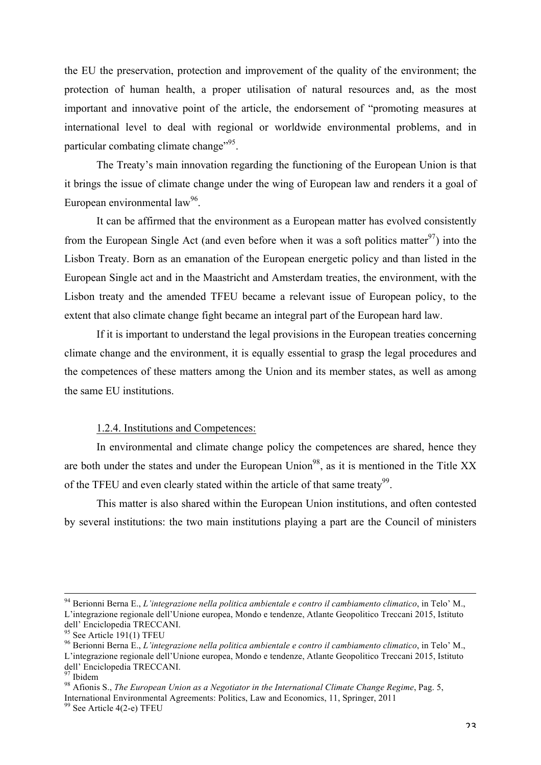the EU the preservation, protection and improvement of the quality of the environment; the protection of human health, a proper utilisation of natural resources and, as the most important and innovative point of the article, the endorsement of "promoting measures at international level to deal with regional or worldwide environmental problems, and in particular combating climate change"<sup>95</sup>.

The Treaty's main innovation regarding the functioning of the European Union is that it brings the issue of climate change under the wing of European law and renders it a goal of European environmental  $law^{96}$ .

It can be affirmed that the environment as a European matter has evolved consistently from the European Single Act (and even before when it was a soft politics matter<sup>97</sup>) into the Lisbon Treaty. Born as an emanation of the European energetic policy and than listed in the European Single act and in the Maastricht and Amsterdam treaties, the environment, with the Lisbon treaty and the amended TFEU became a relevant issue of European policy, to the extent that also climate change fight became an integral part of the European hard law.

If it is important to understand the legal provisions in the European treaties concerning climate change and the environment, it is equally essential to grasp the legal procedures and the competences of these matters among the Union and its member states, as well as among the same EU institutions.

#### 1.2.4. Institutions and Competences:

In environmental and climate change policy the competences are shared, hence they are both under the states and under the European Union<sup>98</sup>, as it is mentioned in the Title XX of the TFEU and even clearly stated within the article of that same treaty<sup>99</sup>.

This matter is also shared within the European Union institutions, and often contested by several institutions: the two main institutions playing a part are the Council of ministers

 <sup>94</sup> Berionni Berna E., *L'integrazione nella politica ambientale e contro il cambiamento climatico*, in Telo' M., L'integrazione regionale dell'Unione europea, Mondo e tendenze, Atlante Geopolitico Treccani 2015, Istituto dell' Enciclopedia TRECCANI.<br><sup>95</sup> See Article 191(1) TFEU

<sup>&</sup>lt;sup>96</sup> Berionni Berna E., *L'integrazione nella politica ambientale e contro il cambiamento climatico*, in Telo' M., L'integrazione regionale dell'Unione europea, Mondo e tendenze, Atlante Geopolitico Treccani 2015, Istituto dell' Enciclopedia TRECCANI.<br><sup>97</sup> Ibidem

<sup>&</sup>lt;sup>98</sup> Afionis S., *The European Union as a Negotiator in the International Climate Change Regime*, Pag. 5, International Environmental Agreements: Politics, Law and Economics, 11, Springer, 2011

<sup>99</sup> See Article 4(2-e) TFEU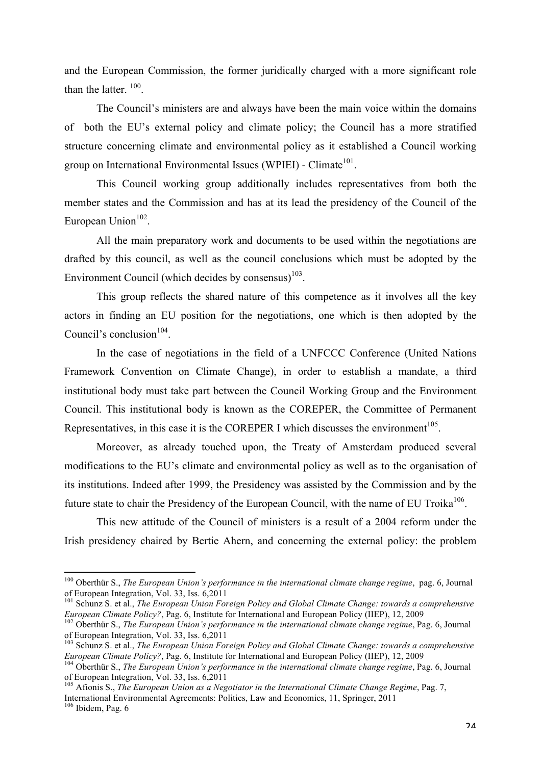and the European Commission, the former juridically charged with a more significant role than the latter.<sup>100</sup>

The Council's ministers are and always have been the main voice within the domains of both the EU's external policy and climate policy; the Council has a more stratified structure concerning climate and environmental policy as it established a Council working group on International Environmental Issues (WPIEI) - Climate<sup>101</sup>.

This Council working group additionally includes representatives from both the member states and the Commission and has at its lead the presidency of the Council of the European Union $102$ .

All the main preparatory work and documents to be used within the negotiations are drafted by this council, as well as the council conclusions which must be adopted by the Environment Council (which decides by consensus) $103$ .

This group reflects the shared nature of this competence as it involves all the key actors in finding an EU position for the negotiations, one which is then adopted by the Council's conclusion $104$ .

In the case of negotiations in the field of a UNFCCC Conference (United Nations Framework Convention on Climate Change), in order to establish a mandate, a third institutional body must take part between the Council Working Group and the Environment Council. This institutional body is known as the COREPER, the Committee of Permanent Representatives, in this case it is the COREPER I which discusses the environment $105$ .

Moreover, as already touched upon, the Treaty of Amsterdam produced several modifications to the EU's climate and environmental policy as well as to the organisation of its institutions. Indeed after 1999, the Presidency was assisted by the Commission and by the future state to chair the Presidency of the European Council, with the name of EU Troika<sup>106</sup>.

This new attitude of the Council of ministers is a result of a 2004 reform under the Irish presidency chaired by Bertie Ahern, and concerning the external policy: the problem

International Environmental Agreements: Politics, Law and Economics, 11, Springer, 2011

<sup>&</sup>lt;sup>100</sup> Oberthür S., *The European Union's performance in the international climate change regime*, pag. 6, Journal of European Integration, Vol. 33, Iss. 6.2011

<sup>&</sup>lt;sup>101</sup> Schunz S. et al., *The European Union Foreign Policy and Global Climate Change: towards a comprehensive European Climate Policy?*, Pag. 6, Institute for International and European Policy (IIEP), 12, 2009

<sup>&</sup>lt;sup>102</sup> Oberthür S., *The European Union's performance in the international climate change regime*, Pag. 6, Journal of European Integration, Vol. 33, Iss. 6,2011

<sup>103</sup> Schunz S. et al., *The European Union Foreign Policy and Global Climate Change: towards a comprehensive European Climate Policy?*, Pag. 6, Institute for International and European Policy (IIEP), 12, 2009<br><sup>104</sup> Oberthür S., *The European Union's performance in the international climate change regime*, Pag. 6, Journal

of European Integration, Vol. 33, Iss. 6,2011

<sup>105</sup> Afionis S., *The European Union as a Negotiator in the International Climate Change Regime*, Pag. 7,

<sup>106</sup> Ibidem, Pag. 6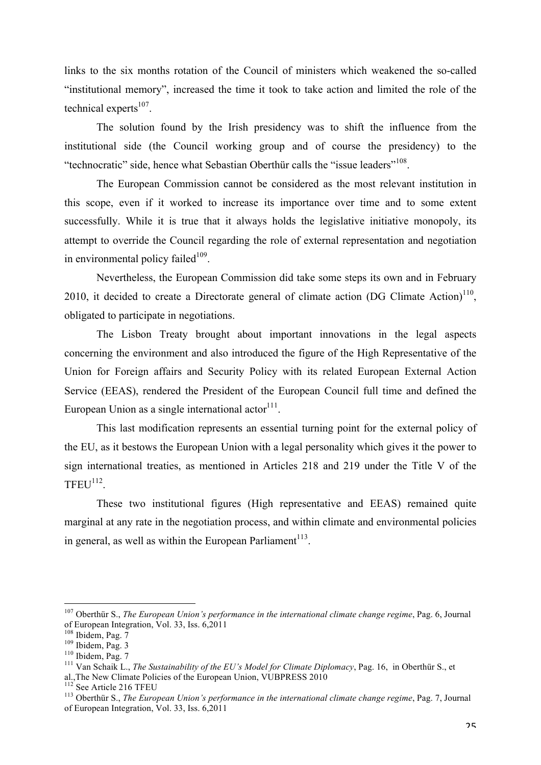links to the six months rotation of the Council of ministers which weakened the so-called "institutional memory", increased the time it took to take action and limited the role of the technical experts $107$ .

The solution found by the Irish presidency was to shift the influence from the institutional side (the Council working group and of course the presidency) to the "technocratic" side, hence what Sebastian Oberthür calls the "issue leaders"<sup>108</sup>.

The European Commission cannot be considered as the most relevant institution in this scope, even if it worked to increase its importance over time and to some extent successfully. While it is true that it always holds the legislative initiative monopoly, its attempt to override the Council regarding the role of external representation and negotiation in environmental policy failed $109$ .

Nevertheless, the European Commission did take some steps its own and in February 2010, it decided to create a Directorate general of climate action  $(DG \text{ Climate Action})^{110}$ . obligated to participate in negotiations.

The Lisbon Treaty brought about important innovations in the legal aspects concerning the environment and also introduced the figure of the High Representative of the Union for Foreign affairs and Security Policy with its related European External Action Service (EEAS), rendered the President of the European Council full time and defined the European Union as a single international actor $111$ .

This last modification represents an essential turning point for the external policy of the EU, as it bestows the European Union with a legal personality which gives it the power to sign international treaties, as mentioned in Articles 218 and 219 under the Title V of the  $TFEU^{112}$ 

These two institutional figures (High representative and EEAS) remained quite marginal at any rate in the negotiation process, and within climate and environmental policies in general, as well as within the European Parliament<sup>113</sup>.

 <sup>107</sup> Oberthür S., *The European Union's performance in the international climate change regime*, Pag. 6, Journal of European Integration, Vol. 33, Iss. 6,2011<br><sup>108</sup> Ibidem, Pag. 7

<sup>109</sup> Ibidem, Pag. 3<br>
<sup>110</sup> Ibidem, Pag. 7<br>
<sup>111</sup> Van Schaik L., *The Sustainability of the EU's Model for Climate Diplomacy*, Pag. 16, in Oberthür S., et<br>
al., The New Climate Policies of the European Union, VUBPRESS 2010

<sup>&</sup>lt;sup>112'</sup> See Article 216 TFEU<br><sup>113</sup> Oberthür S., *The European Union's performance in the international climate change regime*, Pag. 7, Journal of European Integration, Vol. 33, Iss. 6,2011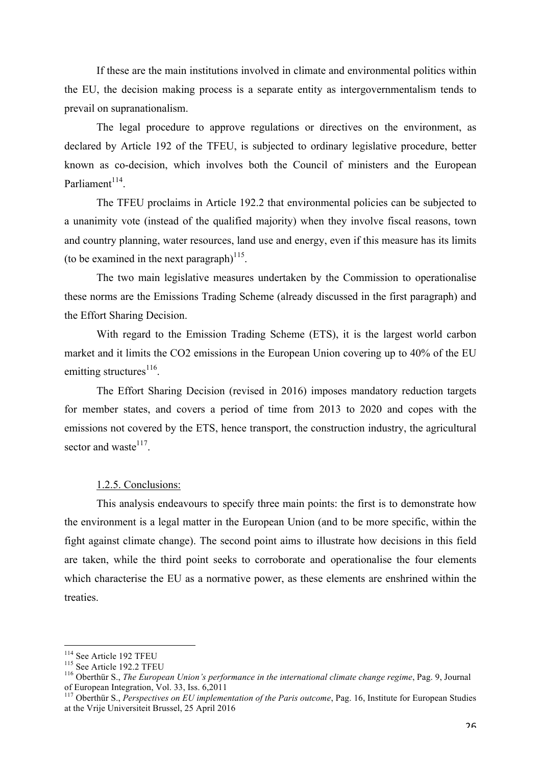If these are the main institutions involved in climate and environmental politics within the EU, the decision making process is a separate entity as intergovernmentalism tends to prevail on supranationalism.

The legal procedure to approve regulations or directives on the environment, as declared by Article 192 of the TFEU, is subjected to ordinary legislative procedure, better known as co-decision, which involves both the Council of ministers and the European Parliament<sup>114</sup>

The TFEU proclaims in Article 192.2 that environmental policies can be subjected to a unanimity vote (instead of the qualified majority) when they involve fiscal reasons, town and country planning, water resources, land use and energy, even if this measure has its limits (to be examined in the next paragraph) $^{115}$ .

The two main legislative measures undertaken by the Commission to operationalise these norms are the Emissions Trading Scheme (already discussed in the first paragraph) and the Effort Sharing Decision.

With regard to the Emission Trading Scheme (ETS), it is the largest world carbon market and it limits the CO2 emissions in the European Union covering up to 40% of the EU emitting structures $^{116}$ .

The Effort Sharing Decision (revised in 2016) imposes mandatory reduction targets for member states, and covers a period of time from 2013 to 2020 and copes with the emissions not covered by the ETS, hence transport, the construction industry, the agricultural sector and waste $117$ .

#### 1.2.5. Conclusions:

This analysis endeavours to specify three main points: the first is to demonstrate how the environment is a legal matter in the European Union (and to be more specific, within the fight against climate change). The second point aims to illustrate how decisions in this field are taken, while the third point seeks to corroborate and operationalise the four elements which characterise the EU as a normative power, as these elements are enshrined within the treaties.

<sup>&</sup>lt;sup>114</sup> See Article 192 TFEU<br><sup>115</sup> See Article 192.2 TFEU<br><sup>116</sup> Oberthür S., *The European Union's performance in the international climate change regime*, Pag. 9, Journal of European Integration, Vol. 33, Iss. 6,2011

<sup>&</sup>lt;sup>117</sup> Oberthür S., *Perspectives on EU implementation of the Paris outcome*, Pag. 16, Institute for European Studies at the Vrije Universiteit Brussel, 25 April 2016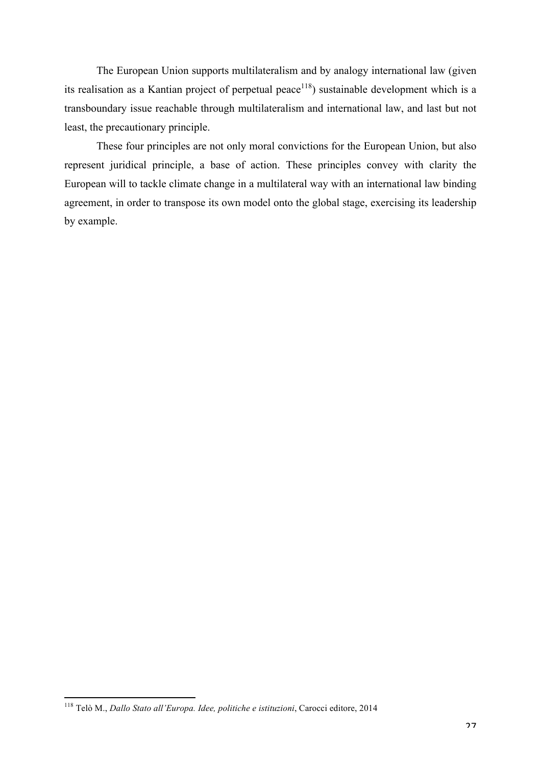The European Union supports multilateralism and by analogy international law (given its realisation as a Kantian project of perpetual peace<sup>118</sup>) sustainable development which is a transboundary issue reachable through multilateralism and international law, and last but not least, the precautionary principle.

These four principles are not only moral convictions for the European Union, but also represent juridical principle, a base of action. These principles convey with clarity the European will to tackle climate change in a multilateral way with an international law binding agreement, in order to transpose its own model onto the global stage, exercising its leadership by example.

 <sup>118</sup> Telò M., *Dallo Stato all'Europa. Idee, politiche e istituzioni*, Carocci editore, 2014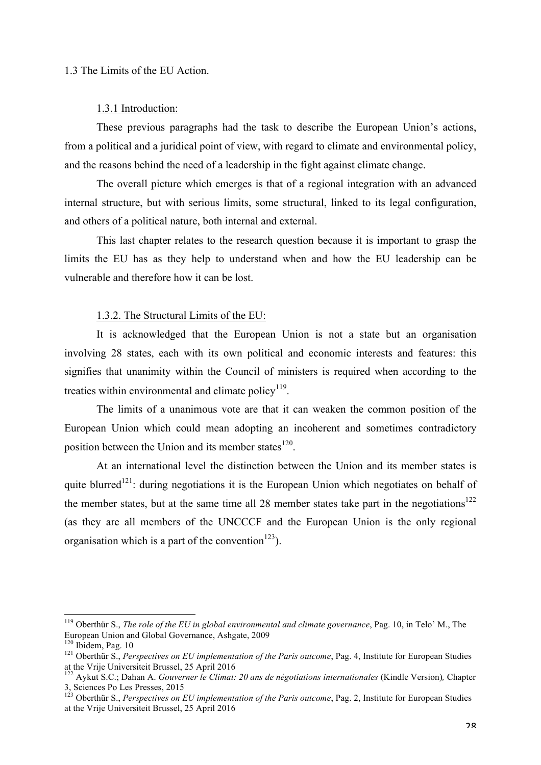#### 1.3 The Limits of the EU Action.

#### 1.3.1 Introduction:

These previous paragraphs had the task to describe the European Union's actions, from a political and a juridical point of view, with regard to climate and environmental policy, and the reasons behind the need of a leadership in the fight against climate change.

The overall picture which emerges is that of a regional integration with an advanced internal structure, but with serious limits, some structural, linked to its legal configuration, and others of a political nature, both internal and external.

This last chapter relates to the research question because it is important to grasp the limits the EU has as they help to understand when and how the EU leadership can be vulnerable and therefore how it can be lost.

#### 1.3.2. The Structural Limits of the EU:

It is acknowledged that the European Union is not a state but an organisation involving 28 states, each with its own political and economic interests and features: this signifies that unanimity within the Council of ministers is required when according to the treaties within environmental and climate policy $119$ .

The limits of a unanimous vote are that it can weaken the common position of the European Union which could mean adopting an incoherent and sometimes contradictory position between the Union and its member states $120$ .

At an international level the distinction between the Union and its member states is quite blurred<sup>121</sup>: during negotiations it is the European Union which negotiates on behalf of the member states, but at the same time all 28 member states take part in the negotiations<sup>122</sup> (as they are all members of the UNCCCF and the European Union is the only regional organisation which is a part of the convention<sup>123</sup>).

 <sup>119</sup> Oberthür S., *The role of the EU in global environmental and climate governance*, Pag. 10, in Telo' M., The European Union and Global Governance, Ashgate, 2009

<sup>&</sup>lt;sup>121</sup> Oberthür S., *Perspectives on EU implementation of the Paris outcome*, Pag. 4, Institute for European Studies at the Vrije Universiteit Brussel, 25 April 2016

<sup>122</sup> Aykut S.C.; Dahan A. *Gouverner le Climat: 20 ans de négotiations internationales* (Kindle Version)*,* Chapter 3, Sciences Po Les Presses, 2015<br><sup>123</sup> Oberthür S., *Perspectives on EU implementation of the Paris outcome*, Pag. 2, Institute for European Studies

at the Vrije Universiteit Brussel, 25 April 2016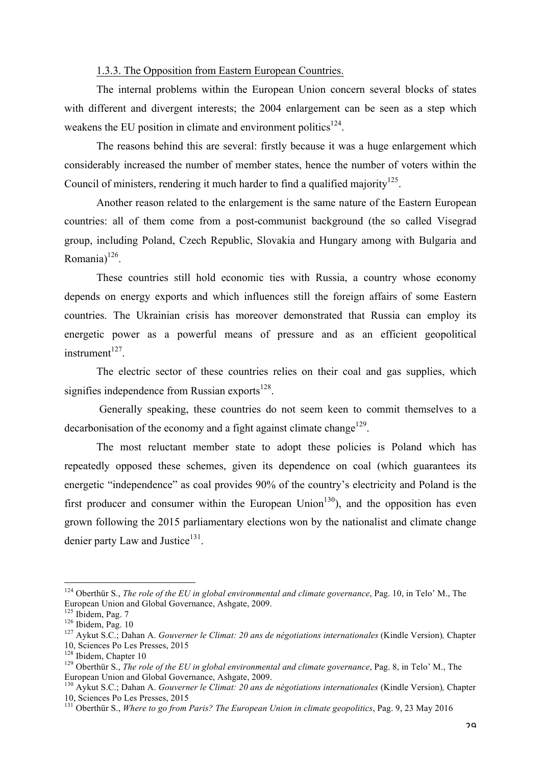#### 1.3.3. The Opposition from Eastern European Countries.

The internal problems within the European Union concern several blocks of states with different and divergent interests; the 2004 enlargement can be seen as a step which weakens the EU position in climate and environment politics $124$ .

The reasons behind this are several: firstly because it was a huge enlargement which considerably increased the number of member states, hence the number of voters within the Council of ministers, rendering it much harder to find a qualified majority<sup>125</sup>.

Another reason related to the enlargement is the same nature of the Eastern European countries: all of them come from a post-communist background (the so called Visegrad group, including Poland, Czech Republic, Slovakia and Hungary among with Bulgaria and Romania) 126.

These countries still hold economic ties with Russia, a country whose economy depends on energy exports and which influences still the foreign affairs of some Eastern countries. The Ukrainian crisis has moreover demonstrated that Russia can employ its energetic power as a powerful means of pressure and as an efficient geopolitical  $instrument<sup>127</sup>$ 

The electric sector of these countries relies on their coal and gas supplies, which signifies independence from Russian exports $^{128}$ .

Generally speaking, these countries do not seem keen to commit themselves to a decarbonisation of the economy and a fight against climate change<sup>129</sup>.

The most reluctant member state to adopt these policies is Poland which has repeatedly opposed these schemes, given its dependence on coal (which guarantees its energetic "independence" as coal provides 90% of the country's electricity and Poland is the first producer and consumer within the European Union<sup>130</sup>), and the opposition has even grown following the 2015 parliamentary elections won by the nationalist and climate change denier party Law and Justice<sup>131</sup>.

 <sup>124</sup> Oberthür S., *The role of the EU in global environmental and climate governance*, Pag. 10, in Telo' M., The European Union and Global Governance, Ashgate, 2009.<br><sup>125</sup> Ibidem, Pag. 7

<sup>126</sup> Ibidem, Pag. 10<br><sup>127</sup> Avkut S.C.; Dahan A. *Gouverner le Climat: 20 ans de négotiations internationales* (Kindle Version), Chapter

<sup>10,</sup> Sciences Po Les Presses, 2015

<sup>&</sup>lt;sup>129</sup> Oberthür S., *The role of the EU in global environmental and climate governance*, Pag. 8, in Telo' M., The

European Union and Global Governance, Ashgate, 2009.<br><sup>130</sup> Aykut S.C.; Dahan A. *Gouverner le Climat: 20 ans de négotiations internationales* (Kindle Version), Chapter 10, Sciences Po Les Presses, 2015

<sup>&</sup>lt;sup>131</sup> Oberthür S., *Where to go from Paris? The European Union in climate geopolitics*, Pag. 9, 23 May 2016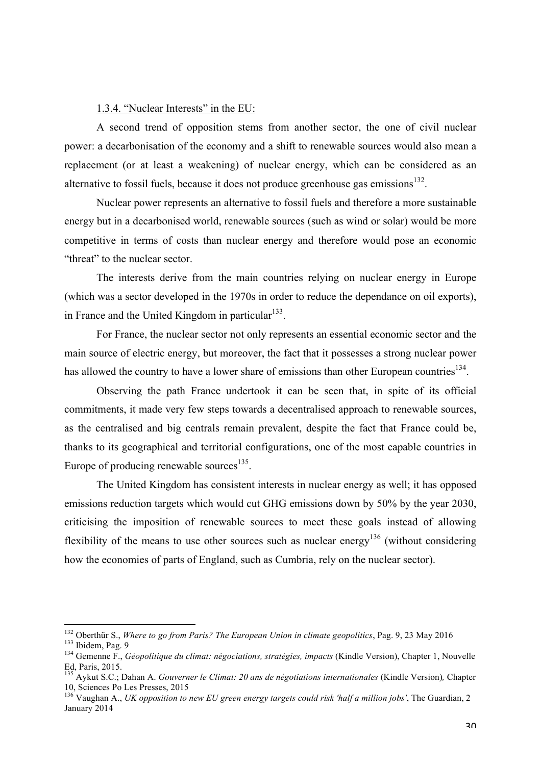# 1.3.4. "Nuclear Interests" in the EU:

A second trend of opposition stems from another sector, the one of civil nuclear power: a decarbonisation of the economy and a shift to renewable sources would also mean a replacement (or at least a weakening) of nuclear energy, which can be considered as an alternative to fossil fuels, because it does not produce greenhouse gas emissions $132$ .

Nuclear power represents an alternative to fossil fuels and therefore a more sustainable energy but in a decarbonised world, renewable sources (such as wind or solar) would be more competitive in terms of costs than nuclear energy and therefore would pose an economic "threat" to the nuclear sector.

The interests derive from the main countries relying on nuclear energy in Europe (which was a sector developed in the 1970s in order to reduce the dependance on oil exports), in France and the United Kingdom in particular $133$ .

For France, the nuclear sector not only represents an essential economic sector and the main source of electric energy, but moreover, the fact that it possesses a strong nuclear power has allowed the country to have a lower share of emissions than other European countries<sup>134</sup>.

Observing the path France undertook it can be seen that, in spite of its official commitments, it made very few steps towards a decentralised approach to renewable sources, as the centralised and big centrals remain prevalent, despite the fact that France could be, thanks to its geographical and territorial configurations, one of the most capable countries in Europe of producing renewable sources<sup>135</sup>.

The United Kingdom has consistent interests in nuclear energy as well; it has opposed emissions reduction targets which would cut GHG emissions down by 50% by the year 2030, criticising the imposition of renewable sources to meet these goals instead of allowing flexibility of the means to use other sources such as nuclear energy<sup>136</sup> (without considering how the economies of parts of England, such as Cumbria, rely on the nuclear sector).

<sup>&</sup>lt;sup>132</sup> Oberthür S., *Where to go from Paris? The European Union in climate geopolitics*, Pag. 9, 23 May 2016<br><sup>133</sup> Ibidem, Pag. 9<br><sup>134</sup> Gemenne F., *Géopolitique du climat: négociations, stratégies, impacts* (Kindle Versio

Ed, Paris, 2015.

<sup>135</sup> Aykut S.C.; Dahan A. *Gouverner le Climat: 20 ans de négotiations internationales* (Kindle Version)*,* Chapter 10, Sciences Po Les Presses, 2015

<sup>&</sup>lt;sup>136</sup> Vaughan A., *UK opposition to new EU green energy targets could risk 'half a million jobs'*, The Guardian, 2 January 2014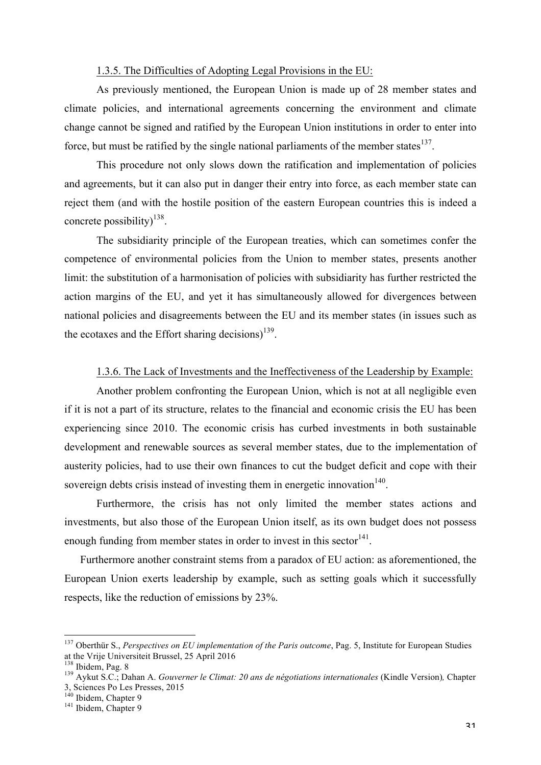#### 1.3.5. The Difficulties of Adopting Legal Provisions in the EU:

As previously mentioned, the European Union is made up of 28 member states and climate policies, and international agreements concerning the environment and climate change cannot be signed and ratified by the European Union institutions in order to enter into force, but must be ratified by the single national parliaments of the member states $^{137}$ .

This procedure not only slows down the ratification and implementation of policies and agreements, but it can also put in danger their entry into force, as each member state can reject them (and with the hostile position of the eastern European countries this is indeed a concrete possibility $1^{138}$ .

The subsidiarity principle of the European treaties, which can sometimes confer the competence of environmental policies from the Union to member states, presents another limit: the substitution of a harmonisation of policies with subsidiarity has further restricted the action margins of the EU, and yet it has simultaneously allowed for divergences between national policies and disagreements between the EU and its member states (in issues such as the ecotaxes and the Effort sharing decisions)<sup>139</sup>.

#### 1.3.6. The Lack of Investments and the Ineffectiveness of the Leadership by Example:

Another problem confronting the European Union, which is not at all negligible even if it is not a part of its structure, relates to the financial and economic crisis the EU has been experiencing since 2010. The economic crisis has curbed investments in both sustainable development and renewable sources as several member states, due to the implementation of austerity policies, had to use their own finances to cut the budget deficit and cope with their sovereign debts crisis instead of investing them in energetic innovation<sup>140</sup>.

Furthermore, the crisis has not only limited the member states actions and investments, but also those of the European Union itself, as its own budget does not possess enough funding from member states in order to invest in this sector<sup>141</sup>.

Furthermore another constraint stems from a paradox of EU action: as aforementioned, the European Union exerts leadership by example, such as setting goals which it successfully respects, like the reduction of emissions by 23%.

<sup>&</sup>lt;sup>137</sup> Oberthür S., *Perspectives on EU implementation of the Paris outcome*, Pag. 5, Institute for European Studies at the Vrije Universiteit Brussel, 25 April 2016<br><sup>138</sup> Ibidem, Pag. 8

<sup>&</sup>lt;sup>139</sup> Aykut S.C.; Dahan A. *Gouverner le Climat: 20 ans de négotiations internationales* (Kindle Version), Chapter 3, Sciences Po Les Presses, 2015<br><sup>140</sup> Ibidem, Chapter 9<br><sup>141</sup> Ibidem, Chapter 9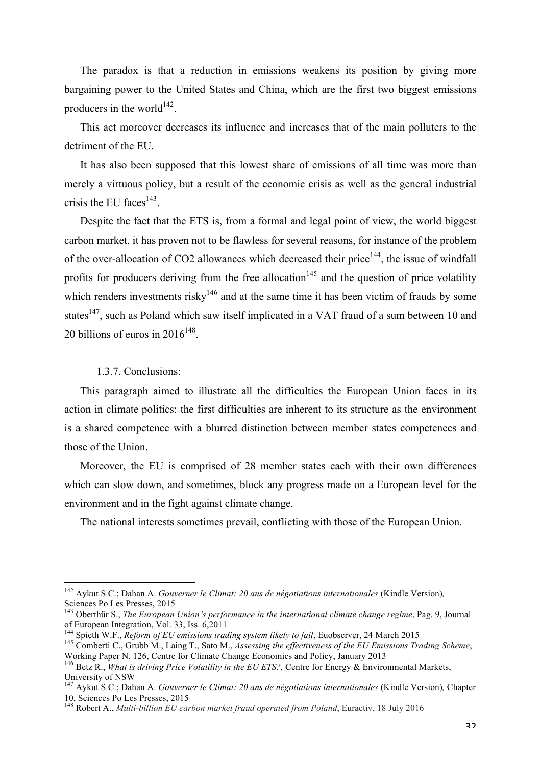The paradox is that a reduction in emissions weakens its position by giving more bargaining power to the United States and China, which are the first two biggest emissions producers in the world $142$ .

This act moreover decreases its influence and increases that of the main polluters to the detriment of the EU.

It has also been supposed that this lowest share of emissions of all time was more than merely a virtuous policy, but a result of the economic crisis as well as the general industrial crisis the EU faces $143$ .

Despite the fact that the ETS is, from a formal and legal point of view, the world biggest carbon market, it has proven not to be flawless for several reasons, for instance of the problem of the over-allocation of CO2 allowances which decreased their price<sup> $144$ </sup>, the issue of windfall profits for producers deriving from the free allocation<sup>145</sup> and the question of price volatility which renders investments risky<sup>146</sup> and at the same time it has been victim of frauds by some states<sup>147</sup>, such as Poland which saw itself implicated in a VAT fraud of a sum between 10 and 20 billions of euros in  $2016^{148}$ .

## 1.3.7. Conclusions:

This paragraph aimed to illustrate all the difficulties the European Union faces in its action in climate politics: the first difficulties are inherent to its structure as the environment is a shared competence with a blurred distinction between member states competences and those of the Union.

Moreover, the EU is comprised of 28 member states each with their own differences which can slow down, and sometimes, block any progress made on a European level for the environment and in the fight against climate change.

The national interests sometimes prevail, conflicting with those of the European Union.

 <sup>142</sup> Aykut S.C.; Dahan A. *Gouverner le Climat: 20 ans de négotiations internationales* (Kindle Version)*,* 

<sup>&</sup>lt;sup>143</sup> Oberthür S., *The European Union's performance in the international climate change regime*, Pag. 9, Journal of European Integration, Vol. 33, Iss. 6,2011<br><sup>144</sup> Spieth W.F., *Reform of EU emissions trading system likely to fail*, Euobserver, 24 March 2015

<sup>&</sup>lt;sup>145</sup> Comberti C., Grubb M., Laing T., Sato M., *Assessing the effectiveness of the EU Emissions Trading Scheme*, Working Paper N. 126, Centre for Climate Change Economics and Policy, January 2013

<sup>146</sup> Betz R., *What is driving Price Volatility in the EU ETS?,* Centre for Energy & Environmental Markets,

University of NSW<br><sup>147</sup> Aykut S.C.; Dahan A. *Gouverner le Climat: 20 ans de négotiations internationales* (Kindle Version), Chapter<br>10, Sciences Po Les Presses, 2015

<sup>&</sup>lt;sup>148</sup> Robert A., *Multi-billion EU carbon market fraud operated from Poland*, Euractiv, 18 July 2016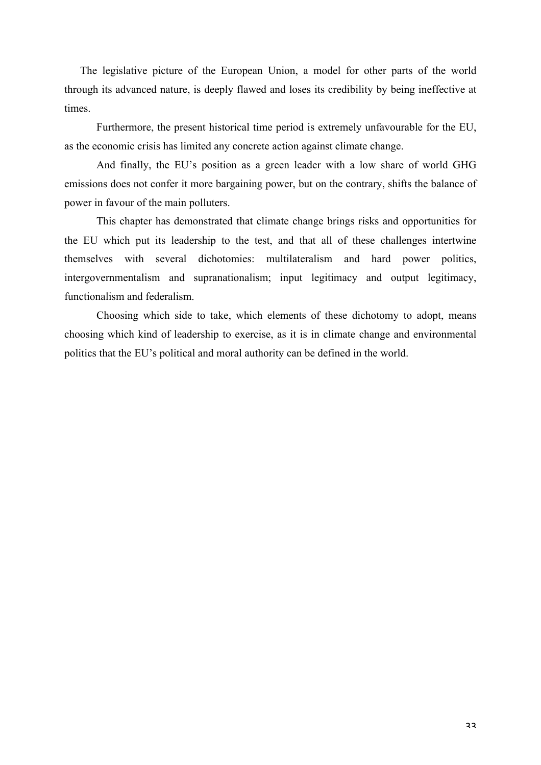The legislative picture of the European Union, a model for other parts of the world through its advanced nature, is deeply flawed and loses its credibility by being ineffective at times.

Furthermore, the present historical time period is extremely unfavourable for the EU, as the economic crisis has limited any concrete action against climate change.

And finally, the EU's position as a green leader with a low share of world GHG emissions does not confer it more bargaining power, but on the contrary, shifts the balance of power in favour of the main polluters.

This chapter has demonstrated that climate change brings risks and opportunities for the EU which put its leadership to the test, and that all of these challenges intertwine themselves with several dichotomies: multilateralism and hard power politics, intergovernmentalism and supranationalism; input legitimacy and output legitimacy, functionalism and federalism.

Choosing which side to take, which elements of these dichotomy to adopt, means choosing which kind of leadership to exercise, as it is in climate change and environmental politics that the EU's political and moral authority can be defined in the world.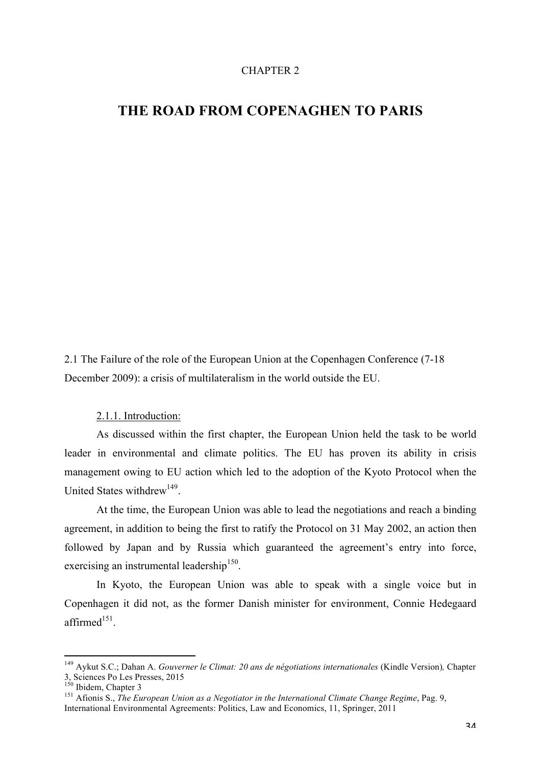### CHAPTER 2

# **THE ROAD FROM COPENAGHEN TO PARIS**

2.1 The Failure of the role of the European Union at the Copenhagen Conference (7-18 December 2009): a crisis of multilateralism in the world outside the EU.

2.1.1. Introduction:

As discussed within the first chapter, the European Union held the task to be world leader in environmental and climate politics. The EU has proven its ability in crisis management owing to EU action which led to the adoption of the Kyoto Protocol when the United States withdrew<sup>149</sup>

At the time, the European Union was able to lead the negotiations and reach a binding agreement, in addition to being the first to ratify the Protocol on 31 May 2002, an action then followed by Japan and by Russia which guaranteed the agreement's entry into force, exercising an instrumental leadership<sup>150</sup>.

In Kyoto, the European Union was able to speak with a single voice but in Copenhagen it did not, as the former Danish minister for environment, Connie Hedegaard affirmed $151$ .

 

<sup>149</sup> Aykut S.C.; Dahan A. *Gouverner le Climat: 20 ans de négotiations internationales* (Kindle Version)*,* Chapter 3, Sciences Po Les Presses, 2015<br><sup>150</sup> Ibidem, Chapter 3

<sup>&</sup>lt;sup>151</sup> Afionis S., *The European Union as a Negotiator in the International Climate Change Regime*, Pag. 9, International Environmental Agreements: Politics, Law and Economics, 11, Springer, 2011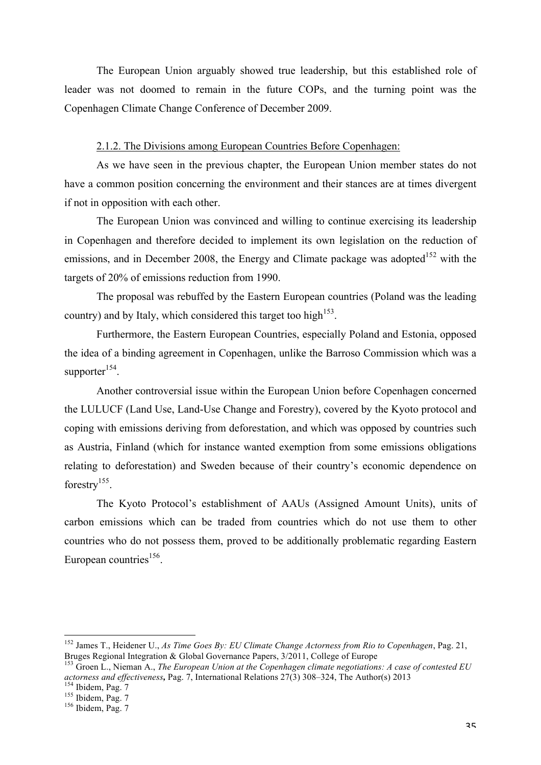The European Union arguably showed true leadership, but this established role of leader was not doomed to remain in the future COPs, and the turning point was the Copenhagen Climate Change Conference of December 2009.

# 2.1.2. The Divisions among European Countries Before Copenhagen:

As we have seen in the previous chapter, the European Union member states do not have a common position concerning the environment and their stances are at times divergent if not in opposition with each other.

The European Union was convinced and willing to continue exercising its leadership in Copenhagen and therefore decided to implement its own legislation on the reduction of emissions, and in December 2008, the Energy and Climate package was adopted<sup>152</sup> with the targets of 20% of emissions reduction from 1990.

The proposal was rebuffed by the Eastern European countries (Poland was the leading country) and by Italy, which considered this target too high<sup>153</sup>.

Furthermore, the Eastern European Countries, especially Poland and Estonia, opposed the idea of a binding agreement in Copenhagen, unlike the Barroso Commission which was a supporter $154$ .

Another controversial issue within the European Union before Copenhagen concerned the LULUCF (Land Use, Land-Use Change and Forestry), covered by the Kyoto protocol and coping with emissions deriving from deforestation, and which was opposed by countries such as Austria, Finland (which for instance wanted exemption from some emissions obligations relating to deforestation) and Sweden because of their country's economic dependence on forestry<sup>155</sup>.

The Kyoto Protocol's establishment of AAUs (Assigned Amount Units), units of carbon emissions which can be traded from countries which do not use them to other countries who do not possess them, proved to be additionally problematic regarding Eastern European countries<sup>156</sup>.

 <sup>152</sup> James T., Heidener U., *As Time Goes By: EU Climate Change Actorness from Rio to Copenhagen*, Pag. 21, Bruges Regional Integration & Global Governance Papers, 3/2011, College of Europe<br><sup>153</sup> Groen L., Nieman A., *The European Union at the Copenhagen climate negotiations: A case of contested EU* 

*actorness and effectiveness*, Pag. 7, International Relations 27(3) 308–324, The Author(s) 2013<br><sup>154</sup> Ibidem, Pag. 7<br><sup>155</sup> Ibidem, Pag. 7<br><sup>156</sup> Ibidem, Pag. 7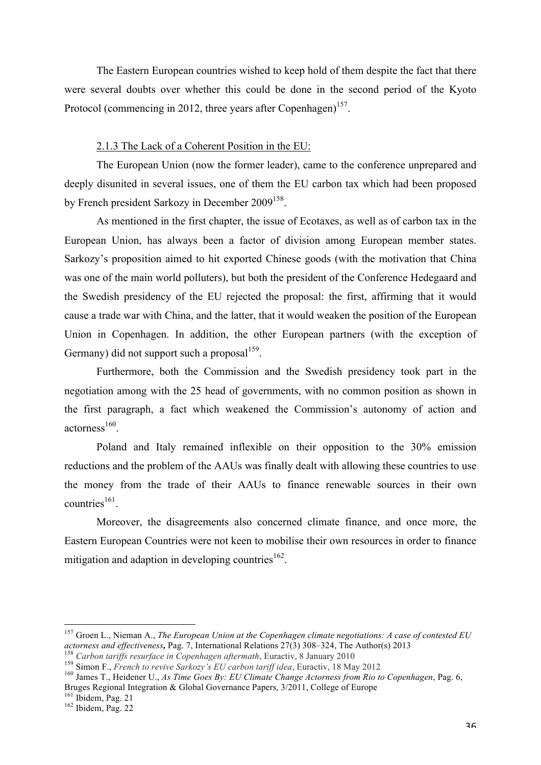The Eastern European countries wished to keep hold of them despite the fact that there were several doubts over whether this could be done in the second period of the Kyoto Protocol (commencing in 2012, three years after Copenhagen)<sup>157</sup>.

# 2.1.3 The Lack of a Coherent Position in the EU:

The European Union (now the former leader), came to the conference unprepared and deeply disunited in several issues, one of them the EU carbon tax which had been proposed by French president Sarkozy in December 2009<sup>158</sup>.

As mentioned in the first chapter, the issue of Ecotaxes, as well as of carbon tax in the European Union, has always been a factor of division among European member states. Sarkozy's proposition aimed to hit exported Chinese goods (with the motivation that China was one of the main world polluters), but both the president of the Conference Hedegaard and the Swedish presidency of the EU rejected the proposal: the first, affirming that it would cause a trade war with China, and the latter, that it would weaken the position of the European Union in Copenhagen. In addition, the other European partners (with the exception of Germany) did not support such a proposal $159$ .

Furthermore, both the Commission and the Swedish presidency took part in the negotiation among with the 25 head of governments, with no common position as shown in the first paragraph, a fact which weakened the Commission's autonomy of action and  $actorness<sup>160</sup>$ .

Poland and Italy remained inflexible on their opposition to the 30% emission reductions and the problem of the AAUs was finally dealt with allowing these countries to use the money from the trade of their AAUs to finance renewable sources in their own  $countries<sup>161</sup>$ .

Moreover, the disagreements also concerned climate finance, and once more, the Eastern European Countries were not keen to mobilise their own resources in order to finance mitigation and adaption in developing countries<sup>162</sup>.

 <sup>157</sup> Groen L., Nieman A., *The European Union at the Copenhagen climate negotiations: A case of contested EU*  actorness and effectiveness, Pag. 7, International Relations 27(3) 308–324, The Author(s) 2013<br><sup>158</sup> Carbon tariffs resurface in Copenhagen aftermath, Euractiv, 8 January 2010<br><sup>159</sup> Simon F., French to revive Sarkozy's EU

Bruges Regional Integration & Global Governance Papers,  $3/2011$ , College of Europe <sup>161</sup> Ibidem, Pag. 21

 $162$  Ibidem, Pag. 22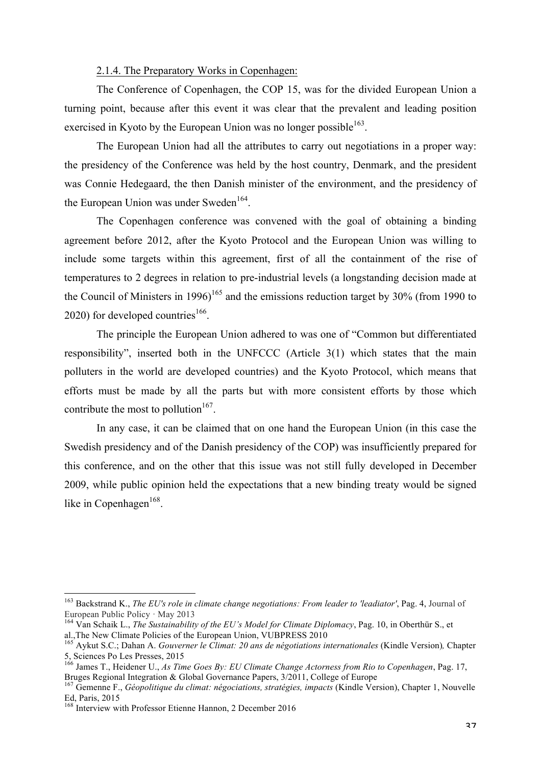#### 2.1.4. The Preparatory Works in Copenhagen:

The Conference of Copenhagen, the COP 15, was for the divided European Union a turning point, because after this event it was clear that the prevalent and leading position exercised in Kyoto by the European Union was no longer possible  $163$ .

The European Union had all the attributes to carry out negotiations in a proper way: the presidency of the Conference was held by the host country, Denmark, and the president was Connie Hedegaard, the then Danish minister of the environment, and the presidency of the European Union was under Sweden<sup>164</sup>.

The Copenhagen conference was convened with the goal of obtaining a binding agreement before 2012, after the Kyoto Protocol and the European Union was willing to include some targets within this agreement, first of all the containment of the rise of temperatures to 2 degrees in relation to pre-industrial levels (a longstanding decision made at the Council of Ministers in 1996)<sup>165</sup> and the emissions reduction target by 30% (from 1990 to  $2020$ ) for developed countries<sup>166</sup>.

The principle the European Union adhered to was one of "Common but differentiated responsibility", inserted both in the UNFCCC (Article 3(1) which states that the main polluters in the world are developed countries) and the Kyoto Protocol, which means that efforts must be made by all the parts but with more consistent efforts by those which contribute the most to pollution<sup>167</sup>.

In any case, it can be claimed that on one hand the European Union (in this case the Swedish presidency and of the Danish presidency of the COP) was insufficiently prepared for this conference, and on the other that this issue was not still fully developed in December 2009, while public opinion held the expectations that a new binding treaty would be signed like in Copenhagen $168$ .

<sup>&</sup>lt;sup>163</sup> Backstrand K., *The EU's role in climate change negotiations: From leader to 'leadiator'*, Pag. 4, Journal of European Public Policy · May 2013

<sup>&</sup>lt;sup>164</sup> Van Schaik L., *The Sustainability of the EU's Model for Climate Diplomacy*, Pag. 10, in Oberthür S., et al.,The New Climate Policies of the European Union, VUBPRESS 2010

<sup>165</sup> Aykut S.C.; Dahan A. *Gouverner le Climat: 20 ans de négotiations internationales* (Kindle Version)*,* Chapter 5, Sciences Po Les Presses, 2015<br><sup>166</sup> James T., Heidener U., *As Time Goes By: EU Climate Change Actorness from Rio to Copenhagen*, Pag. 17,

Bruges Regional Integration & Global Governance Papers, 3/2011, College of Europe

<sup>167</sup> Gemenne F., *Géopolitique du climat: négociations, stratégies, impacts* (Kindle Version), Chapter 1, Nouvelle Ed, Paris, 2015

<sup>&</sup>lt;sup>168</sup> Interview with Professor Etienne Hannon, 2 December 2016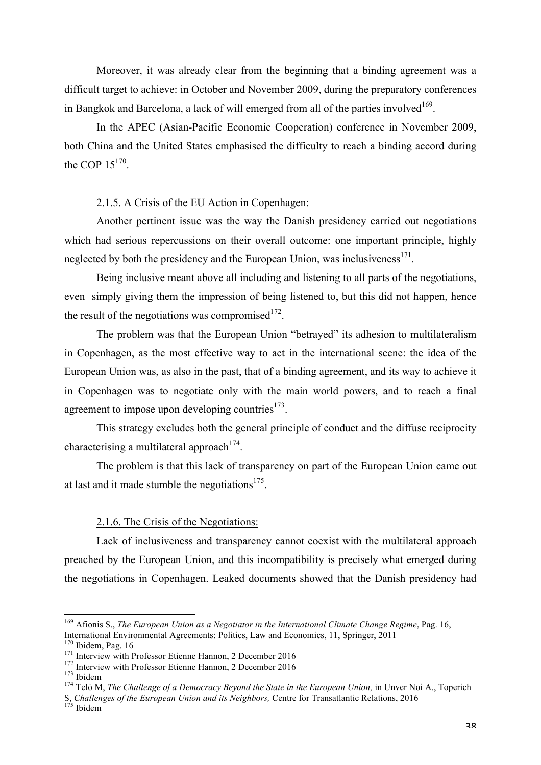Moreover, it was already clear from the beginning that a binding agreement was a difficult target to achieve: in October and November 2009, during the preparatory conferences in Bangkok and Barcelona, a lack of will emerged from all of the parties involved $169$ .

In the APEC (Asian-Pacific Economic Cooperation) conference in November 2009, both China and the United States emphasised the difficulty to reach a binding accord during the COP  $15^{170}$ .

## 2.1.5. A Crisis of the EU Action in Copenhagen:

Another pertinent issue was the way the Danish presidency carried out negotiations which had serious repercussions on their overall outcome: one important principle, highly neglected by both the presidency and the European Union, was inclusiveness<sup>171</sup>.

Being inclusive meant above all including and listening to all parts of the negotiations, even simply giving them the impression of being listened to, but this did not happen, hence the result of the negotiations was compromised  $172$ .

The problem was that the European Union "betrayed" its adhesion to multilateralism in Copenhagen, as the most effective way to act in the international scene: the idea of the European Union was, as also in the past, that of a binding agreement, and its way to achieve it in Copenhagen was to negotiate only with the main world powers, and to reach a final agreement to impose upon developing countries $173$ .

This strategy excludes both the general principle of conduct and the diffuse reciprocity characterising a multilateral approach<sup>174</sup>.

The problem is that this lack of transparency on part of the European Union came out at last and it made stumble the negotiations $175$ .

## 2.1.6. The Crisis of the Negotiations:

Lack of inclusiveness and transparency cannot coexist with the multilateral approach preached by the European Union, and this incompatibility is precisely what emerged during the negotiations in Copenhagen. Leaked documents showed that the Danish presidency had

<sup>&</sup>lt;sup>169</sup> Afionis S., *The European Union as a Negotiator in the International Climate Change Regime*, Pag. 16, International Environmental Agreements: Politics, Law and Economics, 11, Springer, 2011

<sup>&</sup>lt;sup>171</sup> Interview with Professor Etienne Hannon, 2 December 2016<br><sup>172</sup> Interview with Professor Etienne Hannon, 2 December 2016<br><sup>173</sup> Ibidem<br><sup>174</sup> Telò M, *The Challenge of a Democracy Beyond the State in the European Union* 

S, *Challenges of the European Union and its Neighbors*, Centre for Transatlantic Relations, 2016<br><sup>175</sup> Ibidem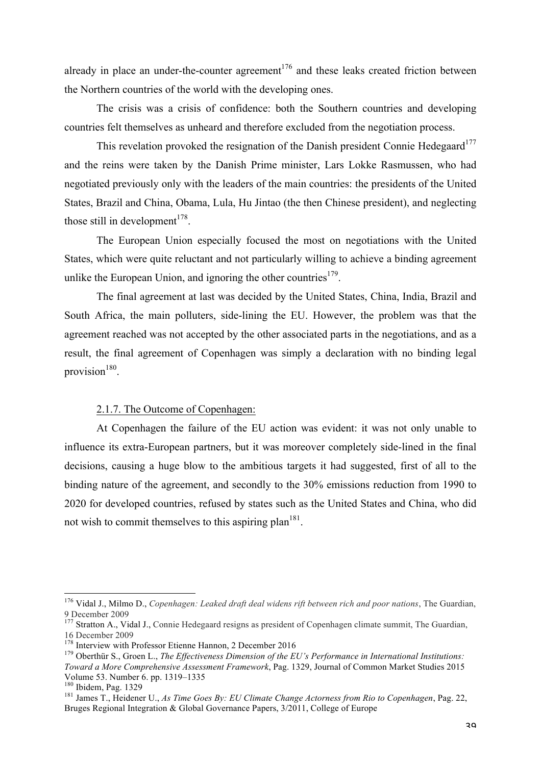already in place an under-the-counter agreement<sup>176</sup> and these leaks created friction between the Northern countries of the world with the developing ones.

The crisis was a crisis of confidence: both the Southern countries and developing countries felt themselves as unheard and therefore excluded from the negotiation process.

This revelation provoked the resignation of the Danish president Connie Hedegaard<sup>177</sup> and the reins were taken by the Danish Prime minister, Lars Lokke Rasmussen, who had negotiated previously only with the leaders of the main countries: the presidents of the United States, Brazil and China, Obama, Lula, Hu Jintao (the then Chinese president), and neglecting those still in development $178$ .

The European Union especially focused the most on negotiations with the United States, which were quite reluctant and not particularly willing to achieve a binding agreement unlike the European Union, and ignoring the other countries<sup>179</sup>.

The final agreement at last was decided by the United States, China, India, Brazil and South Africa, the main polluters, side-lining the EU. However, the problem was that the agreement reached was not accepted by the other associated parts in the negotiations, and as a result, the final agreement of Copenhagen was simply a declaration with no binding legal provision $180$ .

# 2.1.7. The Outcome of Copenhagen:

At Copenhagen the failure of the EU action was evident: it was not only unable to influence its extra-European partners, but it was moreover completely side-lined in the final decisions, causing a huge blow to the ambitious targets it had suggested, first of all to the binding nature of the agreement, and secondly to the 30% emissions reduction from 1990 to 2020 for developed countries, refused by states such as the United States and China, who did not wish to commit themselves to this aspiring plan<sup>181</sup>.

 <sup>176</sup> Vidal J., Milmo D., *Copenhagen: Leaked draft deal widens rift between rich and poor nations*, The Guardian, 9 December 2009

<sup>&</sup>lt;sup>177</sup> Stratton A., Vidal J., Connie Hedegaard resigns as president of Copenhagen climate summit, The Guardian, 16 December 2009<br><sup>178</sup> Interview with Professor Etienne Hannon, 2 December 2016

<sup>&</sup>lt;sup>179</sup> Oberthür S., Groen L., *The Effectiveness Dimension of the EU's Performance in International Institutions: Toward a More Comprehensive Assessment Framework*, Pag. 1329, Journal of Common Market Studies 2015 Volume 53. Number 6. pp. 1319–1335<br><sup>180</sup> Ibidem, Pag. 1329<br><sup>181</sup> James T., Heidener U., *As Time Goes By: EU Climate Change Actorness from Rio to Copenhagen*, Pag. 22,

Bruges Regional Integration & Global Governance Papers, 3/2011, College of Europe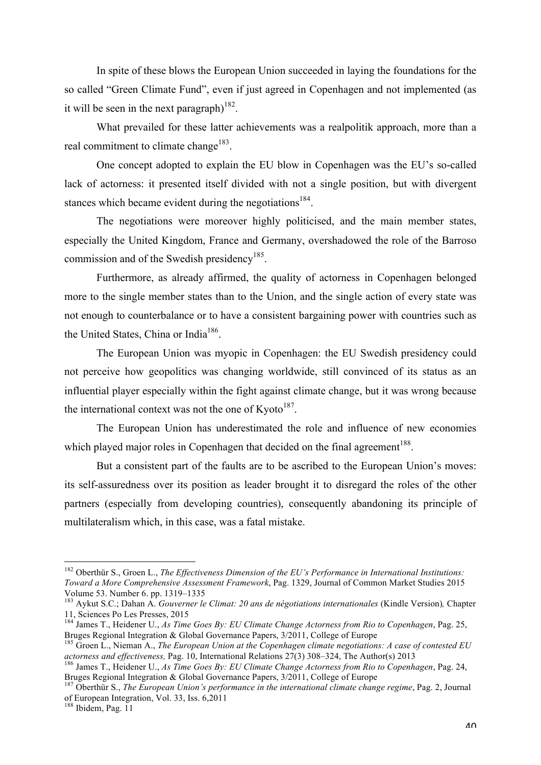In spite of these blows the European Union succeeded in laying the foundations for the so called "Green Climate Fund", even if just agreed in Copenhagen and not implemented (as it will be seen in the next paragraph $182$ .

What prevailed for these latter achievements was a realpolitik approach, more than a real commitment to climate change<sup>183</sup>.

One concept adopted to explain the EU blow in Copenhagen was the EU's so-called lack of actorness: it presented itself divided with not a single position, but with divergent stances which became evident during the negotiations<sup>184</sup>.

The negotiations were moreover highly politicised, and the main member states, especially the United Kingdom, France and Germany, overshadowed the role of the Barroso commission and of the Swedish presidency<sup>185</sup>.

Furthermore, as already affirmed, the quality of actorness in Copenhagen belonged more to the single member states than to the Union, and the single action of every state was not enough to counterbalance or to have a consistent bargaining power with countries such as the United States, China or India186.

The European Union was myopic in Copenhagen: the EU Swedish presidency could not perceive how geopolitics was changing worldwide, still convinced of its status as an influential player especially within the fight against climate change, but it was wrong because the international context was not the one of  $Kyoto$ <sup>187</sup>.

The European Union has underestimated the role and influence of new economies which played major roles in Copenhagen that decided on the final agreement<sup>188</sup>.

But a consistent part of the faults are to be ascribed to the European Union's moves: its self-assuredness over its position as leader brought it to disregard the roles of the other partners (especially from developing countries), consequently abandoning its principle of multilateralism which, in this case, was a fatal mistake.

 <sup>182</sup> Oberthür S., Groen L., *The Effectiveness Dimension of the EU's Performance in International Institutions: Toward a More Comprehensive Assessment Framework*, Pag. 1329, Journal of Common Market Studies 2015

<sup>&</sup>lt;sup>183</sup> Aykut S.C.; Dahan A. *Gouverner le Climat: 20 ans de négotiations internationales* (Kindle Version), Chapter 11, Sciences Po Les Presses, 2015

<sup>&</sup>lt;sup>184</sup> James T., Heidener U., *As Time Goes By: EU Climate Change Actorness from Rio to Copenhagen*, Pag. 25, Bruges Regional Integration & Global Governance Papers, 3/2011, College of Europe

<sup>185</sup> Groen L., Nieman A., *The European Union at the Copenhagen climate negotiations: A case of contested EU* 

*actorness and effectiveness, Pag. 10, International Relations 27(3) 308–324, The Author(s) 2013*<br><sup>186</sup> James T., Heidener U., *As Time Goes By: EU Climate Change Actorness from Rio to Copenhagen*, Pag. 24, <br>Bruges Regiona

<sup>&</sup>lt;sup>187</sup> Oberthür S., *The European Union's performance in the international climate change regime*, Pag. 2, Journal of European Integration, Vol. 33, Iss. 6,2011

<sup>&</sup>lt;sup>188</sup> Ibidem, Pag. 11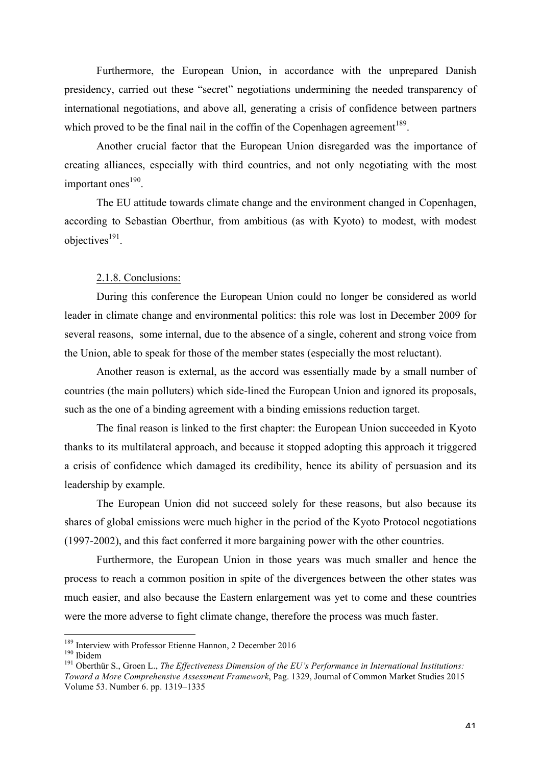Furthermore, the European Union, in accordance with the unprepared Danish presidency, carried out these "secret" negotiations undermining the needed transparency of international negotiations, and above all, generating a crisis of confidence between partners which proved to be the final nail in the coffin of the Copenhagen agreement<sup>189</sup>.

Another crucial factor that the European Union disregarded was the importance of creating alliances, especially with third countries, and not only negotiating with the most important ones $190$ .

The EU attitude towards climate change and the environment changed in Copenhagen, according to Sebastian Oberthur, from ambitious (as with Kyoto) to modest, with modest objectives $191$ .

#### 2.1.8. Conclusions:

During this conference the European Union could no longer be considered as world leader in climate change and environmental politics: this role was lost in December 2009 for several reasons, some internal, due to the absence of a single, coherent and strong voice from the Union, able to speak for those of the member states (especially the most reluctant).

Another reason is external, as the accord was essentially made by a small number of countries (the main polluters) which side-lined the European Union and ignored its proposals, such as the one of a binding agreement with a binding emissions reduction target.

The final reason is linked to the first chapter: the European Union succeeded in Kyoto thanks to its multilateral approach, and because it stopped adopting this approach it triggered a crisis of confidence which damaged its credibility, hence its ability of persuasion and its leadership by example.

The European Union did not succeed solely for these reasons, but also because its shares of global emissions were much higher in the period of the Kyoto Protocol negotiations (1997-2002), and this fact conferred it more bargaining power with the other countries.

Furthermore, the European Union in those years was much smaller and hence the process to reach a common position in spite of the divergences between the other states was much easier, and also because the Eastern enlargement was yet to come and these countries were the more adverse to fight climate change, therefore the process was much faster.

<sup>&</sup>lt;sup>189</sup> Interview with Professor Etienne Hannon, 2 December 2016<br><sup>190</sup> Ibidem<br><sup>191</sup> Oberthür S., Groen L., *The Effectiveness Dimension of the EU's Performance in International Institutions: Toward a More Comprehensive Assessment Framework*, Pag. 1329, Journal of Common Market Studies 2015 Volume 53. Number 6. pp. 1319–1335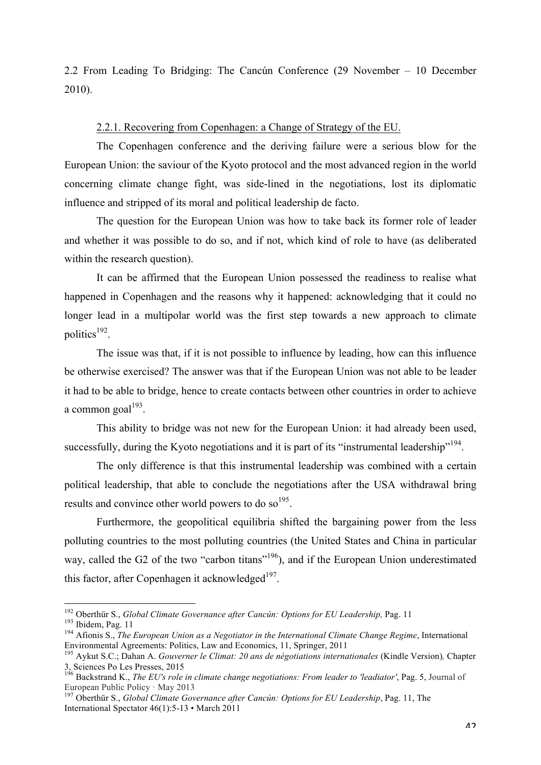2.2 From Leading To Bridging: The Cancún Conference (29 November – 10 December 2010).

# 2.2.1. Recovering from Copenhagen: a Change of Strategy of the EU.

The Copenhagen conference and the deriving failure were a serious blow for the European Union: the saviour of the Kyoto protocol and the most advanced region in the world concerning climate change fight, was side-lined in the negotiations, lost its diplomatic influence and stripped of its moral and political leadership de facto.

The question for the European Union was how to take back its former role of leader and whether it was possible to do so, and if not, which kind of role to have (as deliberated within the research question).

It can be affirmed that the European Union possessed the readiness to realise what happened in Copenhagen and the reasons why it happened: acknowledging that it could no longer lead in a multipolar world was the first step towards a new approach to climate politics $192$ .

The issue was that, if it is not possible to influence by leading, how can this influence be otherwise exercised? The answer was that if the European Union was not able to be leader it had to be able to bridge, hence to create contacts between other countries in order to achieve a common goal $193$ .

This ability to bridge was not new for the European Union: it had already been used, successfully, during the Kyoto negotiations and it is part of its "instrumental leadership"<sup>194</sup>.

The only difference is that this instrumental leadership was combined with a certain political leadership, that able to conclude the negotiations after the USA withdrawal bring results and convince other world powers to do so<sup>195</sup>.

Furthermore, the geopolitical equilibria shifted the bargaining power from the less polluting countries to the most polluting countries (the United States and China in particular way, called the G2 of the two "carbon titans"<sup>196</sup>), and if the European Union underestimated this factor, after Copenhagen it acknowledged $197$ .

<sup>&</sup>lt;sup>192</sup> Oberthür S., *Global Climate Governance after Cancún: Options for EU Leadership*, Pag. 11<br><sup>193</sup> Ibidem, Pag. 11<br><sup>194</sup> Afionis S., *The European Union as a Negotiator in the International Climate Change Regime*, Inte Environmental Agreements: Politics, Law and Economics, 11, Springer, 2011 <sup>195</sup> Aykut S.C.; Dahan A. *Gouverner le Climat: 20 ans de négotiations internationales* (Kindle Version)*,* Chapter

<sup>3,</sup> Sciences Po Les Presses, 2015<br><sup>196</sup> Backstrand K., *The EU's role in climate change negotiations: From leader to 'leadiator'*, Pag. 5, Journal of<br>European Public Policy · May 2013

<sup>&</sup>lt;sup>197</sup> Oberthür S., *Global Climate Governance after Cancún: Options for EU Leadership*, Pag. 11, The International Spectator 46(1):5-13 • March 2011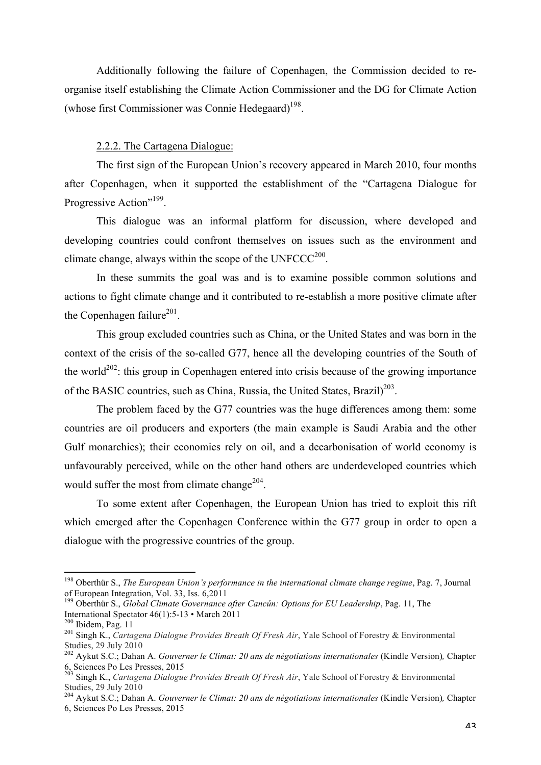Additionally following the failure of Copenhagen, the Commission decided to reorganise itself establishing the Climate Action Commissioner and the DG for Climate Action (whose first Commissioner was Connie Hedegaard) 198.

# 2.2.2. The Cartagena Dialogue:

The first sign of the European Union's recovery appeared in March 2010, four months after Copenhagen, when it supported the establishment of the "Cartagena Dialogue for Progressive Action"<sup>199</sup>.

This dialogue was an informal platform for discussion, where developed and developing countries could confront themselves on issues such as the environment and climate change, always within the scope of the  $UNFCCC<sup>200</sup>$ .

In these summits the goal was and is to examine possible common solutions and actions to fight climate change and it contributed to re-establish a more positive climate after the Copenhagen failure<sup>201</sup>.

This group excluded countries such as China, or the United States and was born in the context of the crisis of the so-called G77, hence all the developing countries of the South of the world<sup>202</sup>: this group in Copenhagen entered into crisis because of the growing importance of the BASIC countries, such as China, Russia, the United States, Brazil) $^{203}$ .

The problem faced by the G77 countries was the huge differences among them: some countries are oil producers and exporters (the main example is Saudi Arabia and the other Gulf monarchies); their economies rely on oil, and a decarbonisation of world economy is unfavourably perceived, while on the other hand others are underdeveloped countries which would suffer the most from climate change<sup>204</sup>.

To some extent after Copenhagen, the European Union has tried to exploit this rift which emerged after the Copenhagen Conference within the G77 group in order to open a dialogue with the progressive countries of the group.

 <sup>198</sup> Oberthür S., *The European Union's performance in the international climate change regime*, Pag. 7, Journal of European Integration, Vol. 33, Iss. 6,2011

<sup>&</sup>lt;sup>199</sup> Oberthür S., *Global Climate Governance after Cancún: Options for EU Leadership*, Pag. 11, The International Spectator 46(1):5-13 • March 2011

<sup>&</sup>lt;sup>200</sup> Ibidem, Pag. 11<br><sup>201</sup> Singh K., *Cartagena Dialogue Provides Breath Of Fresh Air*, Yale School of Forestry & Environmental Studies, 29 July 2010

<sup>202</sup> Aykut S.C.; Dahan A. *Gouverner le Climat: 20 ans de négotiations internationales* (Kindle Version)*,* Chapter 6, Sciences Po Les Presses, 2015 <sup>203</sup> Singh K., *Cartagena Dialogue Provides Breath Of Fresh Air*, Yale School of Forestry & Environmental

Studies, 29 July 2010

<sup>204</sup> Aykut S.C.; Dahan A. *Gouverner le Climat: 20 ans de négotiations internationales* (Kindle Version)*,* Chapter 6, Sciences Po Les Presses, 2015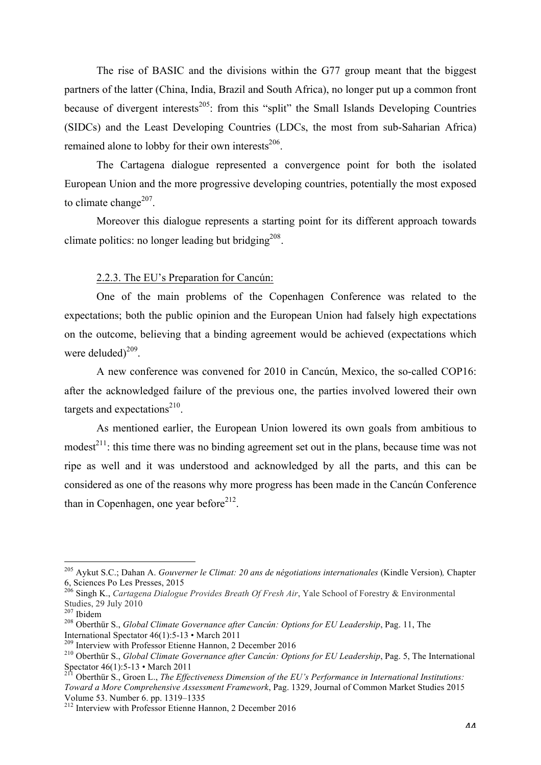The rise of BASIC and the divisions within the G77 group meant that the biggest partners of the latter (China, India, Brazil and South Africa), no longer put up a common front because of divergent interests<sup>205</sup>: from this "split" the Small Islands Developing Countries (SIDCs) and the Least Developing Countries (LDCs, the most from sub-Saharian Africa) remained alone to lobby for their own interests<sup>206</sup>.

The Cartagena dialogue represented a convergence point for both the isolated European Union and the more progressive developing countries, potentially the most exposed to climate change<sup>207</sup>.

Moreover this dialogue represents a starting point for its different approach towards climate politics: no longer leading but bridging<sup>208</sup>.

#### 2.2.3. The EU's Preparation for Cancún:

One of the main problems of the Copenhagen Conference was related to the expectations; both the public opinion and the European Union had falsely high expectations on the outcome, believing that a binding agreement would be achieved (expectations which were deluded $2^{09}$ .

A new conference was convened for 2010 in Cancún, Mexico, the so-called COP16: after the acknowledged failure of the previous one, the parties involved lowered their own targets and expectations $^{210}$ .

As mentioned earlier, the European Union lowered its own goals from ambitious to modest $^{211}$ : this time there was no binding agreement set out in the plans, because time was not ripe as well and it was understood and acknowledged by all the parts, and this can be considered as one of the reasons why more progress has been made in the Cancún Conference than in Copenhagen, one year before<sup>212</sup>.

<sup>&</sup>lt;sup>205</sup> Aykut S.C.; Dahan A. *Gouverner le Climat: 20 ans de négotiations internationales* (Kindle Version), Chapter 6, Sciences Po Les Presses, 2015

<sup>&</sup>lt;sup>206</sup> Singh K., *Cartagena Dialogue Provides Breath Of Fresh Air*, Yale School of Forestry & Environmental Studies, 29 July 2010<br><sup>207</sup> Ibidem

<sup>207</sup> Ibidem <sup>208</sup> Oberthür S., *Global Climate Governance after Cancún: Options for EU Leadership*, Pag. 11, The International Spectator  $46(1)$ :5-13 • March 2011<br><sup>209</sup> Interview with Professor Etienne Hannon, 2 December 2016<br><sup>210</sup> Oberthür S., *Global Climate Governance after Cancun: Options for EU Leadership*, Pag. 5, The Internat

Spectator 46(1):5-13 • March 2011<br><sup>211</sup> Oberthür S., Groen L., *The Effectiveness Dimension of the EU's Performance in International Institutions:* 

*Toward a More Comprehensive Assessment Framework*, Pag. 1329, Journal of Common Market Studies 2015 Volume 53. Number 6. pp. 1319–1335 212 Interview with Professor Etienne Hannon, 2 December 2016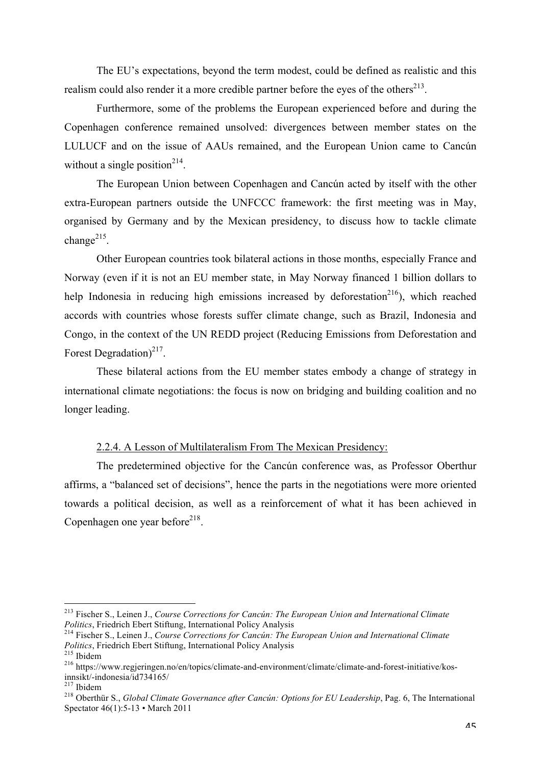The EU's expectations, beyond the term modest, could be defined as realistic and this realism could also render it a more credible partner before the eyes of the others $^{213}$ .

Furthermore, some of the problems the European experienced before and during the Copenhagen conference remained unsolved: divergences between member states on the LULUCF and on the issue of AAUs remained, and the European Union came to Cancún without a single position<sup>214</sup>.

The European Union between Copenhagen and Cancún acted by itself with the other extra-European partners outside the UNFCCC framework: the first meeting was in May, organised by Germany and by the Mexican presidency, to discuss how to tackle climate change $^{215}$ .

Other European countries took bilateral actions in those months, especially France and Norway (even if it is not an EU member state, in May Norway financed 1 billion dollars to help Indonesia in reducing high emissions increased by deforestation<sup>216</sup>), which reached accords with countries whose forests suffer climate change, such as Brazil, Indonesia and Congo, in the context of the UN REDD project (Reducing Emissions from Deforestation and Forest Degradation) $^{217}$ .

These bilateral actions from the EU member states embody a change of strategy in international climate negotiations: the focus is now on bridging and building coalition and no longer leading.

#### 2.2.4. A Lesson of Multilateralism From The Mexican Presidency:

The predetermined objective for the Cancún conference was, as Professor Oberthur affirms, a "balanced set of decisions", hence the parts in the negotiations were more oriented towards a political decision, as well as a reinforcement of what it has been achieved in Copenhagen one year before $218$ .

 <sup>213</sup> Fischer S., Leinen J., *Course Corrections for Cancún: The European Union and International Climate* 

*Politics*, Friedrich Ebert Stiftung, International Policy Analysis <sup>214</sup> Fischer S., Leinen J., *Course Corrections for Cancún: The European Union and International Climate* 

*Politics*, Friedrich Ebert Stiftung, International Policy Analysis 215 Ibidem 216 https://www.regjeringen.no/en/topics/climate-and-environment/climate/climate-and-forest-initiative/kos-<br>innsikt/-indonesia/id734165/

<sup>&</sup>lt;sup>217</sup> Ibidem<br><sup>218</sup> Oberthür S., *Global Climate Governance after Cancún: Options for EU Leadership*, Pag. 6, The International Spectator 46(1):5-13 • March 2011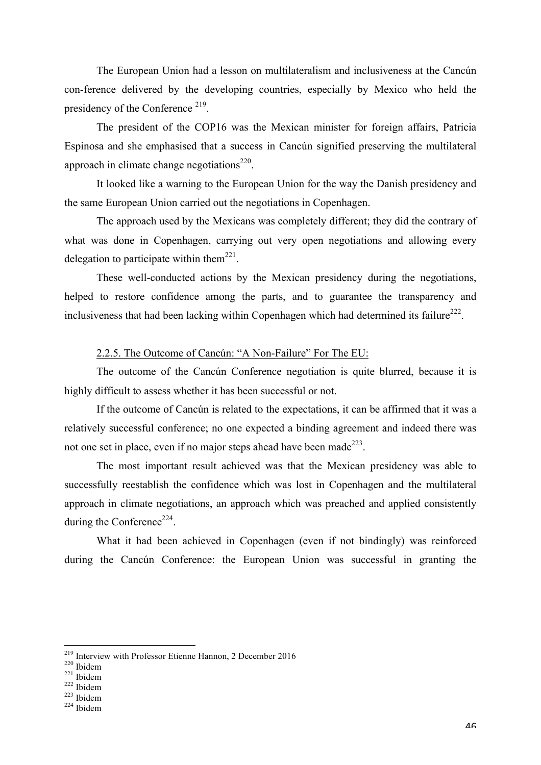The European Union had a lesson on multilateralism and inclusiveness at the Cancún con-ference delivered by the developing countries, especially by Mexico who held the presidency of the Conference <sup>219</sup>.

The president of the COP16 was the Mexican minister for foreign affairs, Patricia Espinosa and she emphasised that a success in Cancún signified preserving the multilateral approach in climate change negotiations $220$ .

It looked like a warning to the European Union for the way the Danish presidency and the same European Union carried out the negotiations in Copenhagen.

The approach used by the Mexicans was completely different; they did the contrary of what was done in Copenhagen, carrying out very open negotiations and allowing every delegation to participate within them<sup>221</sup>.

These well-conducted actions by the Mexican presidency during the negotiations, helped to restore confidence among the parts, and to guarantee the transparency and inclusiveness that had been lacking within Copenhagen which had determined its failure<sup>222</sup>.

## 2.2.5. The Outcome of Cancún: "A Non-Failure" For The EU:

The outcome of the Cancún Conference negotiation is quite blurred, because it is highly difficult to assess whether it has been successful or not.

If the outcome of Cancún is related to the expectations, it can be affirmed that it was a relatively successful conference; no one expected a binding agreement and indeed there was not one set in place, even if no major steps ahead have been made<sup>223</sup>.

The most important result achieved was that the Mexican presidency was able to successfully reestablish the confidence which was lost in Copenhagen and the multilateral approach in climate negotiations, an approach which was preached and applied consistently during the Conference<sup>224</sup>.

What it had been achieved in Copenhagen (even if not bindingly) was reinforced during the Cancún Conference: the European Union was successful in granting the

- 
- 

<sup>&</sup>lt;sup>219</sup> Interview with Professor Etienne Hannon, 2 December 2016<br><sup>220</sup> Ibidem<br><sup>221</sup> Ibidem<br><sup>222</sup> Ibidem <sup>223</sup> Ibidem <sup>224</sup> Ibidem <sup>224</sup> Ibidem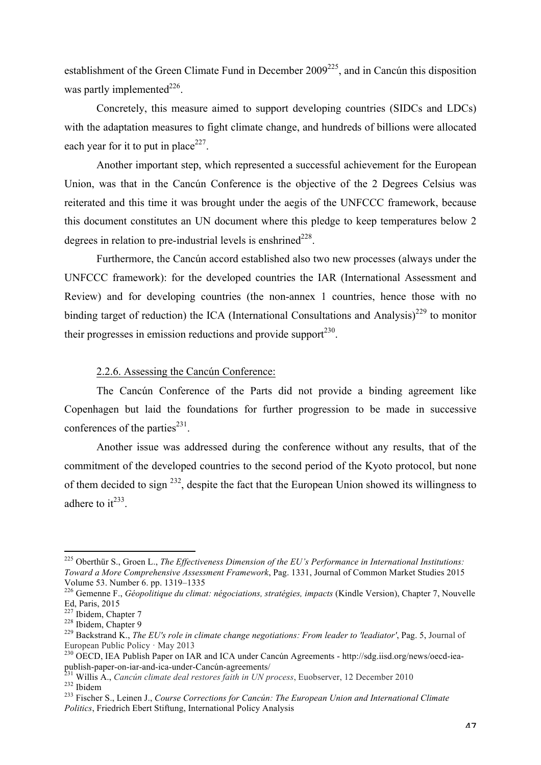establishment of the Green Climate Fund in December 2009<sup>225</sup>, and in Cancún this disposition was partly implemented<sup>226</sup>.

Concretely, this measure aimed to support developing countries (SIDCs and LDCs) with the adaptation measures to fight climate change, and hundreds of billions were allocated each year for it to put in place<sup>227</sup>.

Another important step, which represented a successful achievement for the European Union, was that in the Cancún Conference is the objective of the 2 Degrees Celsius was reiterated and this time it was brought under the aegis of the UNFCCC framework, because this document constitutes an UN document where this pledge to keep temperatures below 2 degrees in relation to pre-industrial levels is enshrined<sup> $228$ </sup>.

Furthermore, the Cancún accord established also two new processes (always under the UNFCCC framework): for the developed countries the IAR (International Assessment and Review) and for developing countries (the non-annex 1 countries, hence those with no binding target of reduction) the ICA (International Consultations and Analysis)<sup>229</sup> to monitor their progresses in emission reductions and provide support $^{230}$ .

#### 2.2.6. Assessing the Cancún Conference:

The Cancún Conference of the Parts did not provide a binding agreement like Copenhagen but laid the foundations for further progression to be made in successive conferences of the parties<sup> $231$ </sup>.

Another issue was addressed during the conference without any results, that of the commitment of the developed countries to the second period of the Kyoto protocol, but none of them decided to sign  $^{232}$ , despite the fact that the European Union showed its willingness to adhere to  $it^{233}$ .

 <sup>225</sup> Oberthür S., Groen L., *The Effectiveness Dimension of the EU's Performance in International Institutions: Toward a More Comprehensive Assessment Framework*, Pag. 1331, Journal of Common Market Studies 2015

<sup>&</sup>lt;sup>226</sup> Gemenne F., *Géopolitique du climat: négociations, stratégies, impacts* (Kindle Version), Chapter 7, Nouvelle Ed, Paris,  $2015$ <sup>227</sup> Ibidem, Chapter 7

<sup>228</sup> Ibidem, Chapter 7<br><sup>228</sup> Ibidem, Chapter 9<br><sup>229</sup> Backstrand K., *The EU's role in climate change negotiations: From leader to 'leadiator'*, Pag. 5, Journal of European Public Policy · May 2013<br><sup>230</sup> OECD, IEA Publish Paper on IAR and ICA under Cancún Agreements - http://sdg.iisd.org/news/oecd-iea-

publish-paper-on-iar-and-ica-under-Cancún-agreements/<br>
231 Willis A., *Cancún climate deal restores faith in UN process*, Euobserver, 12 December 2010<br>
<sup>232</sup> Ibidem<br>
<sup>233</sup> Fischer S., Leinen J., *Course Corrections for Can* 

*Politics*, Friedrich Ebert Stiftung, International Policy Analysis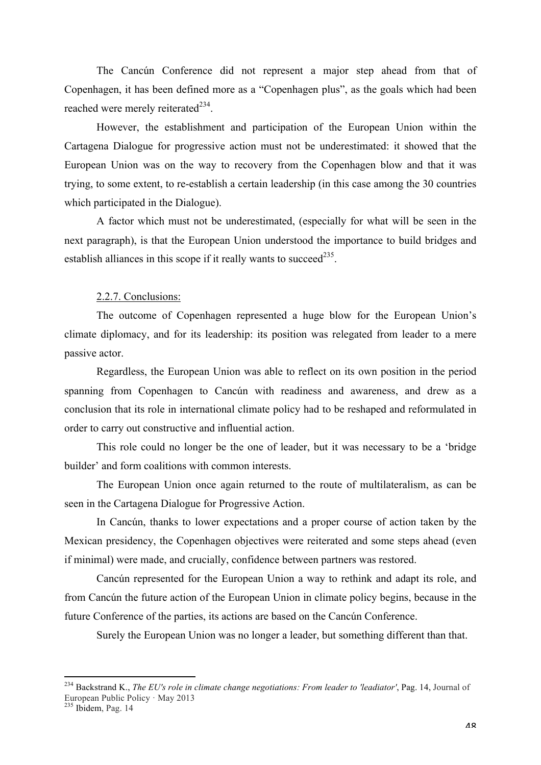The Cancún Conference did not represent a major step ahead from that of Copenhagen, it has been defined more as a "Copenhagen plus", as the goals which had been reached were merely reiterated<sup>234</sup>.

However, the establishment and participation of the European Union within the Cartagena Dialogue for progressive action must not be underestimated: it showed that the European Union was on the way to recovery from the Copenhagen blow and that it was trying, to some extent, to re-establish a certain leadership (in this case among the 30 countries which participated in the Dialogue).

A factor which must not be underestimated, (especially for what will be seen in the next paragraph), is that the European Union understood the importance to build bridges and establish alliances in this scope if it really wants to succeed<sup>235</sup>.

## 2.2.7. Conclusions:

The outcome of Copenhagen represented a huge blow for the European Union's climate diplomacy, and for its leadership: its position was relegated from leader to a mere passive actor.

Regardless, the European Union was able to reflect on its own position in the period spanning from Copenhagen to Cancún with readiness and awareness, and drew as a conclusion that its role in international climate policy had to be reshaped and reformulated in order to carry out constructive and influential action.

This role could no longer be the one of leader, but it was necessary to be a 'bridge builder' and form coalitions with common interests.

The European Union once again returned to the route of multilateralism, as can be seen in the Cartagena Dialogue for Progressive Action.

In Cancún, thanks to lower expectations and a proper course of action taken by the Mexican presidency, the Copenhagen objectives were reiterated and some steps ahead (even if minimal) were made, and crucially, confidence between partners was restored.

Cancún represented for the European Union a way to rethink and adapt its role, and from Cancún the future action of the European Union in climate policy begins, because in the future Conference of the parties, its actions are based on the Cancún Conference.

Surely the European Union was no longer a leader, but something different than that.

 <sup>234</sup> Backstrand K., *The EU's role in climate change negotiations: From leader to 'leadiator'*, Pag. 14, Journal of European Public Policy · May 2013 235 Ibidem, Pag. 14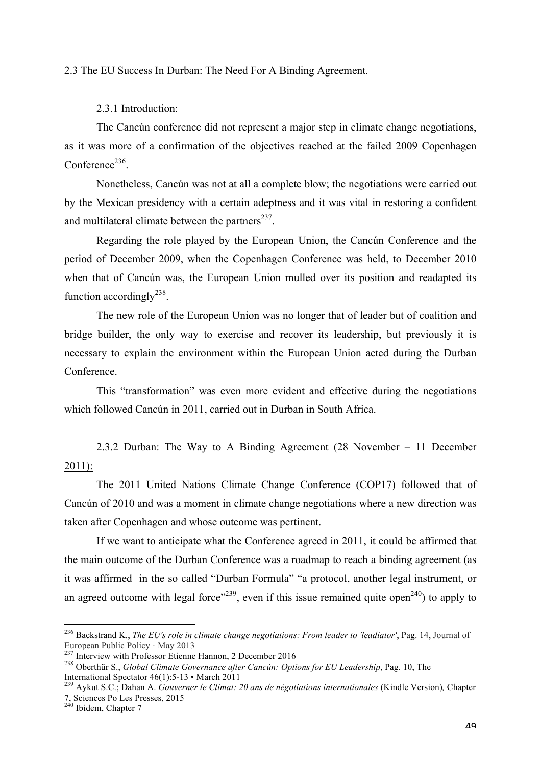#### 2.3 The EU Success In Durban: The Need For A Binding Agreement.

#### 2.3.1 Introduction:

The Cancún conference did not represent a major step in climate change negotiations, as it was more of a confirmation of the objectives reached at the failed 2009 Copenhagen  $Conference<sup>236</sup>$ 

Nonetheless, Cancún was not at all a complete blow; the negotiations were carried out by the Mexican presidency with a certain adeptness and it was vital in restoring a confident and multilateral climate between the partners $^{237}$ .

Regarding the role played by the European Union, the Cancún Conference and the period of December 2009, when the Copenhagen Conference was held, to December 2010 when that of Cancún was, the European Union mulled over its position and readapted its function accordingly $^{238}$ .

The new role of the European Union was no longer that of leader but of coalition and bridge builder, the only way to exercise and recover its leadership, but previously it is necessary to explain the environment within the European Union acted during the Durban Conference.

This "transformation" was even more evident and effective during the negotiations which followed Cancún in 2011, carried out in Durban in South Africa.

2.3.2 Durban: The Way to A Binding Agreement (28 November – 11 December 2011):

The 2011 United Nations Climate Change Conference (COP17) followed that of Cancún of 2010 and was a moment in climate change negotiations where a new direction was taken after Copenhagen and whose outcome was pertinent.

If we want to anticipate what the Conference agreed in 2011, it could be affirmed that the main outcome of the Durban Conference was a roadmap to reach a binding agreement (as it was affirmed in the so called "Durban Formula" "a protocol, another legal instrument, or an agreed outcome with legal force<sup> $239$ </sup>, even if this issue remained quite open<sup>240</sup>) to apply to

<sup>&</sup>lt;sup>236</sup> Backstrand K., *The EU's role in climate change negotiations: From leader to 'leadiator'*, Pag. 14, Journal of European Public Policy · May 2013

European Public Policy · May 2013 <sup>237</sup> Interview with Professor Etienne Hannon, 2 December 2016 <sup>238</sup> Oberthür S., *Global Climate Governance after Cancún: Options for EU Leadership*, Pag. 10, The International Spectator 46(1):5-13 • March 2011 <sup>239</sup> Aykut S.C.; Dahan A. *Gouverner le Climat: 20 ans de négotiations internationales* (Kindle Version)*,* Chapter

<sup>7,</sup> Sciences Po Les Presses, 2015 <sup>240</sup> Ibidem, Chapter 7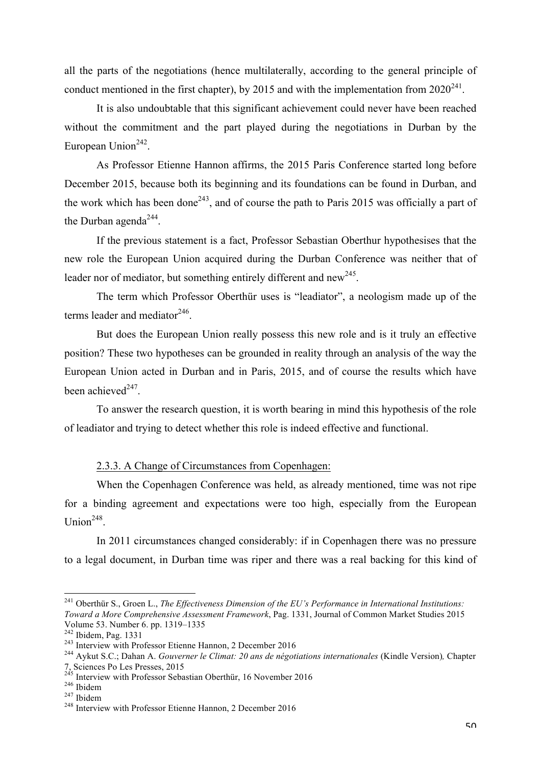all the parts of the negotiations (hence multilaterally, according to the general principle of conduct mentioned in the first chapter), by 2015 and with the implementation from  $2020^{241}$ .

It is also undoubtable that this significant achievement could never have been reached without the commitment and the part played during the negotiations in Durban by the European Union $242$ .

As Professor Etienne Hannon affirms, the 2015 Paris Conference started long before December 2015, because both its beginning and its foundations can be found in Durban, and the work which has been done<sup>243</sup>, and of course the path to Paris 2015 was officially a part of the Durban agenda<sup>244</sup>.

If the previous statement is a fact, Professor Sebastian Oberthur hypothesises that the new role the European Union acquired during the Durban Conference was neither that of leader nor of mediator, but something entirely different and new<sup>245</sup>.

The term which Professor Oberthür uses is "leadiator", a neologism made up of the terms leader and mediator $246$ .

But does the European Union really possess this new role and is it truly an effective position? These two hypotheses can be grounded in reality through an analysis of the way the European Union acted in Durban and in Paris, 2015, and of course the results which have been achieved<sup>247</sup>.

To answer the research question, it is worth bearing in mind this hypothesis of the role of leadiator and trying to detect whether this role is indeed effective and functional.

# 2.3.3. A Change of Circumstances from Copenhagen:

When the Copenhagen Conference was held, as already mentioned, time was not ripe for a binding agreement and expectations were too high, especially from the European Union $248$ .

In 2011 circumstances changed considerably: if in Copenhagen there was no pressure to a legal document, in Durban time was riper and there was a real backing for this kind of

 <sup>241</sup> Oberthür S., Groen L., *The Effectiveness Dimension of the EU's Performance in International Institutions: Toward a More Comprehensive Assessment Framework*, Pag. 1331, Journal of Common Market Studies 2015 Volume 53. Number 6. pp. 1319–1335<br><sup>242</sup> Ibidem, Pag. 1331<br><sup>243</sup> Interview with Professor Etienne Hannon, 2 December 2016<br><sup>243</sup> Aykut S.C.; Dahan A. *Gouverner le Climat: 20 ans de négotiations internationales* (Kindle Ver

<sup>7,</sup> Sciences Po Les Presses, 2015<br><sup>245</sup> Interview with Professor Sebastian Oberthür, 16 November 2016<br><sup>246</sup> Ibidem<br><sup>248</sup> Interview with Professor Etienne Hannon, 2 December 2016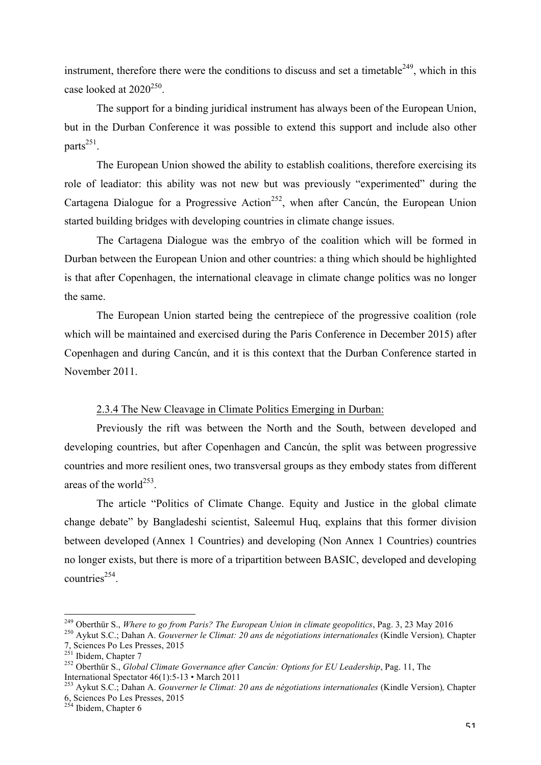instrument, therefore there were the conditions to discuss and set a timetable<sup>249</sup>, which in this case looked at  $2020^{250}$ .

The support for a binding juridical instrument has always been of the European Union, but in the Durban Conference it was possible to extend this support and include also other parts $^{251}$ .

The European Union showed the ability to establish coalitions, therefore exercising its role of leadiator: this ability was not new but was previously "experimented" during the Cartagena Dialogue for a Progressive Action<sup>252</sup>, when after Cancún, the European Union started building bridges with developing countries in climate change issues.

The Cartagena Dialogue was the embryo of the coalition which will be formed in Durban between the European Union and other countries: a thing which should be highlighted is that after Copenhagen, the international cleavage in climate change politics was no longer the same.

The European Union started being the centrepiece of the progressive coalition (role which will be maintained and exercised during the Paris Conference in December 2015) after Copenhagen and during Cancún, and it is this context that the Durban Conference started in November 2011.

# 2.3.4 The New Cleavage in Climate Politics Emerging in Durban:

Previously the rift was between the North and the South, between developed and developing countries, but after Copenhagen and Cancún, the split was between progressive countries and more resilient ones, two transversal groups as they embody states from different areas of the world<sup>253</sup>.

The article "Politics of Climate Change. Equity and Justice in the global climate change debate" by Bangladeshi scientist, Saleemul Huq, explains that this former division between developed (Annex 1 Countries) and developing (Non Annex 1 Countries) countries no longer exists, but there is more of a tripartition between BASIC, developed and developing countries<sup>254</sup>.

<sup>&</sup>lt;sup>249</sup> Oberthür S., *Where to go from Paris? The European Union in climate geopolitics*, Pag. 3, 23 May 2016<br><sup>250</sup> Aykut S.C.; Dahan A. *Gouverner le Climat: 20 ans de négotiations internationales* (Kindle Version), Chapte

<sup>&</sup>lt;sup>252</sup> Oberthür S., *Global Climate Governance after Cancún: Options for EU Leadership*, Pag. 11, The International Spectator 46(1):5-13 • March 2011 <sup>253</sup> Aykut S.C.; Dahan A. *Gouverner le Climat: 20 ans de négotiations internationales* (Kindle Version)*,* Chapter

<sup>6,</sup> Sciences Po Les Presses, 2015 <sup>254</sup> Ibidem, Chapter 6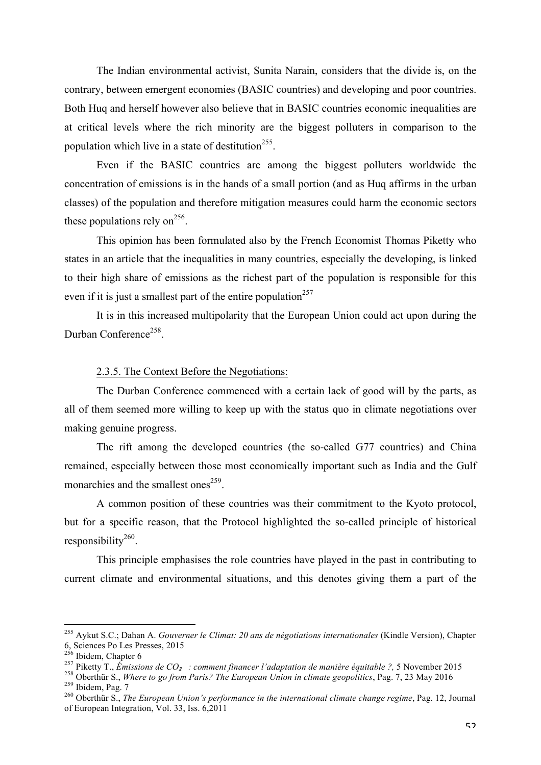The Indian environmental activist, Sunita Narain, considers that the divide is, on the contrary, between emergent economies (BASIC countries) and developing and poor countries. Both Huq and herself however also believe that in BASIC countries economic inequalities are at critical levels where the rich minority are the biggest polluters in comparison to the population which live in a state of destitution<sup>255</sup>.

Even if the BASIC countries are among the biggest polluters worldwide the concentration of emissions is in the hands of a small portion (and as Huq affirms in the urban classes) of the population and therefore mitigation measures could harm the economic sectors these populations rely on<sup>256</sup>.

This opinion has been formulated also by the French Economist Thomas Piketty who states in an article that the inequalities in many countries, especially the developing, is linked to their high share of emissions as the richest part of the population is responsible for this even if it is just a smallest part of the entire population<sup>257</sup>

It is in this increased multipolarity that the European Union could act upon during the Durban Conference<sup>258</sup>

#### 2.3.5. The Context Before the Negotiations:

The Durban Conference commenced with a certain lack of good will by the parts, as all of them seemed more willing to keep up with the status quo in climate negotiations over making genuine progress.

The rift among the developed countries (the so-called G77 countries) and China remained, especially between those most economically important such as India and the Gulf monarchies and the smallest ones<sup>259</sup>.

A common position of these countries was their commitment to the Kyoto protocol, but for a specific reason, that the Protocol highlighted the so-called principle of historical responsibility $260$ .

This principle emphasises the role countries have played in the past in contributing to current climate and environmental situations, and this denotes giving them a part of the

<sup>&</sup>lt;sup>255</sup> Aykut S.C.; Dahan A. *Gouverner le Climat: 20 ans de négotiations internationales* (Kindle Version), Chapter 6, Sciences Po Les Presses, 2015<br><sup>256</sup> Ibidem, Chapter 6

<sup>&</sup>lt;sup>257</sup> Piketty T., *Émissions de CO<sub>2</sub> : comment financer l'adaptation de manière équitable ?*, 5 November 2015<br><sup>258</sup> Oberthür S., *Where to go from Paris? The European Union in climate geopolitics*, Pag. 7, 23 May 2016<br><sup>2</sup>

of European Integration, Vol. 33, Iss. 6,2011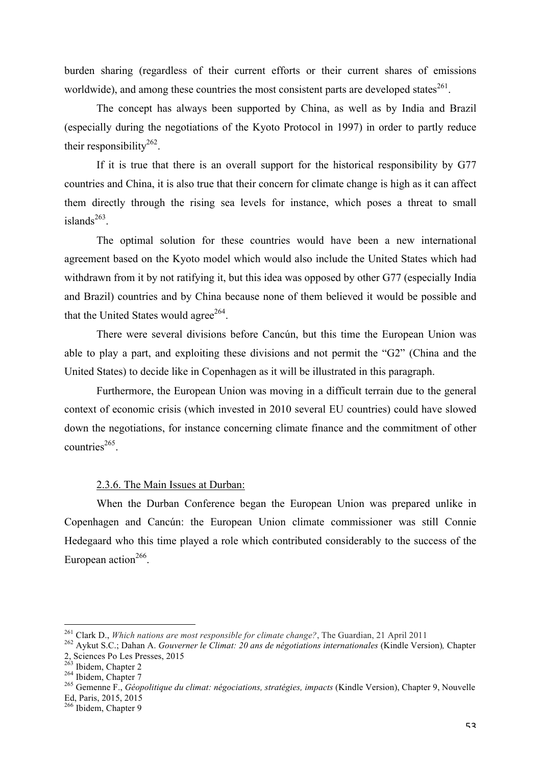burden sharing (regardless of their current efforts or their current shares of emissions worldwide), and among these countries the most consistent parts are developed states<sup>261</sup>.

The concept has always been supported by China, as well as by India and Brazil (especially during the negotiations of the Kyoto Protocol in 1997) in order to partly reduce their responsibility<sup>262</sup>.

If it is true that there is an overall support for the historical responsibility by G77 countries and China, it is also true that their concern for climate change is high as it can affect them directly through the rising sea levels for instance, which poses a threat to small islands $^{263}$ .

The optimal solution for these countries would have been a new international agreement based on the Kyoto model which would also include the United States which had withdrawn from it by not ratifying it, but this idea was opposed by other G77 (especially India and Brazil) countries and by China because none of them believed it would be possible and that the United States would agree<sup>264</sup>.

There were several divisions before Cancún, but this time the European Union was able to play a part, and exploiting these divisions and not permit the "G2" (China and the United States) to decide like in Copenhagen as it will be illustrated in this paragraph.

Furthermore, the European Union was moving in a difficult terrain due to the general context of economic crisis (which invested in 2010 several EU countries) could have slowed down the negotiations, for instance concerning climate finance and the commitment of other  $countries<sup>265</sup>$ 

### 2.3.6. The Main Issues at Durban:

When the Durban Conference began the European Union was prepared unlike in Copenhagen and Cancún: the European Union climate commissioner was still Connie Hedegaard who this time played a role which contributed considerably to the success of the European action<sup>266</sup>.

<sup>&</sup>lt;sup>261</sup> Clark D., *Which nations are most responsible for climate change*?, The Guardian, 21 April 2011<br><sup>262</sup> Aykut S.C.; Dahan A. *Gouverner le Climat: 20 ans de négotiations internationales* (Kindle Version), Chapter<br>2, S

<sup>&</sup>lt;sup>264</sup> Ibidem, Chapter 7<br><sup>265</sup> Gemenne F., *Géopolitique du climat: négociations, stratégies, impacts* (Kindle Version), Chapter 9, Nouvelle<br>Ed, Paris, 2015, 2015

 $266$  Ibidem, Chapter 9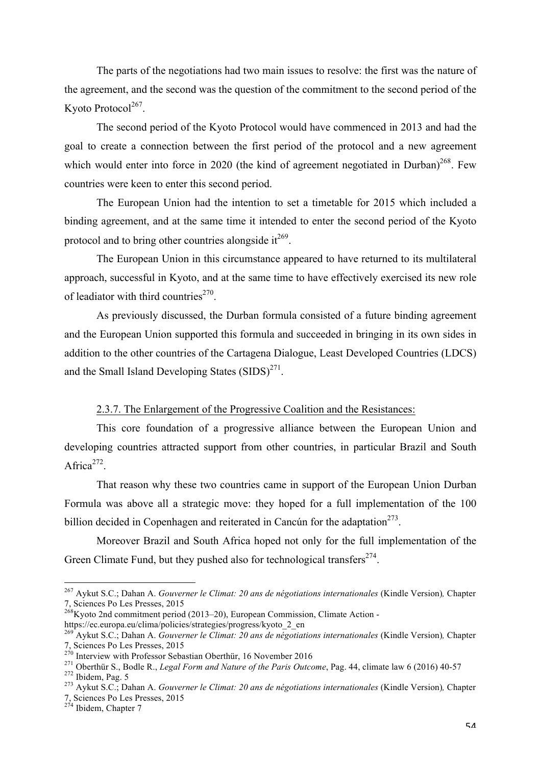The parts of the negotiations had two main issues to resolve: the first was the nature of the agreement, and the second was the question of the commitment to the second period of the Kyoto Protocol<sup>267</sup>.

The second period of the Kyoto Protocol would have commenced in 2013 and had the goal to create a connection between the first period of the protocol and a new agreement which would enter into force in 2020 (the kind of agreement negotiated in Durban)<sup>268</sup>. Few countries were keen to enter this second period.

The European Union had the intention to set a timetable for 2015 which included a binding agreement, and at the same time it intended to enter the second period of the Kyoto protocol and to bring other countries alongside it  $t^{269}$ .

The European Union in this circumstance appeared to have returned to its multilateral approach, successful in Kyoto, and at the same time to have effectively exercised its new role of leadiator with third countries<sup>270</sup>.

As previously discussed, the Durban formula consisted of a future binding agreement and the European Union supported this formula and succeeded in bringing in its own sides in addition to the other countries of the Cartagena Dialogue, Least Developed Countries (LDCS) and the Small Island Developing States  $(SIDS)^{271}$ .

2.3.7. The Enlargement of the Progressive Coalition and the Resistances:

This core foundation of a progressive alliance between the European Union and developing countries attracted support from other countries, in particular Brazil and South Africa $272$ 

That reason why these two countries came in support of the European Union Durban Formula was above all a strategic move: they hoped for a full implementation of the 100 billion decided in Copenhagen and reiterated in Cancún for the adaptation<sup> $273$ </sup>.

Moreover Brazil and South Africa hoped not only for the full implementation of the Green Climate Fund, but they pushed also for technological transfers<sup> $274$ </sup>.

<sup>&</sup>lt;sup>267</sup> Aykut S.C.; Dahan A. *Gouverner le Climat: 20 ans de négotiations internationales* (Kindle Version), Chapter 7. Sciences Po Les Presses, 2015

<sup>&</sup>lt;sup>268</sup>Kyoto 2nd commitment period (2013–20), European Commission, Climate Action -

https://ec.europa.eu/clima/policies/strategies/progress/kyoto\_2\_en

<sup>269</sup> Aykut S.C.; Dahan A. *Gouverner le Climat: 20 ans de négotiations internationales* (Kindle Version)*,* Chapter

<sup>7,</sup> Sciences Po Les Presses, 2015<br><sup>270</sup> Interview with Professor Sebastian Oberthür, 16 November 2016<br><sup>271</sup> Oberthür S., Bodle R., *Legal Form and Nature of the Paris Outcome*, Pag. 44, climate law 6 (2016) 40-57<br><sup>272</sup> Ibid

<sup>7,</sup> Sciences Po Les Presses, 2015 <sup>274</sup> Ibidem, Chapter 7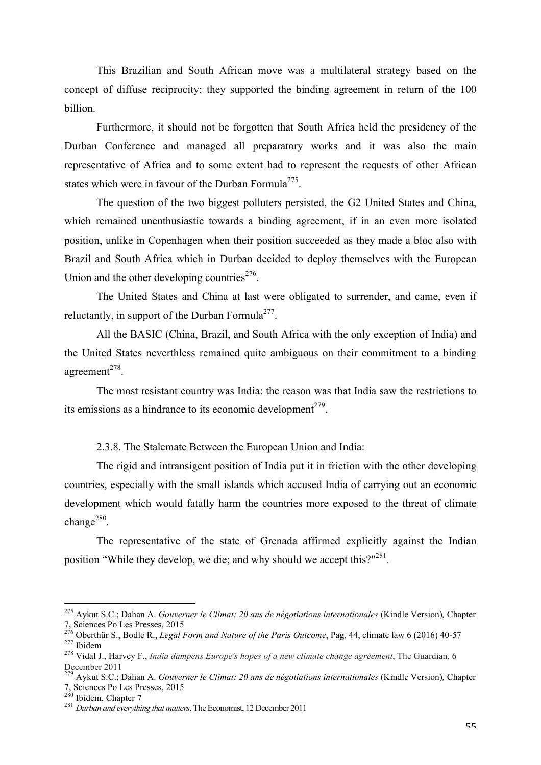This Brazilian and South African move was a multilateral strategy based on the concept of diffuse reciprocity: they supported the binding agreement in return of the 100 billion.

Furthermore, it should not be forgotten that South Africa held the presidency of the Durban Conference and managed all preparatory works and it was also the main representative of Africa and to some extent had to represent the requests of other African states which were in favour of the Durban Formula<sup>275</sup>.

The question of the two biggest polluters persisted, the G2 United States and China, which remained unenthusiastic towards a binding agreement, if in an even more isolated position, unlike in Copenhagen when their position succeeded as they made a bloc also with Brazil and South Africa which in Durban decided to deploy themselves with the European Union and the other developing countries<sup> $276$ </sup>.

The United States and China at last were obligated to surrender, and came, even if reluctantly, in support of the Durban Formula<sup>277</sup>.

All the BASIC (China, Brazil, and South Africa with the only exception of India) and the United States neverthless remained quite ambiguous on their commitment to a binding agreement $^{278}$ .

The most resistant country was India: the reason was that India saw the restrictions to its emissions as a hindrance to its economic development<sup> $279$ </sup>.

### 2.3.8. The Stalemate Between the European Union and India:

The rigid and intransigent position of India put it in friction with the other developing countries, especially with the small islands which accused India of carrying out an economic development which would fatally harm the countries more exposed to the threat of climate change<sup>280</sup>.

The representative of the state of Grenada affirmed explicitly against the Indian position "While they develop, we die; and why should we accept this?"<sup>281</sup>.

 <sup>275</sup> Aykut S.C.; Dahan A. *Gouverner le Climat: 20 ans de négotiations internationales* (Kindle Version)*,* Chapter

<sup>7,</sup> Sciences Po Les Presses, 2015<br>
<sup>276</sup> Oberthür S., Bodle R., *Legal Form and Nature of the Paris Outcome*, Pag. 44, climate law 6 (2016) 40-57<br>
<sup>277</sup> Ibidem<br>
<sup>278</sup> Vidal J., Harvey F., *India dampens Europe's hopes of a* 

December 2011

<sup>279</sup> Aykut S.C.; Dahan A. *Gouverner le Climat: 20 ans de négotiations internationales* (Kindle Version)*,* Chapter 7, Sciences Po Les Presses, 2015 <sup>280</sup> Ibidem, Chapter 7 <sup>281</sup> *Durban and everything that matters*, The Economist, 12 December 2011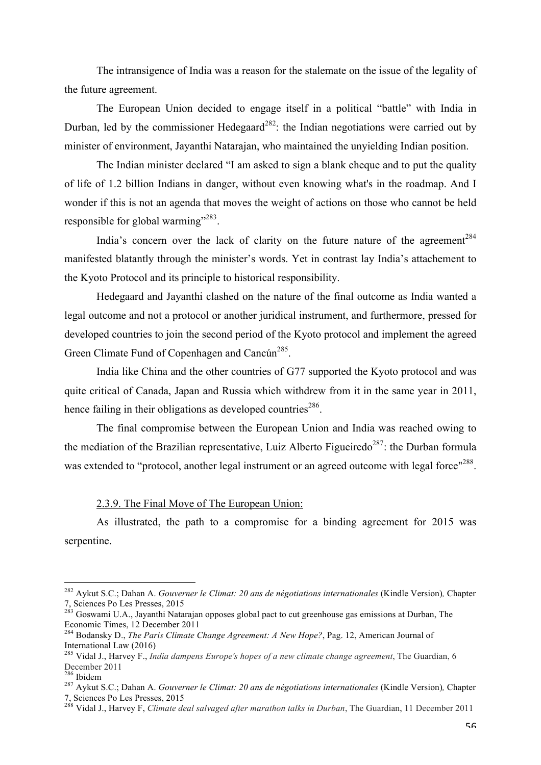The intransigence of India was a reason for the stalemate on the issue of the legality of the future agreement.

The European Union decided to engage itself in a political "battle" with India in Durban, led by the commissioner Hedegaard<sup>282</sup>: the Indian negotiations were carried out by minister of environment, Jayanthi Natarajan, who maintained the unyielding Indian position.

The Indian minister declared "I am asked to sign a blank cheque and to put the quality of life of 1.2 billion Indians in danger, without even knowing what's in the roadmap. And I wonder if this is not an agenda that moves the weight of actions on those who cannot be held responsible for global warming"<sup>283</sup>.

India's concern over the lack of clarity on the future nature of the agreement<sup>284</sup> manifested blatantly through the minister's words. Yet in contrast lay India's attachement to the Kyoto Protocol and its principle to historical responsibility.

Hedegaard and Jayanthi clashed on the nature of the final outcome as India wanted a legal outcome and not a protocol or another juridical instrument, and furthermore, pressed for developed countries to join the second period of the Kyoto protocol and implement the agreed Green Climate Fund of Copenhagen and Cancún<sup>285</sup>.

India like China and the other countries of G77 supported the Kyoto protocol and was quite critical of Canada, Japan and Russia which withdrew from it in the same year in 2011, hence failing in their obligations as developed countries<sup>286</sup>.

The final compromise between the European Union and India was reached owing to the mediation of the Brazilian representative, Luiz Alberto Figueiredo<sup>287</sup>; the Durban formula was extended to "protocol, another legal instrument or an agreed outcome with legal force"<sup>288</sup>.

## 2.3.9. The Final Move of The European Union:

As illustrated, the path to a compromise for a binding agreement for 2015 was serpentine.

 <sup>282</sup> Aykut S.C.; Dahan A. *Gouverner le Climat: 20 ans de négotiations internationales* (Kindle Version)*,* Chapter 7, Sciences Po Les Presses, 2015 <sup>283</sup> Goswami U.A., Jayanthi Natarajan opposes global pact to cut greenhouse gas emissions at Durban, The

Economic Times, 12 December 2011

<sup>284</sup> Bodansky D., *The Paris Climate Change Agreement: A New Hope?*, Pag. 12, American Journal of International Law (2016) <sup>285</sup> Vidal J., Harvey F., *India dampens Europe's hopes of a new climate change agreement*, The Guardian, 6

December 2011<br><sup>286</sup> Ibidem

<sup>286</sup> Ibidem <sup>287</sup> Aykut S.C.; Dahan A. *Gouverner le Climat: 20 ans de négotiations internationales* (Kindle Version)*,* Chapter 7, Sciences Po Les Presses, 2015 <sup>288</sup> Vidal J., Harvey F, *Climate deal salvaged after marathon talks in Durban*, The Guardian, 11 December 2011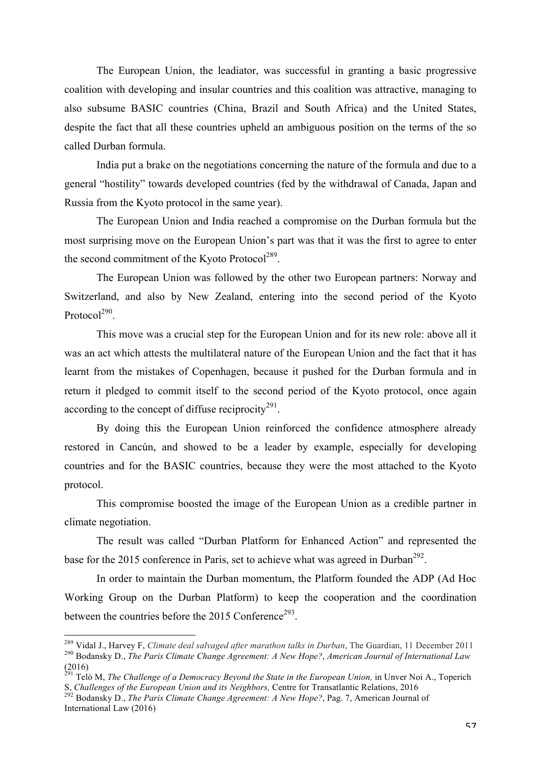The European Union, the leadiator, was successful in granting a basic progressive coalition with developing and insular countries and this coalition was attractive, managing to also subsume BASIC countries (China, Brazil and South Africa) and the United States, despite the fact that all these countries upheld an ambiguous position on the terms of the so called Durban formula.

India put a brake on the negotiations concerning the nature of the formula and due to a general "hostility" towards developed countries (fed by the withdrawal of Canada, Japan and Russia from the Kyoto protocol in the same year).

The European Union and India reached a compromise on the Durban formula but the most surprising move on the European Union's part was that it was the first to agree to enter the second commitment of the Kyoto Protocol<sup>289</sup>.

The European Union was followed by the other two European partners: Norway and Switzerland, and also by New Zealand, entering into the second period of the Kyoto Protocol $^{290}$ 

This move was a crucial step for the European Union and for its new role: above all it was an act which attests the multilateral nature of the European Union and the fact that it has learnt from the mistakes of Copenhagen, because it pushed for the Durban formula and in return it pledged to commit itself to the second period of the Kyoto protocol, once again according to the concept of diffuse reciprocity $291$ .

By doing this the European Union reinforced the confidence atmosphere already restored in Cancún, and showed to be a leader by example, especially for developing countries and for the BASIC countries, because they were the most attached to the Kyoto protocol.

This compromise boosted the image of the European Union as a credible partner in climate negotiation.

The result was called "Durban Platform for Enhanced Action" and represented the base for the 2015 conference in Paris, set to achieve what was agreed in Durban<sup>292</sup>.

In order to maintain the Durban momentum, the Platform founded the ADP (Ad Hoc Working Group on the Durban Platform) to keep the cooperation and the coordination between the countries before the  $2015$  Conference<sup>293</sup>.

<sup>&</sup>lt;sup>289</sup> Vidal J., Harvey F, Climate deal salvaged after marathon talks in Durban, The Guardian, 11 December 2011<br><sup>290</sup> Bodansky D., *The Paris Climate Change Agreement: A New Hope?, American Journal of International Law* (2016)

<sup>&</sup>lt;sup>291</sup> Telò M, *The Challenge of a Democracy Beyond the State in the European Union*, in Unver Noi A., Toperich S, *Challenges of the European Union and its Neighbors, Centre for Transatlantic Relations, 2016*<br><sup>292</sup> Bodansky D., *The Paris Climate Change Agreement: A New Hope?*, Pag. 7, American Journal of

International Law (2016)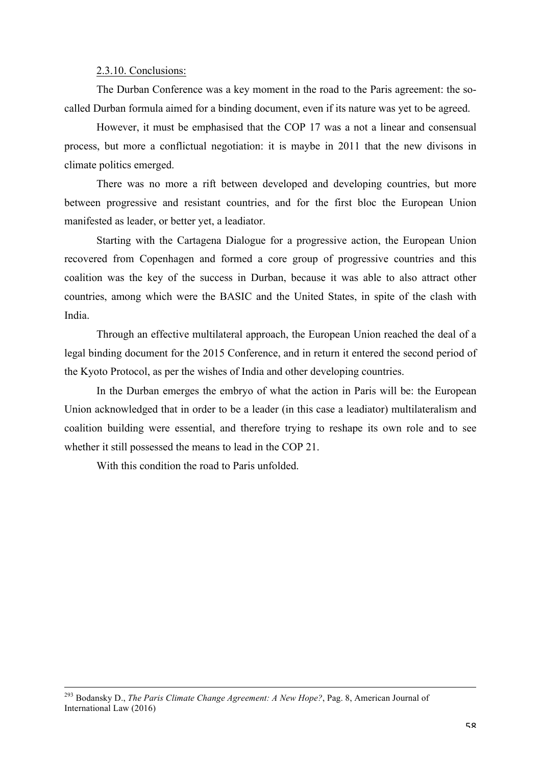#### 2.3.10. Conclusions:

The Durban Conference was a key moment in the road to the Paris agreement: the socalled Durban formula aimed for a binding document, even if its nature was yet to be agreed.

However, it must be emphasised that the COP 17 was a not a linear and consensual process, but more a conflictual negotiation: it is maybe in 2011 that the new divisons in climate politics emerged.

There was no more a rift between developed and developing countries, but more between progressive and resistant countries, and for the first bloc the European Union manifested as leader, or better yet, a leadiator.

Starting with the Cartagena Dialogue for a progressive action, the European Union recovered from Copenhagen and formed a core group of progressive countries and this coalition was the key of the success in Durban, because it was able to also attract other countries, among which were the BASIC and the United States, in spite of the clash with India.

Through an effective multilateral approach, the European Union reached the deal of a legal binding document for the 2015 Conference, and in return it entered the second period of the Kyoto Protocol, as per the wishes of India and other developing countries.

In the Durban emerges the embryo of what the action in Paris will be: the European Union acknowledged that in order to be a leader (in this case a leadiator) multilateralism and coalition building were essential, and therefore trying to reshape its own role and to see whether it still possessed the means to lead in the COP 21.

With this condition the road to Paris unfolded.

 <sup>293</sup> Bodansky D., *The Paris Climate Change Agreement: A New Hope?*, Pag. 8, American Journal of International Law (2016)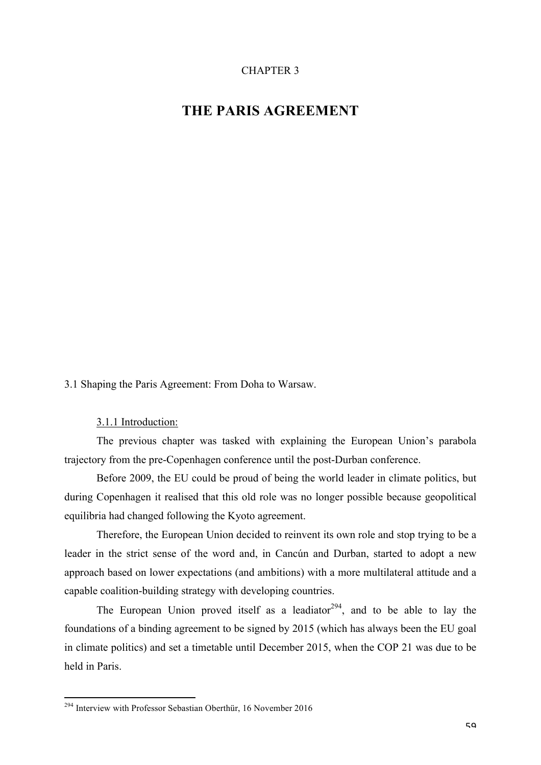# CHAPTER 3

# **THE PARIS AGREEMENT**

3.1 Shaping the Paris Agreement: From Doha to Warsaw.

3.1.1 Introduction:

The previous chapter was tasked with explaining the European Union's parabola trajectory from the pre-Copenhagen conference until the post-Durban conference.

Before 2009, the EU could be proud of being the world leader in climate politics, but during Copenhagen it realised that this old role was no longer possible because geopolitical equilibria had changed following the Kyoto agreement.

Therefore, the European Union decided to reinvent its own role and stop trying to be a leader in the strict sense of the word and, in Cancún and Durban, started to adopt a new approach based on lower expectations (and ambitions) with a more multilateral attitude and a capable coalition-building strategy with developing countries.

The European Union proved itself as a leadiator<sup>294</sup>, and to be able to lay the foundations of a binding agreement to be signed by 2015 (which has always been the EU goal in climate politics) and set a timetable until December 2015, when the COP 21 was due to be held in Paris.

 <sup>294</sup> Interview with Professor Sebastian Oberthür, 16 November 2016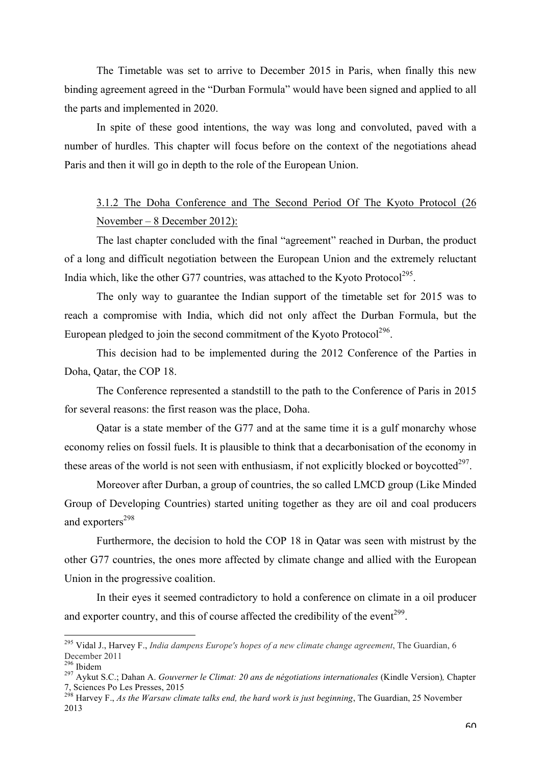The Timetable was set to arrive to December 2015 in Paris, when finally this new binding agreement agreed in the "Durban Formula" would have been signed and applied to all the parts and implemented in 2020.

In spite of these good intentions, the way was long and convoluted, paved with a number of hurdles. This chapter will focus before on the context of the negotiations ahead Paris and then it will go in depth to the role of the European Union.

# 3.1.2 The Doha Conference and The Second Period Of The Kyoto Protocol (26 November – 8 December 2012):

The last chapter concluded with the final "agreement" reached in Durban, the product of a long and difficult negotiation between the European Union and the extremely reluctant India which, like the other G77 countries, was attached to the Kyoto Protocol<sup>295</sup>.

The only way to guarantee the Indian support of the timetable set for 2015 was to reach a compromise with India, which did not only affect the Durban Formula, but the European pledged to join the second commitment of the Kyoto Protocol<sup>296</sup>.

This decision had to be implemented during the 2012 Conference of the Parties in Doha, Qatar, the COP 18.

The Conference represented a standstill to the path to the Conference of Paris in 2015 for several reasons: the first reason was the place, Doha.

Qatar is a state member of the G77 and at the same time it is a gulf monarchy whose economy relies on fossil fuels. It is plausible to think that a decarbonisation of the economy in these areas of the world is not seen with enthusiasm, if not explicitly blocked or boycotted $297$ .

Moreover after Durban, a group of countries, the so called LMCD group (Like Minded Group of Developing Countries) started uniting together as they are oil and coal producers and exporters<sup>298</sup>

Furthermore, the decision to hold the COP 18 in Qatar was seen with mistrust by the other G77 countries, the ones more affected by climate change and allied with the European Union in the progressive coalition.

In their eyes it seemed contradictory to hold a conference on climate in a oil producer and exporter country, and this of course affected the credibility of the event<sup>299</sup>.

 <sup>295</sup> Vidal J., Harvey F., *India dampens Europe's hopes of a new climate change agreement*, The Guardian, 6 December <sup>2011</sup> <sup>296</sup> Ibidem <sup>297</sup> Aykut S.C.; Dahan A. *Gouverner le Climat: 20 ans de négotiations internationales* (Kindle Version)*,* Chapter

<sup>7,</sup> Sciences Po Les Presses, 2015 <sup>298</sup> Harvey F., *As the Warsaw climate talks end, the hard work is just beginning*, The Guardian, 25 November

<sup>2013</sup>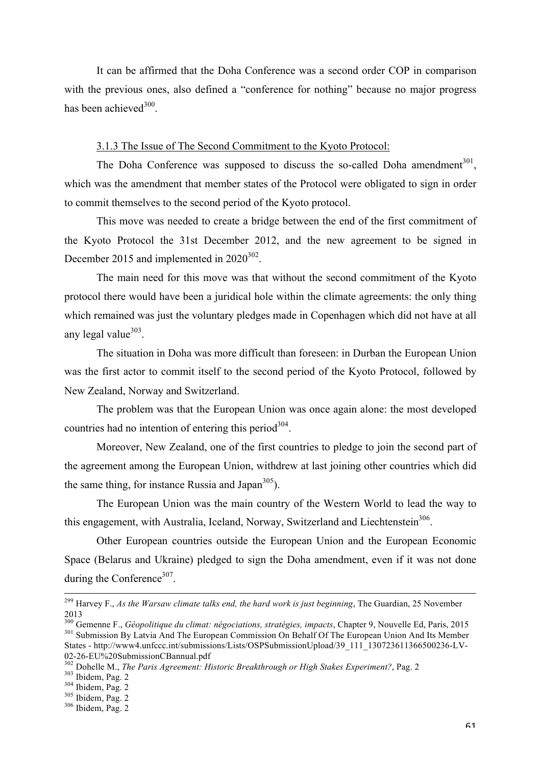It can be affirmed that the Doha Conference was a second order COP in comparison with the previous ones, also defined a "conference for nothing" because no major progress has been achieved<sup>300</sup>.

## 3.1.3 The Issue of The Second Commitment to the Kyoto Protocol:

The Doha Conference was supposed to discuss the so-called Doha amendment<sup>301</sup>. which was the amendment that member states of the Protocol were obligated to sign in order to commit themselves to the second period of the Kyoto protocol.

This move was needed to create a bridge between the end of the first commitment of the Kyoto Protocol the 31st December 2012, and the new agreement to be signed in December 2015 and implemented in  $2020^{302}$ .

The main need for this move was that without the second commitment of the Kyoto protocol there would have been a juridical hole within the climate agreements: the only thing which remained was just the voluntary pledges made in Copenhagen which did not have at all any legal value $303$ .

The situation in Doha was more difficult than foreseen: in Durban the European Union was the first actor to commit itself to the second period of the Kyoto Protocol, followed by New Zealand, Norway and Switzerland.

The problem was that the European Union was once again alone: the most developed countries had no intention of entering this period<sup>304</sup>.

Moreover, New Zealand, one of the first countries to pledge to join the second part of the agreement among the European Union, withdrew at last joining other countries which did the same thing, for instance Russia and Japan $305$ ).

The European Union was the main country of the Western World to lead the way to this engagement, with Australia, Iceland, Norway, Switzerland and Liechtenstein<sup>306</sup>.

Other European countries outside the European Union and the European Economic Space (Belarus and Ukraine) pledged to sign the Doha amendment, even if it was not done during the Conference<sup>307</sup>.

 <sup>299</sup> Harvey F., *As the Warsaw climate talks end, the hard work is just beginning*, The Guardian, 25 November 2013

<sup>&</sup>lt;sup>300</sup> Gemenne F., *Géopolitique du climat: négociations, stratégies, impacts*, Chapter 9, Nouvelle Ed, Paris, 2015<br><sup>301</sup> Submission By Latvia And The European Commission On Behalf Of The European Union And Its Member States - http://www4.unfccc.int/submissions/Lists/OSPSubmissionUpload/39\_111\_130723611366500236-LV-02-26-EU%20SubmissionCBannual.pdf<br>
<sup>302</sup> Dohelle M., *The Paris Agreement: Historic Breakthrough or High Stakes Experiment?*, Pag. 2<br>
<sup>303</sup> Ibidem, Pag. 2<br>
<sup>303</sup> Ibidem, Pag. 2<br>
<sup>306</sup> Ibidem, Pag. 2<br>
<sup>306</sup> Ibidem, Pag. 2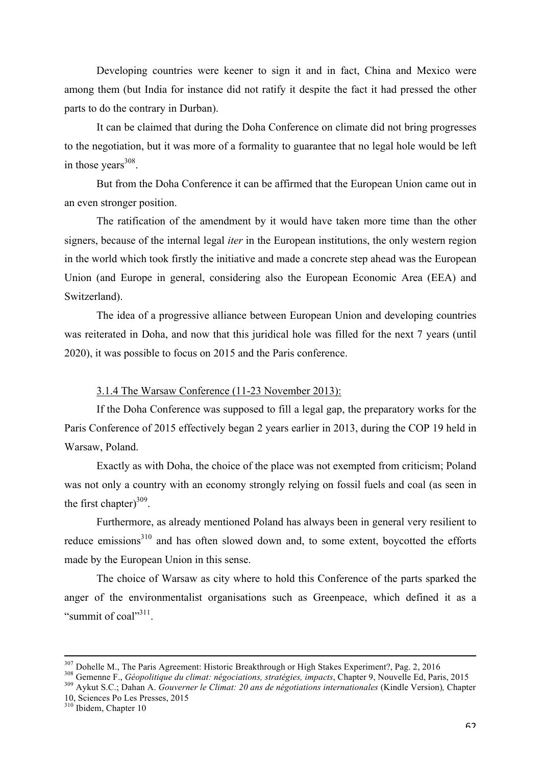Developing countries were keener to sign it and in fact, China and Mexico were among them (but India for instance did not ratify it despite the fact it had pressed the other parts to do the contrary in Durban).

It can be claimed that during the Doha Conference on climate did not bring progresses to the negotiation, but it was more of a formality to guarantee that no legal hole would be left in those years $308$ .

But from the Doha Conference it can be affirmed that the European Union came out in an even stronger position.

The ratification of the amendment by it would have taken more time than the other signers, because of the internal legal *iter* in the European institutions, the only western region in the world which took firstly the initiative and made a concrete step ahead was the European Union (and Europe in general, considering also the European Economic Area (EEA) and Switzerland).

The idea of a progressive alliance between European Union and developing countries was reiterated in Doha, and now that this juridical hole was filled for the next 7 years (until 2020), it was possible to focus on 2015 and the Paris conference.

#### 3.1.4 The Warsaw Conference (11-23 November 2013):

If the Doha Conference was supposed to fill a legal gap, the preparatory works for the Paris Conference of 2015 effectively began 2 years earlier in 2013, during the COP 19 held in Warsaw, Poland.

Exactly as with Doha, the choice of the place was not exempted from criticism; Poland was not only a country with an economy strongly relying on fossil fuels and coal (as seen in the first chapter) $309$ .

Furthermore, as already mentioned Poland has always been in general very resilient to reduce emissions<sup>310</sup> and has often slowed down and, to some extent, boycotted the efforts made by the European Union in this sense.

The choice of Warsaw as city where to hold this Conference of the parts sparked the anger of the environmentalist organisations such as Greenpeace, which defined it as a "summit of coal"<sup>311</sup>.

<sup>&</sup>lt;sup>307</sup> Dohelle M., The Paris Agreement: Historic Breakthrough or High Stakes Experiment?, Pag. 2, 2016

<sup>&</sup>lt;sup>308</sup> Gemenne F., Géopolitique du climat: négociations, stratégies, impacts, Chapter 9, Nouvelle Ed, Paris, 2015<br><sup>309</sup> Aykut S.C.; Dahan A. Gouverner le Climat: 20 ans de négotiations internationales (Kindle Version), Chap 10, Sciences Po Les Presses, 2015 <sup>310</sup> Ibidem, Chapter 10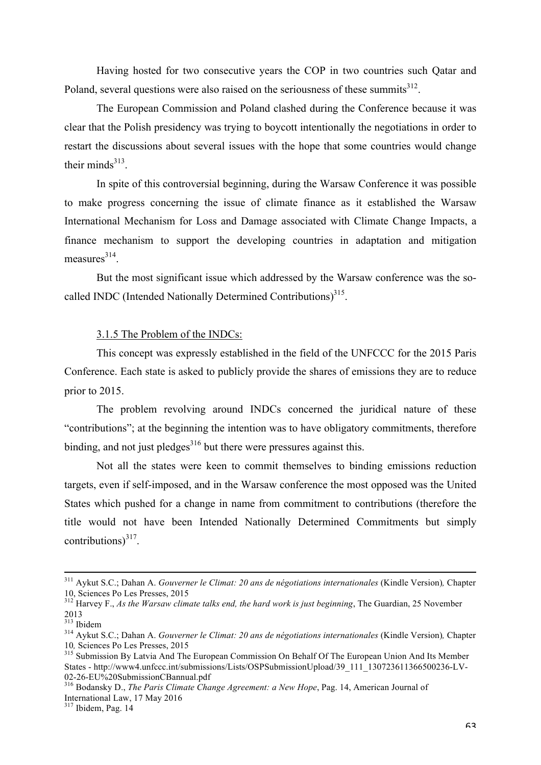Having hosted for two consecutive years the COP in two countries such Qatar and Poland, several questions were also raised on the seriousness of these summits $3^{312}$ .

The European Commission and Poland clashed during the Conference because it was clear that the Polish presidency was trying to boycott intentionally the negotiations in order to restart the discussions about several issues with the hope that some countries would change their minds $313$ 

In spite of this controversial beginning, during the Warsaw Conference it was possible to make progress concerning the issue of climate finance as it established the Warsaw International Mechanism for Loss and Damage associated with Climate Change Impacts, a finance mechanism to support the developing countries in adaptation and mitigation  $measures<sup>314</sup>$ 

But the most significant issue which addressed by the Warsaw conference was the socalled INDC (Intended Nationally Determined Contributions)<sup>315</sup>.

# 3.1.5 The Problem of the INDCs:

This concept was expressly established in the field of the UNFCCC for the 2015 Paris Conference. Each state is asked to publicly provide the shares of emissions they are to reduce prior to 2015.

The problem revolving around INDCs concerned the juridical nature of these "contributions"; at the beginning the intention was to have obligatory commitments, therefore binding, and not just pledges<sup>316</sup> but there were pressures against this.

Not all the states were keen to commit themselves to binding emissions reduction targets, even if self-imposed, and in the Warsaw conference the most opposed was the United States which pushed for a change in name from commitment to contributions (therefore the title would not have been Intended Nationally Determined Commitments but simply contributions) $^{317}$ .

<sup>&</sup>lt;sup>311</sup> Aykut S.C.; Dahan A. *Gouverner le Climat: 20 ans de négotiations internationales* (Kindle Version), Chapter 10, Sciences Po Les Presses, 2015

<sup>&</sup>lt;sup>312</sup> Harvey F., *As the Warsaw climate talks end, the hard work is just beginning*, The Guardian, 25 November  $^{2013}_{^{313}$  Ibidem

<sup>313</sup> Ibidem <sup>314</sup> Aykut S.C.; Dahan A. *Gouverner le Climat: 20 ans de négotiations internationales* (Kindle Version)*,* Chapter 10, Sciences Po Les Presses, 2015<br><sup>315</sup> Submission By Latvia And The European Commission On Behalf Of The European Union And Its Member

States - http://www4.unfccc.int/submissions/Lists/OSPSubmissionUpload/39\_111\_130723611366500236-LV-02-26-EU%20SubmissionCBannual.pdf

<sup>&</sup>lt;sup>316</sup> Bodansky D., *The Paris Climate Change Agreement: a New Hope*, Pag. 14, American Journal of International Law, 17 May 2016

<sup>317</sup> Ibidem, Pag. 14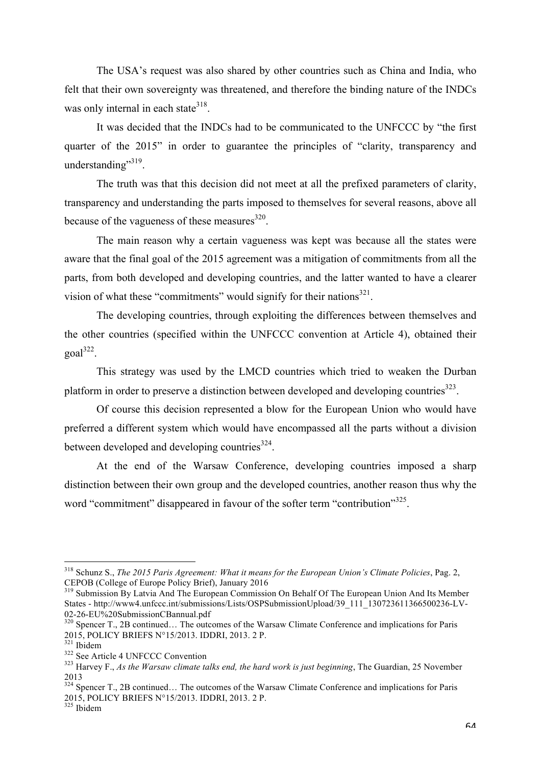The USA's request was also shared by other countries such as China and India, who felt that their own sovereignty was threatened, and therefore the binding nature of the INDCs was only internal in each state  $318$ .

It was decided that the INDCs had to be communicated to the UNFCCC by "the first quarter of the 2015" in order to guarantee the principles of "clarity, transparency and understanding"<sup>319</sup>.

The truth was that this decision did not meet at all the prefixed parameters of clarity, transparency and understanding the parts imposed to themselves for several reasons, above all because of the vagueness of these measures $320$ .

The main reason why a certain vagueness was kept was because all the states were aware that the final goal of the 2015 agreement was a mitigation of commitments from all the parts, from both developed and developing countries, and the latter wanted to have a clearer vision of what these "commitments" would signify for their nations $321$ .

The developing countries, through exploiting the differences between themselves and the other countries (specified within the UNFCCC convention at Article 4), obtained their  $goal^{322}$ .

This strategy was used by the LMCD countries which tried to weaken the Durban platform in order to preserve a distinction between developed and developing countries $^{323}$ .

Of course this decision represented a blow for the European Union who would have preferred a different system which would have encompassed all the parts without a division between developed and developing countries $^{324}$ .

At the end of the Warsaw Conference, developing countries imposed a sharp distinction between their own group and the developed countries, another reason thus why the word "commitment" disappeared in favour of the softer term "contribution"<sup>325</sup>.

 <sup>318</sup> Schunz S., *The 2015 Paris Agreement: What it means for the European Union's Climate Policies*, Pag. 2, CEPOB (College of Europe Policy Brief), January 2016

<sup>&</sup>lt;sup>319</sup> Submission By Latvia And The European Commission On Behalf Of The European Union And Its Member States - http://www4.unfccc.int/submissions/Lists/OSPSubmissionUpload/39\_111\_130723611366500236-LV-02-26-EU%20SubmissionCBannual.pdf

<sup>&</sup>lt;sup>320</sup> Spencer T., 2B continued… The outcomes of the Warsaw Climate Conference and implications for Paris 2015, POLICY BRIEFS N°15/2013. IDDRI, 2013. 2 P.

<sup>&</sup>lt;sup>321</sup> Ibidem<br><sup>322</sup> See Article 4 UNFCCC Convention<br><sup>323</sup> Harvey F., *As the Warsaw climate talks end, the hard work is just beginning*, The Guardian, 25 November 2013

<sup>&</sup>lt;sup>324</sup> Spencer T., 2B continued... The outcomes of the Warsaw Climate Conference and implications for Paris 2015, POLICY BRIEFS N°15/2013. IDDRI, 2013. 2 P.

<sup>325</sup> Ibidem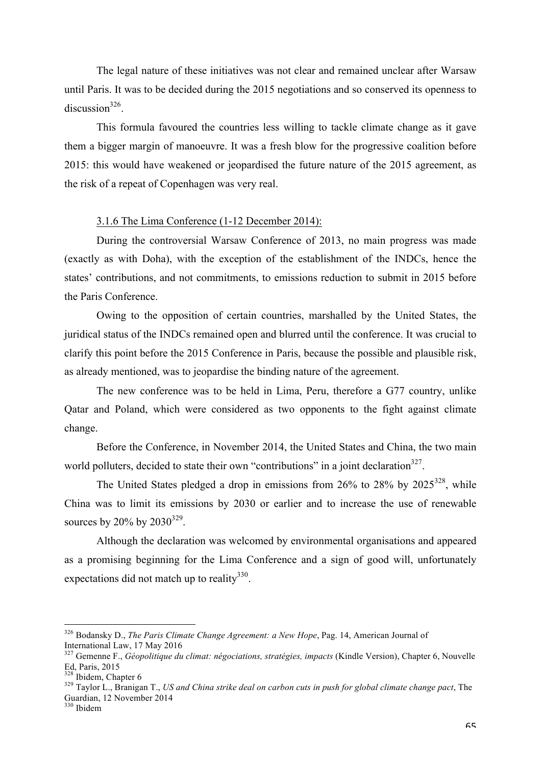The legal nature of these initiatives was not clear and remained unclear after Warsaw until Paris. It was to be decided during the 2015 negotiations and so conserved its openness to discussion $326$ .

This formula favoured the countries less willing to tackle climate change as it gave them a bigger margin of manoeuvre. It was a fresh blow for the progressive coalition before 2015: this would have weakened or jeopardised the future nature of the 2015 agreement, as the risk of a repeat of Copenhagen was very real.

#### 3.1.6 The Lima Conference (1-12 December 2014):

During the controversial Warsaw Conference of 2013, no main progress was made (exactly as with Doha), with the exception of the establishment of the INDCs, hence the states' contributions, and not commitments, to emissions reduction to submit in 2015 before the Paris Conference.

Owing to the opposition of certain countries, marshalled by the United States, the juridical status of the INDCs remained open and blurred until the conference. It was crucial to clarify this point before the 2015 Conference in Paris, because the possible and plausible risk, as already mentioned, was to jeopardise the binding nature of the agreement.

The new conference was to be held in Lima, Peru, therefore a G77 country, unlike Qatar and Poland, which were considered as two opponents to the fight against climate change.

Before the Conference, in November 2014, the United States and China, the two main world polluters, decided to state their own "contributions" in a joint declaration  $327$ .

The United States pledged a drop in emissions from  $26\%$  to  $28\%$  by  $2025^{328}$ , while China was to limit its emissions by 2030 or earlier and to increase the use of renewable sources by 20% by  $2030^{329}$ .

Although the declaration was welcomed by environmental organisations and appeared as a promising beginning for the Lima Conference and a sign of good will, unfortunately expectations did not match up to reality<sup>330</sup>.

 <sup>326</sup> Bodansky D., *The Paris Climate Change Agreement: a New Hope*, Pag. 14, American Journal of International Law, 17 May 2016

<sup>&</sup>lt;sup>327</sup> Gemenne F., *Géopolitique du climat: négociations, stratégies, impacts* (Kindle Version), Chapter 6, Nouvelle Ed, Paris, 2015<br><sup>328</sup> Ibidem, Chapter 6

<sup>&</sup>lt;sup>329</sup> Taylor L., Branigan T., *US and China strike deal on carbon cuts in push for global climate change pact*, The Guardian, 12 November 2014

<sup>330</sup> Ibidem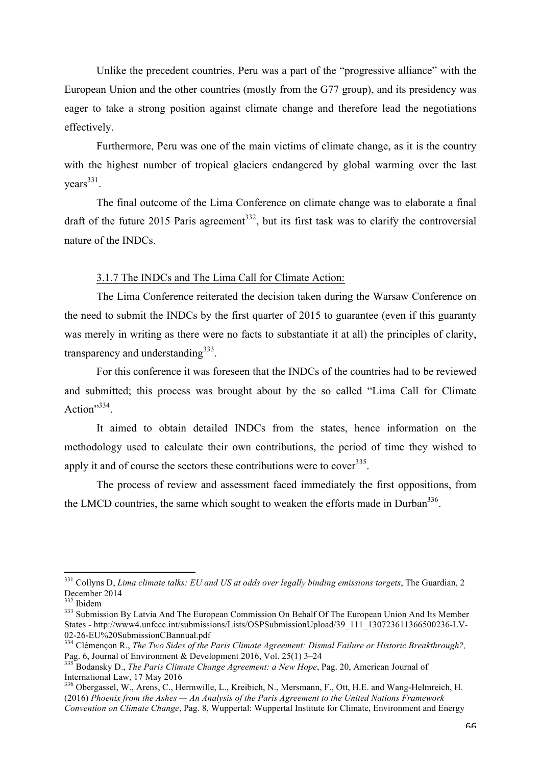Unlike the precedent countries, Peru was a part of the "progressive alliance" with the European Union and the other countries (mostly from the G77 group), and its presidency was eager to take a strong position against climate change and therefore lead the negotiations effectively.

Furthermore, Peru was one of the main victims of climate change, as it is the country with the highest number of tropical glaciers endangered by global warming over the last  $years<sup>331</sup>$ .

The final outcome of the Lima Conference on climate change was to elaborate a final draft of the future 2015 Paris agreement<sup>332</sup>, but its first task was to clarify the controversial nature of the INDCs.

# 3.1.7 The INDCs and The Lima Call for Climate Action:

The Lima Conference reiterated the decision taken during the Warsaw Conference on the need to submit the INDCs by the first quarter of 2015 to guarantee (even if this guaranty was merely in writing as there were no facts to substantiate it at all) the principles of clarity, transparency and understanding  $333$ .

For this conference it was foreseen that the INDCs of the countries had to be reviewed and submitted; this process was brought about by the so called "Lima Call for Climate Action"<sup>334</sup>

It aimed to obtain detailed INDCs from the states, hence information on the methodology used to calculate their own contributions, the period of time they wished to apply it and of course the sectors these contributions were to cover<sup>335</sup>.

The process of review and assessment faced immediately the first oppositions, from the LMCD countries, the same which sought to weaken the efforts made in Durban<sup>336</sup>.

<sup>&</sup>lt;sup>331</sup> Collyns D, *Lima climate talks: EU and US at odds over legally binding emissions targets*, The Guardian, 2 December 2014

<sup>&</sup>lt;sup>333</sup> Submission By Latvia And The European Commission On Behalf Of The European Union And Its Member States - http://www4.unfccc.int/submissions/Lists/OSPSubmissionUpload/39\_111\_130723611366500236-LV-02-26-EU%20SubmissionCBannual.pdf

<sup>&</sup>lt;sup>334</sup> Clémençon R., *The Two Sides of the Paris Climate Agreement: Dismal Failure or Historic Breakthrough?*, Pag. 6, Journal of Environment & Development 2016, Vol. 25(1) 3–24 335 Bodansky D., *The Paris Climate Change Agreement: a New Hope*, Pag. 20, American Journal of

International Law, 17 May 2016

<sup>336</sup> Obergassel, W., Arens, C., Hermwille, L., Kreibich, N., Mersmann, F., Ott, H.E. and Wang-Helmreich, H. (2016) *Phoenix from the Ashes — An Analysis of the Paris Agreement to the United Nations Framework Convention on Climate Change*, Pag. 8, Wuppertal: Wuppertal Institute for Climate, Environment and Energy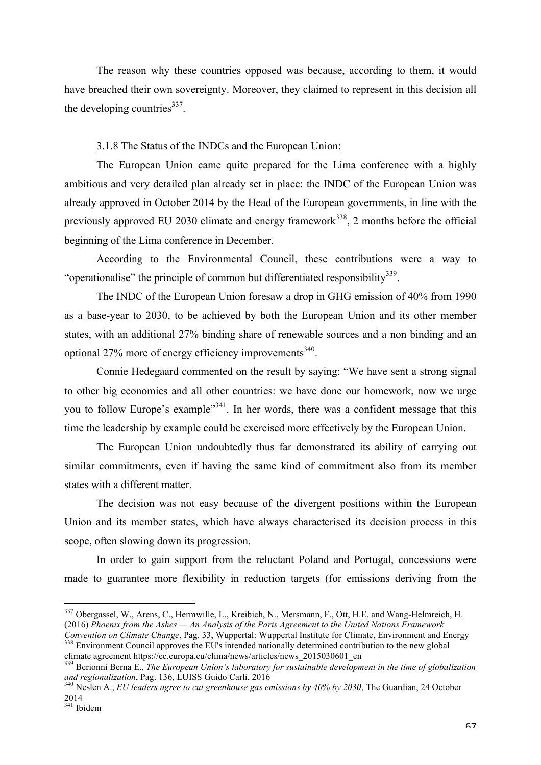The reason why these countries opposed was because, according to them, it would have breached their own sovereignty. Moreover, they claimed to represent in this decision all the developing countries $337$ .

# 3.1.8 The Status of the INDCs and the European Union:

The European Union came quite prepared for the Lima conference with a highly ambitious and very detailed plan already set in place: the INDC of the European Union was already approved in October 2014 by the Head of the European governments, in line with the previously approved EU 2030 climate and energy framework<sup>338</sup>, 2 months before the official beginning of the Lima conference in December.

According to the Environmental Council, these contributions were a way to "operationalise" the principle of common but differentiated responsibility<sup>339</sup>.

The INDC of the European Union foresaw a drop in GHG emission of 40% from 1990 as a base-year to 2030, to be achieved by both the European Union and its other member states, with an additional 27% binding share of renewable sources and a non binding and an optional  $27\%$  more of energy efficiency improvements<sup>340</sup>.

Connie Hedegaard commented on the result by saying: "We have sent a strong signal to other big economies and all other countries: we have done our homework, now we urge you to follow Europe's example<sup>341</sup>. In her words, there was a confident message that this time the leadership by example could be exercised more effectively by the European Union.

The European Union undoubtedly thus far demonstrated its ability of carrying out similar commitments, even if having the same kind of commitment also from its member states with a different matter.

The decision was not easy because of the divergent positions within the European Union and its member states, which have always characterised its decision process in this scope, often slowing down its progression.

In order to gain support from the reluctant Poland and Portugal, concessions were made to guarantee more flexibility in reduction targets (for emissions deriving from the

 <sup>337</sup> Obergassel, W., Arens, C., Hermwille, L., Kreibich, N., Mersmann, F., Ott, H.E. and Wang-Helmreich, H. (2016) *Phoenix from the Ashes — An Analysis of the Paris Agreement to the United Nations Framework* 

*Convention on Climate Change*, Pag. 33, Wuppertal: Wuppertal Institute for Climate, Environment and Energy <sup>338</sup> Environment Council approves the EU's intended nationally determined contribution to the new global climate agreement https://ec.europa.eu/clima/news/articles/news\_2015030601\_en

<sup>&</sup>lt;sup>339</sup> Berionni Berna E., *The European Union's laboratory for sustainable development in the time of globalization* and regionalization, Pag. 136, LUISS Guido Carli, 2016<br><sup>340</sup> Neslen A., *EU leaders agree to cut greenhouse gas emissions by 40% by 2030*, The Guardian, 24 October

<sup>2014</sup>

<sup>341</sup> Ibidem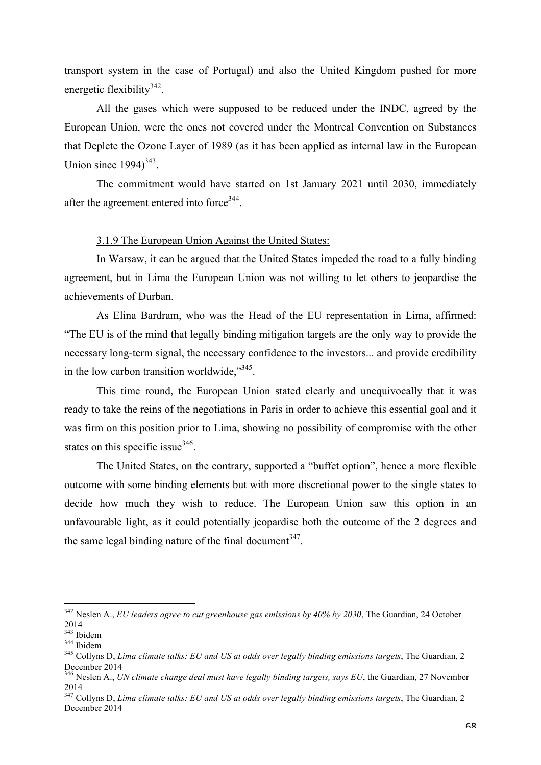transport system in the case of Portugal) and also the United Kingdom pushed for more energetic flexibility<sup>342</sup>.

All the gases which were supposed to be reduced under the INDC, agreed by the European Union, were the ones not covered under the Montreal Convention on Substances that Deplete the Ozone Layer of 1989 (as it has been applied as internal law in the European Union since  $1994$ <sup>343</sup>.

The commitment would have started on 1st January 2021 until 2030, immediately after the agreement entered into force<sup>344</sup>.

# 3.1.9 The European Union Against the United States:

In Warsaw, it can be argued that the United States impeded the road to a fully binding agreement, but in Lima the European Union was not willing to let others to jeopardise the achievements of Durban.

As Elina Bardram, who was the Head of the EU representation in Lima, affirmed: "The EU is of the mind that legally binding mitigation targets are the only way to provide the necessary long-term signal, the necessary confidence to the investors... and provide credibility in the low carbon transition worldwide,"345.

This time round, the European Union stated clearly and unequivocally that it was ready to take the reins of the negotiations in Paris in order to achieve this essential goal and it was firm on this position prior to Lima, showing no possibility of compromise with the other states on this specific issue $346$ .

The United States, on the contrary, supported a "buffet option", hence a more flexible outcome with some binding elements but with more discretional power to the single states to decide how much they wish to reduce. The European Union saw this option in an unfavourable light, as it could potentially jeopardise both the outcome of the 2 degrees and the same legal binding nature of the final document<sup>347</sup>.

 <sup>342</sup> Neslen A., *EU leaders agree to cut greenhouse gas emissions by 40% by 2030*, The Guardian, 24 October  $^{2014}_{^{343}$  Ibidem

<sup>343</sup> Ibidem <sup>344</sup> Ibidem <sup>345</sup> Collyns D, *Lima climate talks: EU and US at odds over legally binding emissions targets*, The Guardian, 2 December 2014

<sup>346</sup> Neslen A., *UN climate change deal must have legally binding targets, says EU*, the Guardian, 27 November 2014

<sup>347</sup> Collyns D, *Lima climate talks: EU and US at odds over legally binding emissions targets*, The Guardian, 2 December 2014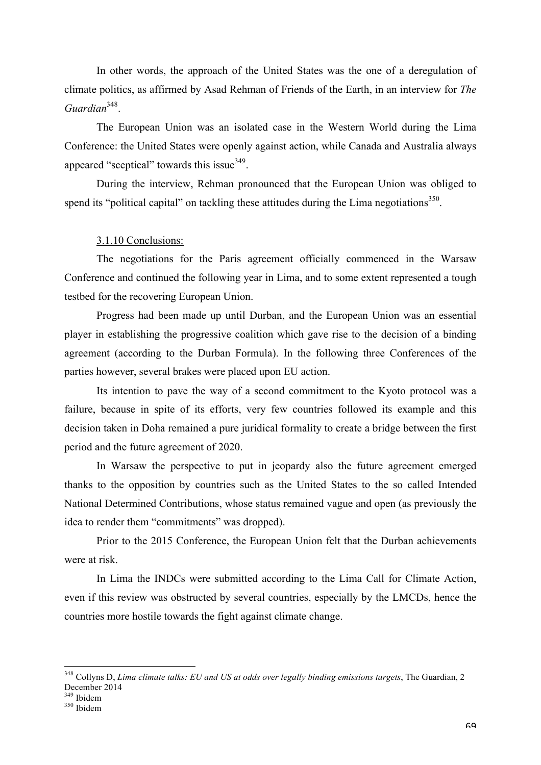In other words, the approach of the United States was the one of a deregulation of climate politics, as affirmed by Asad Rehman of Friends of the Earth, in an interview for *The Guardian*348.

The European Union was an isolated case in the Western World during the Lima Conference: the United States were openly against action, while Canada and Australia always appeared "sceptical" towards this issue<sup>349</sup>.

During the interview, Rehman pronounced that the European Union was obliged to spend its "political capital" on tackling these attitudes during the Lima negotiations<sup>350</sup>.

### 3.1.10 Conclusions:

The negotiations for the Paris agreement officially commenced in the Warsaw Conference and continued the following year in Lima, and to some extent represented a tough testbed for the recovering European Union.

Progress had been made up until Durban, and the European Union was an essential player in establishing the progressive coalition which gave rise to the decision of a binding agreement (according to the Durban Formula). In the following three Conferences of the parties however, several brakes were placed upon EU action.

Its intention to pave the way of a second commitment to the Kyoto protocol was a failure, because in spite of its efforts, very few countries followed its example and this decision taken in Doha remained a pure juridical formality to create a bridge between the first period and the future agreement of 2020.

In Warsaw the perspective to put in jeopardy also the future agreement emerged thanks to the opposition by countries such as the United States to the so called Intended National Determined Contributions, whose status remained vague and open (as previously the idea to render them "commitments" was dropped).

Prior to the 2015 Conference, the European Union felt that the Durban achievements were at risk.

In Lima the INDCs were submitted according to the Lima Call for Climate Action, even if this review was obstructed by several countries, especially by the LMCDs, hence the countries more hostile towards the fight against climate change.

<sup>&</sup>lt;sup>348</sup> Collyns D, *Lima climate talks: EU and US at odds over legally binding emissions targets*, The Guardian, 2 December 2014<br><sup>349</sup> Ibidem

<sup>&</sup>lt;sup>350</sup> Ibidem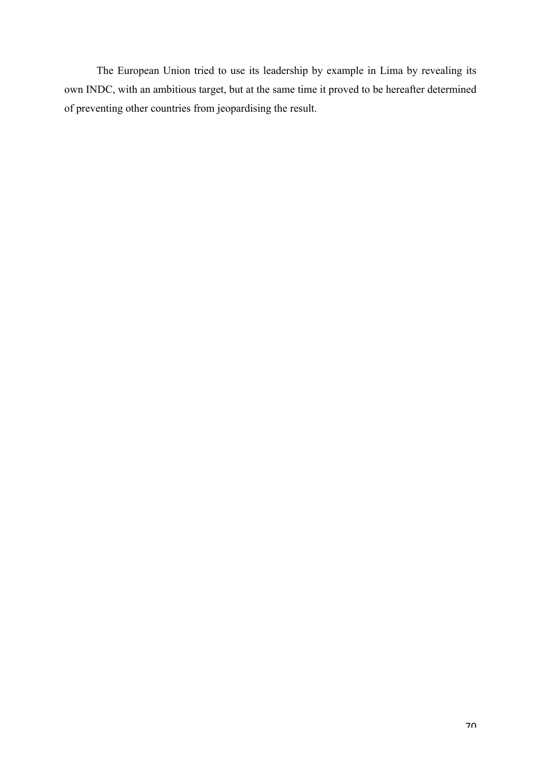The European Union tried to use its leadership by example in Lima by revealing its own INDC, with an ambitious target, but at the same time it proved to be hereafter determined of preventing other countries from jeopardising the result.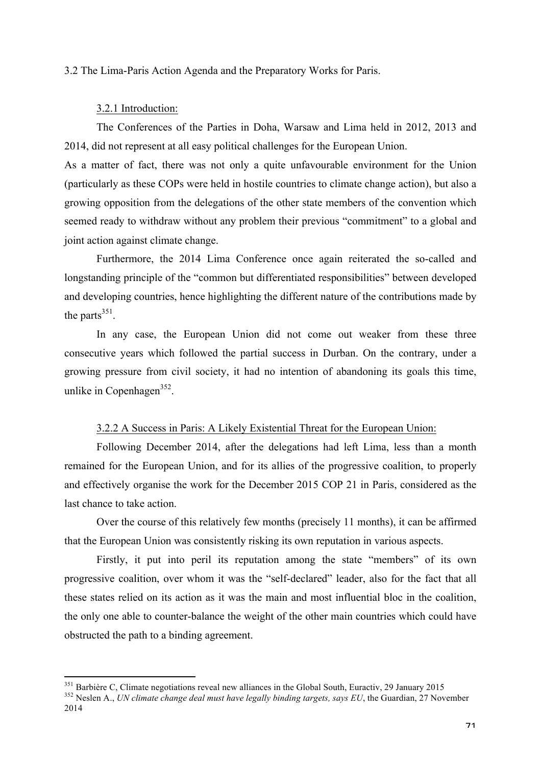### 3.2 The Lima-Paris Action Agenda and the Preparatory Works for Paris.

### 3.2.1 Introduction:

The Conferences of the Parties in Doha, Warsaw and Lima held in 2012, 2013 and 2014, did not represent at all easy political challenges for the European Union.

As a matter of fact, there was not only a quite unfavourable environment for the Union (particularly as these COPs were held in hostile countries to climate change action), but also a growing opposition from the delegations of the other state members of the convention which seemed ready to withdraw without any problem their previous "commitment" to a global and joint action against climate change.

Furthermore, the 2014 Lima Conference once again reiterated the so-called and longstanding principle of the "common but differentiated responsibilities" between developed and developing countries, hence highlighting the different nature of the contributions made by the parts $^{351}$ .

In any case, the European Union did not come out weaker from these three consecutive years which followed the partial success in Durban. On the contrary, under a growing pressure from civil society, it had no intention of abandoning its goals this time, unlike in Copenhagen<sup>352</sup>.

# 3.2.2 A Success in Paris: A Likely Existential Threat for the European Union:

Following December 2014, after the delegations had left Lima, less than a month remained for the European Union, and for its allies of the progressive coalition, to properly and effectively organise the work for the December 2015 COP 21 in Paris, considered as the last chance to take action.

Over the course of this relatively few months (precisely 11 months), it can be affirmed that the European Union was consistently risking its own reputation in various aspects.

Firstly, it put into peril its reputation among the state "members" of its own progressive coalition, over whom it was the "self-declared" leader, also for the fact that all these states relied on its action as it was the main and most influential bloc in the coalition, the only one able to counter-balance the weight of the other main countries which could have obstructed the path to a binding agreement.

<sup>&</sup>lt;sup>351</sup> Barbière C, Climate negotiations reveal new alliances in the Global South, Euractiv, 29 January 2015<br><sup>352</sup> Neslen A., *UN climate change deal must have legally binding targets, says EU*, the Guardian, 27 November

<sup>2014</sup>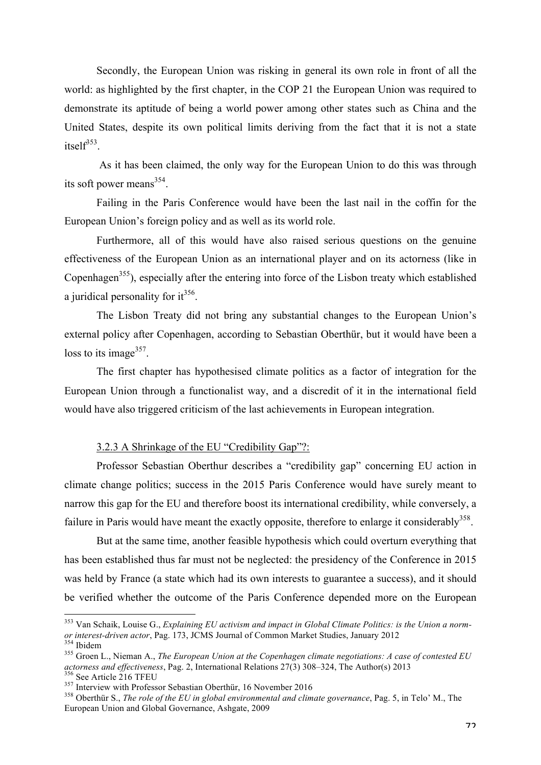Secondly, the European Union was risking in general its own role in front of all the world: as highlighted by the first chapter, in the COP 21 the European Union was required to demonstrate its aptitude of being a world power among other states such as China and the United States, despite its own political limits deriving from the fact that it is not a state itsel $f^{353}$ .

As it has been claimed, the only way for the European Union to do this was through its soft power means $354$ .

Failing in the Paris Conference would have been the last nail in the coffin for the European Union's foreign policy and as well as its world role.

Furthermore, all of this would have also raised serious questions on the genuine effectiveness of the European Union as an international player and on its actorness (like in Copenhagen<sup>355</sup>), especially after the entering into force of the Lisbon treaty which established a juridical personality for  $it^{356}$ .

The Lisbon Treaty did not bring any substantial changes to the European Union's external policy after Copenhagen, according to Sebastian Oberthür, but it would have been a loss to its image  $357$ .

The first chapter has hypothesised climate politics as a factor of integration for the European Union through a functionalist way, and a discredit of it in the international field would have also triggered criticism of the last achievements in European integration.

# 3.2.3 A Shrinkage of the EU "Credibility Gap"?:

Professor Sebastian Oberthur describes a "credibility gap" concerning EU action in climate change politics; success in the 2015 Paris Conference would have surely meant to narrow this gap for the EU and therefore boost its international credibility, while conversely, a failure in Paris would have meant the exactly opposite, therefore to enlarge it considerably  $358$ .

But at the same time, another feasible hypothesis which could overturn everything that has been established thus far must not be neglected: the presidency of the Conference in 2015 was held by France (a state which had its own interests to guarantee a success), and it should be verified whether the outcome of the Paris Conference depended more on the European

 <sup>353</sup> Van Schaik, Louise G., *Explaining EU activism and impact in Global Climate Politics: is the Union a norm*or interest-driven actor, Pag. 173, JCMS Journal of Common Market Studies, January 2012<br>
<sup>354</sup> Ibidem<br>
<sup>355</sup> Groen L., Nieman A., *The European Union at the Copenhagen climate negotiations: A case of contested EU*<br> *actorn* 

<sup>&</sup>lt;sup>356</sup> See Article 216 TFEU<br><sup>357</sup> Interview with Professor Sebastian Oberthür, 16 November 2016<br><sup>358</sup> Oberthür S., *The role of the EU in global environmental and climate governance*, Pag. 5, in Telo' M., The European Union and Global Governance, Ashgate, 2009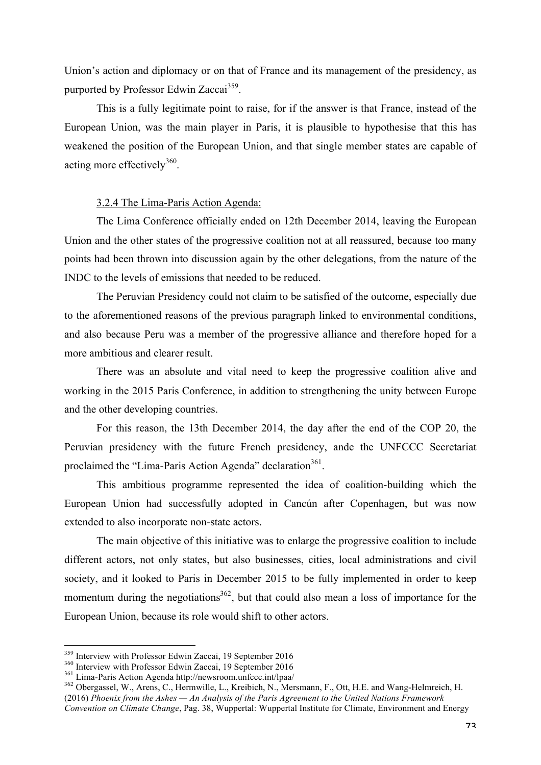Union's action and diplomacy or on that of France and its management of the presidency, as purported by Professor Edwin Zaccai<sup>359</sup>.

This is a fully legitimate point to raise, for if the answer is that France, instead of the European Union, was the main player in Paris, it is plausible to hypothesise that this has weakened the position of the European Union, and that single member states are capable of acting more effectively<sup>360</sup>.

## 3.2.4 The Lima-Paris Action Agenda:

The Lima Conference officially ended on 12th December 2014, leaving the European Union and the other states of the progressive coalition not at all reassured, because too many points had been thrown into discussion again by the other delegations, from the nature of the INDC to the levels of emissions that needed to be reduced.

The Peruvian Presidency could not claim to be satisfied of the outcome, especially due to the aforementioned reasons of the previous paragraph linked to environmental conditions, and also because Peru was a member of the progressive alliance and therefore hoped for a more ambitious and clearer result.

There was an absolute and vital need to keep the progressive coalition alive and working in the 2015 Paris Conference, in addition to strengthening the unity between Europe and the other developing countries.

For this reason, the 13th December 2014, the day after the end of the COP 20, the Peruvian presidency with the future French presidency, ande the UNFCCC Secretariat proclaimed the "Lima-Paris Action Agenda" declaration<sup>361</sup>.

This ambitious programme represented the idea of coalition-building which the European Union had successfully adopted in Cancún after Copenhagen, but was now extended to also incorporate non-state actors.

The main objective of this initiative was to enlarge the progressive coalition to include different actors, not only states, but also businesses, cities, local administrations and civil society, and it looked to Paris in December 2015 to be fully implemented in order to keep momentum during the negotiations<sup>362</sup>, but that could also mean a loss of importance for the European Union, because its role would shift to other actors.

<sup>&</sup>lt;sup>359</sup> Interview with Professor Edwin Zaccai, 19 September 2016<br><sup>360</sup> Interview with Professor Edwin Zaccai, 19 September 2016<br><sup>361</sup> Lima-Paris Action Agenda http://newsroom.unfccc.int/lpaa/<br><sup>362</sup> Obergassel, W., Arens, C. (2016) *Phoenix from the Ashes — An Analysis of the Paris Agreement to the United Nations Framework* 

*Convention on Climate Change*, Pag. 38, Wuppertal: Wuppertal Institute for Climate, Environment and Energy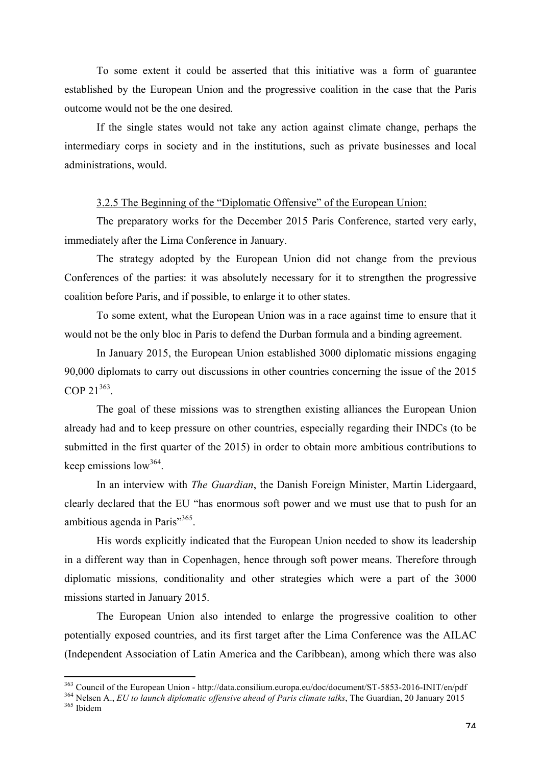To some extent it could be asserted that this initiative was a form of guarantee established by the European Union and the progressive coalition in the case that the Paris outcome would not be the one desired.

If the single states would not take any action against climate change, perhaps the intermediary corps in society and in the institutions, such as private businesses and local administrations, would.

## 3.2.5 The Beginning of the "Diplomatic Offensive" of the European Union:

The preparatory works for the December 2015 Paris Conference, started very early, immediately after the Lima Conference in January.

The strategy adopted by the European Union did not change from the previous Conferences of the parties: it was absolutely necessary for it to strengthen the progressive coalition before Paris, and if possible, to enlarge it to other states.

To some extent, what the European Union was in a race against time to ensure that it would not be the only bloc in Paris to defend the Durban formula and a binding agreement.

In January 2015, the European Union established 3000 diplomatic missions engaging 90,000 diplomats to carry out discussions in other countries concerning the issue of the 2015 COP 21<sup>363</sup>.

The goal of these missions was to strengthen existing alliances the European Union already had and to keep pressure on other countries, especially regarding their INDCs (to be submitted in the first quarter of the 2015) in order to obtain more ambitious contributions to keep emissions  $low^{364}$ .

In an interview with *The Guardian*, the Danish Foreign Minister, Martin Lidergaard, clearly declared that the EU "has enormous soft power and we must use that to push for an ambitious agenda in Paris"<sup>365</sup>.

His words explicitly indicated that the European Union needed to show its leadership in a different way than in Copenhagen, hence through soft power means. Therefore through diplomatic missions, conditionality and other strategies which were a part of the 3000 missions started in January 2015.

The European Union also intended to enlarge the progressive coalition to other potentially exposed countries, and its first target after the Lima Conference was the AILAC (Independent Association of Latin America and the Caribbean), among which there was also

<sup>&</sup>lt;sup>363</sup> Council of the European Union - http://data.consilium.europa.eu/doc/document/ST-5853-2016-INIT/en/pdf <sup>364</sup> Nelsen A., *EU to launch diplomatic offensive ahead of Paris climate talks*, The Guardian, 20 January 2015<br>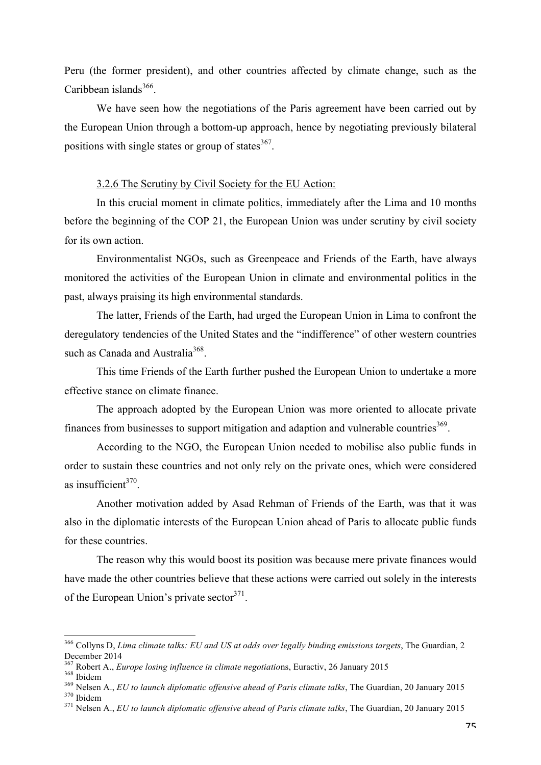Peru (the former president), and other countries affected by climate change, such as the Caribbean islands<sup>366</sup>.

We have seen how the negotiations of the Paris agreement have been carried out by the European Union through a bottom-up approach, hence by negotiating previously bilateral positions with single states or group of states $367$ .

# 3.2.6 The Scrutiny by Civil Society for the EU Action:

In this crucial moment in climate politics, immediately after the Lima and 10 months before the beginning of the COP 21, the European Union was under scrutiny by civil society for its own action.

Environmentalist NGOs, such as Greenpeace and Friends of the Earth, have always monitored the activities of the European Union in climate and environmental politics in the past, always praising its high environmental standards.

The latter, Friends of the Earth, had urged the European Union in Lima to confront the deregulatory tendencies of the United States and the "indifference" of other western countries such as Canada and Australia<sup>368</sup>.

This time Friends of the Earth further pushed the European Union to undertake a more effective stance on climate finance.

The approach adopted by the European Union was more oriented to allocate private finances from businesses to support mitigation and adaption and vulnerable countries<sup>369</sup>.

According to the NGO, the European Union needed to mobilise also public funds in order to sustain these countries and not only rely on the private ones, which were considered as insufficient $370$ .

Another motivation added by Asad Rehman of Friends of the Earth, was that it was also in the diplomatic interests of the European Union ahead of Paris to allocate public funds for these countries.

The reason why this would boost its position was because mere private finances would have made the other countries believe that these actions were carried out solely in the interests of the European Union's private sector  $371$ .

 <sup>366</sup> Collyns D, *Lima climate talks: EU and US at odds over legally binding emissions targets*, The Guardian, 2 December 2014<br><sup>367</sup> Robert A., *Europe losing influence in climate negotiations*, Euractiv, 26 January 2015

<sup>&</sup>lt;sup>368</sup> Ibidem<br><sup>369</sup> Nelsen A., *EU to launch diplomatic offensive ahead of Paris climate talks*, The Guardian, 20 January 2015<br><sup>370</sup> Ibidem<br><sup>371</sup> Nelsen A., *EU to launch diplomatic offensive ahead of Paris climate talks*,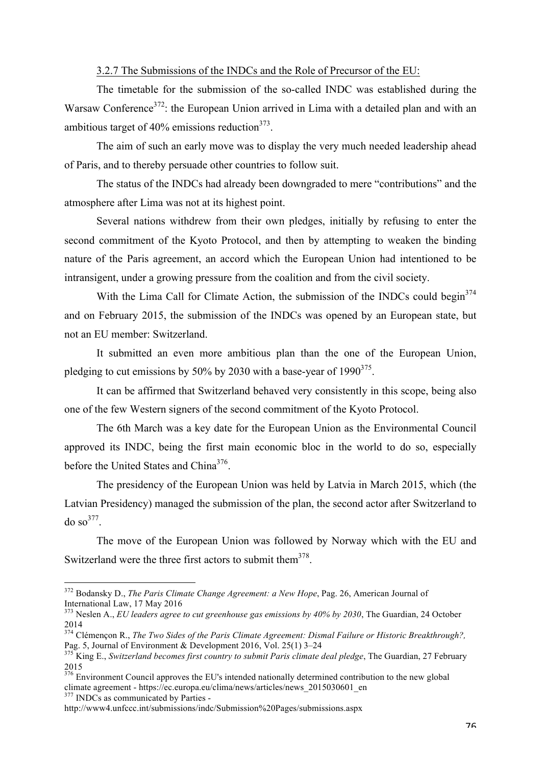# 3.2.7 The Submissions of the INDCs and the Role of Precursor of the EU:

The timetable for the submission of the so-called INDC was established during the Warsaw Conference<sup>372</sup>: the European Union arrived in Lima with a detailed plan and with an ambitious target of 40% emissions reduction $373$ .

The aim of such an early move was to display the very much needed leadership ahead of Paris, and to thereby persuade other countries to follow suit.

The status of the INDCs had already been downgraded to mere "contributions" and the atmosphere after Lima was not at its highest point.

Several nations withdrew from their own pledges, initially by refusing to enter the second commitment of the Kyoto Protocol, and then by attempting to weaken the binding nature of the Paris agreement, an accord which the European Union had intentioned to be intransigent, under a growing pressure from the coalition and from the civil society.

With the Lima Call for Climate Action, the submission of the INDCs could begin<sup>374</sup> and on February 2015, the submission of the INDCs was opened by an European state, but not an EU member: Switzerland.

It submitted an even more ambitious plan than the one of the European Union, pledging to cut emissions by 50% by 2030 with a base-year of  $1990^{375}$ .

It can be affirmed that Switzerland behaved very consistently in this scope, being also one of the few Western signers of the second commitment of the Kyoto Protocol.

The 6th March was a key date for the European Union as the Environmental Council approved its INDC, being the first main economic bloc in the world to do so, especially before the United States and China<sup>376</sup>.

The presidency of the European Union was held by Latvia in March 2015, which (the Latvian Presidency) managed the submission of the plan, the second actor after Switzerland to do so $377$ .

The move of the European Union was followed by Norway which with the EU and Switzerland were the three first actors to submit them<sup>378</sup>.

 <sup>372</sup> Bodansky D., *The Paris Climate Change Agreement: a New Hope*, Pag. 26, American Journal of International Law, 17 May 2016

<sup>&</sup>lt;sup>373</sup> Neslen A., *EU leaders agree to cut greenhouse gas emissions by 40% by 2030*, The Guardian, 24 October 2014

<sup>&</sup>lt;sup>374</sup> Clémençon R., *The Two Sides of the Paris Climate Agreement: Dismal Failure or Historic Breakthrough?,*<br>Pag. 5. Journal of Environment & Development 2016. Vol. 25(1) 3–24

<sup>&</sup>lt;sup>375</sup> King E., *Switzerland becomes first country to submit Paris climate deal pledge*, The Guardian, 27 February 2015

<sup>376</sup> Environment Council approves the EU's intended nationally determined contribution to the new global climate agreement - https://ec.europa.eu/clima/news/articles/news\_2015030601\_en <sup>377</sup> INDCs as communicated by Parties -

http://www4.unfccc.int/submissions/indc/Submission%20Pages/submissions.aspx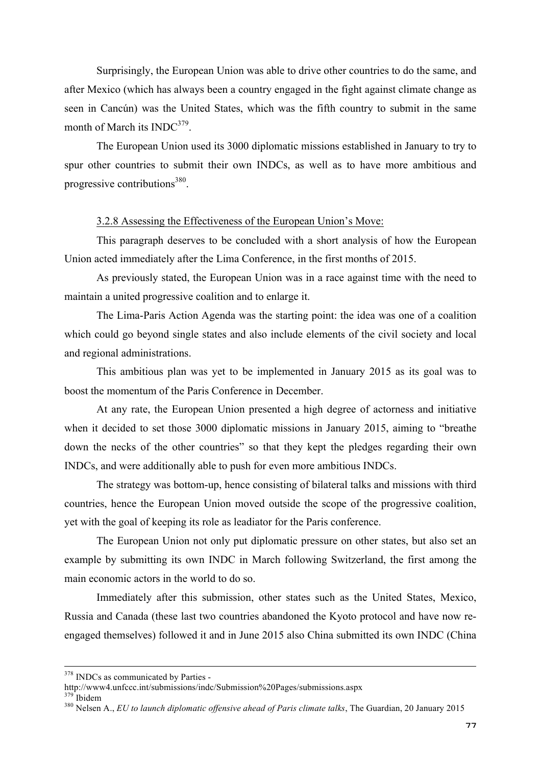Surprisingly, the European Union was able to drive other countries to do the same, and after Mexico (which has always been a country engaged in the fight against climate change as seen in Cancún) was the United States, which was the fifth country to submit in the same month of March its  $INDC^{379}$ .

The European Union used its 3000 diplomatic missions established in January to try to spur other countries to submit their own INDCs, as well as to have more ambitious and progressive contributions $380$ .

### 3.2.8 Assessing the Effectiveness of the European Union's Move:

This paragraph deserves to be concluded with a short analysis of how the European Union acted immediately after the Lima Conference, in the first months of 2015.

As previously stated, the European Union was in a race against time with the need to maintain a united progressive coalition and to enlarge it.

The Lima-Paris Action Agenda was the starting point: the idea was one of a coalition which could go beyond single states and also include elements of the civil society and local and regional administrations.

This ambitious plan was yet to be implemented in January 2015 as its goal was to boost the momentum of the Paris Conference in December.

At any rate, the European Union presented a high degree of actorness and initiative when it decided to set those 3000 diplomatic missions in January 2015, aiming to "breathe down the necks of the other countries" so that they kept the pledges regarding their own INDCs, and were additionally able to push for even more ambitious INDCs.

The strategy was bottom-up, hence consisting of bilateral talks and missions with third countries, hence the European Union moved outside the scope of the progressive coalition, yet with the goal of keeping its role as leadiator for the Paris conference.

The European Union not only put diplomatic pressure on other states, but also set an example by submitting its own INDC in March following Switzerland, the first among the main economic actors in the world to do so.

Immediately after this submission, other states such as the United States, Mexico, Russia and Canada (these last two countries abandoned the Kyoto protocol and have now reengaged themselves) followed it and in June 2015 also China submitted its own INDC (China

 $378$  INDCs as communicated by Parties -<br>http://www4.unfccc.int/submissions/indc/Submission%20Pages/submissions.aspx

<sup>&</sup>lt;sup>379</sup> Ibidem<br><sup>380</sup> Nelsen A., *EU to launch diplomatic offensive ahead of Paris climate talks*, The Guardian, 20 January 2015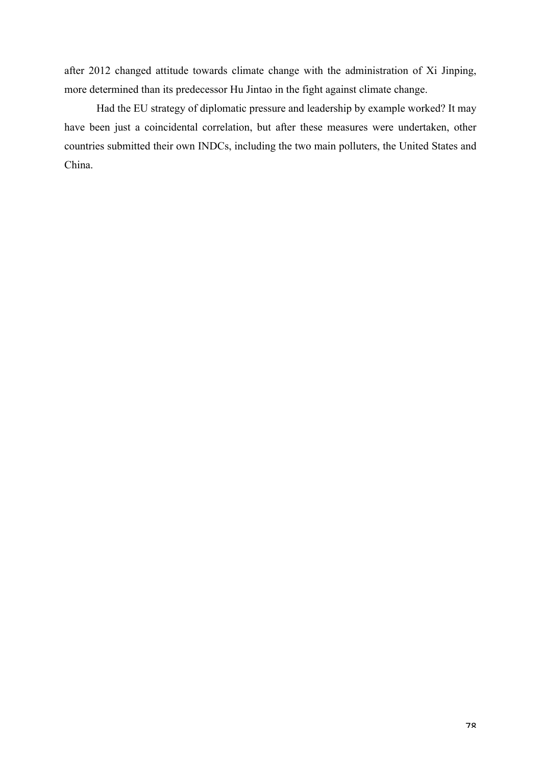after 2012 changed attitude towards climate change with the administration of Xi Jinping, more determined than its predecessor Hu Jintao in the fight against climate change.

Had the EU strategy of diplomatic pressure and leadership by example worked? It may have been just a coincidental correlation, but after these measures were undertaken, other countries submitted their own INDCs, including the two main polluters, the United States and China.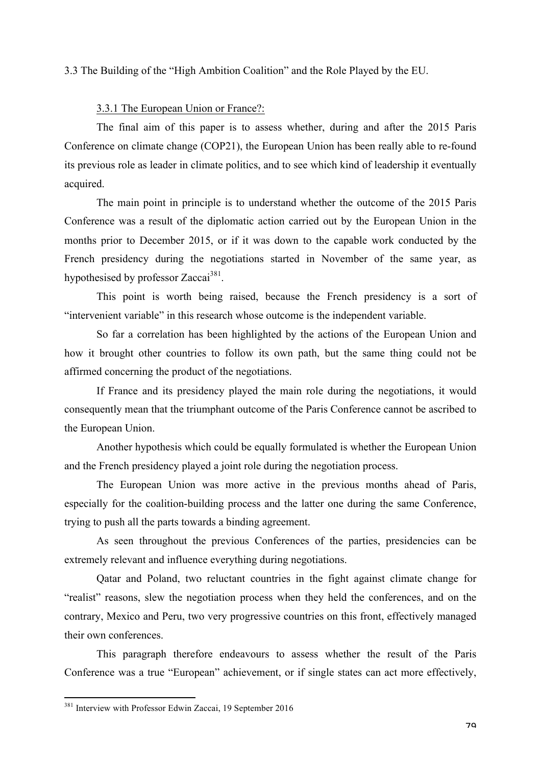3.3 The Building of the "High Ambition Coalition" and the Role Played by the EU.

# 3.3.1 The European Union or France?:

The final aim of this paper is to assess whether, during and after the 2015 Paris Conference on climate change (COP21), the European Union has been really able to re-found its previous role as leader in climate politics, and to see which kind of leadership it eventually acquired.

The main point in principle is to understand whether the outcome of the 2015 Paris Conference was a result of the diplomatic action carried out by the European Union in the months prior to December 2015, or if it was down to the capable work conducted by the French presidency during the negotiations started in November of the same year, as hypothesised by professor Zaccai<sup>381</sup>.

This point is worth being raised, because the French presidency is a sort of "intervenient variable" in this research whose outcome is the independent variable.

So far a correlation has been highlighted by the actions of the European Union and how it brought other countries to follow its own path, but the same thing could not be affirmed concerning the product of the negotiations.

If France and its presidency played the main role during the negotiations, it would consequently mean that the triumphant outcome of the Paris Conference cannot be ascribed to the European Union.

Another hypothesis which could be equally formulated is whether the European Union and the French presidency played a joint role during the negotiation process.

The European Union was more active in the previous months ahead of Paris, especially for the coalition-building process and the latter one during the same Conference, trying to push all the parts towards a binding agreement.

As seen throughout the previous Conferences of the parties, presidencies can be extremely relevant and influence everything during negotiations.

Qatar and Poland, two reluctant countries in the fight against climate change for "realist" reasons, slew the negotiation process when they held the conferences, and on the contrary, Mexico and Peru, two very progressive countries on this front, effectively managed their own conferences.

This paragraph therefore endeavours to assess whether the result of the Paris Conference was a true "European" achievement, or if single states can act more effectively,

 <sup>381</sup> Interview with Professor Edwin Zaccai, 19 September 2016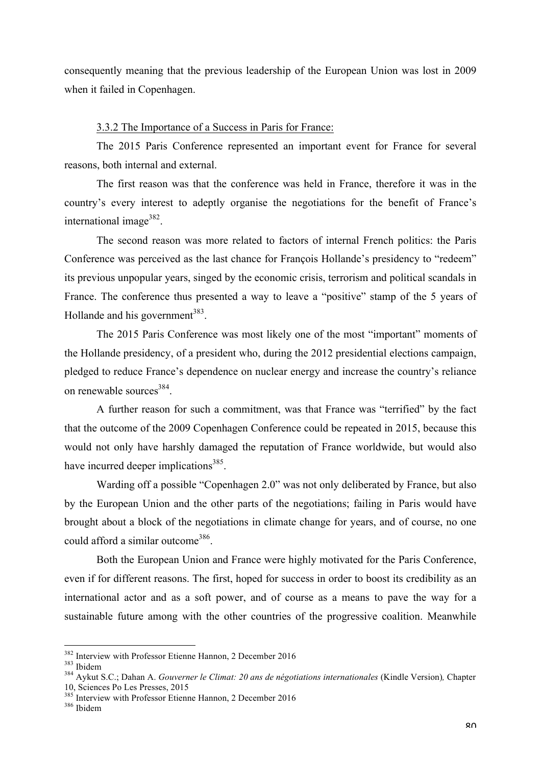consequently meaning that the previous leadership of the European Union was lost in 2009 when it failed in Copenhagen.

#### 3.3.2 The Importance of a Success in Paris for France:

The 2015 Paris Conference represented an important event for France for several reasons, both internal and external.

The first reason was that the conference was held in France, therefore it was in the country's every interest to adeptly organise the negotiations for the benefit of France's international image $382$ .

The second reason was more related to factors of internal French politics: the Paris Conference was perceived as the last chance for François Hollande's presidency to "redeem" its previous unpopular years, singed by the economic crisis, terrorism and political scandals in France. The conference thus presented a way to leave a "positive" stamp of the 5 years of Hollande and his government<sup>383</sup>.

The 2015 Paris Conference was most likely one of the most "important" moments of the Hollande presidency, of a president who, during the 2012 presidential elections campaign, pledged to reduce France's dependence on nuclear energy and increase the country's reliance on renewable sources<sup>384</sup>.

A further reason for such a commitment, was that France was "terrified" by the fact that the outcome of the 2009 Copenhagen Conference could be repeated in 2015, because this would not only have harshly damaged the reputation of France worldwide, but would also have incurred deeper implications<sup>385</sup>.

Warding off a possible "Copenhagen 2.0" was not only deliberated by France, but also by the European Union and the other parts of the negotiations; failing in Paris would have brought about a block of the negotiations in climate change for years, and of course, no one could afford a similar outcome<sup>386</sup>.

Both the European Union and France were highly motivated for the Paris Conference, even if for different reasons. The first, hoped for success in order to boost its credibility as an international actor and as a soft power, and of course as a means to pave the way for a sustainable future among with the other countries of the progressive coalition. Meanwhile

<sup>&</sup>lt;sup>382</sup> Interview with Professor Etienne Hannon, 2 December 2016<br><sup>383</sup> Ibidem<br><sup>384</sup> Aykut S.C.; Dahan A. *Gouverner le Climat: 20 ans de négotiations internationales* (Kindle Version), Chapter<br>10, Sciences Po Les Presses, 20

 $\frac{385}{386}$  Interview with Professor Etienne Hannon, 2 December 2016 386 Ibidem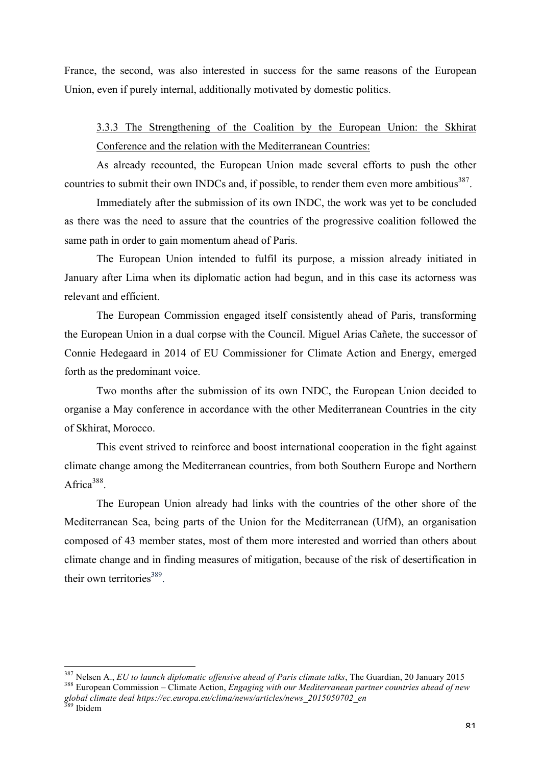France, the second, was also interested in success for the same reasons of the European Union, even if purely internal, additionally motivated by domestic politics.

3.3.3 The Strengthening of the Coalition by the European Union: the Skhirat Conference and the relation with the Mediterranean Countries:

As already recounted, the European Union made several efforts to push the other countries to submit their own INDCs and, if possible, to render them even more ambitious<sup>387</sup>.

Immediately after the submission of its own INDC, the work was yet to be concluded as there was the need to assure that the countries of the progressive coalition followed the same path in order to gain momentum ahead of Paris.

The European Union intended to fulfil its purpose, a mission already initiated in January after Lima when its diplomatic action had begun, and in this case its actorness was relevant and efficient.

The European Commission engaged itself consistently ahead of Paris, transforming the European Union in a dual corpse with the Council. Miguel Arias Cañete, the successor of Connie Hedegaard in 2014 of EU Commissioner for Climate Action and Energy, emerged forth as the predominant voice.

Two months after the submission of its own INDC, the European Union decided to organise a May conference in accordance with the other Mediterranean Countries in the city of Skhirat, Morocco.

This event strived to reinforce and boost international cooperation in the fight against climate change among the Mediterranean countries, from both Southern Europe and Northern Africa $388$ 

The European Union already had links with the countries of the other shore of the Mediterranean Sea, being parts of the Union for the Mediterranean (UfM), an organisation composed of 43 member states, most of them more interested and worried than others about climate change and in finding measures of mitigation, because of the risk of desertification in their own territories $389$ .

<sup>&</sup>lt;sup>387</sup> Nelsen A., *EU to launch diplomatic offensive ahead of Paris climate talks*, The Guardian, 20 January 2015<br><sup>388</sup> European Commission – Climate Action, *Engaging with our Mediterranean partner countries ahead of new global climate deal https://ec.europa.eu/clima/news/articles/news\_2015050702\_en*

<sup>&</sup>lt;sup>389</sup> Ibidem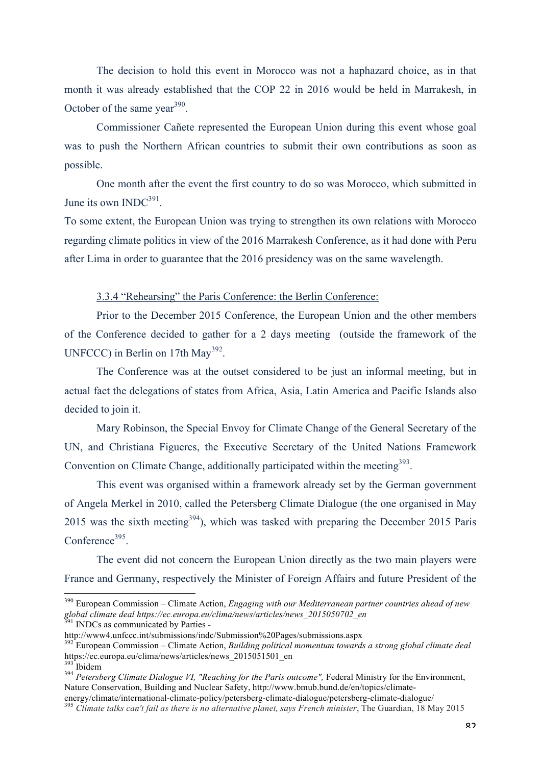The decision to hold this event in Morocco was not a haphazard choice, as in that month it was already established that the COP 22 in 2016 would be held in Marrakesh, in October of the same year<sup>390</sup>.

Commissioner Cañete represented the European Union during this event whose goal was to push the Northern African countries to submit their own contributions as soon as possible.

One month after the event the first country to do so was Morocco, which submitted in June its own  $INDC^{391}$ .

To some extent, the European Union was trying to strengthen its own relations with Morocco regarding climate politics in view of the 2016 Marrakesh Conference, as it had done with Peru after Lima in order to guarantee that the 2016 presidency was on the same wavelength.

3.3.4 "Rehearsing" the Paris Conference: the Berlin Conference:

Prior to the December 2015 Conference, the European Union and the other members of the Conference decided to gather for a 2 days meeting (outside the framework of the UNFCCC) in Berlin on 17th May<sup>392</sup>.

The Conference was at the outset considered to be just an informal meeting, but in actual fact the delegations of states from Africa, Asia, Latin America and Pacific Islands also decided to join it.

Mary Robinson, the Special Envoy for Climate Change of the General Secretary of the UN, and Christiana Figueres, the Executive Secretary of the United Nations Framework Convention on Climate Change, additionally participated within the meeting<sup>393</sup>.

This event was organised within a framework already set by the German government of Angela Merkel in 2010, called the Petersberg Climate Dialogue (the one organised in May 2015 was the sixth meeting<sup>394</sup>), which was tasked with preparing the December 2015 Paris  $Conference<sup>395</sup>$ 

The event did not concern the European Union directly as the two main players were France and Germany, respectively the Minister of Foreign Affairs and future President of the

 <sup>390</sup> European Commission – Climate Action, *Engaging with our Mediterranean partner countries ahead of new global climate deal https://ec.europa.eu/clima/news/articles/news\_2015050702\_en* <sup>391</sup> INDCs as communicated by Parties -

http://www4.unfccc.int/submissions/indc/Submission%20Pages/submissions.aspx

<sup>392</sup> European Commission – Climate Action, *Building political momentum towards a strong global climate deal* https://ec.europa.eu/clima/news/articles/news\_2015051501\_en<br><sup>393</sup> Ibidem

<sup>&</sup>lt;sup>394</sup> Petersberg Climate Dialogue VI, "Reaching for the Paris outcome", Federal Ministry for the Environment, Nature Conservation, Building and Nuclear Safety, http://www.bmub.bund.de/en/topics/climate-

energy/climate/international-climate-policy/petersberg-climate-dialogue/petersberg-climate-dialogue/ <sup>395</sup> *Climate talks can't fail as there is no alternative planet, says French minister*, The Guardian, 18 May 2015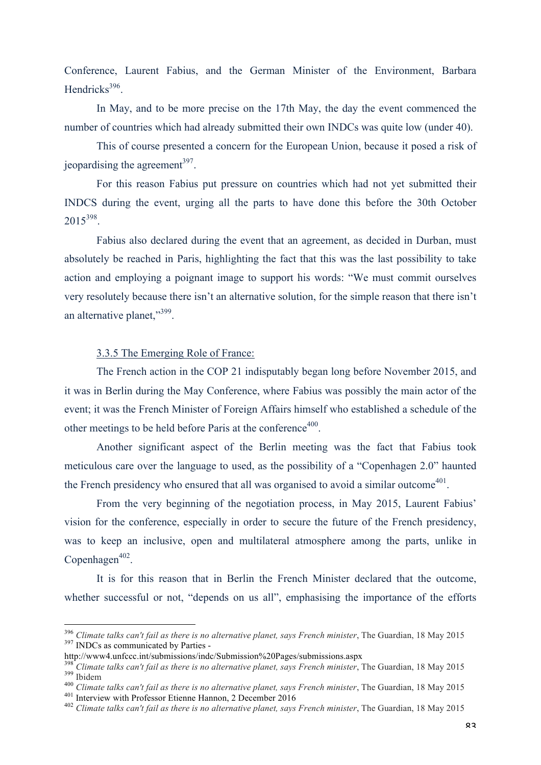Conference, Laurent Fabius, and the German Minister of the Environment, Barbara Hendricks $396$ 

In May, and to be more precise on the 17th May, the day the event commenced the number of countries which had already submitted their own INDCs was quite low (under 40).

This of course presented a concern for the European Union, because it posed a risk of ieopardising the agreement<sup>397</sup>

For this reason Fabius put pressure on countries which had not yet submitted their INDCS during the event, urging all the parts to have done this before the 30th October 2015398.

Fabius also declared during the event that an agreement, as decided in Durban, must absolutely be reached in Paris, highlighting the fact that this was the last possibility to take action and employing a poignant image to support his words: "We must commit ourselves very resolutely because there isn't an alternative solution, for the simple reason that there isn't an alternative planet,"<sup>399</sup>.

# 3.3.5 The Emerging Role of France:

The French action in the COP 21 indisputably began long before November 2015, and it was in Berlin during the May Conference, where Fabius was possibly the main actor of the event; it was the French Minister of Foreign Affairs himself who established a schedule of the other meetings to be held before Paris at the conference<sup>400</sup>.

Another significant aspect of the Berlin meeting was the fact that Fabius took meticulous care over the language to used, as the possibility of a "Copenhagen 2.0" haunted the French presidency who ensured that all was organised to avoid a similar outcome<sup>401</sup>.

From the very beginning of the negotiation process, in May 2015, Laurent Fabius' vision for the conference, especially in order to secure the future of the French presidency, was to keep an inclusive, open and multilateral atmosphere among the parts, unlike in  $Copenhagen<sup>402</sup>$ .

It is for this reason that in Berlin the French Minister declared that the outcome, whether successful or not, "depends on us all", emphasising the importance of the efforts

<sup>&</sup>lt;sup>396</sup> *Climate talks can't fail as there is no alternative planet, says French minister*, The Guardian, 18 May 2015 <sup>397</sup> INDCs as communicated by Parties -

http://www4.unfccc.int/submissions/indc/Submission%20Pages/submissions.aspx

<sup>&</sup>lt;sup>398</sup> Climate talks can't fail as there is no alternative planet, says French minister, The Guardian, 18 May 2015<br><sup>399</sup> Ibidem<br><sup>400</sup> Climate talks can't fail as there is no alternative planet, says French minister, The Gu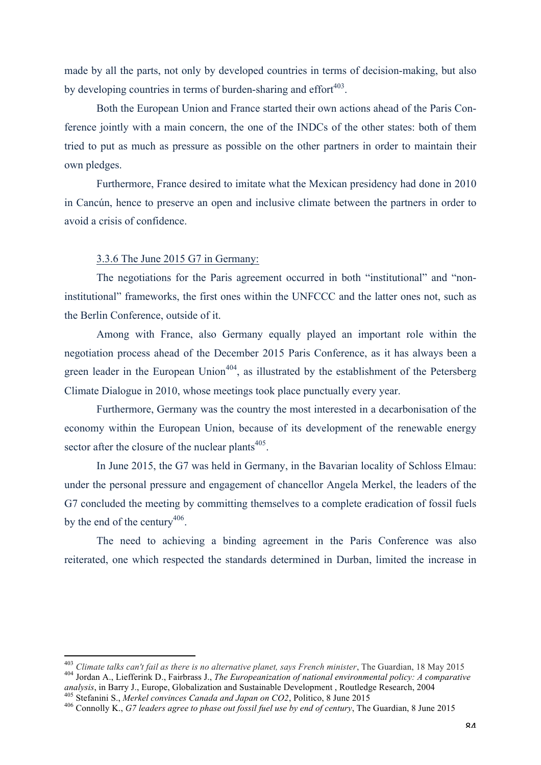made by all the parts, not only by developed countries in terms of decision-making, but also by developing countries in terms of burden-sharing and effort $403$ .

Both the European Union and France started their own actions ahead of the Paris Conference jointly with a main concern, the one of the INDCs of the other states: both of them tried to put as much as pressure as possible on the other partners in order to maintain their own pledges.

Furthermore, France desired to imitate what the Mexican presidency had done in 2010 in Cancún, hence to preserve an open and inclusive climate between the partners in order to avoid a crisis of confidence.

# 3.3.6 The June 2015 G7 in Germany:

 

The negotiations for the Paris agreement occurred in both "institutional" and "noninstitutional" frameworks, the first ones within the UNFCCC and the latter ones not, such as the Berlin Conference, outside of it.

Among with France, also Germany equally played an important role within the negotiation process ahead of the December 2015 Paris Conference, as it has always been a green leader in the European Union<sup> $404$ </sup>, as illustrated by the establishment of the Petersberg Climate Dialogue in 2010, whose meetings took place punctually every year.

Furthermore, Germany was the country the most interested in a decarbonisation of the economy within the European Union, because of its development of the renewable energy sector after the closure of the nuclear plants<sup>405</sup>.

In June 2015, the G7 was held in Germany, in the Bavarian locality of Schloss Elmau: under the personal pressure and engagement of chancellor Angela Merkel, the leaders of the G7 concluded the meeting by committing themselves to a complete eradication of fossil fuels by the end of the century<sup>406</sup>.

The need to achieving a binding agreement in the Paris Conference was also reiterated, one which respected the standards determined in Durban, limited the increase in

<sup>&</sup>lt;sup>403</sup> Climate talks can't fail as there is no alternative planet, says French minister, The Guardian, 18 May 2015<br><sup>404</sup> Jordan A., Liefferink D., Fairbrass J., *The Europeanization of national environmental policy: A comp* 

<sup>&</sup>lt;sup>405</sup> Stefanini S., *Merkel convinces Canada and Japan on CO2*, Politico, 8 June 2015<br><sup>406</sup> Connolly K., *G7 leaders agree to phase out fossil fuel use by end of century*, The Guardian, 8 June 2015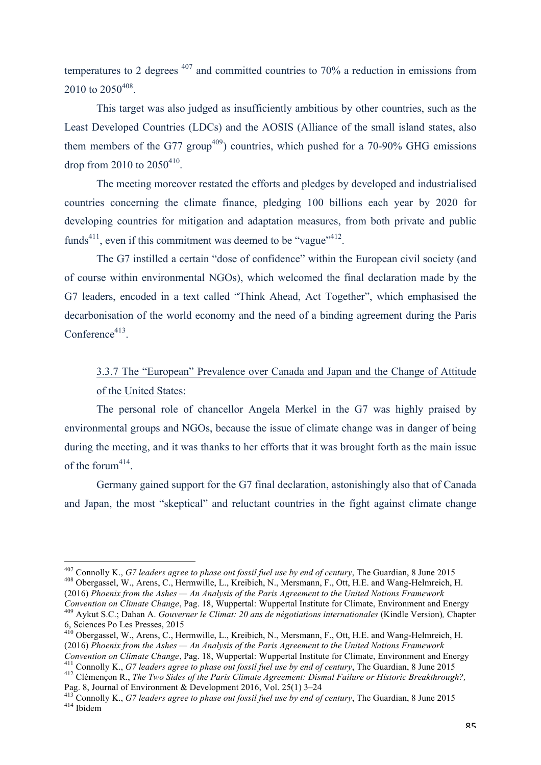temperatures to 2 degrees  $407$  and committed countries to 70% a reduction in emissions from 2010 to 2050<sup>408</sup>.

This target was also judged as insufficiently ambitious by other countries, such as the Least Developed Countries (LDCs) and the AOSIS (Alliance of the small island states, also them members of the G77 group<sup>409</sup>) countries, which pushed for a 70-90% GHG emissions drop from 2010 to  $2050^{410}$ .

The meeting moreover restated the efforts and pledges by developed and industrialised countries concerning the climate finance, pledging 100 billions each year by 2020 for developing countries for mitigation and adaptation measures, from both private and public funds<sup>411</sup>, even if this commitment was deemed to be "vague"<sup>412</sup>.

The G7 instilled a certain "dose of confidence" within the European civil society (and of course within environmental NGOs), which welcomed the final declaration made by the G7 leaders, encoded in a text called "Think Ahead, Act Together", which emphasised the decarbonisation of the world economy and the need of a binding agreement during the Paris  $Conference<sup>413</sup>$ 

# 3.3.7 The "European" Prevalence over Canada and Japan and the Change of Attitude of the United States:

The personal role of chancellor Angela Merkel in the G7 was highly praised by environmental groups and NGOs, because the issue of climate change was in danger of being during the meeting, and it was thanks to her efforts that it was brought forth as the main issue of the forum $414$ .

Germany gained support for the G7 final declaration, astonishingly also that of Canada and Japan, the most "skeptical" and reluctant countries in the fight against climate change

<sup>&</sup>lt;sup>407</sup> Connolly K., *G7 leaders agree to phase out fossil fuel use by end of century*, The Guardian, 8 June 2015 <sup>408</sup> Obergassel, W., Arens, C., Hermwille, L., Kreibich, N., Mersmann, F., Ott, H.E. and Wang-Helmreich, H. (2016) *Phoenix from the Ashes — An Analysis of the Paris Agreement to the United Nations Framework* 

<sup>409</sup> Aykut S.C.; Dahan A. Gouverner le Climat: 20 ans de négotiations internationales (Kindle Version), Chapter 6, Sciences Po Les Presses, 2015 <sup>410</sup> Obergassel, W., Arens, C., Hermwille, L., Kreibich, N., Mersmann, F., Ott, H.E. and Wang-Helmreich, H.

<sup>(2016)</sup> *Phoenix from the Ashes — An Analysis of the Paris Agreement to the United Nations Framework* 

Convention on Climate Change, Pag. 18, Wuppertal: Wuppertal Institute for Climate, Environment and Energy <sup>411</sup> Connolly K., *G7 leaders agree to phase out fossil fuel use by end of century*, The Guardian, 8 June 2015<br><sup>412</sup>

<sup>&</sup>lt;sup>413</sup> Connolly K., *G7 leaders agree to phase out fossil fuel use by end of century*, The Guardian, 8 June 2015  $^{414}$  Ibidem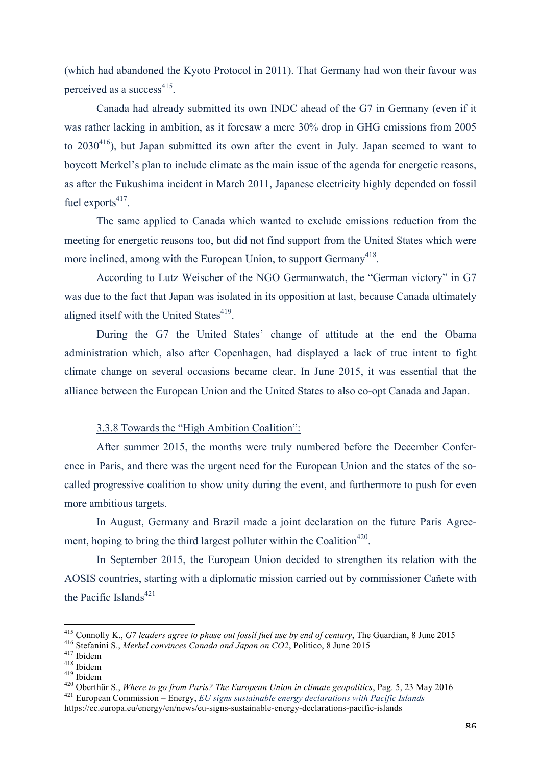(which had abandoned the Kyoto Protocol in 2011). That Germany had won their favour was perceived as a success<sup> $415$ </sup>.

Canada had already submitted its own INDC ahead of the G7 in Germany (even if it was rather lacking in ambition, as it foresaw a mere 30% drop in GHG emissions from 2005 to  $2030^{416}$ ), but Japan submitted its own after the event in July. Japan seemed to want to boycott Merkel's plan to include climate as the main issue of the agenda for energetic reasons, as after the Fukushima incident in March 2011, Japanese electricity highly depended on fossil fuel exports $417$ .

The same applied to Canada which wanted to exclude emissions reduction from the meeting for energetic reasons too, but did not find support from the United States which were more inclined, among with the European Union, to support Germany<sup>418</sup>.

According to Lutz Weischer of the NGO Germanwatch, the "German victory" in G7 was due to the fact that Japan was isolated in its opposition at last, because Canada ultimately aligned itself with the United States<sup>419</sup>.

During the G7 the United States' change of attitude at the end the Obama administration which, also after Copenhagen, had displayed a lack of true intent to fight climate change on several occasions became clear. In June 2015, it was essential that the alliance between the European Union and the United States to also co-opt Canada and Japan.

## 3.3.8 Towards the "High Ambition Coalition":

After summer 2015, the months were truly numbered before the December Conference in Paris, and there was the urgent need for the European Union and the states of the socalled progressive coalition to show unity during the event, and furthermore to push for even more ambitious targets.

In August, Germany and Brazil made a joint declaration on the future Paris Agreement, hoping to bring the third largest polluter within the Coalition<sup>420</sup>.

In September 2015, the European Union decided to strengthen its relation with the AOSIS countries, starting with a diplomatic mission carried out by commissioner Cañete with the Pacific Islands $421$ 

<sup>&</sup>lt;sup>415</sup> Connolly K., *G7 leaders agree to phase out fossil fuel use by end of century*, The Guardian, 8 June 2015<br><sup>416</sup> Stefanini S., *Merkel convinces Canada and Japan on CO2*, Politico, 8 June 2015<br><sup>417</sup> Ibidem<br><sup>419</sup> Dide

https://ec.europa.eu/energy/en/news/eu-signs-sustainable-energy-declarations-pacific-islands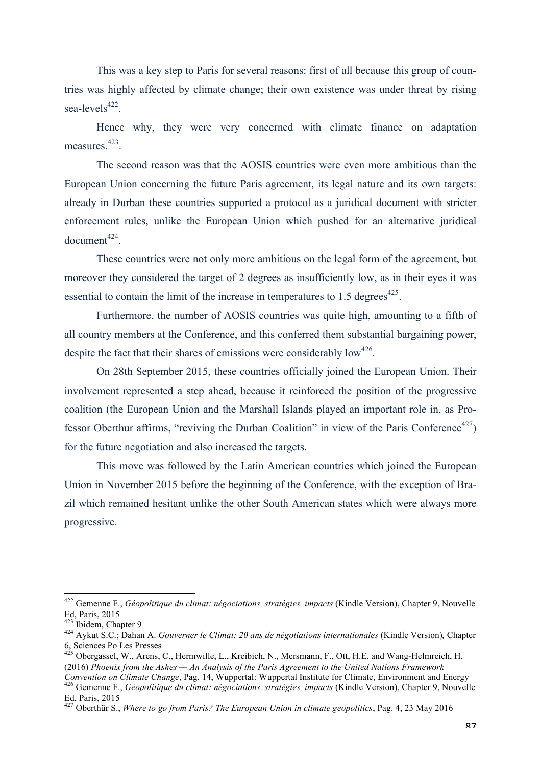This was a key step to Paris for several reasons: first of all because this group of countries was highly affected by climate change; their own existence was under threat by rising sea-levels $422$ .

Hence why, they were very concerned with climate finance on adaptation measures.<sup>423</sup>.

The second reason was that the AOSIS countries were even more ambitious than the European Union concerning the future Paris agreement, its legal nature and its own targets: already in Durban these countries supported a protocol as a juridical document with stricter enforcement rules, unlike the European Union which pushed for an alternative juridical  $document<sup>424</sup>$ 

These countries were not only more ambitious on the legal form of the agreement, but moreover they considered the target of 2 degrees as insufficiently low, as in their eyes it was essential to contain the limit of the increase in temperatures to 1.5 degrees<sup> $425$ </sup>.

Furthermore, the number of AOSIS countries was quite high, amounting to a fifth of all country members at the Conference, and this conferred them substantial bargaining power, despite the fact that their shares of emissions were considerably  $low^{426}$ .

On 28th September 2015, these countries officially joined the European Union. Their involvement represented a step ahead, because it reinforced the position of the progressive coalition (the European Union and the Marshall Islands played an important role in, as Professor Oberthur affirms, "reviving the Durban Coalition" in view of the Paris Conference<sup>427</sup>) for the future negotiation and also increased the targets.

This move was followed by the Latin American countries which joined the European Union in November 2015 before the beginning of the Conference, with the exception of Brazil which remained hesitant unlike the other South American states which were always more progressive.

<sup>&</sup>lt;sup>422</sup> Gemenne F., *Géopolitique du climat: négociations, stratégies, impacts* (Kindle Version), Chapter 9, Nouvelle Ed, Paris, 2015

<sup>423</sup> Ibidem, Chapter 9 <sup>424</sup> Aykut S.C.; Dahan A. *Gouverner le Climat: 20 ans de négotiations internationales* (Kindle Version)*,* Chapter 6, Sciences Po Les Presses <sup>425</sup> Obergassel, W., Arens, C., Hermwille, L., Kreibich, N., Mersmann, F., Ott, H.E. and Wang-Helmreich, H.

<sup>(2016)</sup> *Phoenix from the Ashes — An Analysis of the Paris Agreement to the United Nations Framework* 

Convention on Climate Change, Pag. 14, Wuppertal: Wuppertal Institute for Climate, Environment and Energy<br><sup>426</sup> Gemenne F., Géopolitique du climat: négociations, stratégies, impacts (Kindle Version), Chapter 9, Nouvelle Ed, Paris, 2015

<sup>427</sup> Oberthür S., *Where to go from Paris? The European Union in climate geopolitics*, Pag. 4, 23 May 2016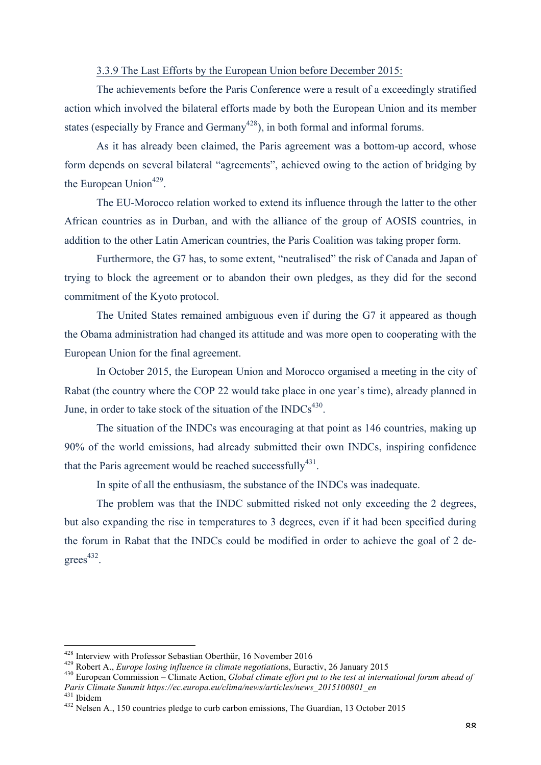#### 3.3.9 The Last Efforts by the European Union before December 2015:

The achievements before the Paris Conference were a result of a exceedingly stratified action which involved the bilateral efforts made by both the European Union and its member states (especially by France and Germany<sup> $428$ </sup>), in both formal and informal forums.

As it has already been claimed, the Paris agreement was a bottom-up accord, whose form depends on several bilateral "agreements", achieved owing to the action of bridging by the European Union<sup>429</sup>.

The EU-Morocco relation worked to extend its influence through the latter to the other African countries as in Durban, and with the alliance of the group of AOSIS countries, in addition to the other Latin American countries, the Paris Coalition was taking proper form.

Furthermore, the G7 has, to some extent, "neutralised" the risk of Canada and Japan of trying to block the agreement or to abandon their own pledges, as they did for the second commitment of the Kyoto protocol.

The United States remained ambiguous even if during the G7 it appeared as though the Obama administration had changed its attitude and was more open to cooperating with the European Union for the final agreement.

In October 2015, the European Union and Morocco organised a meeting in the city of Rabat (the country where the COP 22 would take place in one year's time), already planned in June, in order to take stock of the situation of the  $INDCs<sup>430</sup>$ .

The situation of the INDCs was encouraging at that point as 146 countries, making up 90% of the world emissions, had already submitted their own INDCs, inspiring confidence that the Paris agreement would be reached successfully<sup>431</sup>.

In spite of all the enthusiasm, the substance of the INDCs was inadequate.

The problem was that the INDC submitted risked not only exceeding the 2 degrees, but also expanding the rise in temperatures to 3 degrees, even if it had been specified during the forum in Rabat that the INDCs could be modified in order to achieve the goal of 2 de $grees<sup>432</sup>$ .

<sup>&</sup>lt;sup>428</sup> Interview with Professor Sebastian Oberthür, 16 November 2016<br><sup>429</sup> Robert A., *Europe losing influence in climate negotiations*, Euractiv, 26 January 2015<br><sup>430</sup> European Commission – Climate Action, *Global climate Paris Climate Summit https://ec.europa.eu/clima/news/articles/news\_2015100801\_en*

<sup>&</sup>lt;sup>432</sup> Nelsen A., 150 countries pledge to curb carbon emissions, The Guardian, 13 October 2015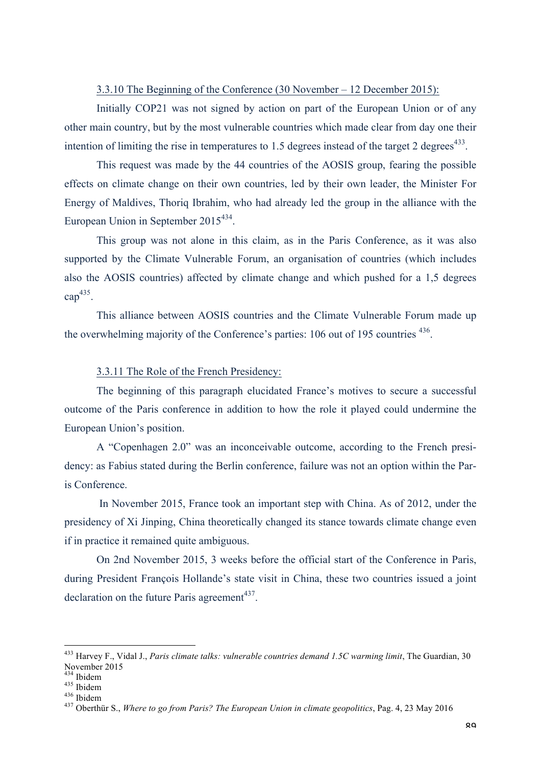#### 3.3.10 The Beginning of the Conference (30 November – 12 December 2015):

Initially COP21 was not signed by action on part of the European Union or of any other main country, but by the most vulnerable countries which made clear from day one their intention of limiting the rise in temperatures to 1.5 degrees instead of the target 2 degrees $433$ .

This request was made by the 44 countries of the AOSIS group, fearing the possible effects on climate change on their own countries, led by their own leader, the Minister For Energy of Maldives, Thoriq Ibrahim, who had already led the group in the alliance with the European Union in September  $2015^{434}$ .

This group was not alone in this claim, as in the Paris Conference, as it was also supported by the Climate Vulnerable Forum, an organisation of countries (which includes also the AOSIS countries) affected by climate change and which pushed for a 1,5 degrees  $\text{cap}^{435}$ .

This alliance between AOSIS countries and the Climate Vulnerable Forum made up the overwhelming majority of the Conference's parties: 106 out of 195 countries 436.

### 3.3.11 The Role of the French Presidency:

The beginning of this paragraph elucidated France's motives to secure a successful outcome of the Paris conference in addition to how the role it played could undermine the European Union's position.

A "Copenhagen 2.0" was an inconceivable outcome, according to the French presidency: as Fabius stated during the Berlin conference, failure was not an option within the Paris Conference.

In November 2015, France took an important step with China. As of 2012, under the presidency of Xi Jinping, China theoretically changed its stance towards climate change even if in practice it remained quite ambiguous.

On 2nd November 2015, 3 weeks before the official start of the Conference in Paris, during President François Hollande's state visit in China, these two countries issued a joint declaration on the future Paris agreement<sup> $437$ </sup>.

 <sup>433</sup> Harvey F., Vidal J., *Paris climate talks: vulnerable countries demand 1.5C warming limit*, The Guardian, 30 November 2015<br><sup>434</sup> Ibidem

<sup>435</sup> Didem<br><sup>436</sup> Ibidem<br><sup>436</sup> Didem 6., *Where to go from Paris? The European Union in climate geopolitics*, Pag. 4, 23 May 2016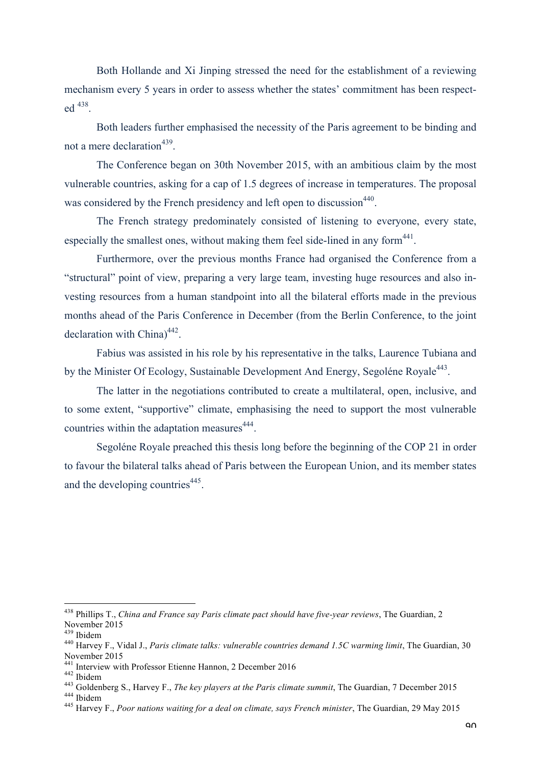Both Hollande and Xi Jinping stressed the need for the establishment of a reviewing mechanism every 5 years in order to assess whether the states' commitment has been respected 438.

Both leaders further emphasised the necessity of the Paris agreement to be binding and not a mere declaration<sup>439</sup>.

The Conference began on 30th November 2015, with an ambitious claim by the most vulnerable countries, asking for a cap of 1.5 degrees of increase in temperatures. The proposal was considered by the French presidency and left open to discussion<sup>440</sup>.

The French strategy predominately consisted of listening to everyone, every state, especially the smallest ones, without making them feel side-lined in any form  $441$ .

Furthermore, over the previous months France had organised the Conference from a "structural" point of view, preparing a very large team, investing huge resources and also investing resources from a human standpoint into all the bilateral efforts made in the previous months ahead of the Paris Conference in December (from the Berlin Conference, to the joint declaration with China) 442.

Fabius was assisted in his role by his representative in the talks, Laurence Tubiana and by the Minister Of Ecology, Sustainable Development And Energy, Segoléne Royale<sup>443</sup>.

The latter in the negotiations contributed to create a multilateral, open, inclusive, and to some extent, "supportive" climate, emphasising the need to support the most vulnerable countries within the adaptation measures<sup>444</sup>.

Segoléne Royale preached this thesis long before the beginning of the COP 21 in order to favour the bilateral talks ahead of Paris between the European Union, and its member states and the developing countries<sup>445</sup>.

 <sup>438</sup> Phillips T., *China and France say Paris climate pact should have five-year reviews*, The Guardian, 2 November 2015<br><sup>439</sup> Ibidem

<sup>&</sup>lt;sup>440</sup> Harvey F., Vidal J., *Paris climate talks: vulnerable countries demand 1.5C warming limit*, The Guardian, 30 November 2015<br><sup>441</sup> Interview with Professor Etienne Hannon, 2 December 2016

<sup>442</sup> Ibidem<br>
443 Goldenberg S., Harvey F., *The key players at the Paris climate summit*, The Guardian, 7 December 2015<br>
444 Ibidem<br>
445 Harvey F., *Poor nations waiting for a deal on climate, says French minister*, The Gua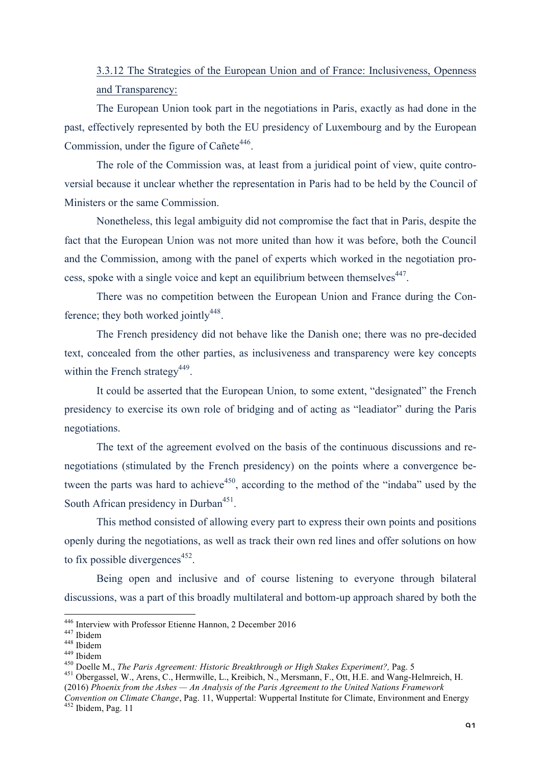# 3.3.12 The Strategies of the European Union and of France: Inclusiveness, Openness and Transparency:

The European Union took part in the negotiations in Paris, exactly as had done in the past, effectively represented by both the EU presidency of Luxembourg and by the European Commission, under the figure of Cañete<sup>446</sup>.

The role of the Commission was, at least from a juridical point of view, quite controversial because it unclear whether the representation in Paris had to be held by the Council of Ministers or the same Commission.

Nonetheless, this legal ambiguity did not compromise the fact that in Paris, despite the fact that the European Union was not more united than how it was before, both the Council and the Commission, among with the panel of experts which worked in the negotiation process, spoke with a single voice and kept an equilibrium between themselves<sup>447</sup>.

There was no competition between the European Union and France during the Conference: they both worked jointly $448$ .

The French presidency did not behave like the Danish one; there was no pre-decided text, concealed from the other parties, as inclusiveness and transparency were key concepts within the French strategy<sup>449</sup>.

It could be asserted that the European Union, to some extent, "designated" the French presidency to exercise its own role of bridging and of acting as "leadiator" during the Paris negotiations.

The text of the agreement evolved on the basis of the continuous discussions and renegotiations (stimulated by the French presidency) on the points where a convergence between the parts was hard to achieve<sup>450</sup>, according to the method of the "indaba" used by the South African presidency in Durban<sup>451</sup>.

This method consisted of allowing every part to express their own points and positions openly during the negotiations, as well as track their own red lines and offer solutions on how to fix possible divergences<sup>452</sup>.

Being open and inclusive and of course listening to everyone through bilateral discussions, was a part of this broadly multilateral and bottom-up approach shared by both the

<sup>&</sup>lt;sup>446</sup> Interview with Professor Etienne Hannon, 2 December 2016<br><sup>447</sup> Ibidem<br><sup>448</sup> Ibidem<br><sup>448</sup> Ibidem<br><sup>450</sup> Doelle M., *The Paris Agreement: Historic Breakthrough or High Stakes Experiment?*, Pag. 5<br><sup>451</sup> Obergassel, W., A (2016) *Phoenix from the Ashes — An Analysis of the Paris Agreement to the United Nations Framework* 

*Convention on Climate Change*, Pag. 11, Wuppertal: Wuppertal Institute for Climate, Environment and Energy <sup>452</sup> Ibidem, Pag. 11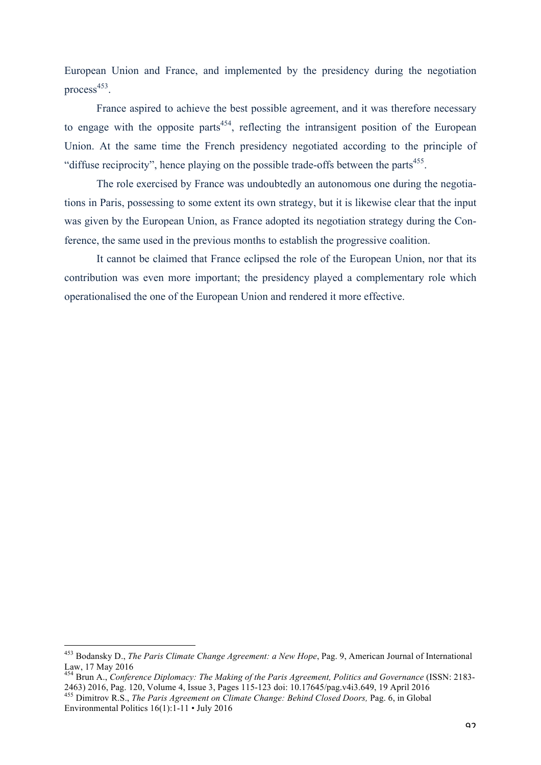European Union and France, and implemented by the presidency during the negotiation process $453$ .

France aspired to achieve the best possible agreement, and it was therefore necessary to engage with the opposite parts<sup> $454$ </sup>, reflecting the intransigent position of the European Union. At the same time the French presidency negotiated according to the principle of "diffuse reciprocity", hence playing on the possible trade-offs between the parts $455$ .

The role exercised by France was undoubtedly an autonomous one during the negotiations in Paris, possessing to some extent its own strategy, but it is likewise clear that the input was given by the European Union, as France adopted its negotiation strategy during the Conference, the same used in the previous months to establish the progressive coalition.

It cannot be claimed that France eclipsed the role of the European Union, nor that its contribution was even more important; the presidency played a complementary role which operationalised the one of the European Union and rendered it more effective.

 <sup>453</sup> Bodansky D., *The Paris Climate Change Agreement: a New Hope*, Pag. 9, American Journal of International Law, 17 May 2016

<sup>454</sup> Brun A., *Conference Diplomacy: The Making of the Paris Agreement, Politics and Governance* (ISSN: 2183- 2463) 2016, Pag. 120, Volume 4, Issue 3, Pages 115-123 doi: 10.17645/pag.v4i3.649, 19 April 2016 <sup>455</sup> Dimitrov R.S., *The Paris Agreement on Climate Change: Behind Closed Doors,* Pag. 6, in Global

Environmental Politics 16(1):1-11 • July 2016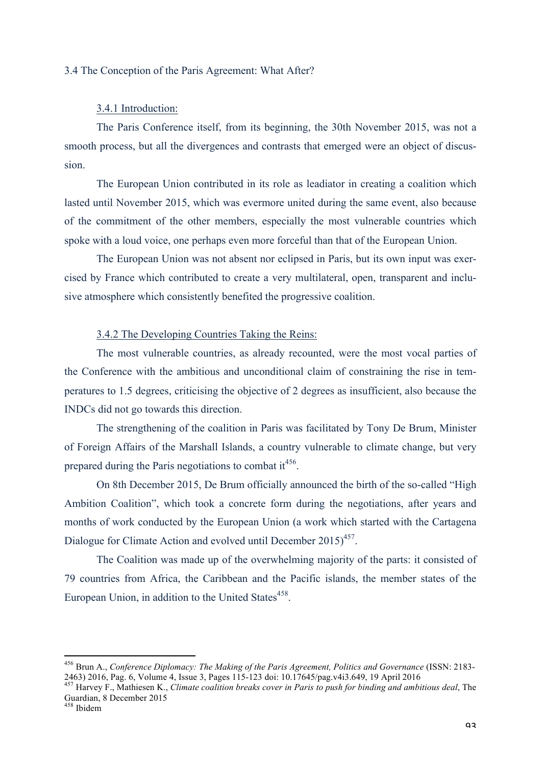#### 3.4 The Conception of the Paris Agreement: What After?

### 3.4.1 Introduction:

The Paris Conference itself, from its beginning, the 30th November 2015, was not a smooth process, but all the divergences and contrasts that emerged were an object of discussion.

The European Union contributed in its role as leadiator in creating a coalition which lasted until November 2015, which was evermore united during the same event, also because of the commitment of the other members, especially the most vulnerable countries which spoke with a loud voice, one perhaps even more forceful than that of the European Union.

The European Union was not absent nor eclipsed in Paris, but its own input was exercised by France which contributed to create a very multilateral, open, transparent and inclusive atmosphere which consistently benefited the progressive coalition.

# 3.4.2 The Developing Countries Taking the Reins:

The most vulnerable countries, as already recounted, were the most vocal parties of the Conference with the ambitious and unconditional claim of constraining the rise in temperatures to 1.5 degrees, criticising the objective of 2 degrees as insufficient, also because the INDCs did not go towards this direction.

The strengthening of the coalition in Paris was facilitated by Tony De Brum, Minister of Foreign Affairs of the Marshall Islands, a country vulnerable to climate change, but very prepared during the Paris negotiations to combat it<sup>456</sup>.

On 8th December 2015, De Brum officially announced the birth of the so-called "High Ambition Coalition", which took a concrete form during the negotiations, after years and months of work conducted by the European Union (a work which started with the Cartagena Dialogue for Climate Action and evolved until December 2015)<sup>457</sup>.

The Coalition was made up of the overwhelming majority of the parts: it consisted of 79 countries from Africa, the Caribbean and the Pacific islands, the member states of the European Union, in addition to the United States<sup>458</sup>.

 

<sup>456</sup> Brun A., *Conference Diplomacy: The Making of the Paris Agreement, Politics and Governance* (ISSN: 2183- 2463) 2016, Pag. 6, Volume 4, Issue 3, Pages 115-123 doi: 10.17645/pag.v4i3.649, 19 April 2016 <sup>457</sup> Harvey F., Mathiesen K., *Climate coalition breaks cover in Paris to push for binding and ambitious deal*, The

Guardian, 8 December 2015

<sup>458</sup> Ibidem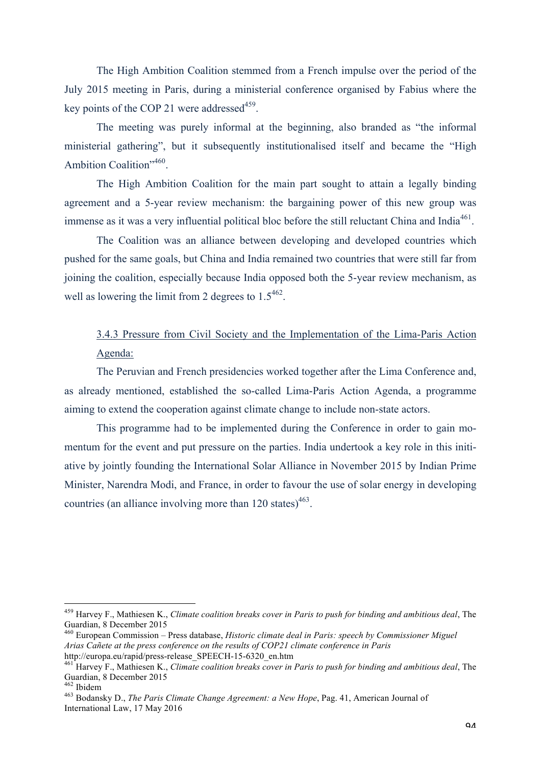The High Ambition Coalition stemmed from a French impulse over the period of the July 2015 meeting in Paris, during a ministerial conference organised by Fabius where the key points of the COP 21 were addressed<sup>459</sup>.

The meeting was purely informal at the beginning, also branded as "the informal ministerial gathering", but it subsequently institutionalised itself and became the "High Ambition Coalition",460.

The High Ambition Coalition for the main part sought to attain a legally binding agreement and a 5-year review mechanism: the bargaining power of this new group was immense as it was a very influential political bloc before the still reluctant China and India<sup>461</sup>.

The Coalition was an alliance between developing and developed countries which pushed for the same goals, but China and India remained two countries that were still far from joining the coalition, especially because India opposed both the 5-year review mechanism, as well as lowering the limit from 2 degrees to  $1.5^{462}$ .

# 3.4.3 Pressure from Civil Society and the Implementation of the Lima-Paris Action Agenda:

The Peruvian and French presidencies worked together after the Lima Conference and, as already mentioned, established the so-called Lima-Paris Action Agenda, a programme aiming to extend the cooperation against climate change to include non-state actors.

This programme had to be implemented during the Conference in order to gain momentum for the event and put pressure on the parties. India undertook a key role in this initiative by jointly founding the International Solar Alliance in November 2015 by Indian Prime Minister, Narendra Modi, and France, in order to favour the use of solar energy in developing countries (an alliance involving more than  $120$  states)<sup>463</sup>.

 <sup>459</sup> Harvey F., Mathiesen K., *Climate coalition breaks cover in Paris to push for binding and ambitious deal*, The Guardian, 8 December 2015

<sup>460</sup> European Commission – Press database, *Historic climate deal in Paris: speech by Commissioner Miguel Arias Cañete at the press conference on the results of COP21 climate conference in Paris*

http://europa.eu/rapid/press-release\_SPEECH-15-6320\_en.htm <sup>461</sup> Harvey F., Mathiesen K., *Climate coalition breaks cover in Paris to push for binding and ambitious deal*, The Guardian, 8 December 2015

<sup>&</sup>lt;sup>463</sup> Bodansky D., *The Paris Climate Change Agreement: a New Hope*, Pag. 41, American Journal of International Law, 17 May 2016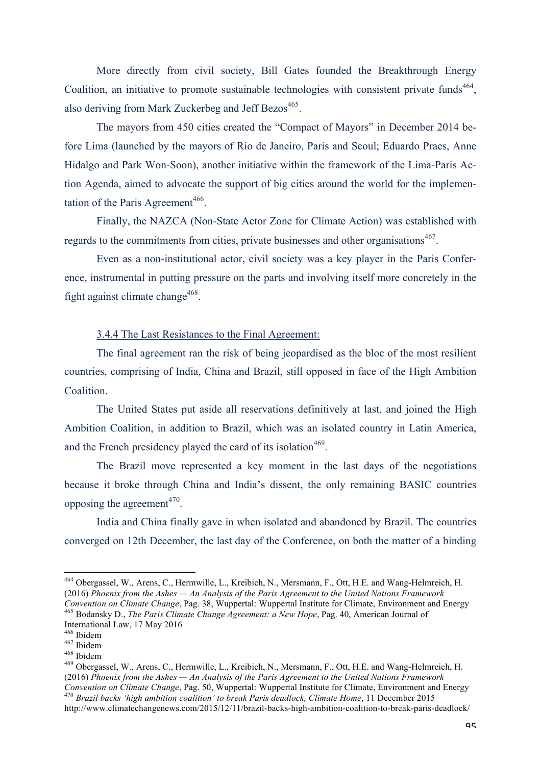More directly from civil society, Bill Gates founded the Breakthrough Energy Coalition, an initiative to promote sustainable technologies with consistent private funds<sup>464</sup>. also deriving from Mark Zuckerbeg and Jeff Bezos<sup>465</sup>.

The mayors from 450 cities created the "Compact of Mayors" in December 2014 before Lima (launched by the mayors of Rio de Janeiro, Paris and Seoul; Eduardo Praes, Anne Hidalgo and Park Won-Soon), another initiative within the framework of the Lima-Paris Action Agenda, aimed to advocate the support of big cities around the world for the implementation of the Paris Agreement<sup>466</sup>.

Finally, the NAZCA (Non-State Actor Zone for Climate Action) was established with regards to the commitments from cities, private businesses and other organisations<sup>467</sup>.

Even as a non-institutional actor, civil society was a key player in the Paris Conference, instrumental in putting pressure on the parts and involving itself more concretely in the fight against climate change  $468$ .

# 3.4.4 The Last Resistances to the Final Agreement:

The final agreement ran the risk of being jeopardised as the bloc of the most resilient countries, comprising of India, China and Brazil, still opposed in face of the High Ambition Coalition.

The United States put aside all reservations definitively at last, and joined the High Ambition Coalition, in addition to Brazil, which was an isolated country in Latin America, and the French presidency played the card of its isolation<sup>469</sup>.

The Brazil move represented a key moment in the last days of the negotiations because it broke through China and India's dissent, the only remaining BASIC countries opposing the agreement $470$ .

India and China finally gave in when isolated and abandoned by Brazil. The countries converged on 12th December, the last day of the Conference, on both the matter of a binding

 <sup>464</sup> Obergassel, W., Arens, C., Hermwille, L., Kreibich, N., Mersmann, F., Ott, H.E. and Wang-Helmreich, H. (2016) *Phoenix from the Ashes — An Analysis of the Paris Agreement to the United Nations Framework* 

<sup>&</sup>lt;sup>465</sup> Bodansky D., *The Paris Climate Change Agreement: a New Hope*, Pag. 40, American Journal of International Law, 17 May 2016

<sup>167</sup> Ibidem<br><sup>468</sup> Ibidem<br><sup>468</sup> Obergassel, W., Arens, C., Hermwille, L., Kreibich, N., Mersmann, F., Ott, H.E. and Wang-Helmreich, H. (2016) *Phoenix from the Ashes — An Analysis of the Paris Agreement to the United Nations Framework*  <sup>470</sup> Brazil backs 'high ambition coalition' to break Paris deadlock, Climate Home, 11 December 2015 http://www.climatechangenews.com/2015/12/11/brazil-backs-high-ambition-coalition-to-break-paris-deadlock/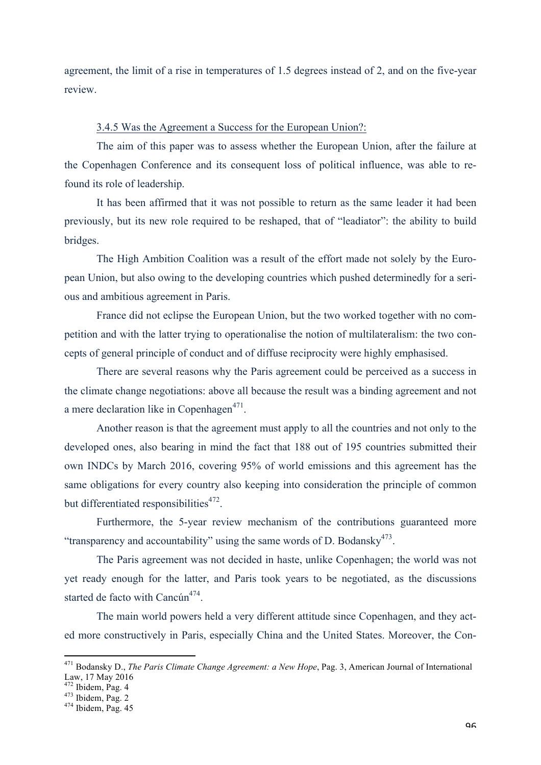agreement, the limit of a rise in temperatures of 1.5 degrees instead of 2, and on the five-year review.

## 3.4.5 Was the Agreement a Success for the European Union?:

The aim of this paper was to assess whether the European Union, after the failure at the Copenhagen Conference and its consequent loss of political influence, was able to refound its role of leadership.

It has been affirmed that it was not possible to return as the same leader it had been previously, but its new role required to be reshaped, that of "leadiator": the ability to build bridges.

The High Ambition Coalition was a result of the effort made not solely by the European Union, but also owing to the developing countries which pushed determinedly for a serious and ambitious agreement in Paris.

France did not eclipse the European Union, but the two worked together with no competition and with the latter trying to operationalise the notion of multilateralism: the two concepts of general principle of conduct and of diffuse reciprocity were highly emphasised.

There are several reasons why the Paris agreement could be perceived as a success in the climate change negotiations: above all because the result was a binding agreement and not a mere declaration like in Copenhagen $471$ .

Another reason is that the agreement must apply to all the countries and not only to the developed ones, also bearing in mind the fact that 188 out of 195 countries submitted their own INDCs by March 2016, covering 95% of world emissions and this agreement has the same obligations for every country also keeping into consideration the principle of common but differentiated responsibilities $472$ .

Furthermore, the 5-year review mechanism of the contributions guaranteed more "transparency and accountability" using the same words of D. Bodansky $473$ .

The Paris agreement was not decided in haste, unlike Copenhagen; the world was not yet ready enough for the latter, and Paris took years to be negotiated, as the discussions started de facto with  $Cancún^{474}$ .

The main world powers held a very different attitude since Copenhagen, and they acted more constructively in Paris, especially China and the United States. Moreover, the Con-

 

<sup>471</sup> Bodansky D., *The Paris Climate Change Agreement: a New Hope*, Pag. 3, American Journal of International Law,  $17$  May 2016<br> $472$  Ibidem, Pag. 4

 $\frac{473}{474}$  Ibidem, Pag. 2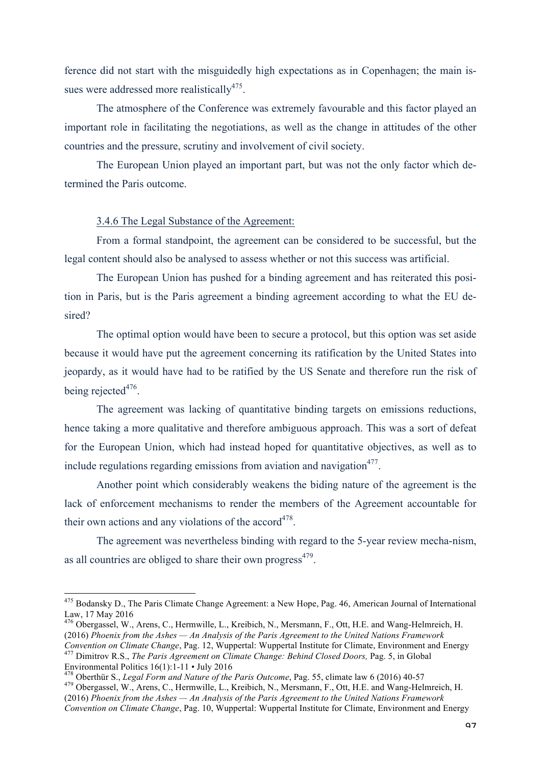ference did not start with the misguidedly high expectations as in Copenhagen; the main issues were addressed more realistically $475$ .

The atmosphere of the Conference was extremely favourable and this factor played an important role in facilitating the negotiations, as well as the change in attitudes of the other countries and the pressure, scrutiny and involvement of civil society.

The European Union played an important part, but was not the only factor which determined the Paris outcome.

### 3.4.6 The Legal Substance of the Agreement:

From a formal standpoint, the agreement can be considered to be successful, but the legal content should also be analysed to assess whether or not this success was artificial.

The European Union has pushed for a binding agreement and has reiterated this position in Paris, but is the Paris agreement a binding agreement according to what the EU desired?

The optimal option would have been to secure a protocol, but this option was set aside because it would have put the agreement concerning its ratification by the United States into jeopardy, as it would have had to be ratified by the US Senate and therefore run the risk of being rejected $476$ .

The agreement was lacking of quantitative binding targets on emissions reductions, hence taking a more qualitative and therefore ambiguous approach. This was a sort of defeat for the European Union, which had instead hoped for quantitative objectives, as well as to include regulations regarding emissions from aviation and navigation<sup>477</sup>.

Another point which considerably weakens the biding nature of the agreement is the lack of enforcement mechanisms to render the members of the Agreement accountable for their own actions and any violations of the accord<sup>478</sup>.

The agreement was nevertheless binding with regard to the 5-year review mecha-nism, as all countries are obliged to share their own progress $479$ .

<sup>478</sup> Oberthür S., *Legal Form and Nature of the Paris Outcome*, Pag. 55, climate law 6 (2016) 40-57<br><sup>479</sup> Obergassel, W., Arens, C., Hermwille, L., Kreibich, N., Mersmann, F., Ott, H.E. and Wang-Helmreich, H.

<sup>&</sup>lt;sup>475</sup> Bodansky D., The Paris Climate Change Agreement: a New Hope, Pag. 46, American Journal of International Law, 17 May 2016

<sup>476</sup> Obergassel, W., Arens, C., Hermwille, L., Kreibich, N., Mersmann, F., Ott, H.E. and Wang-Helmreich, H. (2016) *Phoenix from the Ashes — An Analysis of the Paris Agreement to the United Nations Framework* 

*Convention on Climate Change*, Pag. 12, Wuppertal: Wuppertal Institute for Climate, Environment and Energy 477 Dimitrov R.S., *The Paris Agreement on Climate Change: Behind Closed Doors*, Pag. 5, in Global Environmental P

<sup>(2016)</sup> *Phoenix from the Ashes — An Analysis of the Paris Agreement to the United Nations Framework Convention on Climate Change*, Pag. 10, Wuppertal: Wuppertal Institute for Climate, Environment and Energy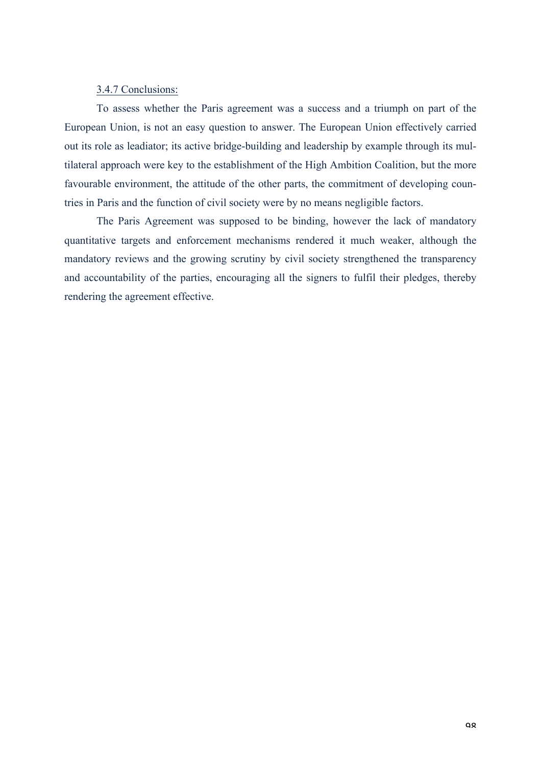### 3.4.7 Conclusions:

To assess whether the Paris agreement was a success and a triumph on part of the European Union, is not an easy question to answer. The European Union effectively carried out its role as leadiator; its active bridge-building and leadership by example through its multilateral approach were key to the establishment of the High Ambition Coalition, but the more favourable environment, the attitude of the other parts, the commitment of developing countries in Paris and the function of civil society were by no means negligible factors.

The Paris Agreement was supposed to be binding, however the lack of mandatory quantitative targets and enforcement mechanisms rendered it much weaker, although the mandatory reviews and the growing scrutiny by civil society strengthened the transparency and accountability of the parties, encouraging all the signers to fulfil their pledges, thereby rendering the agreement effective.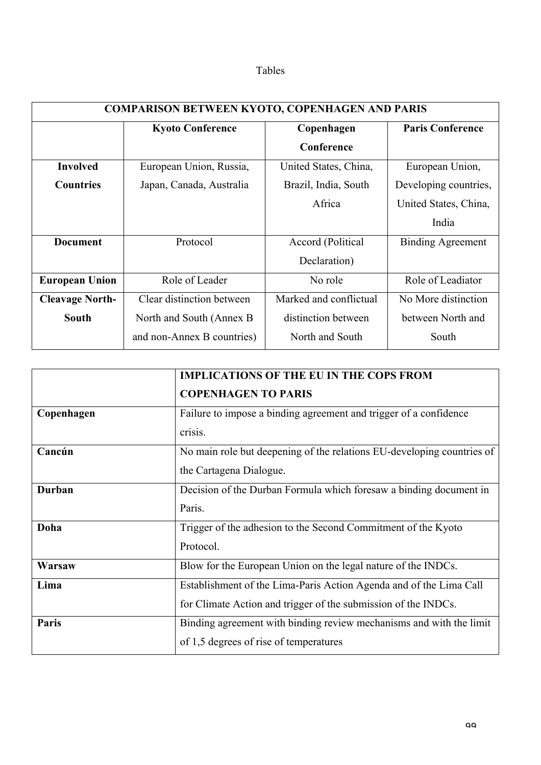| able |  |
|------|--|
|------|--|

| <b>COMPARISON BETWEEN KYOTO, COPENHAGEN AND PARIS</b> |                            |                        |                          |  |
|-------------------------------------------------------|----------------------------|------------------------|--------------------------|--|
|                                                       | <b>Kyoto Conference</b>    | Copenhagen             | <b>Paris Conference</b>  |  |
|                                                       |                            | Conference             |                          |  |
| <b>Involved</b>                                       | European Union, Russia,    | United States, China,  | European Union,          |  |
| <b>Countries</b>                                      | Japan, Canada, Australia   | Brazil, India, South   | Developing countries,    |  |
|                                                       |                            | Africa                 | United States, China,    |  |
|                                                       |                            |                        | India                    |  |
| <b>Document</b>                                       | Protocol                   | Accord (Political      | <b>Binding Agreement</b> |  |
|                                                       |                            | Declaration)           |                          |  |
| <b>European Union</b>                                 | Role of Leader             | No role                | Role of Leadiator        |  |
| <b>Cleavage North-</b>                                | Clear distinction between  | Marked and conflictual | No More distinction      |  |
| <b>South</b>                                          | North and South (Annex B)  | distinction between    | between North and        |  |
|                                                       | and non-Annex B countries) | North and South        | South                    |  |

|               | <b>IMPLICATIONS OF THE EU IN THE COPS FROM</b>                         |  |
|---------------|------------------------------------------------------------------------|--|
|               | <b>COPENHAGEN TO PARIS</b>                                             |  |
| Copenhagen    | Failure to impose a binding agreement and trigger of a confidence      |  |
|               | crisis.                                                                |  |
| Cancún        | No main role but deepening of the relations EU-developing countries of |  |
|               | the Cartagena Dialogue.                                                |  |
| <b>Durban</b> | Decision of the Durban Formula which foresaw a binding document in     |  |
|               | Paris.                                                                 |  |
| Doha          | Trigger of the adhesion to the Second Commitment of the Kyoto          |  |
|               | Protocol.                                                              |  |
| Warsaw        | Blow for the European Union on the legal nature of the INDCs.          |  |
| Lima          | Establishment of the Lima-Paris Action Agenda and of the Lima Call     |  |
|               | for Climate Action and trigger of the submission of the INDCs.         |  |
| Paris         | Binding agreement with binding review mechanisms and with the limit    |  |
|               | of 1,5 degrees of rise of temperatures                                 |  |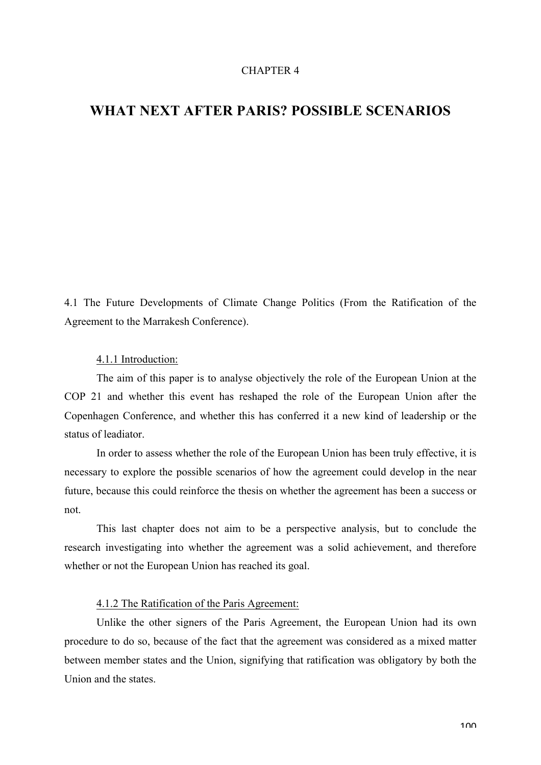### CHAPTER 4

# **WHAT NEXT AFTER PARIS? POSSIBLE SCENARIOS**

4.1 The Future Developments of Climate Change Politics (From the Ratification of the Agreement to the Marrakesh Conference).

#### 4.1.1 Introduction:

The aim of this paper is to analyse objectively the role of the European Union at the COP 21 and whether this event has reshaped the role of the European Union after the Copenhagen Conference, and whether this has conferred it a new kind of leadership or the status of leadiator.

In order to assess whether the role of the European Union has been truly effective, it is necessary to explore the possible scenarios of how the agreement could develop in the near future, because this could reinforce the thesis on whether the agreement has been a success or not.

This last chapter does not aim to be a perspective analysis, but to conclude the research investigating into whether the agreement was a solid achievement, and therefore whether or not the European Union has reached its goal.

# 4.1.2 The Ratification of the Paris Agreement:

Unlike the other signers of the Paris Agreement, the European Union had its own procedure to do so, because of the fact that the agreement was considered as a mixed matter between member states and the Union, signifying that ratification was obligatory by both the Union and the states.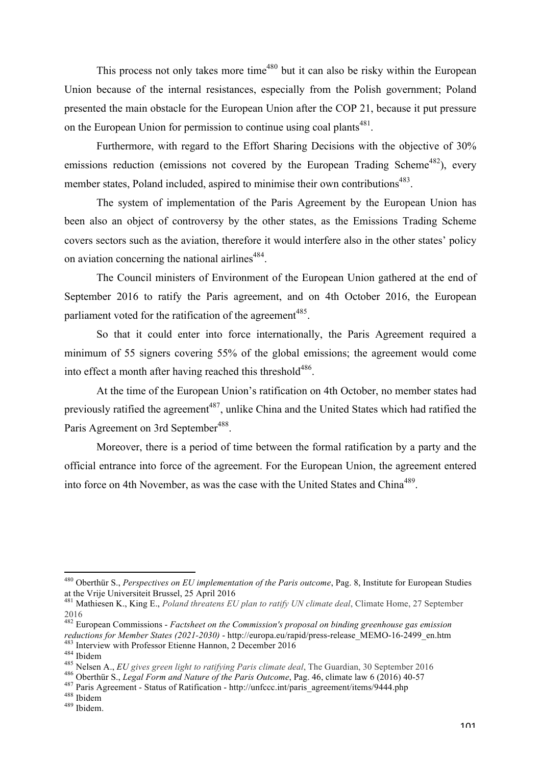This process not only takes more time<sup> $480$ </sup> but it can also be risky within the European Union because of the internal resistances, especially from the Polish government; Poland presented the main obstacle for the European Union after the COP 21, because it put pressure on the European Union for permission to continue using coal plants<sup>481</sup>.

Furthermore, with regard to the Effort Sharing Decisions with the objective of 30% emissions reduction (emissions not covered by the European Trading Scheme<sup>482</sup>), every member states, Poland included, aspired to minimise their own contributions<sup>483</sup>.

The system of implementation of the Paris Agreement by the European Union has been also an object of controversy by the other states, as the Emissions Trading Scheme covers sectors such as the aviation, therefore it would interfere also in the other states' policy on aviation concerning the national airlines<sup>484</sup>.

The Council ministers of Environment of the European Union gathered at the end of September 2016 to ratify the Paris agreement, and on 4th October 2016, the European parliament voted for the ratification of the agreement<sup>485</sup>.

So that it could enter into force internationally, the Paris Agreement required a minimum of 55 signers covering 55% of the global emissions; the agreement would come into effect a month after having reached this threshold<sup>486</sup>.

At the time of the European Union's ratification on 4th October, no member states had previously ratified the agreement<sup>487</sup>, unlike China and the United States which had ratified the Paris Agreement on 3rd September<sup>488</sup>.

Moreover, there is a period of time between the formal ratification by a party and the official entrance into force of the agreement. For the European Union, the agreement entered into force on 4th November, as was the case with the United States and China<sup>489</sup>.

 <sup>480</sup> Oberthür S., *Perspectives on EU implementation of the Paris outcome*, Pag. 8, Institute for European Studies at the Vrije Universiteit Brussel, 25 April 2016

<sup>481</sup> Mathiesen K., King E., *Poland threatens EU plan to ratify UN climate deal*, Climate Home, 27 September 2016

<sup>482</sup> European Commissions - *Factsheet on the Commission's proposal on binding greenhouse gas emission*  reductions for Member States (2021-2030) - http://europa.eu/rapid/press-release\_MEMO-16-2499\_en.htm<br>
<sup>483</sup> Interview with Professor Etienne Hannon, 2 December 2016<br>
<sup>484</sup> Ibidem<br>
<sup>485</sup> Nelsen A., *EU gives green light to r*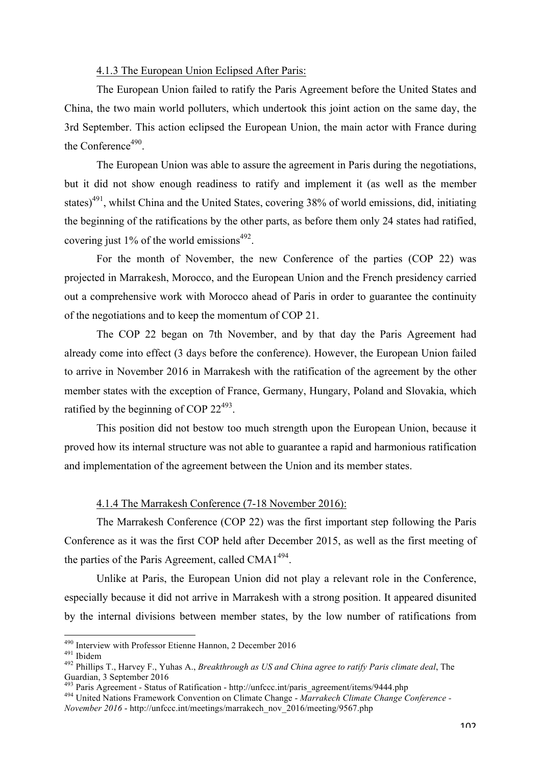## 4.1.3 The European Union Eclipsed After Paris:

The European Union failed to ratify the Paris Agreement before the United States and China, the two main world polluters, which undertook this joint action on the same day, the 3rd September. This action eclipsed the European Union, the main actor with France during the Conference<sup>490</sup>.

The European Union was able to assure the agreement in Paris during the negotiations, but it did not show enough readiness to ratify and implement it (as well as the member states)<sup>491</sup>, whilst China and the United States, covering 38% of world emissions, did, initiating the beginning of the ratifications by the other parts, as before them only 24 states had ratified, covering just 1% of the world emissions $492$ .

For the month of November, the new Conference of the parties (COP 22) was projected in Marrakesh, Morocco, and the European Union and the French presidency carried out a comprehensive work with Morocco ahead of Paris in order to guarantee the continuity of the negotiations and to keep the momentum of COP 21.

The COP 22 began on 7th November, and by that day the Paris Agreement had already come into effect (3 days before the conference). However, the European Union failed to arrive in November 2016 in Marrakesh with the ratification of the agreement by the other member states with the exception of France, Germany, Hungary, Poland and Slovakia, which ratified by the beginning of COP  $22^{493}$ .

This position did not bestow too much strength upon the European Union, because it proved how its internal structure was not able to guarantee a rapid and harmonious ratification and implementation of the agreement between the Union and its member states.

## 4.1.4 The Marrakesh Conference (7-18 November 2016):

The Marrakesh Conference (COP 22) was the first important step following the Paris Conference as it was the first COP held after December 2015, as well as the first meeting of the parties of the Paris Agreement, called  $CMA1<sup>494</sup>$ .

Unlike at Paris, the European Union did not play a relevant role in the Conference, especially because it did not arrive in Marrakesh with a strong position. It appeared disunited by the internal divisions between member states, by the low number of ratifications from

<sup>&</sup>lt;sup>490</sup> Interview with Professor Etienne Hannon, 2 December 2016<br><sup>491</sup> Ibidem<br><sup>492</sup> Phillips T., Harvey F., Yuhas A., *Breakthrough as US and China agree to ratify Paris climate deal*, The Guardian, 3 September 2016<br>
<sup>493</sup> Paris Agreement - Status of Ratification - http://unfccc.int/paris\_agreement/items/9444.php

<sup>&</sup>lt;sup>494</sup> United Nations Framework Convention on Climate Change - *Marrakech Climate Change Conference* -

*November 2016* - http://unfccc.int/meetings/marrakech\_nov\_2016/meeting/9567.php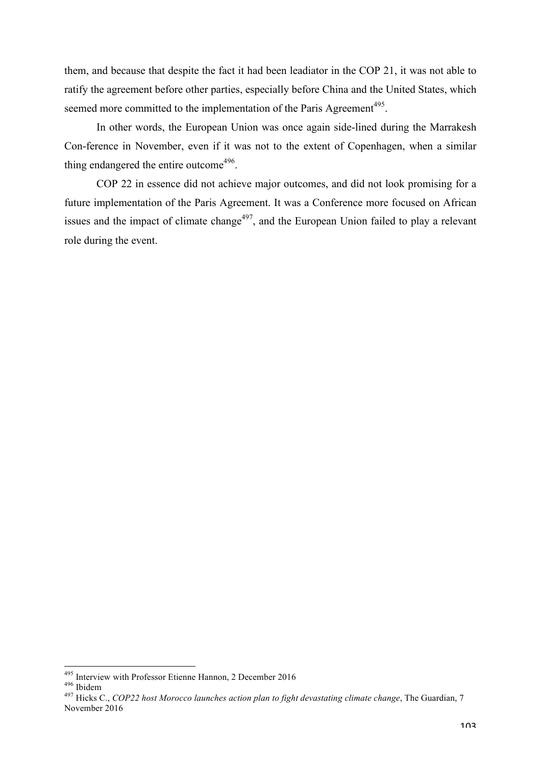them, and because that despite the fact it had been leadiator in the COP 21, it was not able to ratify the agreement before other parties, especially before China and the United States, which seemed more committed to the implementation of the Paris Agreement<sup>495</sup>.

In other words, the European Union was once again side-lined during the Marrakesh Con-ference in November, even if it was not to the extent of Copenhagen, when a similar thing endangered the entire outcome<sup> $496$ </sup>.

COP 22 in essence did not achieve major outcomes, and did not look promising for a future implementation of the Paris Agreement. It was a Conference more focused on African issues and the impact of climate change<sup>497</sup>, and the European Union failed to play a relevant role during the event.

<sup>&</sup>lt;sup>495</sup> Interview with Professor Etienne Hannon, 2 December 2016<br><sup>496</sup> Ibidem<br><sup>497</sup> Hicks C., *COP22 host Morocco launches action plan to fight devastating climate change*, The Guardian, 7 November 2016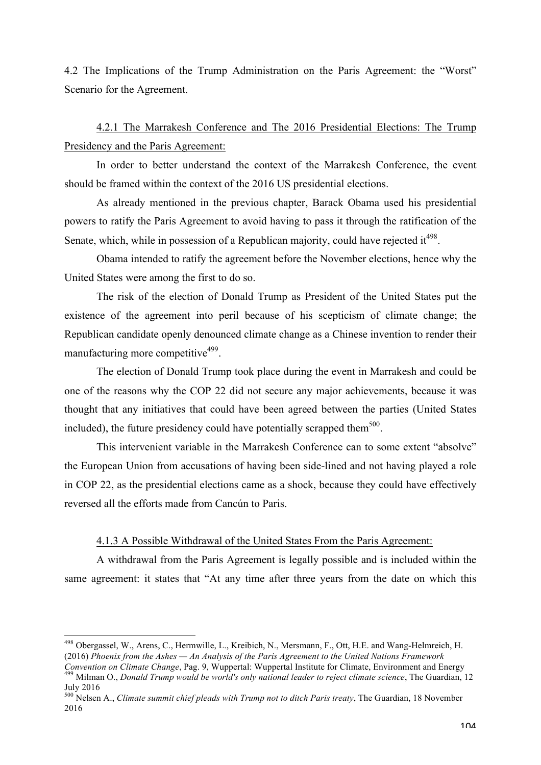4.2 The Implications of the Trump Administration on the Paris Agreement: the "Worst" Scenario for the Agreement.

4.2.1 The Marrakesh Conference and The 2016 Presidential Elections: The Trump Presidency and the Paris Agreement:

In order to better understand the context of the Marrakesh Conference, the event should be framed within the context of the 2016 US presidential elections.

As already mentioned in the previous chapter, Barack Obama used his presidential powers to ratify the Paris Agreement to avoid having to pass it through the ratification of the Senate, which, while in possession of a Republican majority, could have rejected it  $498$ .

Obama intended to ratify the agreement before the November elections, hence why the United States were among the first to do so.

The risk of the election of Donald Trump as President of the United States put the existence of the agreement into peril because of his scepticism of climate change; the Republican candidate openly denounced climate change as a Chinese invention to render their manufacturing more competitive $499$ .

The election of Donald Trump took place during the event in Marrakesh and could be one of the reasons why the COP 22 did not secure any major achievements, because it was thought that any initiatives that could have been agreed between the parties (United States included), the future presidency could have potentially scrapped them<sup>500</sup>.

This intervenient variable in the Marrakesh Conference can to some extent "absolve" the European Union from accusations of having been side-lined and not having played a role in COP 22, as the presidential elections came as a shock, because they could have effectively reversed all the efforts made from Cancún to Paris.

### 4.1.3 A Possible Withdrawal of the United States From the Paris Agreement:

A withdrawal from the Paris Agreement is legally possible and is included within the same agreement: it states that "At any time after three years from the date on which this

 <sup>498</sup> Obergassel, W., Arens, C., Hermwille, L., Kreibich, N., Mersmann, F., Ott, H.E. and Wang-Helmreich, H. (2016) *Phoenix from the Ashes — An Analysis of the Paris Agreement to the United Nations Framework* 

Convention on Climate Change, Pag. 9, Wuppertal: Wuppertal Institute for Climate, Environment and Energy<br><sup>499</sup> Milman O., *Donald Trump would be world's only national leader to reject climate science*, The Guardian, 12 July 2016

<sup>500</sup> Nelsen A., *Climate summit chief pleads with Trump not to ditch Paris treaty*, The Guardian, 18 November 2016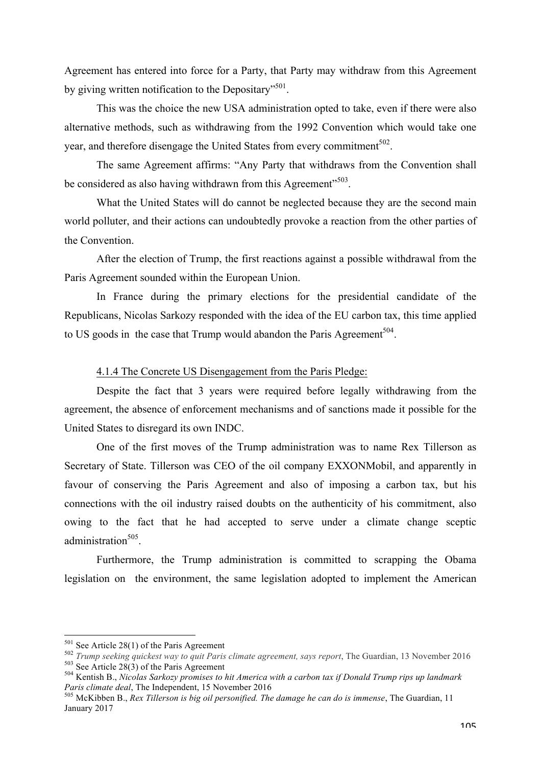Agreement has entered into force for a Party, that Party may withdraw from this Agreement by giving written notification to the Depositary"<sup>501</sup>.

This was the choice the new USA administration opted to take, even if there were also alternative methods, such as withdrawing from the 1992 Convention which would take one year, and therefore disengage the United States from every commitment<sup>502</sup>.

The same Agreement affirms: "Any Party that withdraws from the Convention shall be considered as also having withdrawn from this Agreement"<sup>503</sup>.

What the United States will do cannot be neglected because they are the second main world polluter, and their actions can undoubtedly provoke a reaction from the other parties of the Convention.

After the election of Trump, the first reactions against a possible withdrawal from the Paris Agreement sounded within the European Union.

In France during the primary elections for the presidential candidate of the Republicans, Nicolas Sarkozy responded with the idea of the EU carbon tax, this time applied to US goods in the case that Trump would abandon the Paris Agreement<sup>504</sup>.

### 4.1.4 The Concrete US Disengagement from the Paris Pledge:

Despite the fact that 3 years were required before legally withdrawing from the agreement, the absence of enforcement mechanisms and of sanctions made it possible for the United States to disregard its own INDC.

One of the first moves of the Trump administration was to name Rex Tillerson as Secretary of State. Tillerson was CEO of the oil company EXXONMobil, and apparently in favour of conserving the Paris Agreement and also of imposing a carbon tax, but his connections with the oil industry raised doubts on the authenticity of his commitment, also owing to the fact that he had accepted to serve under a climate change sceptic administration<sup>505</sup>

Furthermore, the Trump administration is committed to scrapping the Obama legislation on the environment, the same legislation adopted to implement the American

<sup>&</sup>lt;sup>501</sup> See Article 28(1) of the Paris Agreement<br><sup>502</sup> *Trump seeking quickest way to quit Paris climate agreement, says report,* The Guardian, 13 November 2016<br><sup>503</sup> See Article 28(3) of the Paris Agreement<br><sup>504</sup> Kentish B

*Paris climate deal*, The Independent, 15 November 2016<br><sup>505</sup> McKibben B., *Rex Tillerson is big oil personified. The damage he can do is immense*, The Guardian, 11

January 2017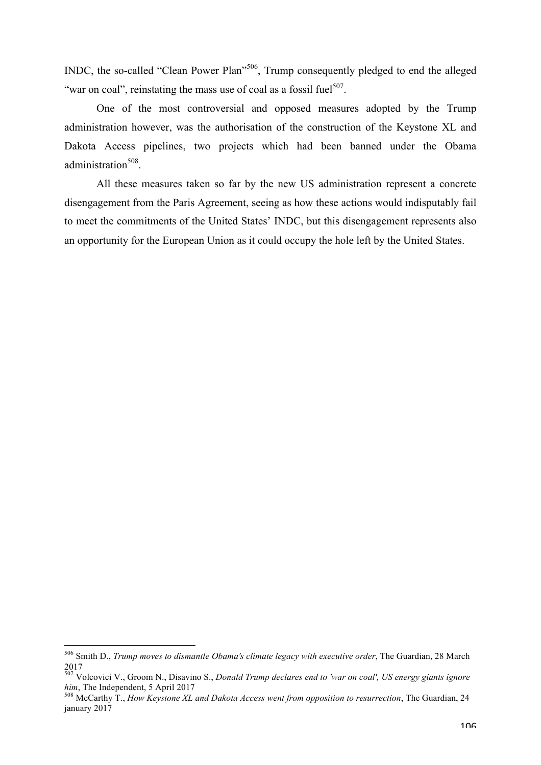INDC, the so-called "Clean Power Plan"<sup>506</sup>, Trump consequently pledged to end the alleged "war on coal", reinstating the mass use of coal as a fossil fuel $507$ .

One of the most controversial and opposed measures adopted by the Trump administration however, was the authorisation of the construction of the Keystone XL and Dakota Access pipelines, two projects which had been banned under the Obama administration<sup>508</sup>

All these measures taken so far by the new US administration represent a concrete disengagement from the Paris Agreement, seeing as how these actions would indisputably fail to meet the commitments of the United States' INDC, but this disengagement represents also an opportunity for the European Union as it could occupy the hole left by the United States.

 <sup>506</sup> Smith D., *Trump moves to dismantle Obama's climate legacy with executive order*, The Guardian, 28 March 2017

<sup>507</sup> Volcovici V., Groom N., Disavino S., *Donald Trump declares end to 'war on coal', US energy giants ignore* 

<sup>&</sup>lt;sup>508</sup> McCarthy T., *How Keystone XL and Dakota Access went from opposition to resurrection*, The Guardian, 24 january 2017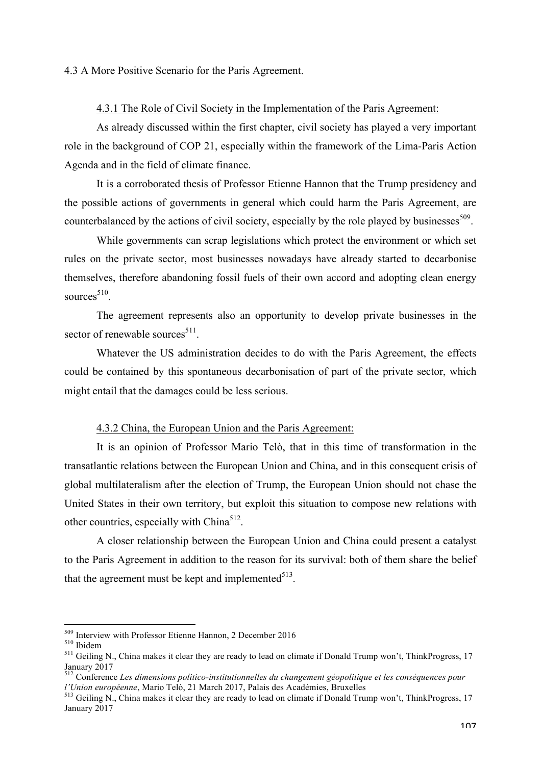### 4.3 A More Positive Scenario for the Paris Agreement.

## 4.3.1 The Role of Civil Society in the Implementation of the Paris Agreement:

As already discussed within the first chapter, civil society has played a very important role in the background of COP 21, especially within the framework of the Lima-Paris Action Agenda and in the field of climate finance.

It is a corroborated thesis of Professor Etienne Hannon that the Trump presidency and the possible actions of governments in general which could harm the Paris Agreement, are counterbalanced by the actions of civil society, especially by the role played by businesses<sup>509</sup>.

While governments can scrap legislations which protect the environment or which set rules on the private sector, most businesses nowadays have already started to decarbonise themselves, therefore abandoning fossil fuels of their own accord and adopting clean energy sources $510$ .

The agreement represents also an opportunity to develop private businesses in the sector of renewable sources $511$ .

Whatever the US administration decides to do with the Paris Agreement, the effects could be contained by this spontaneous decarbonisation of part of the private sector, which might entail that the damages could be less serious.

### 4.3.2 China, the European Union and the Paris Agreement:

It is an opinion of Professor Mario Telò, that in this time of transformation in the transatlantic relations between the European Union and China, and in this consequent crisis of global multilateralism after the election of Trump, the European Union should not chase the United States in their own territory, but exploit this situation to compose new relations with other countries, especially with  $China<sup>512</sup>$ .

A closer relationship between the European Union and China could present a catalyst to the Paris Agreement in addition to the reason for its survival: both of them share the belief that the agreement must be kept and implemented $513$ .

<sup>&</sup>lt;sup>509</sup> Interview with Professor Etienne Hannon, 2 December 2016<br><sup>510</sup> Ibidem **511** Geiling N., China makes it clear they are ready to lead on climate if Donald Trump won't, ThinkProgress, 17 January 2017

<sup>512</sup> Conference *Les dimensions politico-institutionnelles du changement géopolitique et les conséquences pour l'Union européenne*, Mario Telò, 21 March 2017, Palais des Académies, Bruxelles<br><sup>513</sup> Geiling N., China makes it clear they are ready to lead on climate if Donald Trump won't, ThinkProgress, 17

January 2017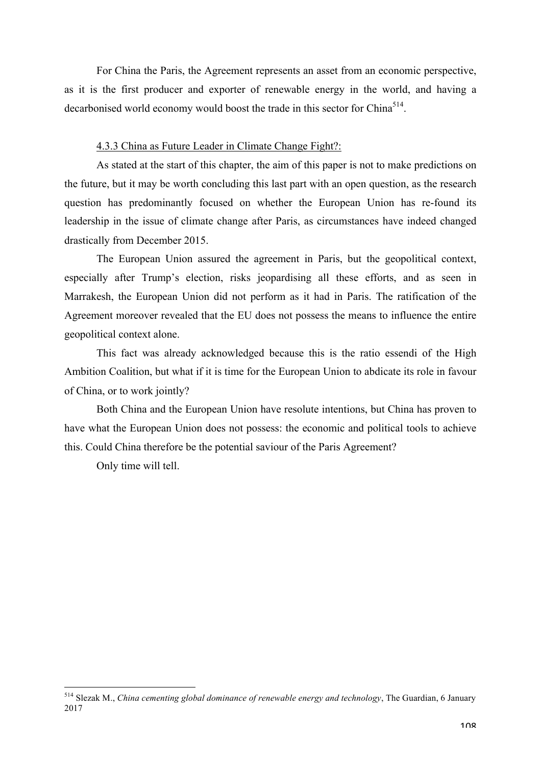For China the Paris, the Agreement represents an asset from an economic perspective, as it is the first producer and exporter of renewable energy in the world, and having a decarbonised world economy would boost the trade in this sector for China<sup>514</sup>.

## 4.3.3 China as Future Leader in Climate Change Fight?:

As stated at the start of this chapter, the aim of this paper is not to make predictions on the future, but it may be worth concluding this last part with an open question, as the research question has predominantly focused on whether the European Union has re-found its leadership in the issue of climate change after Paris, as circumstances have indeed changed drastically from December 2015.

The European Union assured the agreement in Paris, but the geopolitical context, especially after Trump's election, risks jeopardising all these efforts, and as seen in Marrakesh, the European Union did not perform as it had in Paris. The ratification of the Agreement moreover revealed that the EU does not possess the means to influence the entire geopolitical context alone.

This fact was already acknowledged because this is the ratio essendi of the High Ambition Coalition, but what if it is time for the European Union to abdicate its role in favour of China, or to work jointly?

Both China and the European Union have resolute intentions, but China has proven to have what the European Union does not possess: the economic and political tools to achieve this. Could China therefore be the potential saviour of the Paris Agreement?

Only time will tell.

 <sup>514</sup> Slezak M., *China cementing global dominance of renewable energy and technology*, The Guardian, 6 January 2017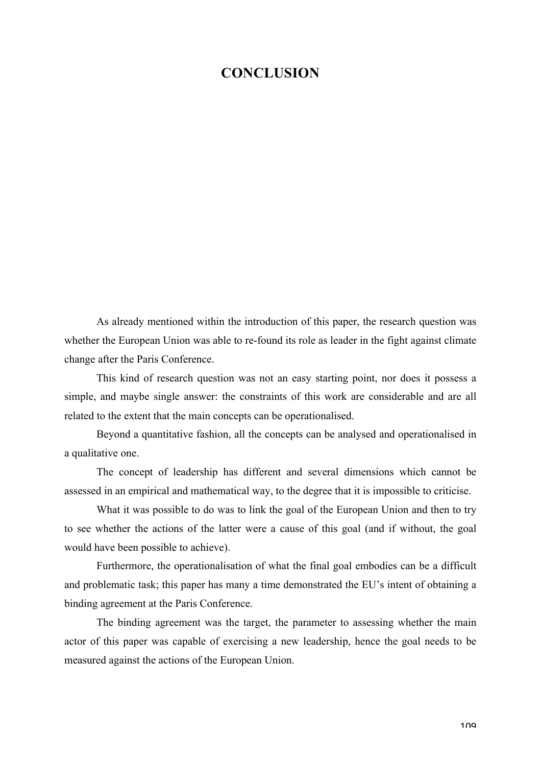# **CONCLUSION**

As already mentioned within the introduction of this paper, the research question was whether the European Union was able to re-found its role as leader in the fight against climate change after the Paris Conference.

This kind of research question was not an easy starting point, nor does it possess a simple, and maybe single answer: the constraints of this work are considerable and are all related to the extent that the main concepts can be operationalised.

Beyond a quantitative fashion, all the concepts can be analysed and operationalised in a qualitative one.

The concept of leadership has different and several dimensions which cannot be assessed in an empirical and mathematical way, to the degree that it is impossible to criticise.

What it was possible to do was to link the goal of the European Union and then to try to see whether the actions of the latter were a cause of this goal (and if without, the goal would have been possible to achieve).

Furthermore, the operationalisation of what the final goal embodies can be a difficult and problematic task; this paper has many a time demonstrated the EU's intent of obtaining a binding agreement at the Paris Conference.

The binding agreement was the target, the parameter to assessing whether the main actor of this paper was capable of exercising a new leadership, hence the goal needs to be measured against the actions of the European Union.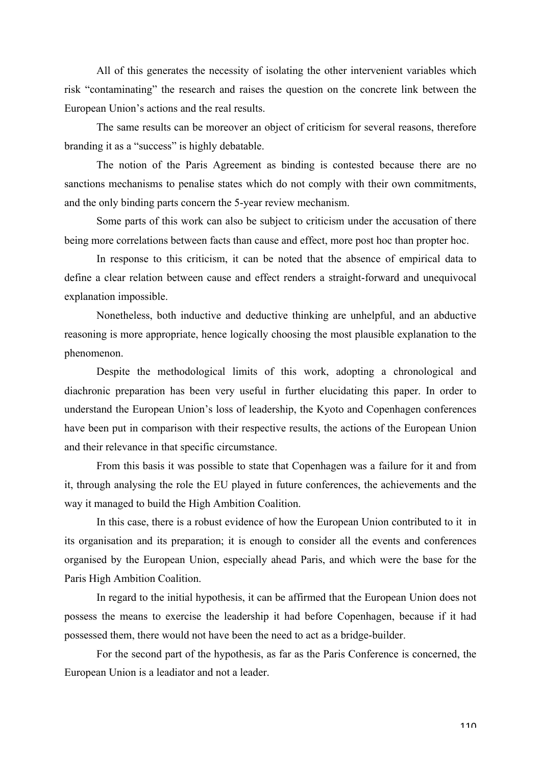All of this generates the necessity of isolating the other intervenient variables which risk "contaminating" the research and raises the question on the concrete link between the European Union's actions and the real results.

The same results can be moreover an object of criticism for several reasons, therefore branding it as a "success" is highly debatable.

The notion of the Paris Agreement as binding is contested because there are no sanctions mechanisms to penalise states which do not comply with their own commitments, and the only binding parts concern the 5-year review mechanism.

Some parts of this work can also be subject to criticism under the accusation of there being more correlations between facts than cause and effect, more post hoc than propter hoc.

In response to this criticism, it can be noted that the absence of empirical data to define a clear relation between cause and effect renders a straight-forward and unequivocal explanation impossible.

Nonetheless, both inductive and deductive thinking are unhelpful, and an abductive reasoning is more appropriate, hence logically choosing the most plausible explanation to the phenomenon.

Despite the methodological limits of this work, adopting a chronological and diachronic preparation has been very useful in further elucidating this paper. In order to understand the European Union's loss of leadership, the Kyoto and Copenhagen conferences have been put in comparison with their respective results, the actions of the European Union and their relevance in that specific circumstance.

From this basis it was possible to state that Copenhagen was a failure for it and from it, through analysing the role the EU played in future conferences, the achievements and the way it managed to build the High Ambition Coalition.

In this case, there is a robust evidence of how the European Union contributed to it in its organisation and its preparation; it is enough to consider all the events and conferences organised by the European Union, especially ahead Paris, and which were the base for the Paris High Ambition Coalition.

In regard to the initial hypothesis, it can be affirmed that the European Union does not possess the means to exercise the leadership it had before Copenhagen, because if it had possessed them, there would not have been the need to act as a bridge-builder.

For the second part of the hypothesis, as far as the Paris Conference is concerned, the European Union is a leadiator and not a leader.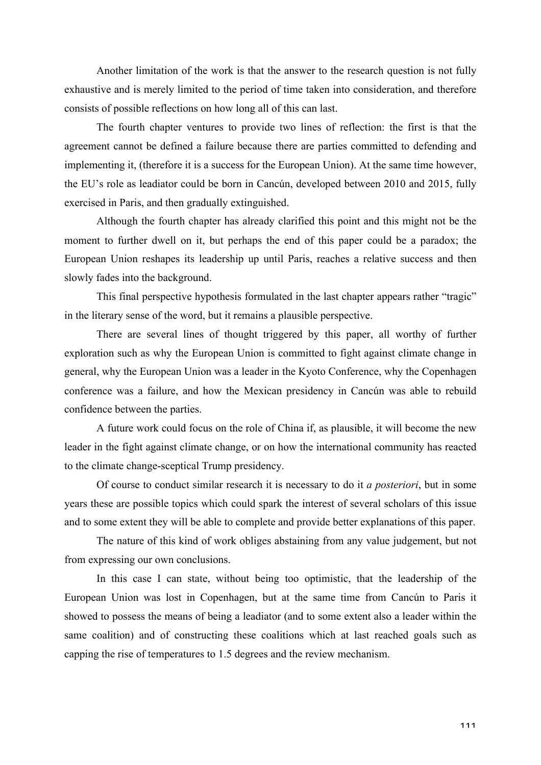Another limitation of the work is that the answer to the research question is not fully exhaustive and is merely limited to the period of time taken into consideration, and therefore consists of possible reflections on how long all of this can last.

The fourth chapter ventures to provide two lines of reflection: the first is that the agreement cannot be defined a failure because there are parties committed to defending and implementing it, (therefore it is a success for the European Union). At the same time however, the EU's role as leadiator could be born in Cancún, developed between 2010 and 2015, fully exercised in Paris, and then gradually extinguished.

Although the fourth chapter has already clarified this point and this might not be the moment to further dwell on it, but perhaps the end of this paper could be a paradox; the European Union reshapes its leadership up until Paris, reaches a relative success and then slowly fades into the background.

This final perspective hypothesis formulated in the last chapter appears rather "tragic" in the literary sense of the word, but it remains a plausible perspective.

There are several lines of thought triggered by this paper, all worthy of further exploration such as why the European Union is committed to fight against climate change in general, why the European Union was a leader in the Kyoto Conference, why the Copenhagen conference was a failure, and how the Mexican presidency in Cancún was able to rebuild confidence between the parties.

A future work could focus on the role of China if, as plausible, it will become the new leader in the fight against climate change, or on how the international community has reacted to the climate change-sceptical Trump presidency.

Of course to conduct similar research it is necessary to do it *a posteriori*, but in some years these are possible topics which could spark the interest of several scholars of this issue and to some extent they will be able to complete and provide better explanations of this paper.

The nature of this kind of work obliges abstaining from any value judgement, but not from expressing our own conclusions.

In this case I can state, without being too optimistic, that the leadership of the European Union was lost in Copenhagen, but at the same time from Cancún to Paris it showed to possess the means of being a leadiator (and to some extent also a leader within the same coalition) and of constructing these coalitions which at last reached goals such as capping the rise of temperatures to 1.5 degrees and the review mechanism.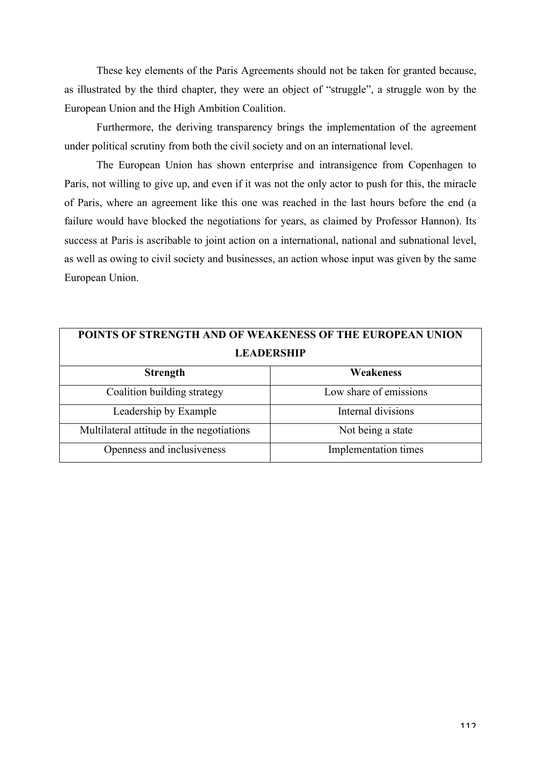These key elements of the Paris Agreements should not be taken for granted because, as illustrated by the third chapter, they were an object of "struggle", a struggle won by the European Union and the High Ambition Coalition.

Furthermore, the deriving transparency brings the implementation of the agreement under political scrutiny from both the civil society and on an international level.

The European Union has shown enterprise and intransigence from Copenhagen to Paris, not willing to give up, and even if it was not the only actor to push for this, the miracle of Paris, where an agreement like this one was reached in the last hours before the end (a failure would have blocked the negotiations for years, as claimed by Professor Hannon). Its success at Paris is ascribable to joint action on a international, national and subnational level, as well as owing to civil society and businesses, an action whose input was given by the same European Union.

| POINTS OF STRENGTH AND OF WEAKENESS OF THE EUROPEAN UNION |                        |
|-----------------------------------------------------------|------------------------|
| <b>LEADERSHIP</b>                                         |                        |
| <b>Strength</b>                                           | Weakeness              |
| Coalition building strategy                               | Low share of emissions |
| Leadership by Example                                     | Internal divisions     |
| Multilateral attitude in the negotiations                 | Not being a state      |
| Openness and inclusiveness                                | Implementation times   |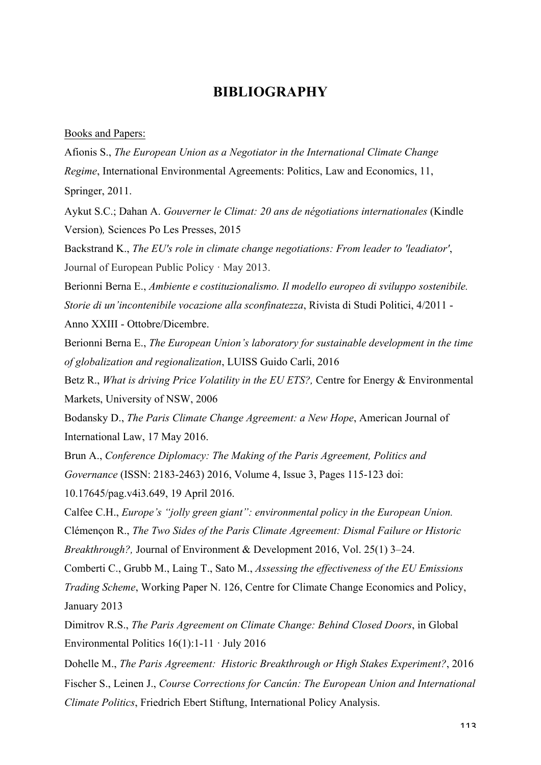# **BIBLIOGRAPHY**

### Books and Papers:

Afionis S., *The European Union as a Negotiator in the International Climate Change Regime*, International Environmental Agreements: Politics, Law and Economics, 11, Springer, 2011.

Aykut S.C.; Dahan A. *Gouverner le Climat: 20 ans de négotiations internationales* (Kindle Version)*,* Sciences Po Les Presses, 2015

Backstrand K., *The EU's role in climate change negotiations: From leader to 'leadiator'*, Journal of European Public Policy · May 2013.

Berionni Berna E., *Ambiente e costituzionalismo. Il modello europeo di sviluppo sostenibile. Storie di un'incontenibile vocazione alla sconfinatezza*, Rivista di Studi Politici, 4/2011 -

Anno XXIII - Ottobre/Dicembre.

Berionni Berna E., *The European Union's laboratory for sustainable development in the time of globalization and regionalization*, LUISS Guido Carli, 2016

Betz R., *What is driving Price Volatility in the EU ETS?,* Centre for Energy & Environmental Markets, University of NSW, 2006

Bodansky D., *The Paris Climate Change Agreement: a New Hope*, American Journal of International Law, 17 May 2016.

Brun A., *Conference Diplomacy: The Making of the Paris Agreement, Politics and Governance* (ISSN: 2183-2463) 2016, Volume 4, Issue 3, Pages 115-123 doi:

10.17645/pag.v4i3.649, 19 April 2016.

Calfee C.H., *Europe's "jolly green giant": environmental policy in the European Union.* Clémençon R., *The Two Sides of the Paris Climate Agreement: Dismal Failure or Historic Breakthrough?,* Journal of Environment & Development 2016, Vol. 25(1) 3–24.

Comberti C., Grubb M., Laing T., Sato M., *Assessing the effectiveness of the EU Emissions Trading Scheme*, Working Paper N. 126, Centre for Climate Change Economics and Policy, January 2013

Dimitrov R.S., *The Paris Agreement on Climate Change: Behind Closed Doors*, in Global Environmental Politics  $16(1)$ : 1-11 · July 2016

Dohelle M., *The Paris Agreement: Historic Breakthrough or High Stakes Experiment?*, 2016 Fischer S., Leinen J., *Course Corrections for Cancún: The European Union and International Climate Politics*, Friedrich Ebert Stiftung, International Policy Analysis.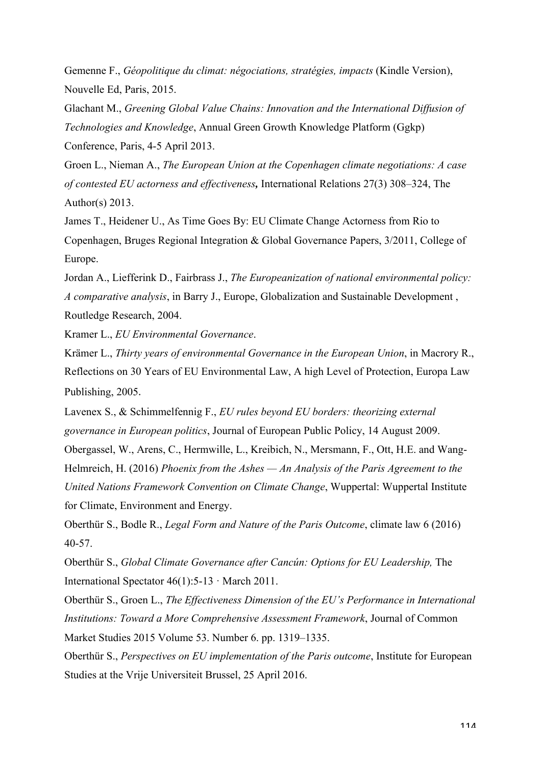Gemenne F., *Géopolitique du climat: négociations, stratégies, impacts* (Kindle Version), Nouvelle Ed, Paris, 2015.

Glachant M., *Greening Global Value Chains: Innovation and the International Diffusion of Technologies and Knowledge*, Annual Green Growth Knowledge Platform (Ggkp) Conference, Paris, 4-5 April 2013.

Groen L., Nieman A., *The European Union at the Copenhagen climate negotiations: A case of contested EU actorness and effectiveness,* International Relations 27(3) 308–324, The Author(s)  $2013$ .

James T., Heidener U., As Time Goes By: EU Climate Change Actorness from Rio to Copenhagen, Bruges Regional Integration & Global Governance Papers, 3/2011, College of Europe.

Jordan A., Liefferink D., Fairbrass J., *The Europeanization of national environmental policy: A comparative analysis*, in Barry J., Europe, Globalization and Sustainable Development , Routledge Research, 2004.

Kramer L., *EU Environmental Governance*.

Krämer L., *Thirty years of environmental Governance in the European Union*, in Macrory R., Reflections on 30 Years of EU Environmental Law, A high Level of Protection, Europa Law Publishing, 2005.

Lavenex S., & Schimmelfennig F., *EU rules beyond EU borders: theorizing external governance in European politics*, Journal of European Public Policy, 14 August 2009.

Obergassel, W., Arens, C., Hermwille, L., Kreibich, N., Mersmann, F., Ott, H.E. and Wang-Helmreich, H. (2016) *Phoenix from the Ashes — An Analysis of the Paris Agreement to the United Nations Framework Convention on Climate Change*, Wuppertal: Wuppertal Institute for Climate, Environment and Energy.

Oberthür S., Bodle R., *Legal Form and Nature of the Paris Outcome*, climate law 6 (2016) 40-57.

Oberthür S., *Global Climate Governance after Cancún: Options for EU Leadership,* The International Spectator  $46(1)$ : 5-13 · March 2011.

Oberthür S., Groen L., *The Effectiveness Dimension of the EU's Performance in International Institutions: Toward a More Comprehensive Assessment Framework*, Journal of Common Market Studies 2015 Volume 53. Number 6. pp. 1319–1335.

Oberthür S., *Perspectives on EU implementation of the Paris outcome*, Institute for European Studies at the Vrije Universiteit Brussel, 25 April 2016.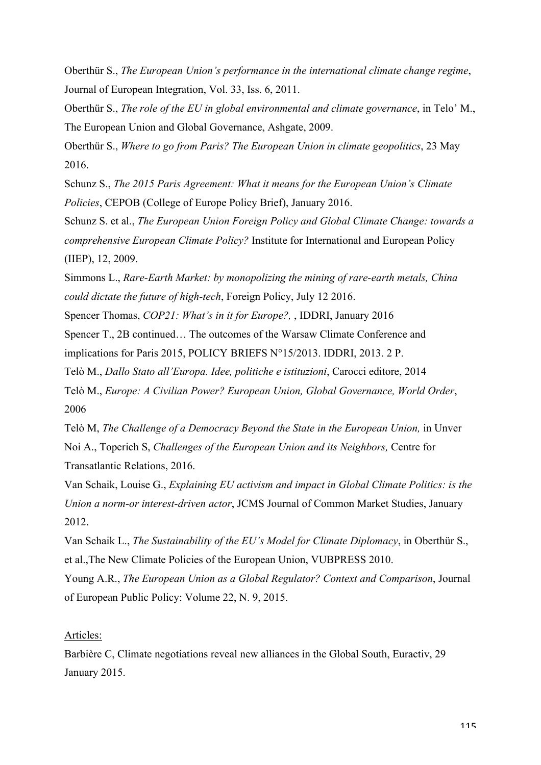Oberthür S., *The European Union's performance in the international climate change regime*, Journal of European Integration, Vol. 33, Iss. 6, 2011.

Oberthür S., *The role of the EU in global environmental and climate governance*, in Telo' M., The European Union and Global Governance, Ashgate, 2009.

Oberthür S., *Where to go from Paris? The European Union in climate geopolitics*, 23 May 2016.

Schunz S., *The 2015 Paris Agreement: What it means for the European Union's Climate Policies*, CEPOB (College of Europe Policy Brief), January 2016.

Schunz S. et al., *The European Union Foreign Policy and Global Climate Change: towards a comprehensive European Climate Policy?* Institute for International and European Policy (IIEP), 12, 2009.

Simmons L., *Rare-Earth Market: by monopolizing the mining of rare-earth metals, China could dictate the future of high-tech*, Foreign Policy, July 12 2016.

Spencer Thomas, *COP21: What's in it for Europe?,* , IDDRI, January 2016

Spencer T., 2B continued… The outcomes of the Warsaw Climate Conference and implications for Paris 2015, POLICY BRIEFS N°15/2013. IDDRI, 2013. 2 P.

Telò M., *Dallo Stato all'Europa. Idee, politiche e istituzioni*, Carocci editore, 2014

Telò M., *Europe: A Civilian Power? European Union, Global Governance, World Order*, 2006

Telò M, *The Challenge of a Democracy Beyond the State in the European Union,* in Unver Noi A., Toperich S, *Challenges of the European Union and its Neighbors,* Centre for Transatlantic Relations, 2016.

Van Schaik, Louise G., *Explaining EU activism and impact in Global Climate Politics: is the Union a norm-or interest-driven actor*, JCMS Journal of Common Market Studies, January 2012.

Van Schaik L., *The Sustainability of the EU's Model for Climate Diplomacy*, in Oberthür S., et al.,The New Climate Policies of the European Union, VUBPRESS 2010.

Young A.R., *The European Union as a Global Regulator? Context and Comparison*, Journal of European Public Policy: Volume 22, N. 9, 2015.

## Articles:

Barbière C, Climate negotiations reveal new alliances in the Global South, Euractiv, 29 January 2015.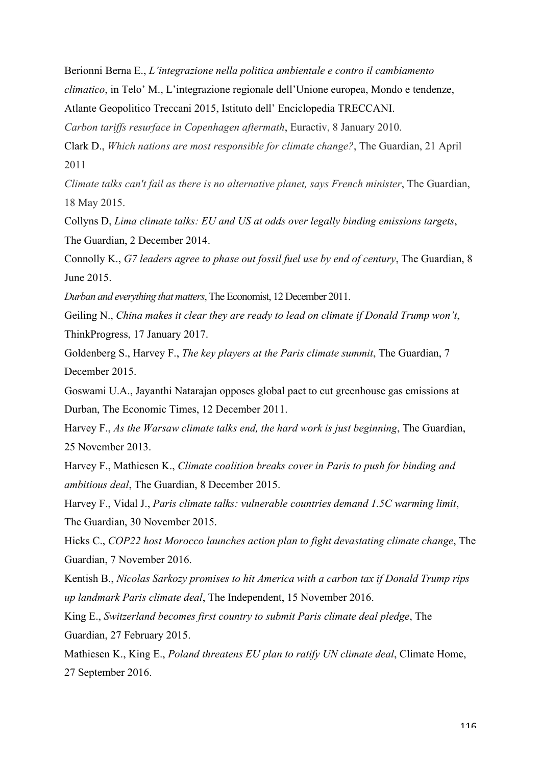Berionni Berna E., *L'integrazione nella politica ambientale e contro il cambiamento* 

*climatico*, in Telo' M., L'integrazione regionale dell'Unione europea, Mondo e tendenze,

Atlante Geopolitico Treccani 2015, Istituto dell' Enciclopedia TRECCANI.

*Carbon tariffs resurface in Copenhagen aftermath*, Euractiv, 8 January 2010.

Clark D., *Which nations are most responsible for climate change?*, The Guardian, 21 April 2011

*Climate talks can't fail as there is no alternative planet, says French minister*, The Guardian, 18 May 2015.

Collyns D, *Lima climate talks: EU and US at odds over legally binding emissions targets*, The Guardian, 2 December 2014.

Connolly K., *G7 leaders agree to phase out fossil fuel use by end of century*, The Guardian, 8 June 2015.

*Durban and everything that matters*, The Economist, 12 December 2011.

Geiling N., *China makes it clear they are ready to lead on climate if Donald Trump won't*, ThinkProgress, 17 January 2017.

Goldenberg S., Harvey F., *The key players at the Paris climate summit*, The Guardian, 7 December 2015.

Goswami U.A., Jayanthi Natarajan opposes global pact to cut greenhouse gas emissions at Durban, The Economic Times, 12 December 2011.

Harvey F., *As the Warsaw climate talks end, the hard work is just beginning*, The Guardian, 25 November 2013.

Harvey F., Mathiesen K., *Climate coalition breaks cover in Paris to push for binding and ambitious deal*, The Guardian, 8 December 2015.

Harvey F., Vidal J., *Paris climate talks: vulnerable countries demand 1.5C warming limit*, The Guardian, 30 November 2015.

Hicks C., *COP22 host Morocco launches action plan to fight devastating climate change*, The Guardian, 7 November 2016.

Kentish B., *Nicolas Sarkozy promises to hit America with a carbon tax if Donald Trump rips up landmark Paris climate deal*, The Independent, 15 November 2016.

King E., *Switzerland becomes first country to submit Paris climate deal pledge*, The

Guardian, 27 February 2015.

Mathiesen K., King E., *Poland threatens EU plan to ratify UN climate deal*, Climate Home, 27 September 2016.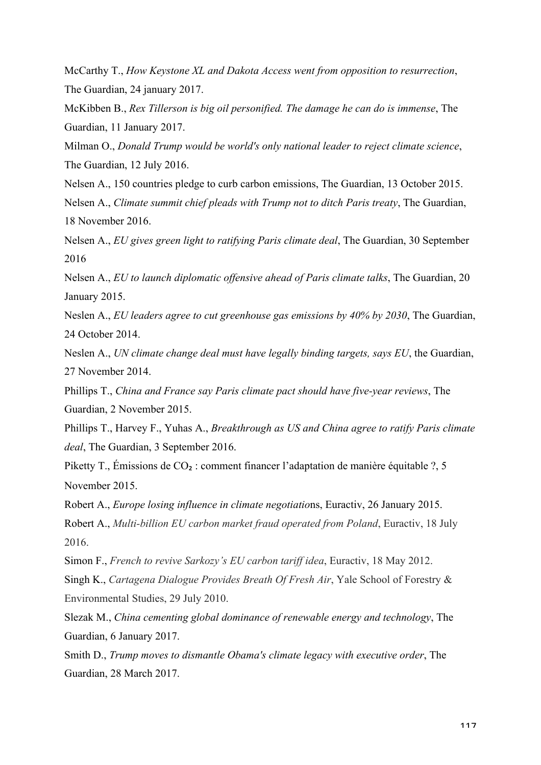McCarthy T., *How Keystone XL and Dakota Access went from opposition to resurrection*, The Guardian, 24 january 2017.

McKibben B., *Rex Tillerson is big oil personified. The damage he can do is immense*, The Guardian, 11 January 2017.

Milman O., *Donald Trump would be world's only national leader to reject climate science*, The Guardian, 12 July 2016.

Nelsen A., 150 countries pledge to curb carbon emissions, The Guardian, 13 October 2015. Nelsen A., *Climate summit chief pleads with Trump not to ditch Paris treaty*, The Guardian, 18 November 2016.

Nelsen A., *EU gives green light to ratifying Paris climate deal*, The Guardian, 30 September 2016

Nelsen A., *EU to launch diplomatic offensive ahead of Paris climate talks*, The Guardian, 20 January 2015.

Neslen A., *EU leaders agree to cut greenhouse gas emissions by 40% by 2030*, The Guardian, 24 October 2014.

Neslen A., *UN climate change deal must have legally binding targets, says EU*, the Guardian, 27 November 2014.

Phillips T., *China and France say Paris climate pact should have five-year reviews*, The Guardian, 2 November 2015.

Phillips T., Harvey F., Yuhas A., *Breakthrough as US and China agree to ratify Paris climate deal*, The Guardian, 3 September 2016.

Piketty T., Émissions de CO₂ : comment financer l'adaptation de manière équitable ?, 5 November 2015.

Robert A., *Europe losing influence in climate negotiatio*ns, Euractiv, 26 January 2015.

Robert A., *Multi-billion EU carbon market fraud operated from Poland*, Euractiv, 18 July 2016.

Simon F., *French to revive Sarkozy's EU carbon tariff idea*, Euractiv, 18 May 2012.

Singh K., *Cartagena Dialogue Provides Breath Of Fresh Air*, Yale School of Forestry & Environmental Studies, 29 July 2010.

Slezak M., *China cementing global dominance of renewable energy and technology*, The Guardian, 6 January 2017.

Smith D., *Trump moves to dismantle Obama's climate legacy with executive order*, The Guardian, 28 March 2017.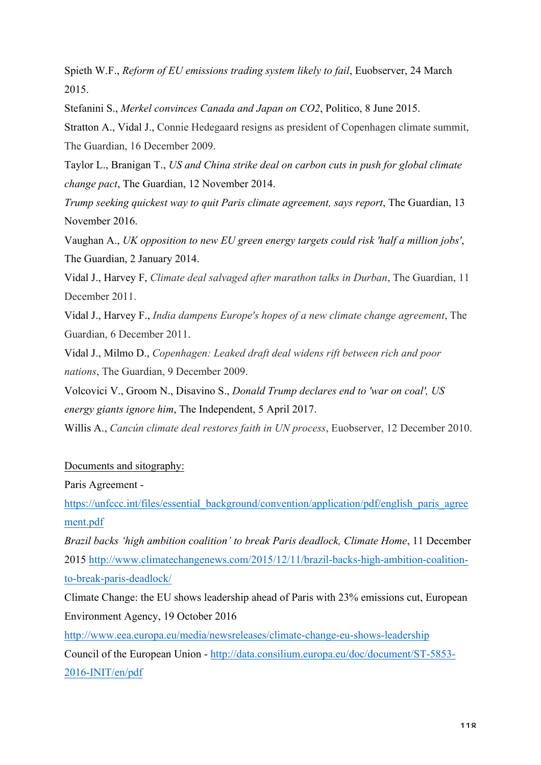Spieth W.F., *Reform of EU emissions trading system likely to fail*, Euobserver, 24 March 2015.

Stefanini S., *Merkel convinces Canada and Japan on CO2*, Politico, 8 June 2015.

Stratton A., Vidal J., Connie Hedegaard resigns as president of Copenhagen climate summit, The Guardian, 16 December 2009.

Taylor L., Branigan T., *US and China strike deal on carbon cuts in push for global climate change pact*, The Guardian, 12 November 2014.

*Trump seeking quickest way to quit Paris climate agreement, says report*, The Guardian, 13 November 2016.

Vaughan A., *UK opposition to new EU green energy targets could risk 'half a million jobs'*, The Guardian, 2 January 2014.

Vidal J., Harvey F, *Climate deal salvaged after marathon talks in Durban*, The Guardian, 11 December 2011.

Vidal J., Harvey F., *India dampens Europe's hopes of a new climate change agreement*, The Guardian, 6 December 2011.

Vidal J., Milmo D., *Copenhagen: Leaked draft deal widens rift between rich and poor nations*, The Guardian, 9 December 2009.

Volcovici V., Groom N., Disavino S., *Donald Trump declares end to 'war on coal', US energy giants ignore him*, The Independent, 5 April 2017.

Willis A., *Cancún climate deal restores faith in UN process*, Euobserver, 12 December 2010.

## Documents and sitography:

Paris Agreement -

https://unfccc.int/files/essential\_background/convention/application/pdf/english\_paris\_agree ment.pdf

*Brazil backs 'high ambition coalition' to break Paris deadlock, Climate Home*, 11 December 2015 http://www.climatechangenews.com/2015/12/11/brazil-backs-high-ambition-coalitionto-break-paris-deadlock/

Climate Change: the EU shows leadership ahead of Paris with 23% emissions cut, European Environment Agency, 19 October 2016

http://www.eea.europa.eu/media/newsreleases/climate-change-eu-shows-leadership Council of the European Union - http://data.consilium.europa.eu/doc/document/ST-5853- 2016-INIT/en/pdf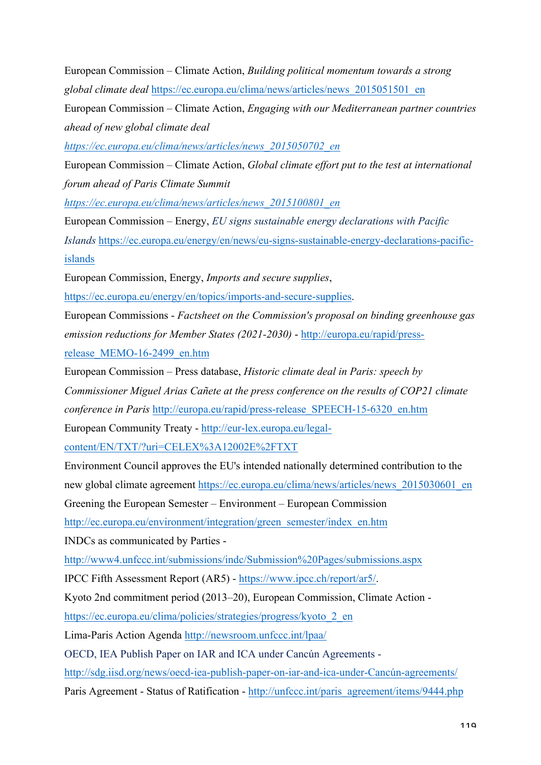European Commission – Climate Action, *Building political momentum towards a strong global climate deal* https://ec.europa.eu/clima/news/articles/news\_2015051501\_en

European Commission – Climate Action, *Engaging with our Mediterranean partner countries ahead of new global climate deal* 

*https://ec.europa.eu/clima/news/articles/news\_2015050702\_en*

European Commission – Climate Action, *Global climate effort put to the test at international forum ahead of Paris Climate Summit* 

*https://ec.europa.eu/clima/news/articles/news\_2015100801\_en*

European Commission – Energy, *EU signs sustainable energy declarations with Pacific Islands* https://ec.europa.eu/energy/en/news/eu-signs-sustainable-energy-declarations-pacificislands

European Commission, Energy, *Imports and secure supplies*,

https://ec.europa.eu/energy/en/topics/imports-and-secure-supplies.

European Commissions - *Factsheet on the Commission's proposal on binding greenhouse gas emission reductions for Member States (2021-2030)* - http://europa.eu/rapid/press-

release\_MEMO-16-2499\_en.htm

European Commission – Press database, *Historic climate deal in Paris: speech by Commissioner Miguel Arias Cañete at the press conference on the results of COP21 climate conference in Paris* http://europa.eu/rapid/press-release SPEECH-15-6320 en.htm

European Community Treaty - http://eur-lex.europa.eu/legal-

content/EN/TXT/?uri=CELEX%3A12002E%2FTXT

Environment Council approves the EU's intended nationally determined contribution to the

new global climate agreement https://ec.europa.eu/clima/news/articles/news\_2015030601\_en

Greening the European Semester – Environment – European Commission

http://ec.europa.eu/environment/integration/green\_semester/index\_en.htm

INDCs as communicated by Parties -

http://www4.unfccc.int/submissions/indc/Submission%20Pages/submissions.aspx

IPCC Fifth Assessment Report (AR5) - https://www.ipcc.ch/report/ar5/.

Kyoto 2nd commitment period (2013–20), European Commission, Climate Action -

https://ec.europa.eu/clima/policies/strategies/progress/kyoto 2 en

Lima-Paris Action Agenda http://newsroom.unfccc.int/lpaa/

OECD, IEA Publish Paper on IAR and ICA under Cancún Agreements -

http://sdg.iisd.org/news/oecd-iea-publish-paper-on-iar-and-ica-under-Cancún-agreements/

Paris Agreement - Status of Ratification - http://unfccc.int/paris\_agreement/items/9444.php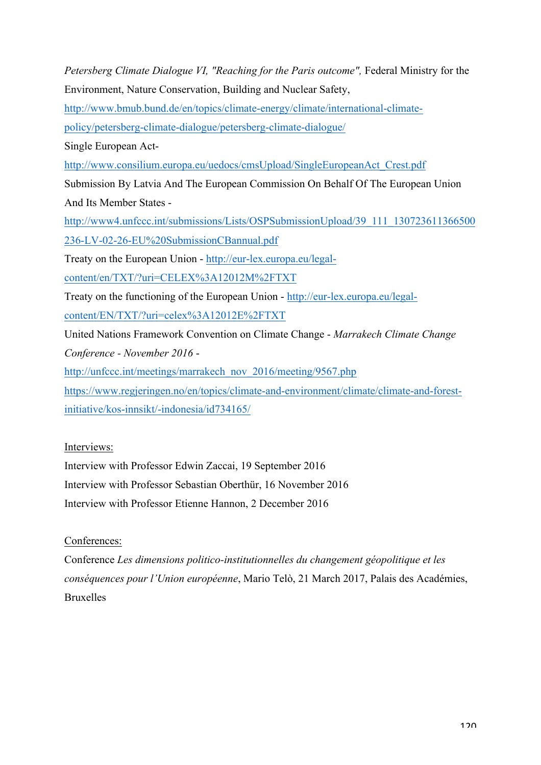*Petersberg Climate Dialogue VI, "Reaching for the Paris outcome",* Federal Ministry for the Environment, Nature Conservation, Building and Nuclear Safety,

http://www.bmub.bund.de/en/topics/climate-energy/climate/international-climate-

policy/petersberg-climate-dialogue/petersberg-climate-dialogue/

Single European Act-

http://www.consilium.europa.eu/uedocs/cmsUpload/SingleEuropeanAct\_Crest.pdf

Submission By Latvia And The European Commission On Behalf Of The European Union And Its Member States -

http://www4.unfccc.int/submissions/Lists/OSPSubmissionUpload/39\_111\_130723611366500 236-LV-02-26-EU%20SubmissionCBannual.pdf

Treaty on the European Union - http://eur-lex.europa.eu/legal-

content/en/TXT/?uri=CELEX%3A12012M%2FTXT

Treaty on the functioning of the European Union - http://eur-lex.europa.eu/legal-

content/EN/TXT/?uri=celex%3A12012E%2FTXT

United Nations Framework Convention on Climate Change - *Marrakech Climate Change Conference - November 2016* -

http://unfccc.int/meetings/marrakech\_nov\_2016/meeting/9567.php

https://www.regjeringen.no/en/topics/climate-and-environment/climate/climate-and-forestinitiative/kos-innsikt/-indonesia/id734165/

Interviews:

Interview with Professor Edwin Zaccai, 19 September 2016 Interview with Professor Sebastian Oberthür, 16 November 2016

Interview with Professor Etienne Hannon, 2 December 2016

Conferences:

Conference *Les dimensions politico-institutionnelles du changement géopolitique et les conséquences pour l'Union européenne*, Mario Telò, 21 March 2017, Palais des Académies, Bruxelles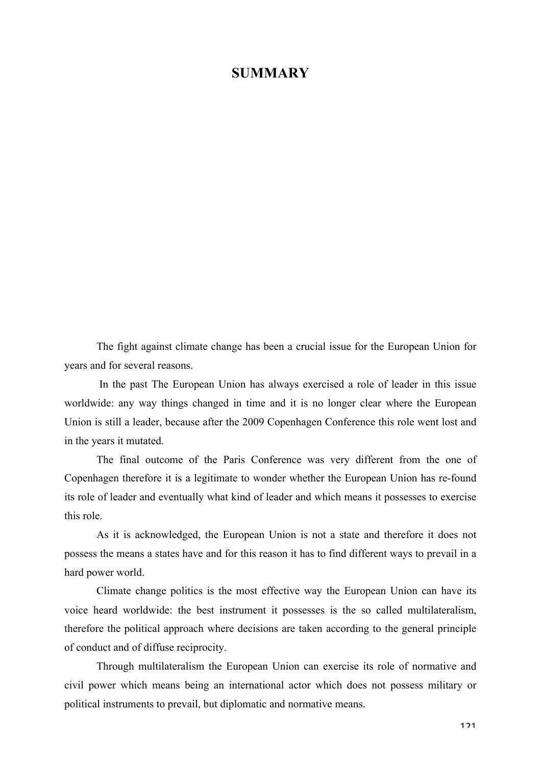## **SUMMARY**

The fight against climate change has been a crucial issue for the European Union for years and for several reasons.

In the past The European Union has always exercised a role of leader in this issue worldwide: any way things changed in time and it is no longer clear where the European Union is still a leader, because after the 2009 Copenhagen Conference this role went lost and in the years it mutated.

The final outcome of the Paris Conference was very different from the one of Copenhagen therefore it is a legitimate to wonder whether the European Union has re-found its role of leader and eventually what kind of leader and which means it possesses to exercise this role.

As it is acknowledged, the European Union is not a state and therefore it does not possess the means a states have and for this reason it has to find different ways to prevail in a hard power world.

Climate change politics is the most effective way the European Union can have its voice heard worldwide: the best instrument it possesses is the so called multilateralism, therefore the political approach where decisions are taken according to the general principle of conduct and of diffuse reciprocity.

Through multilateralism the European Union can exercise its role of normative and civil power which means being an international actor which does not possess military or political instruments to prevail, but diplomatic and normative means.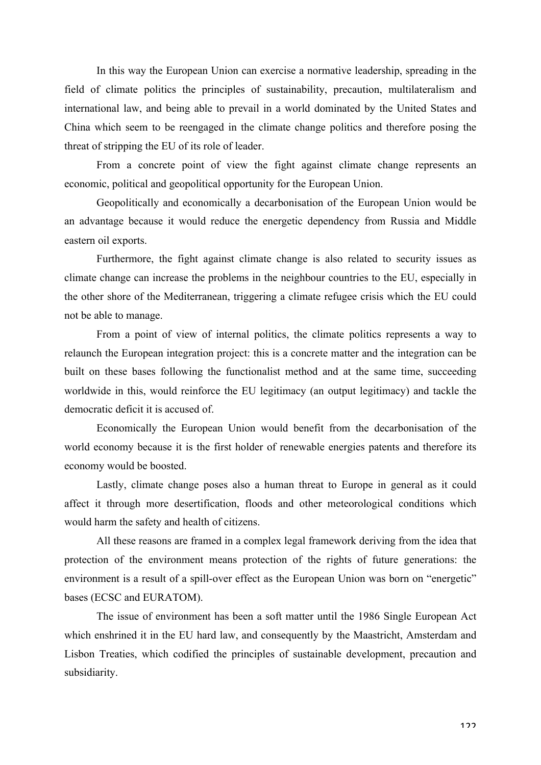In this way the European Union can exercise a normative leadership, spreading in the field of climate politics the principles of sustainability, precaution, multilateralism and international law, and being able to prevail in a world dominated by the United States and China which seem to be reengaged in the climate change politics and therefore posing the threat of stripping the EU of its role of leader.

From a concrete point of view the fight against climate change represents an economic, political and geopolitical opportunity for the European Union.

Geopolitically and economically a decarbonisation of the European Union would be an advantage because it would reduce the energetic dependency from Russia and Middle eastern oil exports.

Furthermore, the fight against climate change is also related to security issues as climate change can increase the problems in the neighbour countries to the EU, especially in the other shore of the Mediterranean, triggering a climate refugee crisis which the EU could not be able to manage.

From a point of view of internal politics, the climate politics represents a way to relaunch the European integration project: this is a concrete matter and the integration can be built on these bases following the functionalist method and at the same time, succeeding worldwide in this, would reinforce the EU legitimacy (an output legitimacy) and tackle the democratic deficit it is accused of.

Economically the European Union would benefit from the decarbonisation of the world economy because it is the first holder of renewable energies patents and therefore its economy would be boosted.

Lastly, climate change poses also a human threat to Europe in general as it could affect it through more desertification, floods and other meteorological conditions which would harm the safety and health of citizens.

All these reasons are framed in a complex legal framework deriving from the idea that protection of the environment means protection of the rights of future generations: the environment is a result of a spill-over effect as the European Union was born on "energetic" bases (ECSC and EURATOM).

The issue of environment has been a soft matter until the 1986 Single European Act which enshrined it in the EU hard law, and consequently by the Maastricht, Amsterdam and Lisbon Treaties, which codified the principles of sustainable development, precaution and subsidiarity.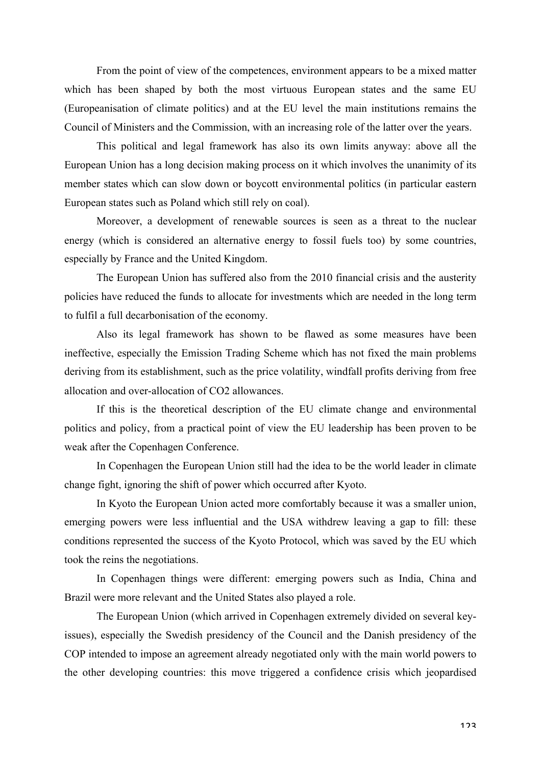From the point of view of the competences, environment appears to be a mixed matter which has been shaped by both the most virtuous European states and the same EU (Europeanisation of climate politics) and at the EU level the main institutions remains the Council of Ministers and the Commission, with an increasing role of the latter over the years.

This political and legal framework has also its own limits anyway: above all the European Union has a long decision making process on it which involves the unanimity of its member states which can slow down or boycott environmental politics (in particular eastern European states such as Poland which still rely on coal).

Moreover, a development of renewable sources is seen as a threat to the nuclear energy (which is considered an alternative energy to fossil fuels too) by some countries, especially by France and the United Kingdom.

The European Union has suffered also from the 2010 financial crisis and the austerity policies have reduced the funds to allocate for investments which are needed in the long term to fulfil a full decarbonisation of the economy.

Also its legal framework has shown to be flawed as some measures have been ineffective, especially the Emission Trading Scheme which has not fixed the main problems deriving from its establishment, such as the price volatility, windfall profits deriving from free allocation and over-allocation of CO2 allowances.

If this is the theoretical description of the EU climate change and environmental politics and policy, from a practical point of view the EU leadership has been proven to be weak after the Copenhagen Conference.

In Copenhagen the European Union still had the idea to be the world leader in climate change fight, ignoring the shift of power which occurred after Kyoto.

In Kyoto the European Union acted more comfortably because it was a smaller union, emerging powers were less influential and the USA withdrew leaving a gap to fill: these conditions represented the success of the Kyoto Protocol, which was saved by the EU which took the reins the negotiations.

In Copenhagen things were different: emerging powers such as India, China and Brazil were more relevant and the United States also played a role.

The European Union (which arrived in Copenhagen extremely divided on several keyissues), especially the Swedish presidency of the Council and the Danish presidency of the COP intended to impose an agreement already negotiated only with the main world powers to the other developing countries: this move triggered a confidence crisis which jeopardised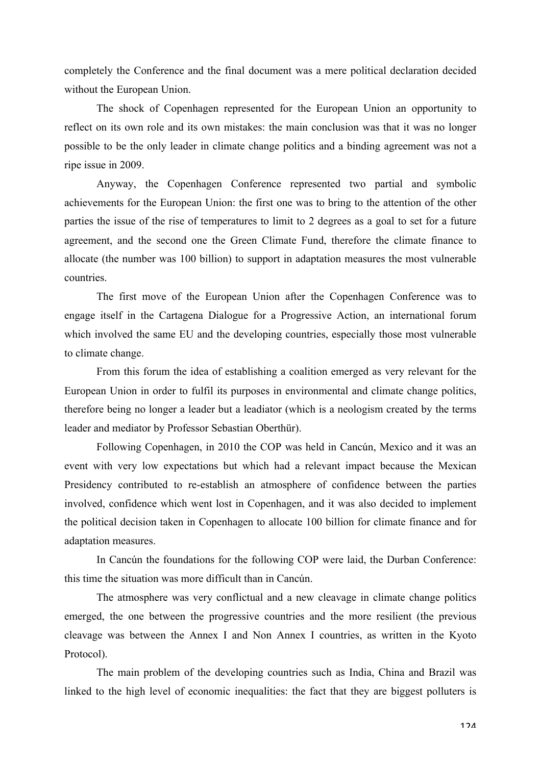completely the Conference and the final document was a mere political declaration decided without the European Union.

The shock of Copenhagen represented for the European Union an opportunity to reflect on its own role and its own mistakes: the main conclusion was that it was no longer possible to be the only leader in climate change politics and a binding agreement was not a ripe issue in 2009.

Anyway, the Copenhagen Conference represented two partial and symbolic achievements for the European Union: the first one was to bring to the attention of the other parties the issue of the rise of temperatures to limit to 2 degrees as a goal to set for a future agreement, and the second one the Green Climate Fund, therefore the climate finance to allocate (the number was 100 billion) to support in adaptation measures the most vulnerable countries.

The first move of the European Union after the Copenhagen Conference was to engage itself in the Cartagena Dialogue for a Progressive Action, an international forum which involved the same EU and the developing countries, especially those most vulnerable to climate change.

From this forum the idea of establishing a coalition emerged as very relevant for the European Union in order to fulfil its purposes in environmental and climate change politics, therefore being no longer a leader but a leadiator (which is a neologism created by the terms leader and mediator by Professor Sebastian Oberthür).

Following Copenhagen, in 2010 the COP was held in Cancún, Mexico and it was an event with very low expectations but which had a relevant impact because the Mexican Presidency contributed to re-establish an atmosphere of confidence between the parties involved, confidence which went lost in Copenhagen, and it was also decided to implement the political decision taken in Copenhagen to allocate 100 billion for climate finance and for adaptation measures.

In Cancún the foundations for the following COP were laid, the Durban Conference: this time the situation was more difficult than in Cancún.

The atmosphere was very conflictual and a new cleavage in climate change politics emerged, the one between the progressive countries and the more resilient (the previous cleavage was between the Annex I and Non Annex I countries, as written in the Kyoto Protocol).

The main problem of the developing countries such as India, China and Brazil was linked to the high level of economic inequalities: the fact that they are biggest polluters is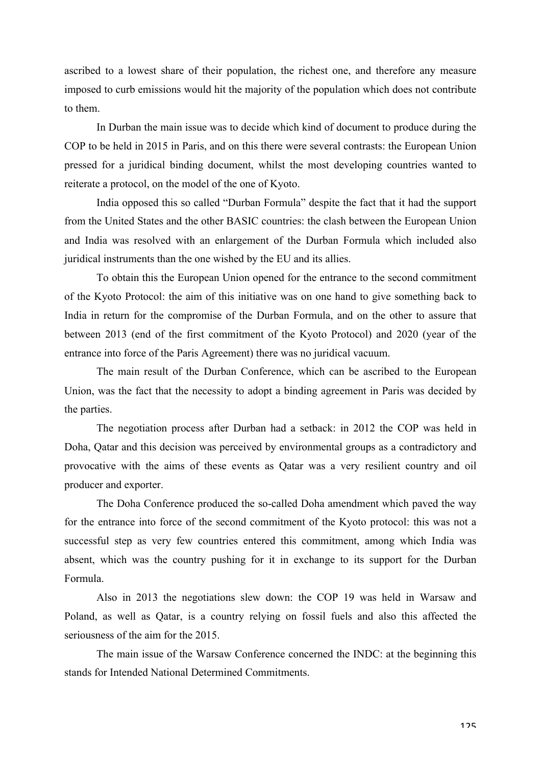ascribed to a lowest share of their population, the richest one, and therefore any measure imposed to curb emissions would hit the majority of the population which does not contribute to them.

In Durban the main issue was to decide which kind of document to produce during the COP to be held in 2015 in Paris, and on this there were several contrasts: the European Union pressed for a juridical binding document, whilst the most developing countries wanted to reiterate a protocol, on the model of the one of Kyoto.

India opposed this so called "Durban Formula" despite the fact that it had the support from the United States and the other BASIC countries: the clash between the European Union and India was resolved with an enlargement of the Durban Formula which included also juridical instruments than the one wished by the EU and its allies.

To obtain this the European Union opened for the entrance to the second commitment of the Kyoto Protocol: the aim of this initiative was on one hand to give something back to India in return for the compromise of the Durban Formula, and on the other to assure that between 2013 (end of the first commitment of the Kyoto Protocol) and 2020 (year of the entrance into force of the Paris Agreement) there was no juridical vacuum.

The main result of the Durban Conference, which can be ascribed to the European Union, was the fact that the necessity to adopt a binding agreement in Paris was decided by the parties.

The negotiation process after Durban had a setback: in 2012 the COP was held in Doha, Qatar and this decision was perceived by environmental groups as a contradictory and provocative with the aims of these events as Qatar was a very resilient country and oil producer and exporter.

The Doha Conference produced the so-called Doha amendment which paved the way for the entrance into force of the second commitment of the Kyoto protocol: this was not a successful step as very few countries entered this commitment, among which India was absent, which was the country pushing for it in exchange to its support for the Durban Formula.

Also in 2013 the negotiations slew down: the COP 19 was held in Warsaw and Poland, as well as Qatar, is a country relying on fossil fuels and also this affected the seriousness of the aim for the 2015.

The main issue of the Warsaw Conference concerned the INDC: at the beginning this stands for Intended National Determined Commitments.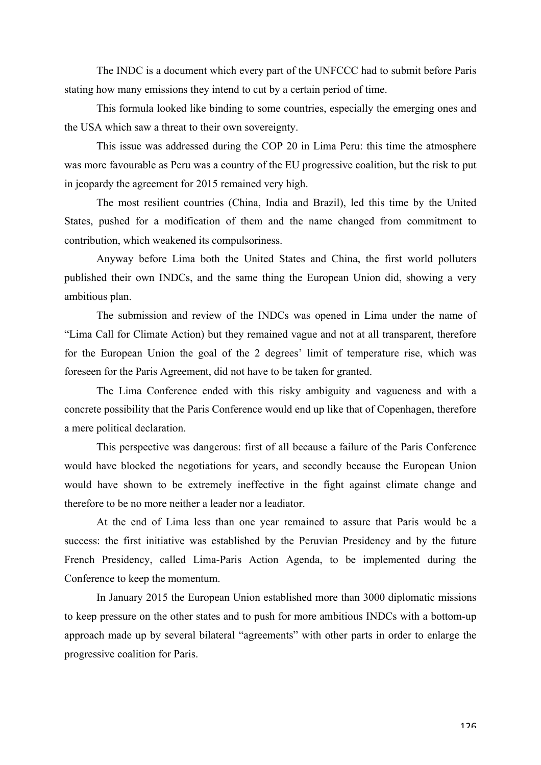The INDC is a document which every part of the UNFCCC had to submit before Paris stating how many emissions they intend to cut by a certain period of time.

This formula looked like binding to some countries, especially the emerging ones and the USA which saw a threat to their own sovereignty.

This issue was addressed during the COP 20 in Lima Peru: this time the atmosphere was more favourable as Peru was a country of the EU progressive coalition, but the risk to put in jeopardy the agreement for 2015 remained very high.

The most resilient countries (China, India and Brazil), led this time by the United States, pushed for a modification of them and the name changed from commitment to contribution, which weakened its compulsoriness.

Anyway before Lima both the United States and China, the first world polluters published their own INDCs, and the same thing the European Union did, showing a very ambitious plan.

The submission and review of the INDCs was opened in Lima under the name of "Lima Call for Climate Action) but they remained vague and not at all transparent, therefore for the European Union the goal of the 2 degrees' limit of temperature rise, which was foreseen for the Paris Agreement, did not have to be taken for granted.

The Lima Conference ended with this risky ambiguity and vagueness and with a concrete possibility that the Paris Conference would end up like that of Copenhagen, therefore a mere political declaration.

This perspective was dangerous: first of all because a failure of the Paris Conference would have blocked the negotiations for years, and secondly because the European Union would have shown to be extremely ineffective in the fight against climate change and therefore to be no more neither a leader nor a leadiator.

At the end of Lima less than one year remained to assure that Paris would be a success: the first initiative was established by the Peruvian Presidency and by the future French Presidency, called Lima-Paris Action Agenda, to be implemented during the Conference to keep the momentum.

In January 2015 the European Union established more than 3000 diplomatic missions to keep pressure on the other states and to push for more ambitious INDCs with a bottom-up approach made up by several bilateral "agreements" with other parts in order to enlarge the progressive coalition for Paris.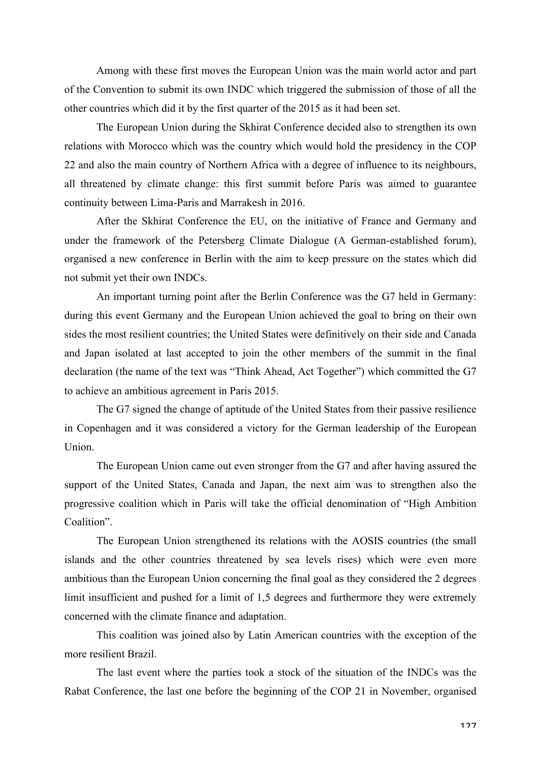Among with these first moves the European Union was the main world actor and part of the Convention to submit its own INDC which triggered the submission of those of all the other countries which did it by the first quarter of the 2015 as it had been set.

The European Union during the Skhirat Conference decided also to strengthen its own relations with Morocco which was the country which would hold the presidency in the COP 22 and also the main country of Northern Africa with a degree of influence to its neighbours, all threatened by climate change: this first summit before Paris was aimed to guarantee continuity between Lima-Paris and Marrakesh in 2016.

After the Skhirat Conference the EU, on the initiative of France and Germany and under the framework of the Petersberg Climate Dialogue (A German-established forum), organised a new conference in Berlin with the aim to keep pressure on the states which did not submit yet their own INDCs.

An important turning point after the Berlin Conference was the G7 held in Germany: during this event Germany and the European Union achieved the goal to bring on their own sides the most resilient countries; the United States were definitively on their side and Canada and Japan isolated at last accepted to join the other members of the summit in the final declaration (the name of the text was "Think Ahead, Act Together") which committed the G7 to achieve an ambitious agreement in Paris 2015.

The G7 signed the change of aptitude of the United States from their passive resilience in Copenhagen and it was considered a victory for the German leadership of the European Union.

The European Union came out even stronger from the G7 and after having assured the support of the United States, Canada and Japan, the next aim was to strengthen also the progressive coalition which in Paris will take the official denomination of "High Ambition Coalition".

The European Union strengthened its relations with the AOSIS countries (the small islands and the other countries threatened by sea levels rises) which were even more ambitious than the European Union concerning the final goal as they considered the 2 degrees limit insufficient and pushed for a limit of 1,5 degrees and furthermore they were extremely concerned with the climate finance and adaptation.

This coalition was joined also by Latin American countries with the exception of the more resilient Brazil.

The last event where the parties took a stock of the situation of the INDCs was the Rabat Conference, the last one before the beginning of the COP 21 in November, organised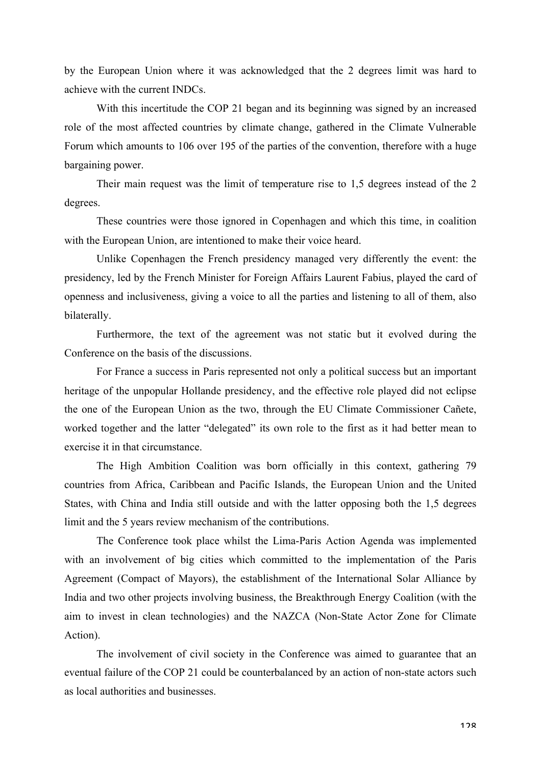by the European Union where it was acknowledged that the 2 degrees limit was hard to achieve with the current INDCs.

With this incertitude the COP 21 began and its beginning was signed by an increased role of the most affected countries by climate change, gathered in the Climate Vulnerable Forum which amounts to 106 over 195 of the parties of the convention, therefore with a huge bargaining power.

Their main request was the limit of temperature rise to 1,5 degrees instead of the 2 degrees.

These countries were those ignored in Copenhagen and which this time, in coalition with the European Union, are intentioned to make their voice heard.

Unlike Copenhagen the French presidency managed very differently the event: the presidency, led by the French Minister for Foreign Affairs Laurent Fabius, played the card of openness and inclusiveness, giving a voice to all the parties and listening to all of them, also bilaterally.

Furthermore, the text of the agreement was not static but it evolved during the Conference on the basis of the discussions.

For France a success in Paris represented not only a political success but an important heritage of the unpopular Hollande presidency, and the effective role played did not eclipse the one of the European Union as the two, through the EU Climate Commissioner Cañete, worked together and the latter "delegated" its own role to the first as it had better mean to exercise it in that circumstance.

The High Ambition Coalition was born officially in this context, gathering 79 countries from Africa, Caribbean and Pacific Islands, the European Union and the United States, with China and India still outside and with the latter opposing both the 1,5 degrees limit and the 5 years review mechanism of the contributions.

The Conference took place whilst the Lima-Paris Action Agenda was implemented with an involvement of big cities which committed to the implementation of the Paris Agreement (Compact of Mayors), the establishment of the International Solar Alliance by India and two other projects involving business, the Breakthrough Energy Coalition (with the aim to invest in clean technologies) and the NAZCA (Non-State Actor Zone for Climate Action).

The involvement of civil society in the Conference was aimed to guarantee that an eventual failure of the COP 21 could be counterbalanced by an action of non-state actors such as local authorities and businesses.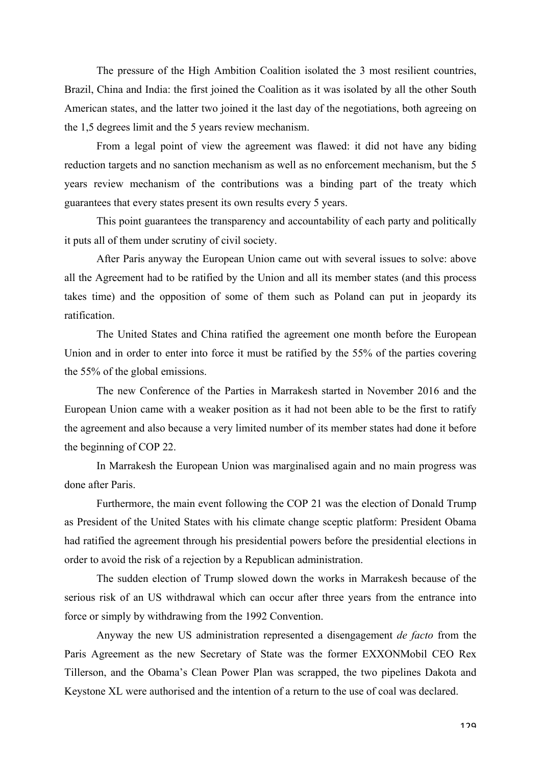The pressure of the High Ambition Coalition isolated the 3 most resilient countries, Brazil, China and India: the first joined the Coalition as it was isolated by all the other South American states, and the latter two joined it the last day of the negotiations, both agreeing on the 1,5 degrees limit and the 5 years review mechanism.

From a legal point of view the agreement was flawed: it did not have any biding reduction targets and no sanction mechanism as well as no enforcement mechanism, but the 5 years review mechanism of the contributions was a binding part of the treaty which guarantees that every states present its own results every 5 years.

This point guarantees the transparency and accountability of each party and politically it puts all of them under scrutiny of civil society.

After Paris anyway the European Union came out with several issues to solve: above all the Agreement had to be ratified by the Union and all its member states (and this process takes time) and the opposition of some of them such as Poland can put in jeopardy its ratification.

The United States and China ratified the agreement one month before the European Union and in order to enter into force it must be ratified by the 55% of the parties covering the 55% of the global emissions.

The new Conference of the Parties in Marrakesh started in November 2016 and the European Union came with a weaker position as it had not been able to be the first to ratify the agreement and also because a very limited number of its member states had done it before the beginning of COP 22.

In Marrakesh the European Union was marginalised again and no main progress was done after Paris.

Furthermore, the main event following the COP 21 was the election of Donald Trump as President of the United States with his climate change sceptic platform: President Obama had ratified the agreement through his presidential powers before the presidential elections in order to avoid the risk of a rejection by a Republican administration.

The sudden election of Trump slowed down the works in Marrakesh because of the serious risk of an US withdrawal which can occur after three years from the entrance into force or simply by withdrawing from the 1992 Convention.

Anyway the new US administration represented a disengagement *de facto* from the Paris Agreement as the new Secretary of State was the former EXXONMobil CEO Rex Tillerson, and the Obama's Clean Power Plan was scrapped, the two pipelines Dakota and Keystone XL were authorised and the intention of a return to the use of coal was declared.